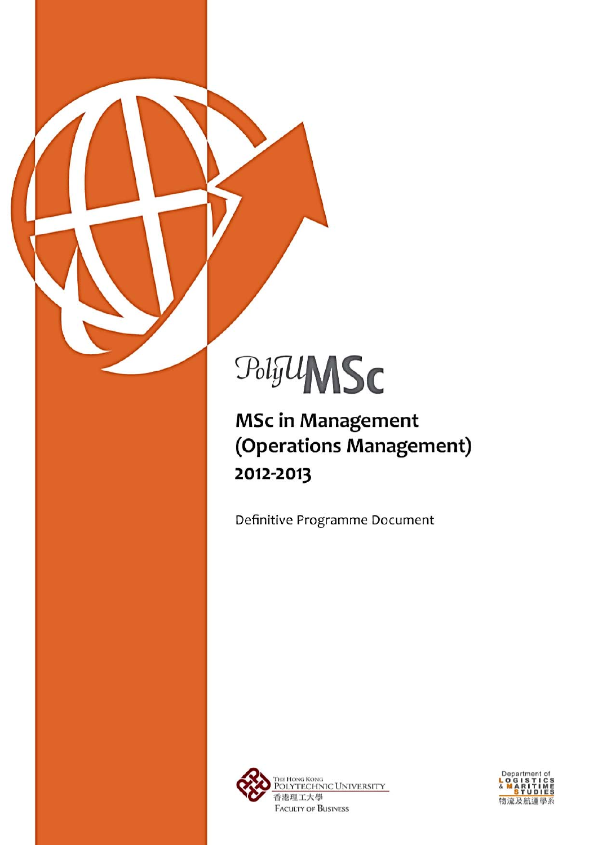# PolyUMSC

**MSc in Management** (Operations Management) 2012-2013

Definitive Programme Document



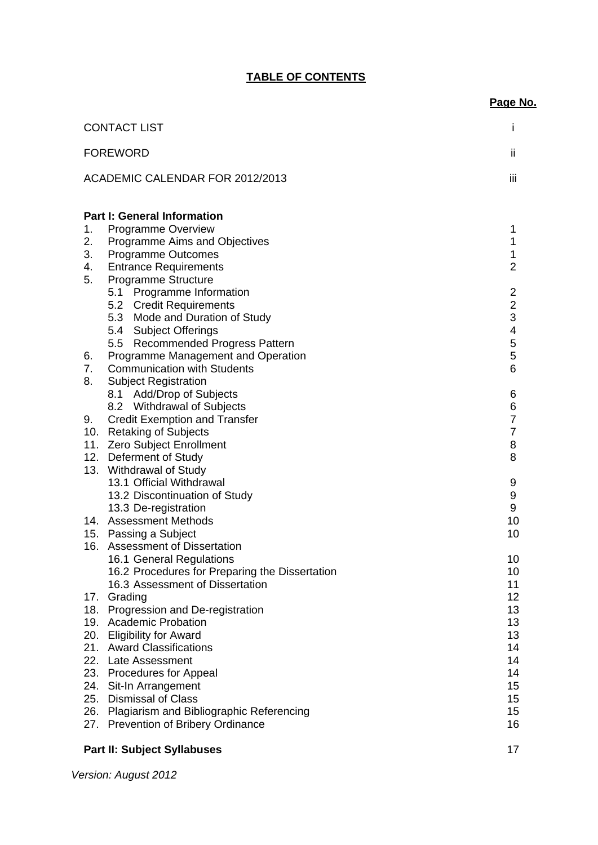# **TABLE OF CONTENTS**

|                                                                                                                                                                                                                                                                                                                                                                                                                                                           | Page No.                                                                                                                                              |
|-----------------------------------------------------------------------------------------------------------------------------------------------------------------------------------------------------------------------------------------------------------------------------------------------------------------------------------------------------------------------------------------------------------------------------------------------------------|-------------------------------------------------------------------------------------------------------------------------------------------------------|
| <b>CONTACT LIST</b>                                                                                                                                                                                                                                                                                                                                                                                                                                       | I                                                                                                                                                     |
| <b>FOREWORD</b>                                                                                                                                                                                                                                                                                                                                                                                                                                           | ii                                                                                                                                                    |
| ACADEMIC CALENDAR FOR 2012/2013                                                                                                                                                                                                                                                                                                                                                                                                                           | iii                                                                                                                                                   |
| <b>Part I: General Information</b><br><b>Programme Overview</b><br>Programme Aims and Objectives<br>Programme Outcomes<br><b>Entrance Requirements</b>                                                                                                                                                                                                                                                                                                    | 1<br>1<br>1<br>$\overline{2}$                                                                                                                         |
| 5.1 Programme Information<br>5.2 Credit Requirements<br>5.3 Mode and Duration of Study<br>5.4 Subject Offerings<br>5.5 Recommended Progress Pattern                                                                                                                                                                                                                                                                                                       | $\overline{\mathbf{c}}$<br>$\overline{2}$<br>3<br>4<br>5                                                                                              |
| <b>Communication with Students</b>                                                                                                                                                                                                                                                                                                                                                                                                                        | 5<br>6                                                                                                                                                |
| 8.1 Add/Drop of Subjects<br>8.2 Withdrawal of Subjects<br><b>Credit Exemption and Transfer</b><br>10. Retaking of Subjects<br>11. Zero Subject Enrollment<br>12. Deferment of Study                                                                                                                                                                                                                                                                       | 6<br>6<br>$\overline{7}$<br>$\overline{7}$<br>8<br>8                                                                                                  |
| 13.1 Official Withdrawal<br>13.2 Discontinuation of Study<br>13.3 De-registration<br>14. Assessment Methods<br>15. Passing a Subject                                                                                                                                                                                                                                                                                                                      | 9<br>9<br>9<br>10<br>10                                                                                                                               |
| 16.1 General Regulations<br>16.2 Procedures for Preparing the Dissertation<br>16.3 Assessment of Dissertation<br>17. Grading<br>18. Progression and De-registration<br>19. Academic Probation<br>20. Eligibility for Award<br>21. Award Classifications<br>22. Late Assessment<br>23. Procedures for Appeal<br>24. Sit-In Arrangement<br><b>Dismissal of Class</b><br>26. Plagiarism and Bibliographic Referencing<br>27. Prevention of Bribery Ordinance | 10<br>10<br>11<br>12<br>13<br>13<br>13<br>14<br>14<br>14<br>15<br>15<br>15<br>16                                                                      |
|                                                                                                                                                                                                                                                                                                                                                                                                                                                           | Programme Structure<br>Programme Management and Operation<br><b>Subject Registration</b><br>13. Withdrawal of Study<br>16. Assessment of Dissertation |

# **Part II: Subject Syllabuses** 17

*Version: August 2012*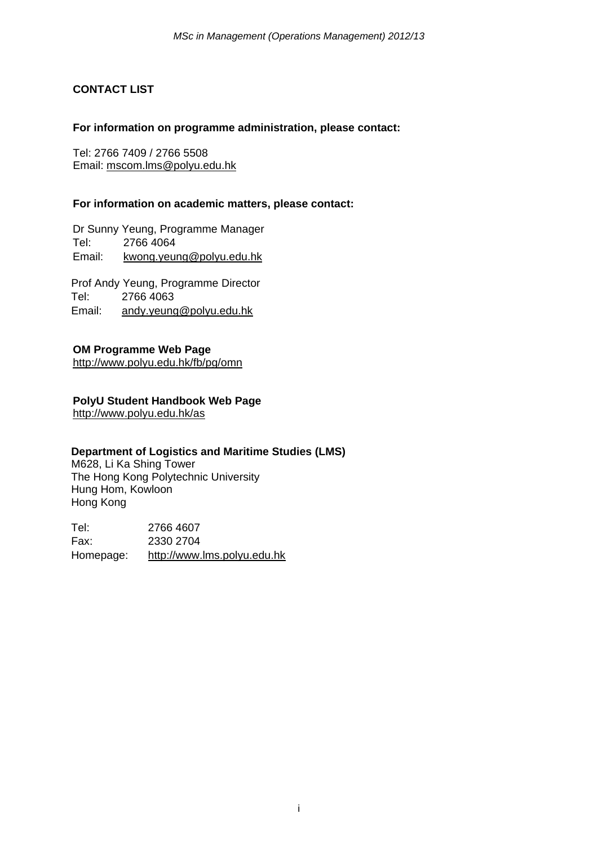# **CONTACT LIST**

#### **For information on programme administration, please contact:**

Tel: 2766 7409 / 2766 5508 Email: mscom.lms@polyu.edu.hk

#### **For information on academic matters, please contact:**

Dr Sunny Yeung, Programme Manager Tel: 2766 4064 Email: kwong.yeung@polyu.edu.hk

Prof Andy Yeung, Programme Director Tel: 2766 4063 Email: andy.yeung@polyu.edu.hk

# **OM Programme Web Page**

http://www.polyu.edu.hk/fb/pg/omn

# **PolyU Student Handbook Web Page**

http://www.polyu.edu.hk/as

#### **Department of Logistics and Maritime Studies (LMS)**

M628, Li Ka Shing Tower The Hong Kong Polytechnic University Hung Hom, Kowloon Hong Kong

Tel: 2766 4607 Fax: 2330 2704 Homepage: http://www.lms.polyu.edu.hk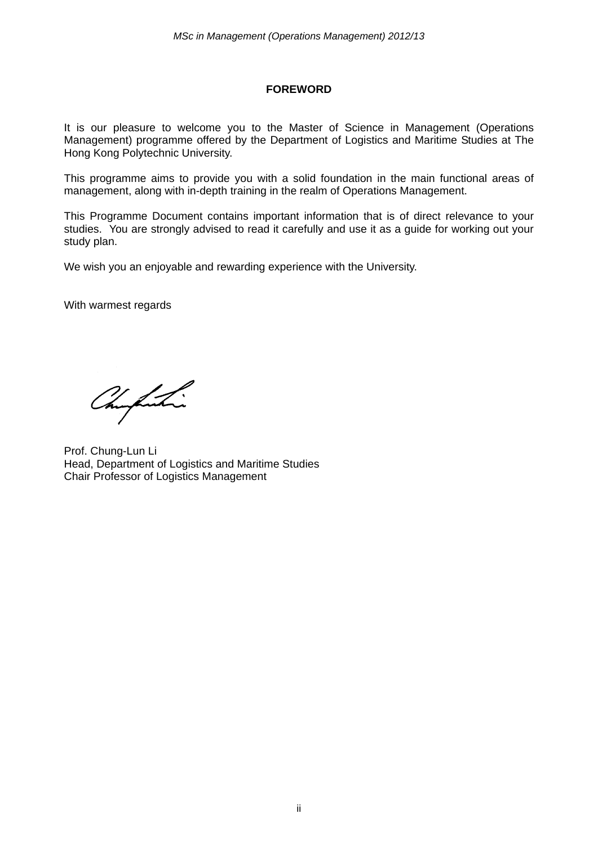# **FOREWORD**

It is our pleasure to welcome you to the Master of Science in Management (Operations Management) programme offered by the Department of Logistics and Maritime Studies at The Hong Kong Polytechnic University.

This programme aims to provide you with a solid foundation in the main functional areas of management, along with in-depth training in the realm of Operations Management.

This Programme Document contains important information that is of direct relevance to your studies. You are strongly advised to read it carefully and use it as a guide for working out your study plan.

We wish you an enjoyable and rewarding experience with the University.

With warmest regards

Chufushi

Prof. Chung-Lun Li Head, Department of Logistics and Maritime Studies Chair Professor of Logistics Management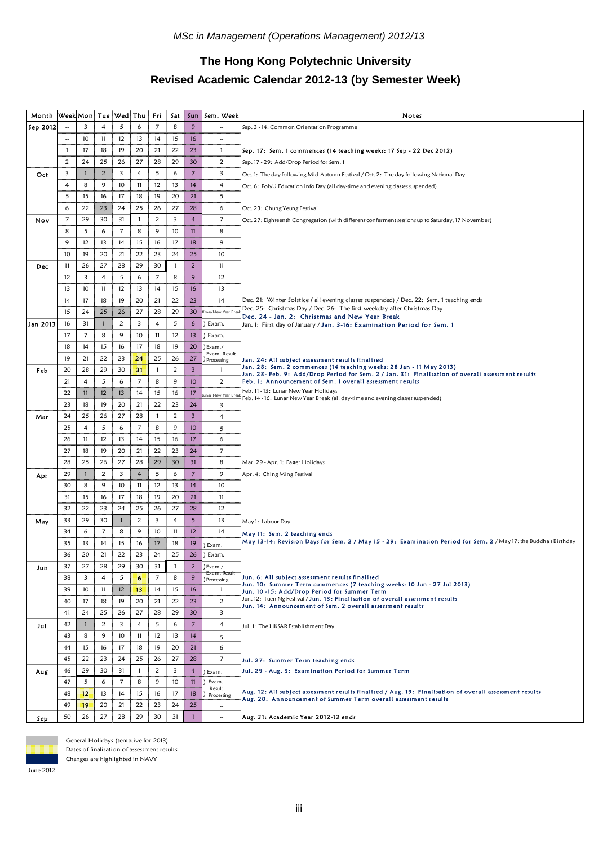# **The Hong Kong Polytechnic University Revised Academic Calendar 2012-13 (by Semester Week)**

| Month    | Week Mon Tue Wed Thu     |                |                |                  |                | Fri            | Sat          | Sun                     | Sem. Week                  | Notes                                                                                                                                                          |  |
|----------|--------------------------|----------------|----------------|------------------|----------------|----------------|--------------|-------------------------|----------------------------|----------------------------------------------------------------------------------------------------------------------------------------------------------------|--|
| Sep 2012 |                          | 3              | 4              | 5                | 6              | $\overline{7}$ | 8            | 9                       |                            | Sep. 3 - 14: Common Orientation Programme                                                                                                                      |  |
|          | $\overline{\phantom{a}}$ | 10             | 11             | 12               | 13             | 14             | 15           | 16                      | ä,                         |                                                                                                                                                                |  |
|          | 1                        | 17             | 18             | 19               | 20             | 21             | 22           | 23                      | $\mathbf{1}$               | Sep. 17: Sem. 1 commences (14 teaching weeks: 17 Sep - 22 Dec 2012)                                                                                            |  |
|          | $\overline{2}$           | 24             | 25             | 26               | 27             | 28             | 29           | 30                      | $\overline{2}$             | Sep. 17 - 29: Add/Drop Period for Sem. 1                                                                                                                       |  |
| Oct      | 3                        | 1              | $\overline{2}$ | 3                | $\overline{4}$ | 5              | 6            | $\overline{7}$          | 3                          |                                                                                                                                                                |  |
|          | 4                        | 8              | 9              | 10               | 11             | 12             | 13           | 14                      | $\overline{4}$             | Oct. 1: The day following Mid-Autumn Festival / Oct. 2: The day following National Day                                                                         |  |
|          | 5                        | 15             | 16             | 17               | 18             | 19             | 20           | 21                      | 5                          | Oct. 6: PolyU Education Info Day (all day-time and evening classes suspended)                                                                                  |  |
|          |                          |                |                |                  |                |                |              |                         |                            |                                                                                                                                                                |  |
|          | 6                        | 22             | 23             | 24               | 25             | 26             | 27           | 28                      | 6                          | Oct. 23: Chung Yeung Festival                                                                                                                                  |  |
| Nov      | 7                        | 29             | 30             | 31               | $\mathbf{1}$   | $\overline{c}$ | 3            | $\overline{4}$          | $\overline{7}$             | Oct. 27: Eighteenth Congregation (with different conferment sessions up to Saturday, 17 November)                                                              |  |
|          | 8                        | 5              | 6              | $\boldsymbol{7}$ | 8              | 9              | 10           | $\overline{11}$         | 8                          |                                                                                                                                                                |  |
|          | 9                        | 12             | 13             | 14               | 15             | 16             | 17           | 18                      | 9                          |                                                                                                                                                                |  |
|          | 10                       | 19             | 20             | 21               | 22             | 23             | 24           | 25                      | 10                         |                                                                                                                                                                |  |
| Dec      | 11                       | 26             | 27             | 28               | 29             | 30             | $\mathbf{1}$ | $\overline{2}$          | 11                         |                                                                                                                                                                |  |
|          | 12                       | 3              | 4              | 5                | 6              | $\overline{7}$ | 8            | 9                       | 12                         |                                                                                                                                                                |  |
|          | 13                       | 10             | 11             | 12               | 13             | 14             | 15           | 16                      | 13                         |                                                                                                                                                                |  |
|          | 14                       | 17             | 18             | 19               | 20             | 21             | 22           | 23                      | 14                         | Dec. 21: Winter Solstice (all evening classes suspended) / Dec. 22: Sem. 1 teaching ends                                                                       |  |
|          | 15                       | 24             | 25             | 26               | 27             | 28             | 29           | 30                      | mas/New Year Br            | Dec. 25: Christmas Day / Dec. 26: The first weekday after Christmas Day<br>Dec. 24 - Jan. 2: Christmas and New Year Break                                      |  |
| Jan 2013 | 16                       | 31             | $\mathbf{1}$   | $\overline{c}$   | 3              | $\overline{4}$ | 5            | 6                       | Exam.                      | Jan. 1: First day of January / <b>Jan. 3-16: Examination Period for Sem. 1</b>                                                                                 |  |
|          | 17                       | $\overline{7}$ | 8              | 9                | 10             | 11             | 12           | 13                      | ) Exam.                    |                                                                                                                                                                |  |
|          | 18                       | 14             | 15             | 16               | 17             | 18             | 19           | 20                      | Exam./                     |                                                                                                                                                                |  |
|          | 19                       | 21             | 22             | 23               | 24             | 25             | 26           | 27                      | Exam. Result<br>Processing | Jan. 24: All subject assessment results finalised                                                                                                              |  |
| Feb      | 20                       | 28             | 29             | 30               | 31             | 1              | 2            | $\overline{\mathbf{3}}$ | $\mathbf{1}$               | Jan. 28: Sem. 2 commences (14 teaching weeks: 28 Jan - 11 May 2013)                                                                                            |  |
|          | 21                       | 4              | 5              | 6                | $\overline{7}$ | 8              | 9            | 10 <sup>10</sup>        | 2                          | Jan. 28- Feb. 9: Add/Drop Period for Sem. 2 / Jan. 31: Finalisation of overall assessment results<br>Feb. 1: Announcement of Sem. 1 overall assessment results |  |
|          | 22                       | 11             | 12             | 13               | 14             | 15             | 16           | 17                      |                            | Feb. 11 - 13: Lunar New Year Holidays                                                                                                                          |  |
|          | 23                       | 18             | 19             | 20               | 21             | 22             | 23           | 24                      | unar New Year Bre<br>3     | Feb. 14 - 16: Lunar New Year Break (all day-time and evening classes suspended)                                                                                |  |
| Mar      | 24                       | 25             | 26             | 27               | 28             | 1              | 2            | $\overline{\mathbf{3}}$ | $\overline{4}$             |                                                                                                                                                                |  |
|          | 25                       | 4              | 5              | 6                | $\overline{7}$ | 8              | 9            | 10                      | 5                          |                                                                                                                                                                |  |
|          | 26                       | 11             | 12             | 13               | 14             | 15             | 16           | 17                      | 6                          |                                                                                                                                                                |  |
|          | 27                       | 18             | 19             | 20               | 21             | 22             | 23           | 24                      | $\boldsymbol{7}$           |                                                                                                                                                                |  |
|          | 28                       | 25             | 26             | 27               | 28             | 29             | 30           | 31                      | 8                          |                                                                                                                                                                |  |
|          |                          |                | $\overline{2}$ | 3                | $\overline{4}$ | 5              | 6            | $\overline{7}$          | 9                          | Mar. 29 - Apr. 1: Easter Holidays                                                                                                                              |  |
| Apr      | 29                       |                |                |                  | 11             |                |              |                         | 10                         | Apr. 4: Ching Ming Festival                                                                                                                                    |  |
|          | 30                       | 8              | 9              | 10               |                | 12             | 13           | 14                      |                            |                                                                                                                                                                |  |
|          | 31                       | 15             | 16             | 17               | 18             | 19             | 20           | 21                      | 11                         |                                                                                                                                                                |  |
|          | 32                       | 22             | 23             | 24               | 25             | 26             | 27           | 28                      | 12                         |                                                                                                                                                                |  |
| May      | 33                       | 29             | 30             | $\mathbf{1}$     | $\overline{2}$ | 3              | 4            | $\sqrt{5}$              | 13                         | May 1: Labour Day                                                                                                                                              |  |
|          | 34                       | 6              | $\overline{7}$ | 8                | 9              | 10             | 11           | 12                      | 14                         | May 11: Sem. 2 teaching ends                                                                                                                                   |  |
|          | 35                       | 13             | 14             | 15               | 16             | 17             | 18           | 19                      | Exam.                      | May 13-14: Revision Days for Sem. 2 / May 15 - 29: Examination Period for Sem. 2 / May 17: the Buddha's Birthday                                               |  |
|          | 36                       | 20             | 21             | 22               | 23             | 24             | 25           | 26                      | Exam.                      |                                                                                                                                                                |  |
| Jun      | 37                       | 27             | 28             | 29               | 30             | 31             | $\mathbf{1}$ | $\overline{2}$          | )Exam./<br>Exam. Result    |                                                                                                                                                                |  |
|          | 38                       | 3              | 4              | 5                | 6              | 7              | 8            | 9                       | ) Processing               | Jun. 6: All subject assessment results finalised<br>Jun. 10: Summer Term commences (7 teaching weeks: 10 Jun - 27 Jul 2013)                                    |  |
|          | 39                       | 10             | 11             | 12               | 13             | 14             | 15           | 16                      | $\mathbf{1}$               | Jun. 10 -15: Add/Drop Period for Summer Term                                                                                                                   |  |
|          | 40                       | 17             | 18             | 19               | 20             | 21             | 22           | 23                      | $\overline{2}$             | Jun. 12: Tuen Ng Festival / Jun. 13: Finalisation of overall assessment results<br>Jun. 14: Announcement of Sem. 2 overall assessment results                  |  |
|          | 41                       | 24             | 25             | 26               | 27             | 28             | 29           | 30                      | 3                          |                                                                                                                                                                |  |
| Jul      | 42                       | $\mathbf{1}$   | $\overline{2}$ | 3                | $\overline{4}$ | 5              | 6            | $\overline{7}$          | $\overline{4}$             | Jul. 1: The HKSAR Establishment Day                                                                                                                            |  |
|          | 43                       | 8              | 9              | 10               | 11             | 12             | 13           | 14                      | 5                          |                                                                                                                                                                |  |
|          | 44                       | 15             | 16             | 17               | 18             | 19             | 20           | 21                      | 6                          |                                                                                                                                                                |  |
|          | 45                       | 22             | 23             | 24               | 25             | 26             | 27           | 28                      | $\overline{7}$             | Jul. 27: Summer Term teaching ends                                                                                                                             |  |
| Aug      | 46                       | 29             | 30             | 31               | $\mathbf{1}$   | 2              | 3            | $\overline{4}$          | Exam.                      | Jul. 29 - Aug. 3: Examination Period for Summer Term                                                                                                           |  |
|          | 47                       | 5              | 6              | $\overline{7}$   | 8              | 9              | 10           | 11                      | Exam.                      |                                                                                                                                                                |  |
|          | 48                       | 12             | 13             | 14               | 15             | 16             | 17           | 18                      | Result<br>Processing       | Aug. 12: All subject assessment results finalised / Aug. 19: Finalisation of overall assessment results                                                        |  |
|          | 49                       | 19             | 20             | 21               | 22             | 23             | 24           | 25                      | $\sim$                     | Aug. 20: Announcement of Summer Term overall assessment results                                                                                                |  |
| Sep      | 50                       | 26             | 27             | 28               | 29             | 30             | 31           | $\mathbf{1}$            | $\overline{\phantom{a}}$   | Aug. 31: Academic Year 2012-13 ends                                                                                                                            |  |
|          |                          |                |                |                  |                |                |              |                         |                            |                                                                                                                                                                |  |



General Holidays (tentative for 2013)

Dates of finalisation of assessment results

Changes are highlighted in NAVY

June 2012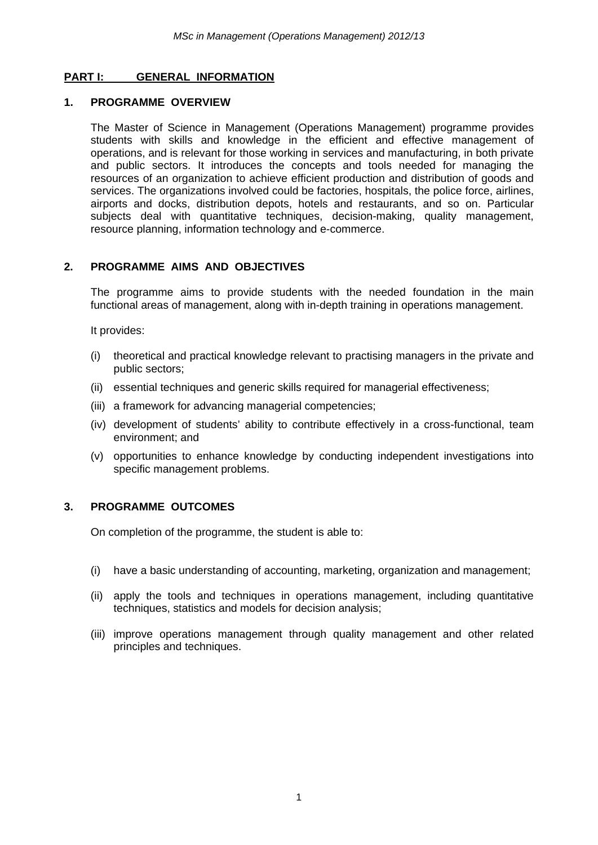#### **PART I: GENERAL INFORMATION**

#### **1. PROGRAMME OVERVIEW**

The Master of Science in Management (Operations Management) programme provides students with skills and knowledge in the efficient and effective management of operations, and is relevant for those working in services and manufacturing, in both private and public sectors. It introduces the concepts and tools needed for managing the resources of an organization to achieve efficient production and distribution of goods and services. The organizations involved could be factories, hospitals, the police force, airlines, airports and docks, distribution depots, hotels and restaurants, and so on. Particular subiects deal with quantitative techniques, decision-making, quality management, resource planning, information technology and e-commerce.

#### **2. PROGRAMME AIMS AND OBJECTIVES**

The programme aims to provide students with the needed foundation in the main functional areas of management, along with in-depth training in operations management.

It provides:

- (i) theoretical and practical knowledge relevant to practising managers in the private and public sectors;
- (ii) essential techniques and generic skills required for managerial effectiveness;
- (iii) a framework for advancing managerial competencies;
- (iv) development of students' ability to contribute effectively in a cross-functional, team environment; and
- (v) opportunities to enhance knowledge by conducting independent investigations into specific management problems.

#### **3. PROGRAMME OUTCOMES**

On completion of the programme, the student is able to:

- (i) have a basic understanding of accounting, marketing, organization and management;
- (ii) apply the tools and techniques in operations management, including quantitative techniques, statistics and models for decision analysis;
- (iii) improve operations management through quality management and other related principles and techniques.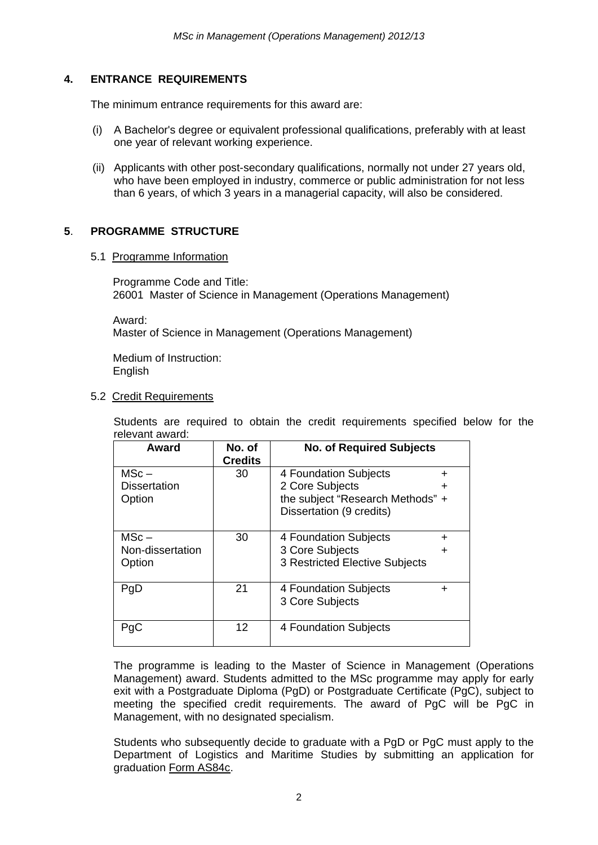# **4. ENTRANCE REQUIREMENTS**

The minimum entrance requirements for this award are:

- (i) A Bachelor's degree or equivalent professional qualifications, preferably with at least one year of relevant working experience.
- (ii) Applicants with other post-secondary qualifications, normally not under 27 years old, who have been employed in industry, commerce or public administration for not less than 6 years, of which 3 years in a managerial capacity, will also be considered.

# **5**. **PROGRAMME STRUCTURE**

#### 5.1 Programme Information

Programme Code and Title: 26001 Master of Science in Management (Operations Management)

Award: Master of Science in Management (Operations Management)

Medium of Instruction: English

#### 5.2 Credit Requirements

Students are required to obtain the credit requirements specified below for the relevant award:

| Award                         | No. of<br><b>Credits</b> | <b>No. of Required Subjects</b>                     |   |
|-------------------------------|--------------------------|-----------------------------------------------------|---|
| $MSc -$                       | 30                       | 4 Foundation Subjects                               | + |
| <b>Dissertation</b><br>Option |                          | 2 Core Subjects<br>the subject "Research Methods" + | ٠ |
|                               |                          | Dissertation (9 credits)                            |   |
| $MSc -$                       | 30                       | 4 Foundation Subjects                               | + |
| Non-dissertation              |                          | 3 Core Subjects                                     | + |
| Option                        |                          | 3 Restricted Elective Subjects                      |   |
| PgD                           | 21                       | 4 Foundation Subjects                               | ┿ |
|                               |                          | 3 Core Subjects                                     |   |
| PcC                           | 12                       | 4 Foundation Subjects                               |   |

The programme is leading to the Master of Science in Management (Operations Management) award. Students admitted to the MSc programme may apply for early exit with a Postgraduate Diploma (PgD) or Postgraduate Certificate (PgC), subject to meeting the specified credit requirements. The award of PgC will be PgC in Management, with no designated specialism.

Students who subsequently decide to graduate with a PgD or PgC must apply to the Department of Logistics and Maritime Studies by submitting an application for graduation Form AS84c.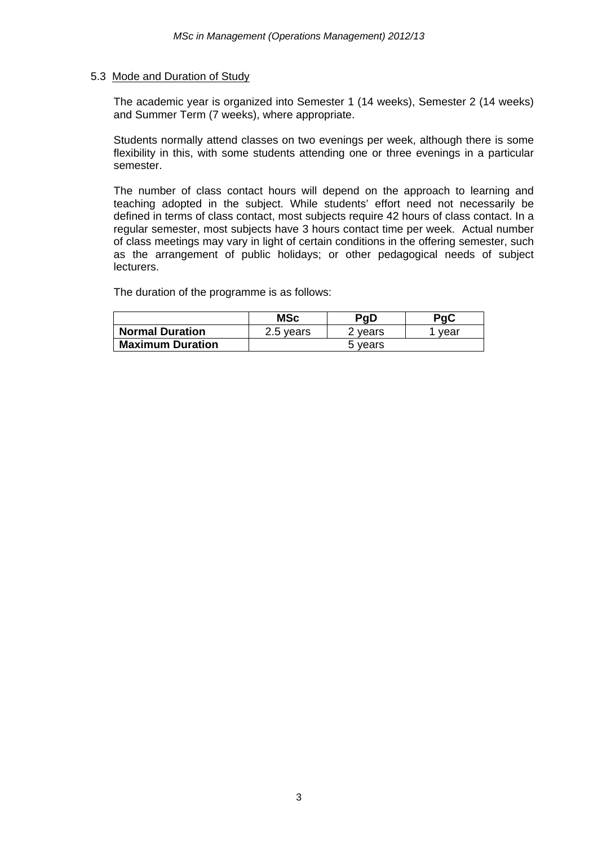#### 5.3 Mode and Duration of Study

The academic year is organized into Semester 1 (14 weeks), Semester 2 (14 weeks) and Summer Term (7 weeks), where appropriate.

Students normally attend classes on two evenings per week, although there is some flexibility in this, with some students attending one or three evenings in a particular semester.

The number of class contact hours will depend on the approach to learning and teaching adopted in the subject. While students' effort need not necessarily be defined in terms of class contact, most subjects require 42 hours of class contact. In a regular semester, most subjects have 3 hours contact time per week. Actual number of class meetings may vary in light of certain conditions in the offering semester, such as the arrangement of public holidays; or other pedagogical needs of subject lecturers.

The duration of the programme is as follows:

|                         | <b>MSc</b> | PqD     | PqC  |  |
|-------------------------|------------|---------|------|--|
| <b>Normal Duration</b>  | 2.5 years  | 2 years | vear |  |
| <b>Maximum Duration</b> | 5 years    |         |      |  |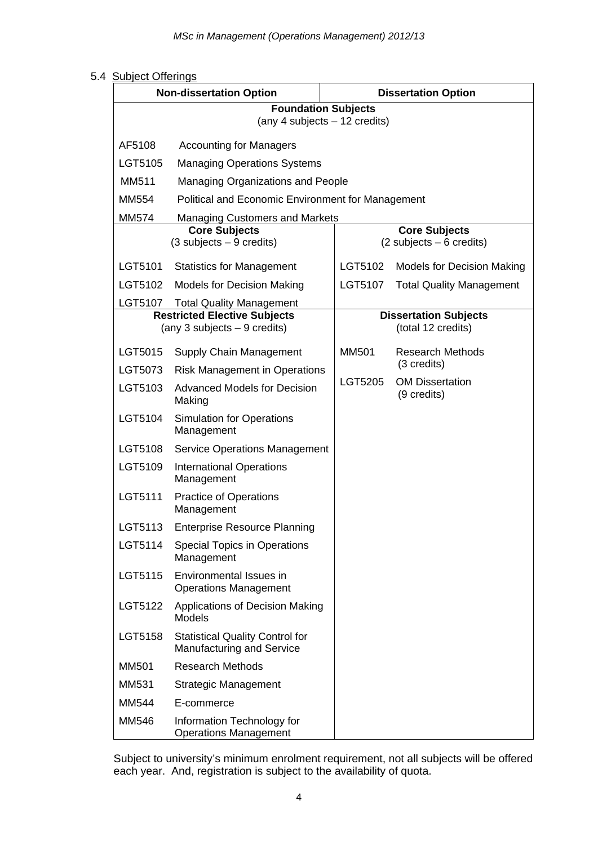#### 5.4 Subject Offerings

|         | <b>Non-dissertation Option</b>                                             | <b>Dissertation Option</b> |                                                                    |  |
|---------|----------------------------------------------------------------------------|----------------------------|--------------------------------------------------------------------|--|
|         | <b>Foundation Subjects</b><br>(any 4 subjects - 12 credits)                |                            |                                                                    |  |
| AF5108  | <b>Accounting for Managers</b>                                             |                            |                                                                    |  |
| LGT5105 | <b>Managing Operations Systems</b>                                         |                            |                                                                    |  |
| MM511   | Managing Organizations and People                                          |                            |                                                                    |  |
| MM554   | Political and Economic Environment for Management                          |                            |                                                                    |  |
| MM574   | <b>Managing Customers and Markets</b>                                      |                            |                                                                    |  |
|         | <b>Core Subjects</b><br>$(3$ subjects $-9$ credits)                        |                            | <b>Core Subjects</b><br>$(2 \text{ subjects} - 6 \text{ credits})$ |  |
| LGT5101 | <b>Statistics for Management</b>                                           | LGT5102                    | <b>Models for Decision Making</b>                                  |  |
| LGT5102 | <b>Models for Decision Making</b>                                          | LGT5107                    | <b>Total Quality Management</b>                                    |  |
|         | LGT5107 Total Quality Management                                           |                            |                                                                    |  |
|         | <b>Restricted Elective Subjects</b><br>(any 3 subjects $-9$ credits)       |                            | <b>Dissertation Subjects</b><br>(total 12 credits)                 |  |
| LGT5015 | Supply Chain Management                                                    | <b>MM501</b>               | <b>Research Methods</b>                                            |  |
| LGT5073 | <b>Risk Management in Operations</b>                                       |                            | (3 credits)                                                        |  |
| LGT5103 | <b>Advanced Models for Decision</b><br>Making                              | LGT5205                    | <b>OM Dissertation</b><br>(9 credits)                              |  |
| LGT5104 | <b>Simulation for Operations</b><br>Management                             |                            |                                                                    |  |
| LGT5108 | <b>Service Operations Management</b>                                       |                            |                                                                    |  |
| LGT5109 | <b>International Operations</b><br>Management                              |                            |                                                                    |  |
| LGT5111 | <b>Practice of Operations</b><br>Management                                |                            |                                                                    |  |
| LGT5113 | <b>Enterprise Resource Planning</b>                                        |                            |                                                                    |  |
| LGT5114 | Special Topics in Operations<br>Management                                 |                            |                                                                    |  |
| LGT5115 | Environmental Issues in<br><b>Operations Management</b>                    |                            |                                                                    |  |
| LGT5122 | Applications of Decision Making<br><b>Models</b>                           |                            |                                                                    |  |
| LGT5158 | <b>Statistical Quality Control for</b><br><b>Manufacturing and Service</b> |                            |                                                                    |  |
| MM501   | <b>Research Methods</b>                                                    |                            |                                                                    |  |
| MM531   | <b>Strategic Management</b>                                                |                            |                                                                    |  |
| MM544   | E-commerce                                                                 |                            |                                                                    |  |
| MM546   | Information Technology for<br><b>Operations Management</b>                 |                            |                                                                    |  |

Subject to university's minimum enrolment requirement, not all subjects will be offered each year. And, registration is subject to the availability of quota.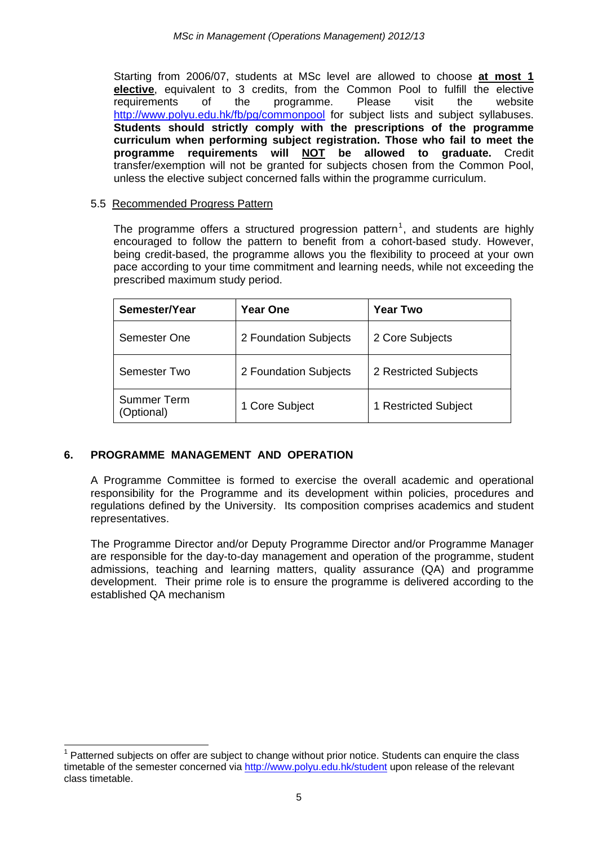Starting from 2006/07, students at MSc level are allowed to choose **at most 1 elective**, equivalent to 3 credits, from the Common Pool to fulfill the elective requirements of the programme. Please visit the website http://www.polyu.edu.hk/fb/pg/commonpool for subject lists and subject syllabuses. **Students should strictly comply with the prescriptions of the programme curriculum when performing subject registration. Those who fail to meet the programme requirements will NOT be allowed to graduate.** Credit transfer/exemption will not be granted for subjects chosen from the Common Pool, unless the elective subject concerned falls within the programme curriculum.

# 5.5 Recommended Progress Pattern

The programme offers a structured progression pattern<sup>1</sup>, and students are highly encouraged to follow the pattern to benefit from a cohort-based study. However, being credit-based, the programme allows you the flexibility to proceed at your own pace according to your time commitment and learning needs, while not exceeding the prescribed maximum study period.

| Semester/Year                    | <b>Year One</b>       | Year Two              |
|----------------------------------|-----------------------|-----------------------|
| Semester One                     | 2 Foundation Subjects | 2 Core Subjects       |
| Semester Two                     | 2 Foundation Subjects | 2 Restricted Subjects |
| <b>Summer Term</b><br>(Optional) | 1 Core Subject        | 1 Restricted Subject  |

# **6. PROGRAMME MANAGEMENT AND OPERATION**

1

A Programme Committee is formed to exercise the overall academic and operational responsibility for the Programme and its development within policies, procedures and regulations defined by the University. Its composition comprises academics and student representatives.

The Programme Director and/or Deputy Programme Director and/or Programme Manager are responsible for the day-to-day management and operation of the programme, student admissions, teaching and learning matters, quality assurance (QA) and programme development. Their prime role is to ensure the programme is delivered according to the established QA mechanism

 $1$  Patterned subjects on offer are subject to change without prior notice. Students can enquire the class timetable of the semester concerned via http://www.polyu.edu.hk/student upon release of the relevant class timetable.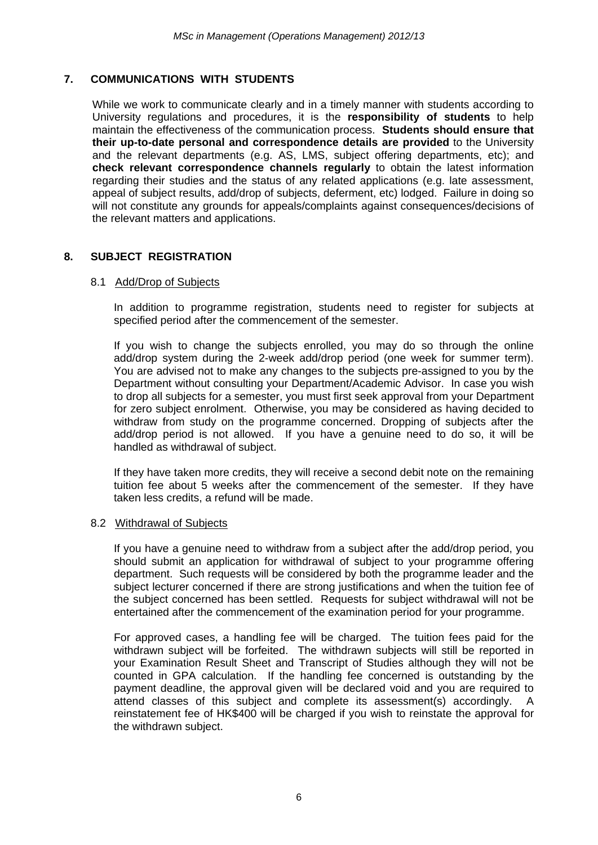# **7. COMMUNICATIONS WITH STUDENTS**

While we work to communicate clearly and in a timely manner with students according to University regulations and procedures, it is the **responsibility of students** to help maintain the effectiveness of the communication process. **Students should ensure that their up-to-date personal and correspondence details are provided** to the University and the relevant departments (e.g. AS, LMS, subject offering departments, etc); and **check relevant correspondence channels regularly** to obtain the latest information regarding their studies and the status of any related applications (e.g. late assessment, appeal of subject results, add/drop of subjects, deferment, etc) lodged. Failure in doing so will not constitute any grounds for appeals/complaints against consequences/decisions of the relevant matters and applications.

# **8. SUBJECT REGISTRATION**

#### 8.1 Add/Drop of Subjects

In addition to programme registration, students need to register for subjects at specified period after the commencement of the semester.

If you wish to change the subjects enrolled, you may do so through the online add/drop system during the 2-week add/drop period (one week for summer term). You are advised not to make any changes to the subjects pre-assigned to you by the Department without consulting your Department/Academic Advisor. In case you wish to drop all subjects for a semester, you must first seek approval from your Department for zero subject enrolment. Otherwise, you may be considered as having decided to withdraw from study on the programme concerned. Dropping of subjects after the add/drop period is not allowed. If you have a genuine need to do so, it will be handled as withdrawal of subject.

If they have taken more credits, they will receive a second debit note on the remaining tuition fee about 5 weeks after the commencement of the semester. If they have taken less credits, a refund will be made.

#### 8.2 Withdrawal of Subjects

If you have a genuine need to withdraw from a subject after the add/drop period, you should submit an application for withdrawal of subject to your programme offering department. Such requests will be considered by both the programme leader and the subject lecturer concerned if there are strong justifications and when the tuition fee of the subject concerned has been settled. Requests for subject withdrawal will not be entertained after the commencement of the examination period for your programme.

For approved cases, a handling fee will be charged. The tuition fees paid for the withdrawn subject will be forfeited. The withdrawn subjects will still be reported in your Examination Result Sheet and Transcript of Studies although they will not be counted in GPA calculation. If the handling fee concerned is outstanding by the payment deadline, the approval given will be declared void and you are required to attend classes of this subject and complete its assessment(s) accordingly. A reinstatement fee of HK\$400 will be charged if you wish to reinstate the approval for the withdrawn subject.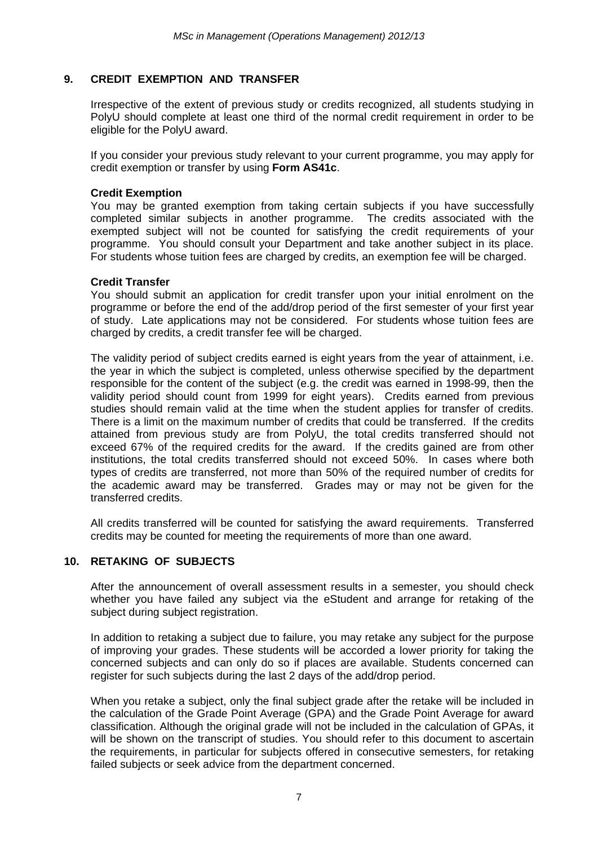# **9. CREDIT EXEMPTION AND TRANSFER**

Irrespective of the extent of previous study or credits recognized, all students studying in PolyU should complete at least one third of the normal credit requirement in order to be eligible for the PolyU award.

If you consider your previous study relevant to your current programme, you may apply for credit exemption or transfer by using **Form AS41c**.

#### **Credit Exemption**

You may be granted exemption from taking certain subjects if you have successfully completed similar subjects in another programme. The credits associated with the exempted subject will not be counted for satisfying the credit requirements of your programme. You should consult your Department and take another subject in its place. For students whose tuition fees are charged by credits, an exemption fee will be charged.

#### **Credit Transfer**

You should submit an application for credit transfer upon your initial enrolment on the programme or before the end of the add/drop period of the first semester of your first year of study. Late applications may not be considered. For students whose tuition fees are charged by credits, a credit transfer fee will be charged.

The validity period of subject credits earned is eight years from the year of attainment, i.e. the year in which the subject is completed, unless otherwise specified by the department responsible for the content of the subject (e.g. the credit was earned in 1998-99, then the validity period should count from 1999 for eight years). Credits earned from previous studies should remain valid at the time when the student applies for transfer of credits. There is a limit on the maximum number of credits that could be transferred. If the credits attained from previous study are from PolyU, the total credits transferred should not exceed 67% of the required credits for the award. If the credits gained are from other institutions, the total credits transferred should not exceed 50%. In cases where both types of credits are transferred, not more than 50% of the required number of credits for the academic award may be transferred. Grades may or may not be given for the transferred credits.

All credits transferred will be counted for satisfying the award requirements. Transferred credits may be counted for meeting the requirements of more than one award.

#### **10. RETAKING OF SUBJECTS**

After the announcement of overall assessment results in a semester, you should check whether you have failed any subject via the eStudent and arrange for retaking of the subject during subject registration.

In addition to retaking a subject due to failure, you may retake any subject for the purpose of improving your grades. These students will be accorded a lower priority for taking the concerned subjects and can only do so if places are available. Students concerned can register for such subjects during the last 2 days of the add/drop period.

When you retake a subject, only the final subject grade after the retake will be included in the calculation of the Grade Point Average (GPA) and the Grade Point Average for award classification. Although the original grade will not be included in the calculation of GPAs, it will be shown on the transcript of studies. You should refer to this document to ascertain the requirements, in particular for subjects offered in consecutive semesters, for retaking failed subjects or seek advice from the department concerned.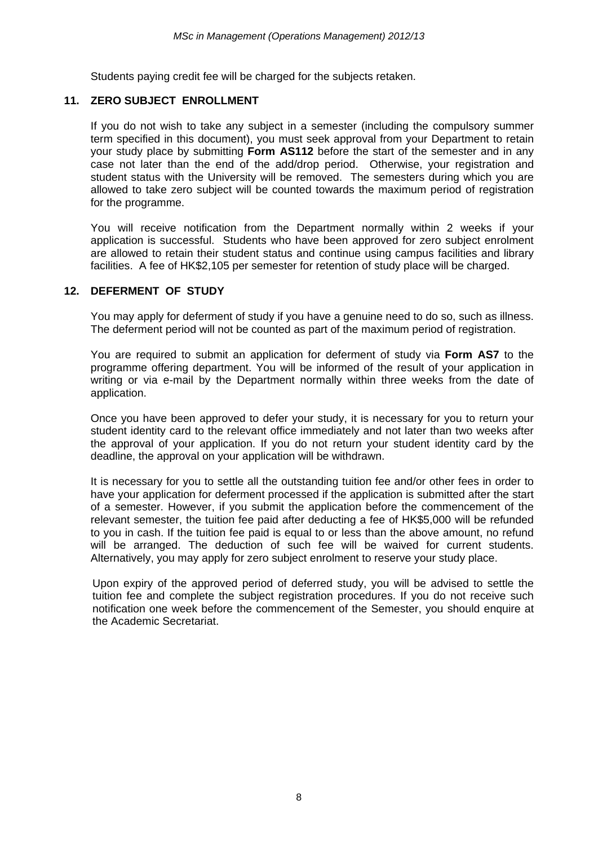Students paying credit fee will be charged for the subjects retaken.

#### **11. ZERO SUBJECT ENROLLMENT**

If you do not wish to take any subject in a semester (including the compulsory summer term specified in this document), you must seek approval from your Department to retain your study place by submitting **Form AS112** before the start of the semester and in any case not later than the end of the add/drop period. Otherwise, your registration and student status with the University will be removed. The semesters during which you are allowed to take zero subject will be counted towards the maximum period of registration for the programme.

You will receive notification from the Department normally within 2 weeks if your application is successful. Students who have been approved for zero subject enrolment are allowed to retain their student status and continue using campus facilities and library facilities. A fee of HK\$2,105 per semester for retention of study place will be charged.

#### **12. DEFERMENT OF STUDY**

You may apply for deferment of study if you have a genuine need to do so, such as illness. The deferment period will not be counted as part of the maximum period of registration.

You are required to submit an application for deferment of study via **Form AS7** to the programme offering department. You will be informed of the result of your application in writing or via e-mail by the Department normally within three weeks from the date of application.

Once you have been approved to defer your study, it is necessary for you to return your student identity card to the relevant office immediately and not later than two weeks after the approval of your application. If you do not return your student identity card by the deadline, the approval on your application will be withdrawn.

It is necessary for you to settle all the outstanding tuition fee and/or other fees in order to have your application for deferment processed if the application is submitted after the start of a semester. However, if you submit the application before the commencement of the relevant semester, the tuition fee paid after deducting a fee of HK\$5,000 will be refunded to you in cash. If the tuition fee paid is equal to or less than the above amount, no refund will be arranged. The deduction of such fee will be waived for current students. Alternatively, you may apply for zero subject enrolment to reserve your study place.

Upon expiry of the approved period of deferred study, you will be advised to settle the tuition fee and complete the subject registration procedures. If you do not receive such notification one week before the commencement of the Semester, you should enquire at the Academic Secretariat.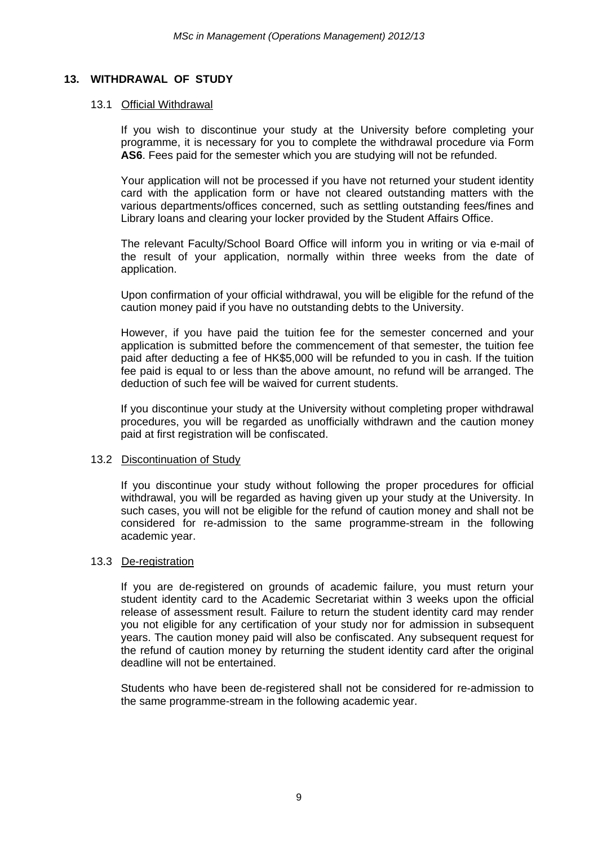#### **13. WITHDRAWAL OF STUDY**

#### 13.1 Official Withdrawal

If you wish to discontinue your study at the University before completing your programme, it is necessary for you to complete the withdrawal procedure via Form **AS6**. Fees paid for the semester which you are studying will not be refunded.

Your application will not be processed if you have not returned your student identity card with the application form or have not cleared outstanding matters with the various departments/offices concerned, such as settling outstanding fees/fines and Library loans and clearing your locker provided by the Student Affairs Office.

The relevant Faculty/School Board Office will inform you in writing or via e-mail of the result of your application, normally within three weeks from the date of application.

Upon confirmation of your official withdrawal, you will be eligible for the refund of the caution money paid if you have no outstanding debts to the University.

However, if you have paid the tuition fee for the semester concerned and your application is submitted before the commencement of that semester, the tuition fee paid after deducting a fee of HK\$5,000 will be refunded to you in cash. If the tuition fee paid is equal to or less than the above amount, no refund will be arranged. The deduction of such fee will be waived for current students.

If you discontinue your study at the University without completing proper withdrawal procedures, you will be regarded as unofficially withdrawn and the caution money paid at first registration will be confiscated.

#### 13.2 Discontinuation of Study

If you discontinue your study without following the proper procedures for official withdrawal, you will be regarded as having given up your study at the University. In such cases, you will not be eligible for the refund of caution money and shall not be considered for re-admission to the same programme-stream in the following academic year.

#### 13.3 De-registration

If you are de-registered on grounds of academic failure, you must return your student identity card to the Academic Secretariat within 3 weeks upon the official release of assessment result. Failure to return the student identity card may render you not eligible for any certification of your study nor for admission in subsequent years. The caution money paid will also be confiscated. Any subsequent request for the refund of caution money by returning the student identity card after the original deadline will not be entertained.

Students who have been de-registered shall not be considered for re-admission to the same programme-stream in the following academic year.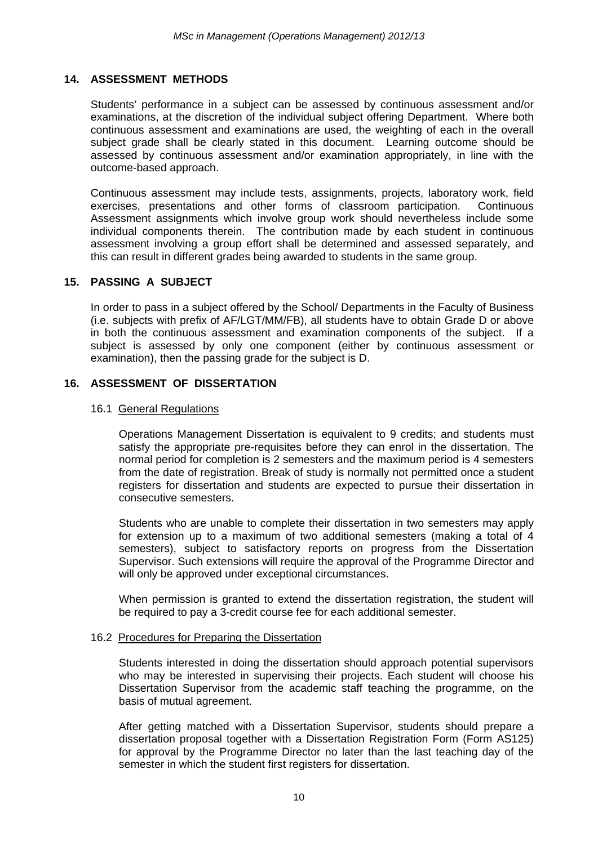#### **14. ASSESSMENT METHODS**

Students' performance in a subject can be assessed by continuous assessment and/or examinations, at the discretion of the individual subject offering Department. Where both continuous assessment and examinations are used, the weighting of each in the overall subject grade shall be clearly stated in this document. Learning outcome should be assessed by continuous assessment and/or examination appropriately, in line with the outcome-based approach.

Continuous assessment may include tests, assignments, projects, laboratory work, field exercises, presentations and other forms of classroom participation. Continuous Assessment assignments which involve group work should nevertheless include some individual components therein. The contribution made by each student in continuous assessment involving a group effort shall be determined and assessed separately, and this can result in different grades being awarded to students in the same group.

# **15. PASSING A SUBJECT**

In order to pass in a subject offered by the School/ Departments in the Faculty of Business (i.e. subjects with prefix of AF/LGT/MM/FB), all students have to obtain Grade D or above in both the continuous assessment and examination components of the subject. If a subject is assessed by only one component (either by continuous assessment or examination), then the passing grade for the subject is D.

# **16. ASSESSMENT OF DISSERTATION**

#### 16.1 General Regulations

Operations Management Dissertation is equivalent to 9 credits; and students must satisfy the appropriate pre-requisites before they can enrol in the dissertation. The normal period for completion is 2 semesters and the maximum period is 4 semesters from the date of registration. Break of study is normally not permitted once a student registers for dissertation and students are expected to pursue their dissertation in consecutive semesters.

Students who are unable to complete their dissertation in two semesters may apply for extension up to a maximum of two additional semesters (making a total of 4 semesters), subject to satisfactory reports on progress from the Dissertation Supervisor. Such extensions will require the approval of the Programme Director and will only be approved under exceptional circumstances.

When permission is granted to extend the dissertation registration, the student will be required to pay a 3-credit course fee for each additional semester.

#### 16.2 Procedures for Preparing the Dissertation

Students interested in doing the dissertation should approach potential supervisors who may be interested in supervising their projects. Each student will choose his Dissertation Supervisor from the academic staff teaching the programme, on the basis of mutual agreement.

After getting matched with a Dissertation Supervisor, students should prepare a dissertation proposal together with a Dissertation Registration Form (Form AS125) for approval by the Programme Director no later than the last teaching day of the semester in which the student first registers for dissertation.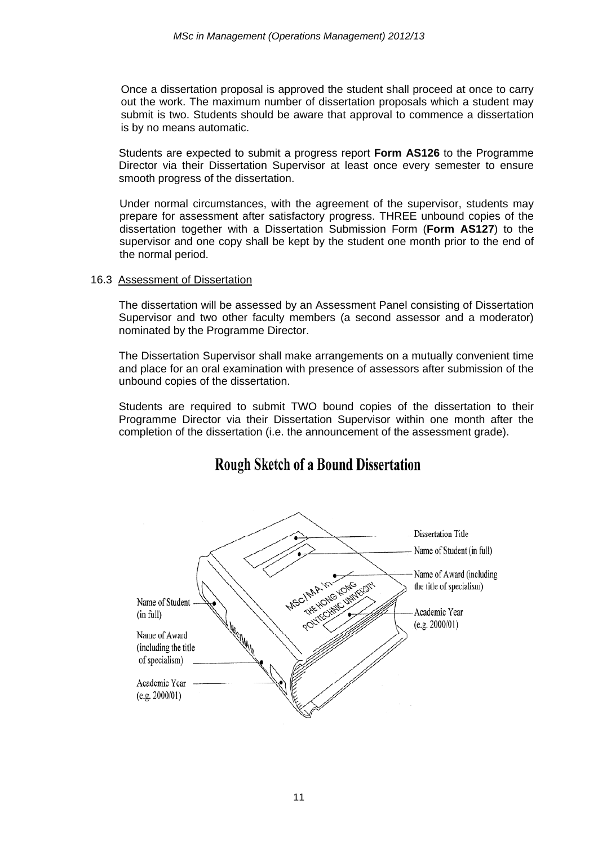Once a dissertation proposal is approved the student shall proceed at once to carry out the work. The maximum number of dissertation proposals which a student may submit is two. Students should be aware that approval to commence a dissertation is by no means automatic.

Students are expected to submit a progress report **Form AS126** to the Programme Director via their Dissertation Supervisor at least once every semester to ensure smooth progress of the dissertation.

Under normal circumstances, with the agreement of the supervisor, students may prepare for assessment after satisfactory progress. THREE unbound copies of the dissertation together with a Dissertation Submission Form (**Form AS127**) to the supervisor and one copy shall be kept by the student one month prior to the end of the normal period.

#### 16.3 Assessment of Dissertation

The dissertation will be assessed by an Assessment Panel consisting of Dissertation Supervisor and two other faculty members (a second assessor and a moderator) nominated by the Programme Director.

The Dissertation Supervisor shall make arrangements on a mutually convenient time and place for an oral examination with presence of assessors after submission of the unbound copies of the dissertation.

Students are required to submit TWO bound copies of the dissertation to their Programme Director via their Dissertation Supervisor within one month after the completion of the dissertation (i.e. the announcement of the assessment grade).

# **Rough Sketch of a Bound Dissertation**

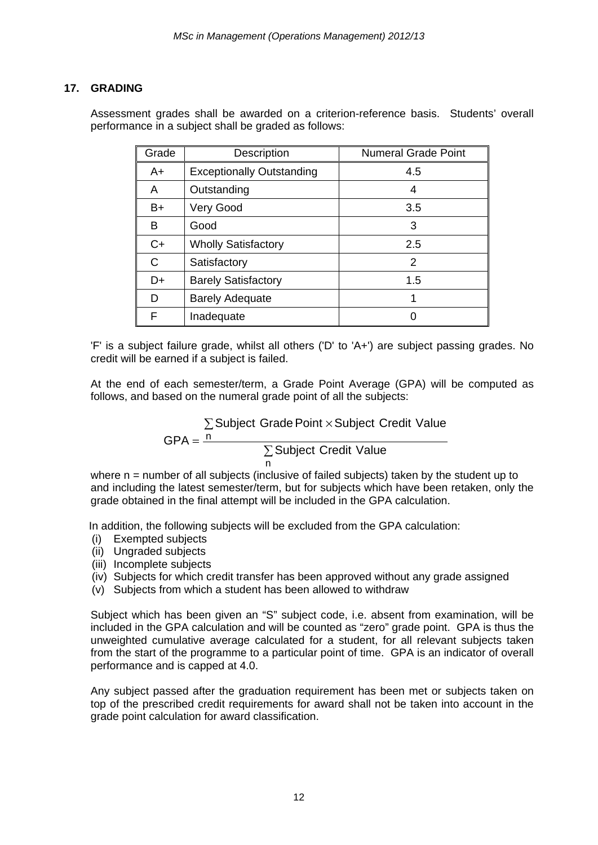# **17. GRADING**

Assessment grades shall be awarded on a criterion-reference basis. Students' overall performance in a subject shall be graded as follows:

| Grade | Description                      | <b>Numeral Grade Point</b> |
|-------|----------------------------------|----------------------------|
| $A+$  | <b>Exceptionally Outstanding</b> | 4.5                        |
| A     | Outstanding                      | 4                          |
| B+    | Very Good                        | 3.5                        |
| В     | Good                             | 3                          |
| $C+$  | <b>Wholly Satisfactory</b>       | 2.5                        |
| C     | Satisfactory                     | 2                          |
| D+    | <b>Barely Satisfactory</b>       | 1.5                        |
| D     | <b>Barely Adequate</b>           |                            |
| F     | Inadequate                       |                            |

'F' is a subject failure grade, whilst all others ('D' to 'A+') are subject passing grades. No credit will be earned if a subject is failed.

At the end of each semester/term, a Grade Point Average (GPA) will be computed as follows, and based on the numeral grade point of all the subjects:

$$
GPA = \frac{n}{n}
$$
\n
$$
GPA = \frac{n}{n}
$$
\n
$$
Subject Credit Value
$$
\n
$$
To find the result of the image.
$$

where n = number of all subjects (inclusive of failed subjects) taken by the student up to and including the latest semester/term, but for subjects which have been retaken, only the grade obtained in the final attempt will be included in the GPA calculation.

In addition, the following subjects will be excluded from the GPA calculation:

- (i) Exempted subjects
- (ii) Ungraded subjects
- (iii) Incomplete subjects
- (iv) Subjects for which credit transfer has been approved without any grade assigned
- (v) Subjects from which a student has been allowed to withdraw

Subject which has been given an "S" subject code, i.e. absent from examination, will be included in the GPA calculation and will be counted as "zero" grade point. GPA is thus the unweighted cumulative average calculated for a student, for all relevant subjects taken from the start of the programme to a particular point of time. GPA is an indicator of overall performance and is capped at 4.0.

Any subject passed after the graduation requirement has been met or subjects taken on top of the prescribed credit requirements for award shall not be taken into account in the grade point calculation for award classification.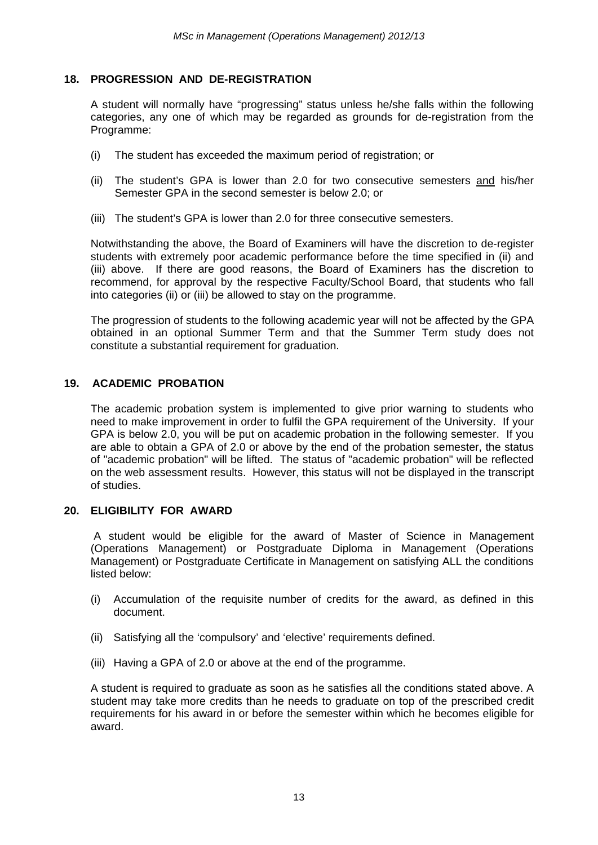#### **18. PROGRESSION AND DE-REGISTRATION**

A student will normally have "progressing" status unless he/she falls within the following categories, any one of which may be regarded as grounds for de-registration from the Programme:

- (i) The student has exceeded the maximum period of registration; or
- (ii) The student's GPA is lower than 2.0 for two consecutive semesters and his/her Semester GPA in the second semester is below 2.0; or
- (iii) The student's GPA is lower than 2.0 for three consecutive semesters.

Notwithstanding the above, the Board of Examiners will have the discretion to de-register students with extremely poor academic performance before the time specified in (ii) and (iii) above. If there are good reasons, the Board of Examiners has the discretion to recommend, for approval by the respective Faculty/School Board, that students who fall into categories (ii) or (iii) be allowed to stay on the programme.

The progression of students to the following academic year will not be affected by the GPA obtained in an optional Summer Term and that the Summer Term study does not constitute a substantial requirement for graduation.

# **19. ACADEMIC PROBATION**

The academic probation system is implemented to give prior warning to students who need to make improvement in order to fulfil the GPA requirement of the University. If your GPA is below 2.0, you will be put on academic probation in the following semester. If you are able to obtain a GPA of 2.0 or above by the end of the probation semester, the status of "academic probation" will be lifted. The status of "academic probation" will be reflected on the web assessment results. However, this status will not be displayed in the transcript of studies.

#### **20. ELIGIBILITY FOR AWARD**

A student would be eligible for the award of Master of Science in Management (Operations Management) or Postgraduate Diploma in Management (Operations Management) or Postgraduate Certificate in Management on satisfying ALL the conditions listed below:

- (i) Accumulation of the requisite number of credits for the award, as defined in this document.
- (ii) Satisfying all the 'compulsory' and 'elective' requirements defined.
- (iii) Having a GPA of 2.0 or above at the end of the programme.

A student is required to graduate as soon as he satisfies all the conditions stated above. A student may take more credits than he needs to graduate on top of the prescribed credit requirements for his award in or before the semester within which he becomes eligible for award.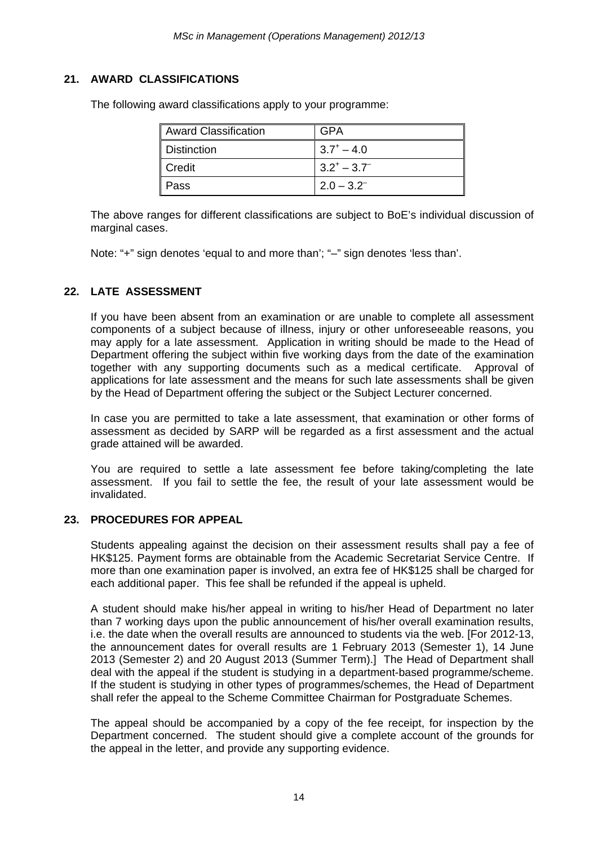# **21. AWARD CLASSIFICATIONS**

| <b>Award Classification</b> | GPA                  |
|-----------------------------|----------------------|
| Distinction                 | $3.7^{\circ} - 4.0$  |
| <b>Credit</b>               | $13.2^{+} - 3.7^{-}$ |
| Pass                        | $2.0 - 3.2^{-}$      |

The following award classifications apply to your programme:

The above ranges for different classifications are subject to BoE's individual discussion of marginal cases.

Note: "+" sign denotes 'equal to and more than'; "–" sign denotes 'less than'.

# **22. LATE ASSESSMENT**

If you have been absent from an examination or are unable to complete all assessment components of a subject because of illness, injury or other unforeseeable reasons, you may apply for a late assessment. Application in writing should be made to the Head of Department offering the subject within five working days from the date of the examination together with any supporting documents such as a medical certificate. Approval of applications for late assessment and the means for such late assessments shall be given by the Head of Department offering the subject or the Subject Lecturer concerned.

In case you are permitted to take a late assessment, that examination or other forms of assessment as decided by SARP will be regarded as a first assessment and the actual grade attained will be awarded.

You are required to settle a late assessment fee before taking/completing the late assessment. If you fail to settle the fee, the result of your late assessment would be invalidated.

#### **23. PROCEDURES FOR APPEAL**

Students appealing against the decision on their assessment results shall pay a fee of HK\$125. Payment forms are obtainable from the Academic Secretariat Service Centre. If more than one examination paper is involved, an extra fee of HK\$125 shall be charged for each additional paper. This fee shall be refunded if the appeal is upheld.

A student should make his/her appeal in writing to his/her Head of Department no later than 7 working days upon the public announcement of his/her overall examination results, i.e. the date when the overall results are announced to students via the web. [For 2012-13, the announcement dates for overall results are 1 February 2013 (Semester 1), 14 June 2013 (Semester 2) and 20 August 2013 (Summer Term).] The Head of Department shall deal with the appeal if the student is studying in a department-based programme/scheme. If the student is studying in other types of programmes/schemes, the Head of Department shall refer the appeal to the Scheme Committee Chairman for Postgraduate Schemes.

The appeal should be accompanied by a copy of the fee receipt, for inspection by the Department concerned. The student should give a complete account of the grounds for the appeal in the letter, and provide any supporting evidence.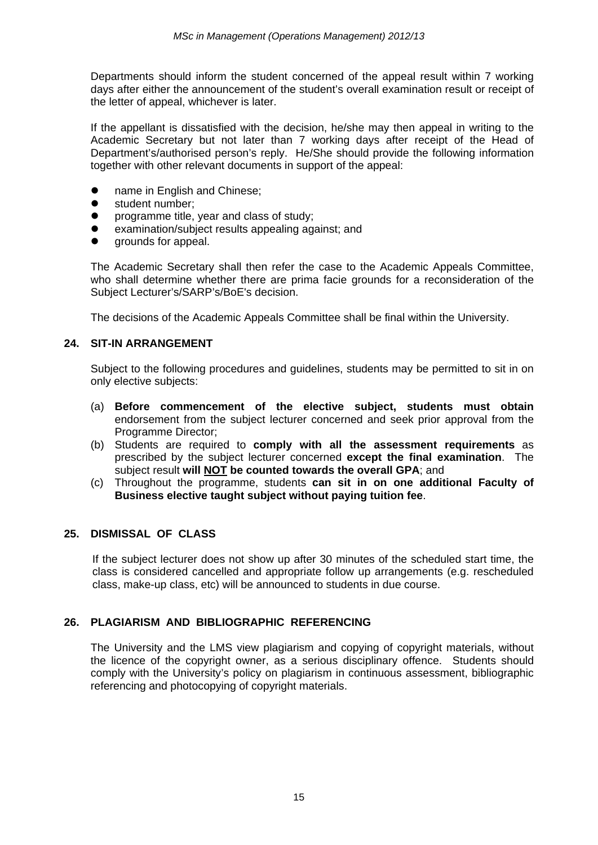Departments should inform the student concerned of the appeal result within 7 working days after either the announcement of the student's overall examination result or receipt of the letter of appeal, whichever is later.

If the appellant is dissatisfied with the decision, he/she may then appeal in writing to the Academic Secretary but not later than 7 working days after receipt of the Head of Department's/authorised person's reply. He/She should provide the following information together with other relevant documents in support of the appeal:

- **•** name in English and Chinese;
- **•** student number;
- programme title, year and class of study;
- examination/subject results appealing against; and
- $\bullet$  arounds for appeal.

The Academic Secretary shall then refer the case to the Academic Appeals Committee, who shall determine whether there are prima facie grounds for a reconsideration of the Subject Lecturer's/SARP's/BoE's decision.

The decisions of the Academic Appeals Committee shall be final within the University.

#### **24. SIT-IN ARRANGEMENT**

Subject to the following procedures and guidelines, students may be permitted to sit in on only elective subjects:

- (a) **Before commencement of the elective subject, students must obtain** endorsement from the subject lecturer concerned and seek prior approval from the Programme Director;
- (b) Students are required to **comply with all the assessment requirements** as prescribed by the subject lecturer concerned **except the final examination**. The subject result **will NOT be counted towards the overall GPA**; and
- (c) Throughout the programme, students **can sit in on one additional Faculty of Business elective taught subject without paying tuition fee**.

#### **25. DISMISSAL OF CLASS**

If the subject lecturer does not show up after 30 minutes of the scheduled start time, the class is considered cancelled and appropriate follow up arrangements (e.g. rescheduled class, make-up class, etc) will be announced to students in due course.

#### **26. PLAGIARISM AND BIBLIOGRAPHIC REFERENCING**

The University and the LMS view plagiarism and copying of copyright materials, without the licence of the copyright owner, as a serious disciplinary offence. Students should comply with the University's policy on plagiarism in continuous assessment, bibliographic referencing and photocopying of copyright materials.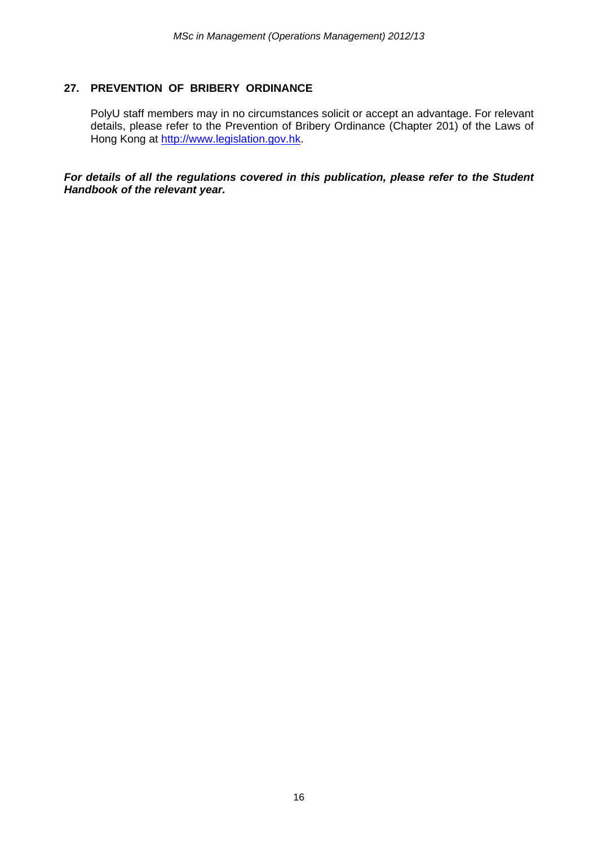# **27. PREVENTION OF BRIBERY ORDINANCE**

PolyU staff members may in no circumstances solicit or accept an advantage. For relevant details, please refer to the Prevention of Bribery Ordinance (Chapter 201) of the Laws of Hong Kong at http://www.legislation.gov.hk.

*For details of all the regulations covered in this publication, please refer to the Student Handbook of the relevant year.*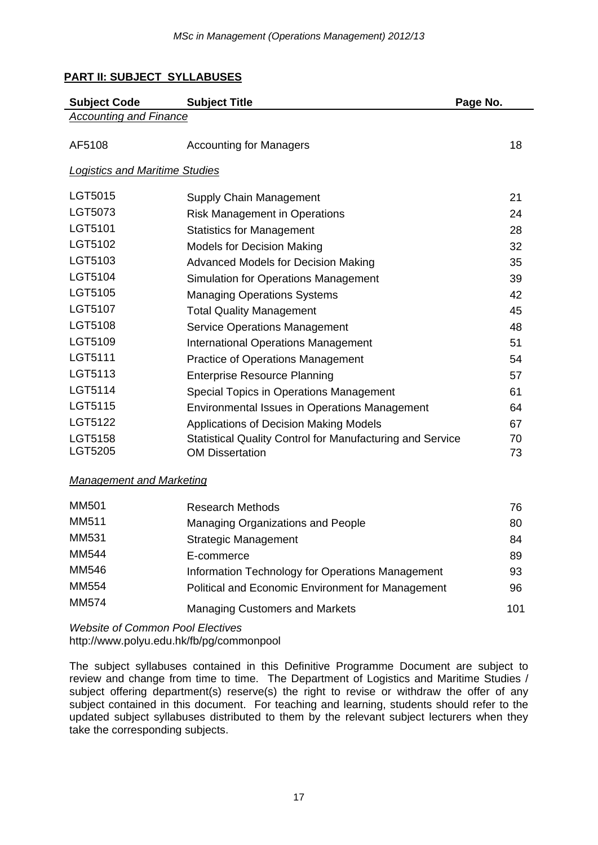# **PART II: SUBJECT SYLLABUSES**

| <b>Subject Code</b>                   | <b>Subject Title</b>                                             | Page No. |
|---------------------------------------|------------------------------------------------------------------|----------|
| <b>Accounting and Finance</b>         |                                                                  |          |
| AF5108                                | <b>Accounting for Managers</b>                                   | 18       |
| <b>Logistics and Maritime Studies</b> |                                                                  |          |
| LGT5015                               | Supply Chain Management                                          | 21       |
| LGT5073                               | <b>Risk Management in Operations</b>                             | 24       |
| LGT5101                               | <b>Statistics for Management</b>                                 | 28       |
| LGT5102                               | <b>Models for Decision Making</b>                                | 32       |
| LGT5103                               | <b>Advanced Models for Decision Making</b>                       | 35       |
| LGT5104                               | <b>Simulation for Operations Management</b>                      | 39       |
| LGT5105                               | <b>Managing Operations Systems</b>                               | 42       |
| LGT5107                               | <b>Total Quality Management</b>                                  | 45       |
| LGT5108                               | <b>Service Operations Management</b>                             | 48       |
| LGT5109                               | <b>International Operations Management</b>                       | 51       |
| LGT5111                               | <b>Practice of Operations Management</b>                         | 54       |
| LGT5113                               | <b>Enterprise Resource Planning</b>                              | 57       |
| LGT5114                               | Special Topics in Operations Management                          | 61       |
| LGT5115                               | Environmental Issues in Operations Management                    | 64       |
| <b>LGT5122</b>                        | Applications of Decision Making Models                           | 67       |
| LGT5158                               | <b>Statistical Quality Control for Manufacturing and Service</b> | 70       |
| LGT5205                               | <b>OM Dissertation</b>                                           | 73       |

# *Management and Marketing*

| <b>MM501</b> | <b>Research Methods</b>                           | 76  |
|--------------|---------------------------------------------------|-----|
| MM511        | Managing Organizations and People                 | 80  |
| MM531        | <b>Strategic Management</b>                       | 84  |
| <b>MM544</b> | E-commerce                                        | 89  |
| <b>MM546</b> | Information Technology for Operations Management  | 93  |
| <b>MM554</b> | Political and Economic Environment for Management | 96  |
| <b>MM574</b> | <b>Managing Customers and Markets</b>             | 101 |

*Website of Common Pool Electives*  http://www.polyu.edu.hk/fb/pg/commonpool

The subject syllabuses contained in this Definitive Programme Document are subject to review and change from time to time. The Department of Logistics and Maritime Studies / subject offering department(s) reserve(s) the right to revise or withdraw the offer of any subject contained in this document. For teaching and learning, students should refer to the updated subject syllabuses distributed to them by the relevant subject lecturers when they take the corresponding subjects.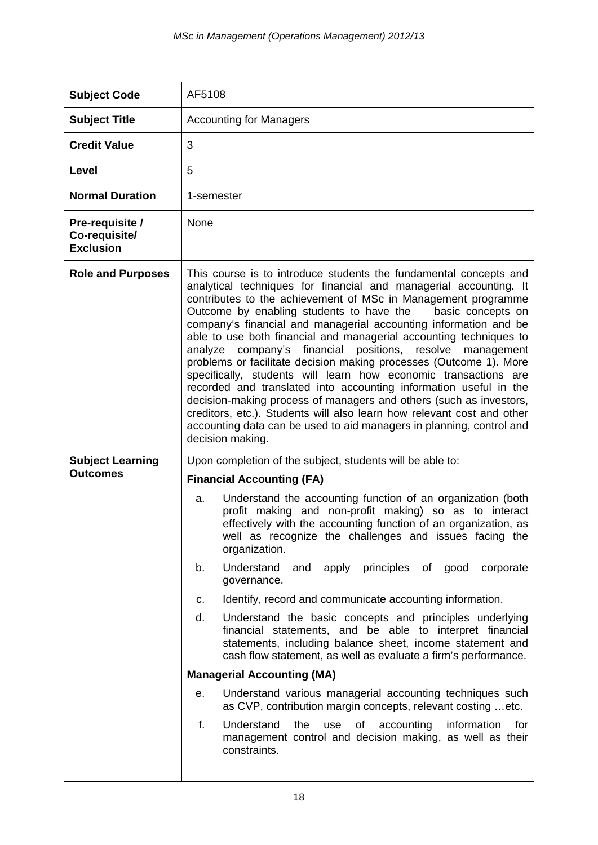| <b>Subject Code</b>                                                                                                                                                                                                                                      | AF5108                                                                                                                                                                                                                                                                                                                                                                                                                                                                                                                                                                                                                                                                                                                                                                                                                                                                                                                                    |  |  |  |  |
|----------------------------------------------------------------------------------------------------------------------------------------------------------------------------------------------------------------------------------------------------------|-------------------------------------------------------------------------------------------------------------------------------------------------------------------------------------------------------------------------------------------------------------------------------------------------------------------------------------------------------------------------------------------------------------------------------------------------------------------------------------------------------------------------------------------------------------------------------------------------------------------------------------------------------------------------------------------------------------------------------------------------------------------------------------------------------------------------------------------------------------------------------------------------------------------------------------------|--|--|--|--|
| <b>Subject Title</b>                                                                                                                                                                                                                                     | <b>Accounting for Managers</b>                                                                                                                                                                                                                                                                                                                                                                                                                                                                                                                                                                                                                                                                                                                                                                                                                                                                                                            |  |  |  |  |
| <b>Credit Value</b>                                                                                                                                                                                                                                      | 3                                                                                                                                                                                                                                                                                                                                                                                                                                                                                                                                                                                                                                                                                                                                                                                                                                                                                                                                         |  |  |  |  |
| Level                                                                                                                                                                                                                                                    | 5                                                                                                                                                                                                                                                                                                                                                                                                                                                                                                                                                                                                                                                                                                                                                                                                                                                                                                                                         |  |  |  |  |
| <b>Normal Duration</b>                                                                                                                                                                                                                                   | 1-semester                                                                                                                                                                                                                                                                                                                                                                                                                                                                                                                                                                                                                                                                                                                                                                                                                                                                                                                                |  |  |  |  |
| Pre-requisite /<br>Co-requisite/<br><b>Exclusion</b>                                                                                                                                                                                                     | None                                                                                                                                                                                                                                                                                                                                                                                                                                                                                                                                                                                                                                                                                                                                                                                                                                                                                                                                      |  |  |  |  |
| <b>Role and Purposes</b>                                                                                                                                                                                                                                 | This course is to introduce students the fundamental concepts and<br>analytical techniques for financial and managerial accounting. It<br>contributes to the achievement of MSc in Management programme<br>Outcome by enabling students to have the<br>basic concepts on<br>company's financial and managerial accounting information and be<br>able to use both financial and managerial accounting techniques to<br>analyze company's financial positions, resolve management<br>problems or facilitate decision making processes (Outcome 1). More<br>specifically, students will learn how economic transactions are<br>recorded and translated into accounting information useful in the<br>decision-making process of managers and others (such as investors,<br>creditors, etc.). Students will also learn how relevant cost and other<br>accounting data can be used to aid managers in planning, control and<br>decision making. |  |  |  |  |
| <b>Subject Learning</b>                                                                                                                                                                                                                                  | Upon completion of the subject, students will be able to:                                                                                                                                                                                                                                                                                                                                                                                                                                                                                                                                                                                                                                                                                                                                                                                                                                                                                 |  |  |  |  |
| <b>Outcomes</b>                                                                                                                                                                                                                                          | <b>Financial Accounting (FA)</b>                                                                                                                                                                                                                                                                                                                                                                                                                                                                                                                                                                                                                                                                                                                                                                                                                                                                                                          |  |  |  |  |
|                                                                                                                                                                                                                                                          | Understand the accounting function of an organization (both<br>a.<br>profit making and non-profit making) so as to interact<br>effectively with the accounting function of an organization, as<br>well as recognize the challenges and issues facing the<br>organization.                                                                                                                                                                                                                                                                                                                                                                                                                                                                                                                                                                                                                                                                 |  |  |  |  |
|                                                                                                                                                                                                                                                          | Understand<br>and apply principles of good corporate<br>b.<br>governance.                                                                                                                                                                                                                                                                                                                                                                                                                                                                                                                                                                                                                                                                                                                                                                                                                                                                 |  |  |  |  |
|                                                                                                                                                                                                                                                          | Identify, record and communicate accounting information.<br>c.                                                                                                                                                                                                                                                                                                                                                                                                                                                                                                                                                                                                                                                                                                                                                                                                                                                                            |  |  |  |  |
| d.<br>Understand the basic concepts and principles underlying<br>financial statements, and be able to interpret financial<br>statements, including balance sheet, income statement and<br>cash flow statement, as well as evaluate a firm's performance. |                                                                                                                                                                                                                                                                                                                                                                                                                                                                                                                                                                                                                                                                                                                                                                                                                                                                                                                                           |  |  |  |  |
|                                                                                                                                                                                                                                                          | <b>Managerial Accounting (MA)</b>                                                                                                                                                                                                                                                                                                                                                                                                                                                                                                                                                                                                                                                                                                                                                                                                                                                                                                         |  |  |  |  |
|                                                                                                                                                                                                                                                          | Understand various managerial accounting techniques such<br>е.<br>as CVP, contribution margin concepts, relevant costing  etc.                                                                                                                                                                                                                                                                                                                                                                                                                                                                                                                                                                                                                                                                                                                                                                                                            |  |  |  |  |
|                                                                                                                                                                                                                                                          | f.<br>Understand<br>of accounting<br>information<br>the<br>use<br>for<br>management control and decision making, as well as their<br>constraints.                                                                                                                                                                                                                                                                                                                                                                                                                                                                                                                                                                                                                                                                                                                                                                                         |  |  |  |  |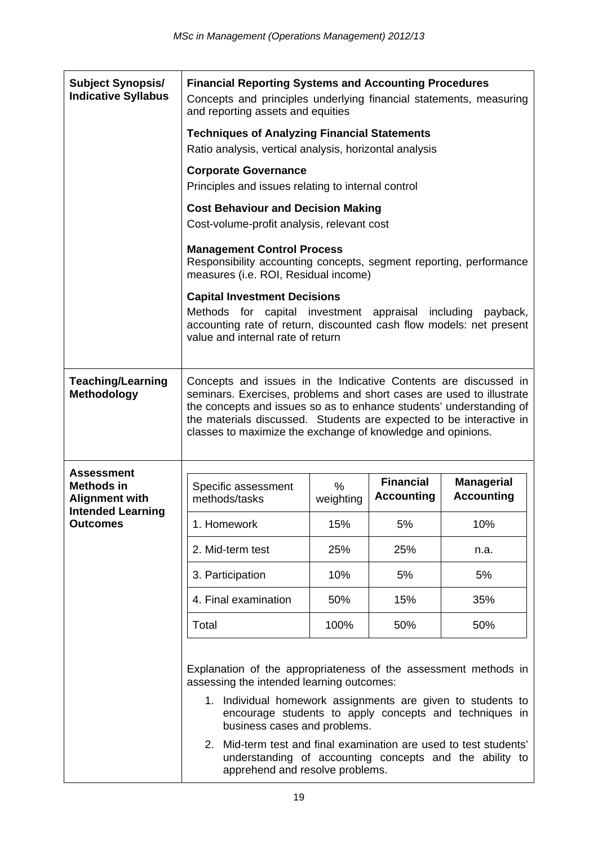| <b>Subject Synopsis/</b><br><b>Indicative Syllabus</b> | <b>Financial Reporting Systems and Accounting Procedures</b><br>Concepts and principles underlying financial statements, measuring<br>and reporting assets and equities                                                                                                                                                                              |           |                   |                                                                                                                   |  |  |
|--------------------------------------------------------|------------------------------------------------------------------------------------------------------------------------------------------------------------------------------------------------------------------------------------------------------------------------------------------------------------------------------------------------------|-----------|-------------------|-------------------------------------------------------------------------------------------------------------------|--|--|
|                                                        | <b>Techniques of Analyzing Financial Statements</b><br>Ratio analysis, vertical analysis, horizontal analysis                                                                                                                                                                                                                                        |           |                   |                                                                                                                   |  |  |
|                                                        | <b>Corporate Governance</b><br>Principles and issues relating to internal control                                                                                                                                                                                                                                                                    |           |                   |                                                                                                                   |  |  |
|                                                        | <b>Cost Behaviour and Decision Making</b><br>Cost-volume-profit analysis, relevant cost                                                                                                                                                                                                                                                              |           |                   |                                                                                                                   |  |  |
|                                                        | <b>Management Control Process</b><br>Responsibility accounting concepts, segment reporting, performance<br>measures (i.e. ROI, Residual income)                                                                                                                                                                                                      |           |                   |                                                                                                                   |  |  |
|                                                        | <b>Capital Investment Decisions</b>                                                                                                                                                                                                                                                                                                                  |           |                   |                                                                                                                   |  |  |
|                                                        | Methods for capital investment appraisal including payback,<br>accounting rate of return, discounted cash flow models: net present<br>value and internal rate of return                                                                                                                                                                              |           |                   |                                                                                                                   |  |  |
| <b>Teaching/Learning</b><br>Methodology                | Concepts and issues in the Indicative Contents are discussed in<br>seminars. Exercises, problems and short cases are used to illustrate<br>the concepts and issues so as to enhance students' understanding of<br>the materials discussed. Students are expected to be interactive in<br>classes to maximize the exchange of knowledge and opinions. |           |                   |                                                                                                                   |  |  |
| Assessment<br><b>Methods in</b>                        | Specific assessment                                                                                                                                                                                                                                                                                                                                  | $\%$      | <b>Financial</b>  | <b>Managerial</b><br><b>Accounting</b>                                                                            |  |  |
| <b>Alignment with</b><br><b>Intended Learning</b>      | methods/tasks                                                                                                                                                                                                                                                                                                                                        | weighting | <b>Accounting</b> |                                                                                                                   |  |  |
| <b>Outcomes</b>                                        | 1. Homework                                                                                                                                                                                                                                                                                                                                          | 15%       | 5%                | 10%                                                                                                               |  |  |
|                                                        | 2. Mid-term test                                                                                                                                                                                                                                                                                                                                     | 25%       | 25%               | n.a.                                                                                                              |  |  |
|                                                        | 3. Participation                                                                                                                                                                                                                                                                                                                                     | 10%       | 5%                | 5%                                                                                                                |  |  |
|                                                        | 4. Final examination                                                                                                                                                                                                                                                                                                                                 | 50%       | 15%               | 35%                                                                                                               |  |  |
|                                                        | Total                                                                                                                                                                                                                                                                                                                                                | 100%      | 50%               | 50%                                                                                                               |  |  |
|                                                        | Explanation of the appropriateness of the assessment methods in<br>assessing the intended learning outcomes:<br>1. Individual homework assignments are given to students to<br>business cases and problems.<br>2. Mid-term test and final examination are used to test students'<br>apprehend and resolve problems.                                  |           |                   | encourage students to apply concepts and techniques in<br>understanding of accounting concepts and the ability to |  |  |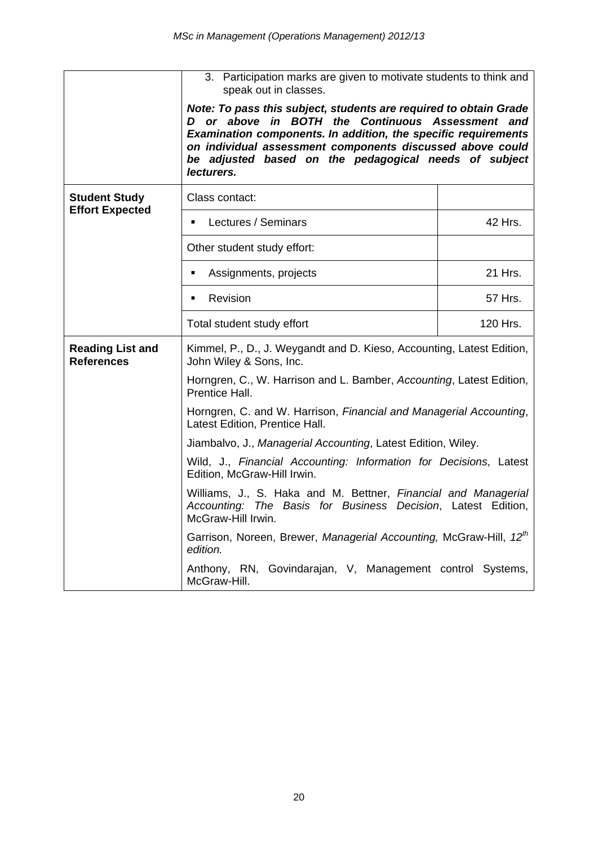|                                                | 3. Participation marks are given to motivate students to think and<br>speak out in classes.                                                                                                                                                                                                                                 |          |
|------------------------------------------------|-----------------------------------------------------------------------------------------------------------------------------------------------------------------------------------------------------------------------------------------------------------------------------------------------------------------------------|----------|
|                                                | Note: To pass this subject, students are required to obtain Grade<br>D or above in BOTH the Continuous Assessment and<br>Examination components. In addition, the specific requirements<br>on individual assessment components discussed above could<br>be adjusted based on the pedagogical needs of subject<br>lecturers. |          |
| <b>Student Study</b><br><b>Effort Expected</b> | Class contact:                                                                                                                                                                                                                                                                                                              |          |
|                                                | Lectures / Seminars<br>$\blacksquare$                                                                                                                                                                                                                                                                                       | 42 Hrs.  |
|                                                | Other student study effort:                                                                                                                                                                                                                                                                                                 |          |
|                                                | Assignments, projects<br>٠                                                                                                                                                                                                                                                                                                  | 21 Hrs.  |
|                                                | Revision<br>٠                                                                                                                                                                                                                                                                                                               | 57 Hrs.  |
|                                                | Total student study effort                                                                                                                                                                                                                                                                                                  | 120 Hrs. |
| <b>Reading List and</b><br><b>References</b>   | Kimmel, P., D., J. Weygandt and D. Kieso, Accounting, Latest Edition,<br>John Wiley & Sons, Inc.                                                                                                                                                                                                                            |          |
|                                                | Horngren, C., W. Harrison and L. Bamber, Accounting, Latest Edition,<br>Prentice Hall.                                                                                                                                                                                                                                      |          |
|                                                | Horngren, C. and W. Harrison, Financial and Managerial Accounting,<br>Latest Edition, Prentice Hall.                                                                                                                                                                                                                        |          |
|                                                | Jiambalvo, J., Managerial Accounting, Latest Edition, Wiley.                                                                                                                                                                                                                                                                |          |
|                                                | Wild, J., Financial Accounting: Information for Decisions, Latest<br>Edition, McGraw-Hill Irwin.                                                                                                                                                                                                                            |          |
|                                                | Williams, J., S. Haka and M. Bettner, Financial and Managerial<br>Accounting: The Basis for Business Decision, Latest Edition,<br>McGraw-Hill Irwin.                                                                                                                                                                        |          |
|                                                | Garrison, Noreen, Brewer, Managerial Accounting, McGraw-Hill, 12 <sup>th</sup><br>edition.                                                                                                                                                                                                                                  |          |
|                                                | Anthony, RN, Govindarajan, V, Management control Systems,<br>McGraw-Hill.                                                                                                                                                                                                                                                   |          |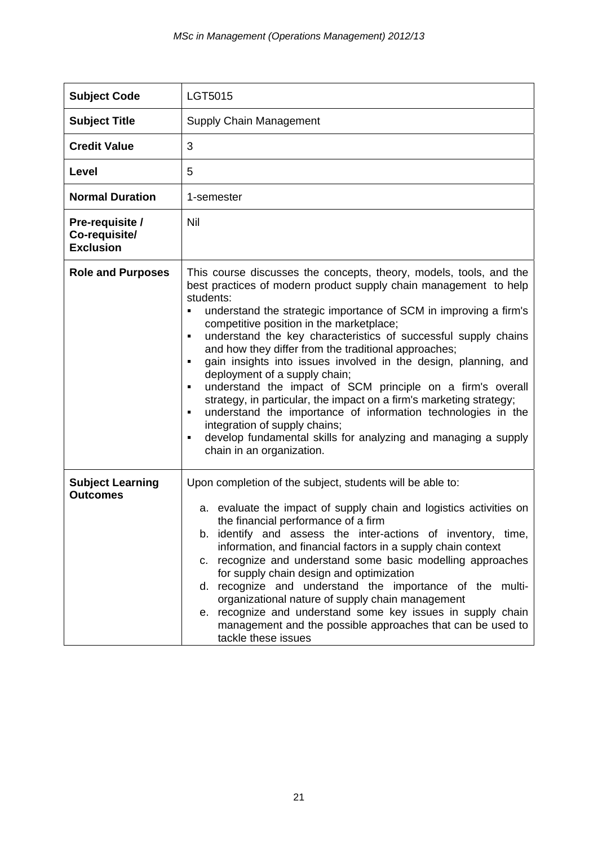| <b>Subject Code</b>                                  | LGT5015                                                                                                                                                                                                                                                                                                                                                                                                                                                                                                                                                                                                                                                                                                                                                                                                                                                                 |
|------------------------------------------------------|-------------------------------------------------------------------------------------------------------------------------------------------------------------------------------------------------------------------------------------------------------------------------------------------------------------------------------------------------------------------------------------------------------------------------------------------------------------------------------------------------------------------------------------------------------------------------------------------------------------------------------------------------------------------------------------------------------------------------------------------------------------------------------------------------------------------------------------------------------------------------|
| <b>Subject Title</b>                                 | Supply Chain Management                                                                                                                                                                                                                                                                                                                                                                                                                                                                                                                                                                                                                                                                                                                                                                                                                                                 |
| <b>Credit Value</b>                                  | 3                                                                                                                                                                                                                                                                                                                                                                                                                                                                                                                                                                                                                                                                                                                                                                                                                                                                       |
| Level                                                | 5                                                                                                                                                                                                                                                                                                                                                                                                                                                                                                                                                                                                                                                                                                                                                                                                                                                                       |
| <b>Normal Duration</b>                               | 1-semester                                                                                                                                                                                                                                                                                                                                                                                                                                                                                                                                                                                                                                                                                                                                                                                                                                                              |
| Pre-requisite /<br>Co-requisite/<br><b>Exclusion</b> | Nil                                                                                                                                                                                                                                                                                                                                                                                                                                                                                                                                                                                                                                                                                                                                                                                                                                                                     |
| <b>Role and Purposes</b>                             | This course discusses the concepts, theory, models, tools, and the<br>best practices of modern product supply chain management to help<br>students:<br>understand the strategic importance of SCM in improving a firm's<br>٠<br>competitive position in the marketplace;<br>understand the key characteristics of successful supply chains<br>٠<br>and how they differ from the traditional approaches;<br>gain insights into issues involved in the design, planning, and<br>$\blacksquare$<br>deployment of a supply chain;<br>understand the impact of SCM principle on a firm's overall<br>٠<br>strategy, in particular, the impact on a firm's marketing strategy;<br>understand the importance of information technologies in the<br>integration of supply chains;<br>develop fundamental skills for analyzing and managing a supply<br>chain in an organization. |
| <b>Subject Learning</b><br><b>Outcomes</b>           | Upon completion of the subject, students will be able to:<br>a. evaluate the impact of supply chain and logistics activities on<br>the financial performance of a firm<br>b. identify and assess the inter-actions of inventory, time,<br>information, and financial factors in a supply chain context<br>recognize and understand some basic modelling approaches<br>C.<br>for supply chain design and optimization<br>d. recognize and understand the importance of the multi-<br>organizational nature of supply chain management<br>recognize and understand some key issues in supply chain<br>е.<br>management and the possible approaches that can be used to<br>tackle these issues                                                                                                                                                                             |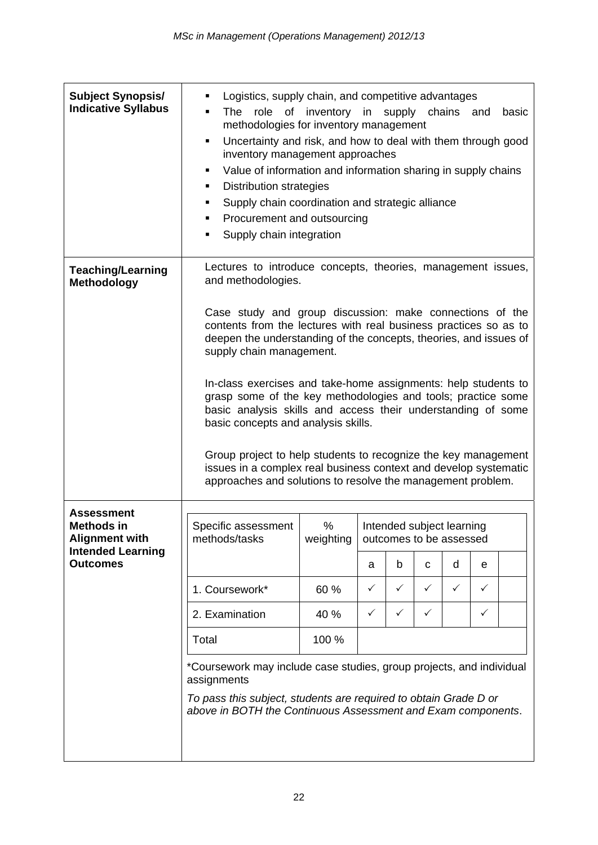| <b>Subject Synopsis/</b><br><b>Indicative Syllabus</b>          | Logistics, supply chain, and competitive advantages<br>role of inventory in supply chains<br>The<br>and<br>basic<br>٠<br>methodologies for inventory management<br>Uncertainty and risk, and how to deal with them through good<br>٠<br>inventory management approaches<br>Value of information and information sharing in supply chains<br>٠<br><b>Distribution strategies</b><br>٠<br>Supply chain coordination and strategic alliance<br>٠<br>Procurement and outsourcing<br>٠<br>Supply chain integration<br>٠                                                                                                                                                          |                |   |                                                      |              |              |              |  |
|-----------------------------------------------------------------|-----------------------------------------------------------------------------------------------------------------------------------------------------------------------------------------------------------------------------------------------------------------------------------------------------------------------------------------------------------------------------------------------------------------------------------------------------------------------------------------------------------------------------------------------------------------------------------------------------------------------------------------------------------------------------|----------------|---|------------------------------------------------------|--------------|--------------|--------------|--|
| <b>Teaching/Learning</b><br><b>Methodology</b>                  | Lectures to introduce concepts, theories, management issues,<br>and methodologies.                                                                                                                                                                                                                                                                                                                                                                                                                                                                                                                                                                                          |                |   |                                                      |              |              |              |  |
|                                                                 | Case study and group discussion: make connections of the<br>contents from the lectures with real business practices so as to<br>deepen the understanding of the concepts, theories, and issues of<br>supply chain management.<br>In-class exercises and take-home assignments: help students to<br>grasp some of the key methodologies and tools; practice some<br>basic analysis skills and access their understanding of some<br>basic concepts and analysis skills.<br>Group project to help students to recognize the key management<br>issues in a complex real business context and develop systematic<br>approaches and solutions to resolve the management problem. |                |   |                                                      |              |              |              |  |
| <b>Assessment</b><br><b>Methods in</b><br><b>Alignment with</b> | Specific assessment<br>methods/tasks                                                                                                                                                                                                                                                                                                                                                                                                                                                                                                                                                                                                                                        | %<br>weighting |   | Intended subject learning<br>outcomes to be assessed |              |              |              |  |
| <b>Intended Learning</b><br><b>Outcomes</b>                     |                                                                                                                                                                                                                                                                                                                                                                                                                                                                                                                                                                                                                                                                             |                | a | b                                                    | C            | d            | e            |  |
|                                                                 | 1. Coursework*                                                                                                                                                                                                                                                                                                                                                                                                                                                                                                                                                                                                                                                              | 60 %           | ✓ | $\checkmark$                                         | $\checkmark$ | $\checkmark$ | $\checkmark$ |  |
|                                                                 | 2. Examination                                                                                                                                                                                                                                                                                                                                                                                                                                                                                                                                                                                                                                                              | 40 %           | ✓ | ✓                                                    | ✓            |              | $\checkmark$ |  |
|                                                                 | Total                                                                                                                                                                                                                                                                                                                                                                                                                                                                                                                                                                                                                                                                       | 100 %          |   |                                                      |              |              |              |  |
|                                                                 | *Coursework may include case studies, group projects, and individual<br>assignments<br>To pass this subject, students are required to obtain Grade D or<br>above in BOTH the Continuous Assessment and Exam components.                                                                                                                                                                                                                                                                                                                                                                                                                                                     |                |   |                                                      |              |              |              |  |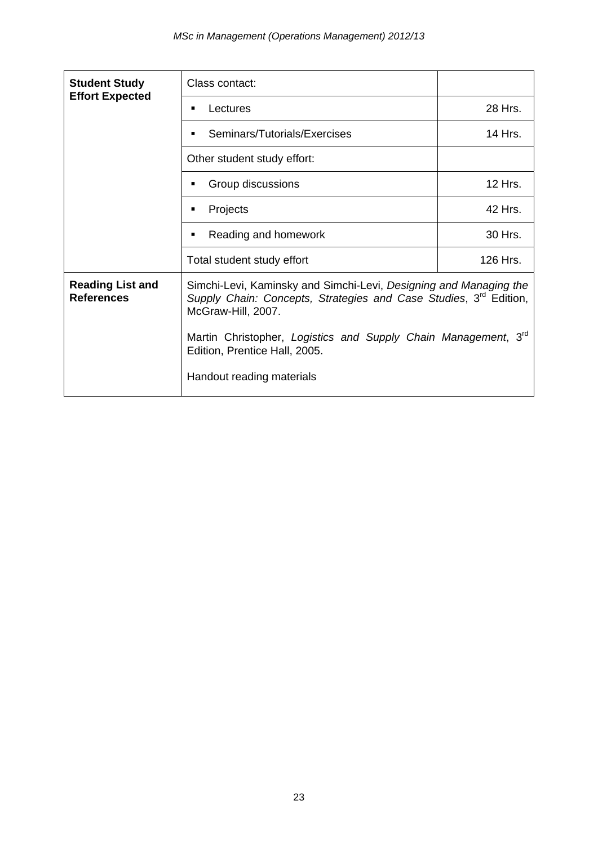| <b>Student Study</b>                         | Class contact:                                                                                                                                                           |          |  |  |
|----------------------------------------------|--------------------------------------------------------------------------------------------------------------------------------------------------------------------------|----------|--|--|
| <b>Effort Expected</b>                       | Lectures<br>٠                                                                                                                                                            | 28 Hrs.  |  |  |
|                                              | Seminars/Tutorials/Exercises<br>٠                                                                                                                                        | 14 Hrs.  |  |  |
|                                              | Other student study effort:                                                                                                                                              |          |  |  |
|                                              | Group discussions<br>٠                                                                                                                                                   | 12 Hrs.  |  |  |
|                                              | Projects<br>$\blacksquare$                                                                                                                                               | 42 Hrs.  |  |  |
|                                              | Reading and homework<br>٠                                                                                                                                                | 30 Hrs.  |  |  |
|                                              | Total student study effort                                                                                                                                               | 126 Hrs. |  |  |
| <b>Reading List and</b><br><b>References</b> | Simchi-Levi, Kaminsky and Simchi-Levi, Designing and Managing the<br>Supply Chain: Concepts, Strategies and Case Studies, 3 <sup>rd</sup> Edition,<br>McGraw-Hill, 2007. |          |  |  |
|                                              | Martin Christopher, Logistics and Supply Chain Management, 3rd<br>Edition, Prentice Hall, 2005.                                                                          |          |  |  |
|                                              | Handout reading materials                                                                                                                                                |          |  |  |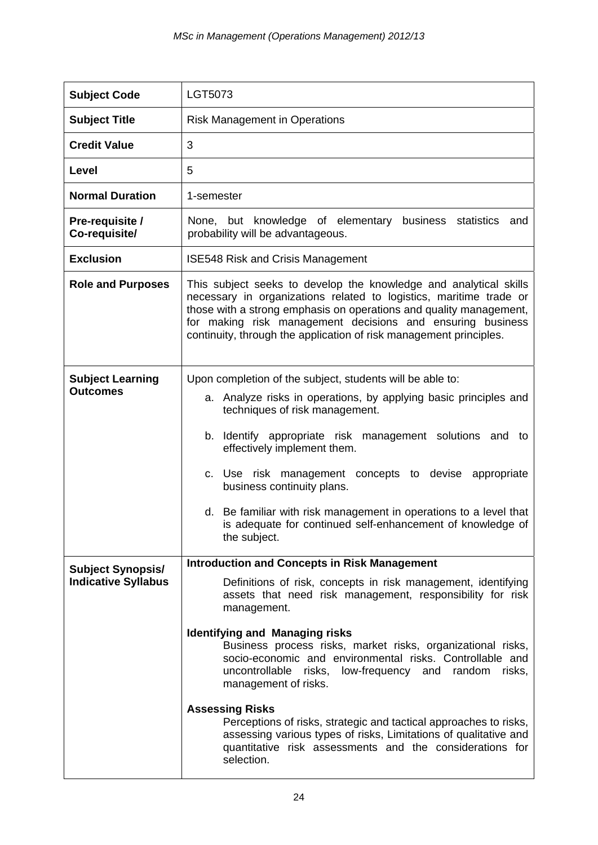| <b>Subject Code</b>                                    | LGT5073                                                                                                                                                                                                                                                                                                                                                                                                                                                                                                                                                                                                                                                                                                  |
|--------------------------------------------------------|----------------------------------------------------------------------------------------------------------------------------------------------------------------------------------------------------------------------------------------------------------------------------------------------------------------------------------------------------------------------------------------------------------------------------------------------------------------------------------------------------------------------------------------------------------------------------------------------------------------------------------------------------------------------------------------------------------|
| <b>Subject Title</b>                                   | <b>Risk Management in Operations</b>                                                                                                                                                                                                                                                                                                                                                                                                                                                                                                                                                                                                                                                                     |
| <b>Credit Value</b>                                    | 3                                                                                                                                                                                                                                                                                                                                                                                                                                                                                                                                                                                                                                                                                                        |
| Level                                                  | 5                                                                                                                                                                                                                                                                                                                                                                                                                                                                                                                                                                                                                                                                                                        |
| <b>Normal Duration</b>                                 | 1-semester                                                                                                                                                                                                                                                                                                                                                                                                                                                                                                                                                                                                                                                                                               |
| Pre-requisite /<br>Co-requisite/                       | None, but knowledge of elementary<br>business statistics<br>and<br>probability will be advantageous.                                                                                                                                                                                                                                                                                                                                                                                                                                                                                                                                                                                                     |
| <b>Exclusion</b>                                       | <b>ISE548 Risk and Crisis Management</b>                                                                                                                                                                                                                                                                                                                                                                                                                                                                                                                                                                                                                                                                 |
| <b>Role and Purposes</b>                               | This subject seeks to develop the knowledge and analytical skills<br>necessary in organizations related to logistics, maritime trade or<br>those with a strong emphasis on operations and quality management,<br>for making risk management decisions and ensuring business<br>continuity, through the application of risk management principles.                                                                                                                                                                                                                                                                                                                                                        |
| <b>Subject Learning</b><br><b>Outcomes</b>             | Upon completion of the subject, students will be able to:<br>a. Analyze risks in operations, by applying basic principles and<br>techniques of risk management.<br>b. Identify appropriate risk management solutions and to<br>effectively implement them.<br>c. Use risk management concepts to devise appropriate<br>business continuity plans.<br>d. Be familiar with risk management in operations to a level that<br>is adequate for continued self-enhancement of knowledge of<br>the subject.                                                                                                                                                                                                     |
| <b>Subject Synopsis/</b><br><b>Indicative Syllabus</b> | <b>Introduction and Concepts in Risk Management</b><br>Definitions of risk, concepts in risk management, identifying<br>assets that need risk management, responsibility for risk<br>management.<br><b>Identifying and Managing risks</b><br>Business process risks, market risks, organizational risks,<br>socio-economic and environmental risks. Controllable and<br>uncontrollable risks, low-frequency and<br>random<br>risks,<br>management of risks.<br><b>Assessing Risks</b><br>Perceptions of risks, strategic and tactical approaches to risks,<br>assessing various types of risks, Limitations of qualitative and<br>quantitative risk assessments and the considerations for<br>selection. |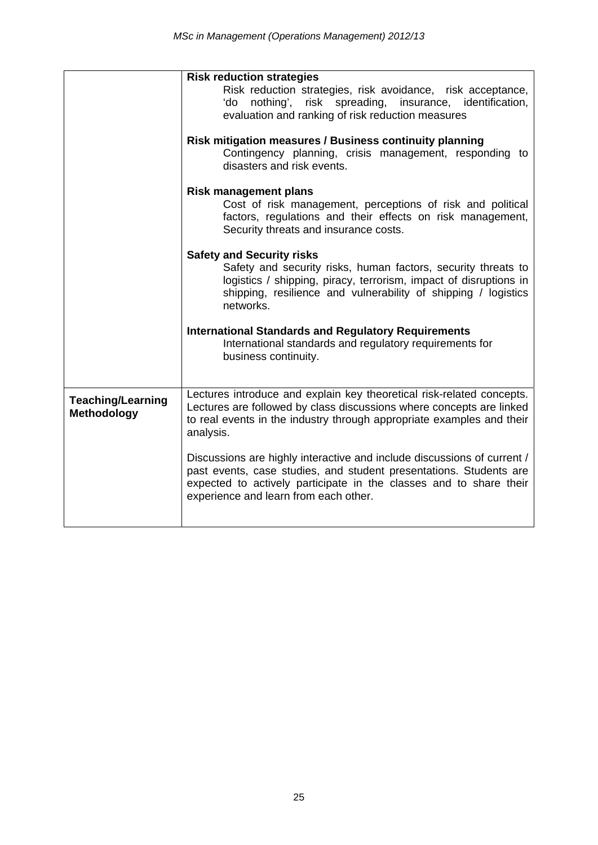|                                         | <b>Risk reduction strategies</b><br>Risk reduction strategies, risk avoidance, risk acceptance,<br>'do nothing', risk spreading, insurance, identification,<br>evaluation and ranking of risk reduction measures                                             |
|-----------------------------------------|--------------------------------------------------------------------------------------------------------------------------------------------------------------------------------------------------------------------------------------------------------------|
|                                         | Risk mitigation measures / Business continuity planning<br>Contingency planning, crisis management, responding to<br>disasters and risk events.                                                                                                              |
|                                         | <b>Risk management plans</b><br>Cost of risk management, perceptions of risk and political<br>factors, regulations and their effects on risk management,<br>Security threats and insurance costs.                                                            |
|                                         | <b>Safety and Security risks</b><br>Safety and security risks, human factors, security threats to<br>logistics / shipping, piracy, terrorism, impact of disruptions in<br>shipping, resilience and vulnerability of shipping / logistics<br>networks.        |
|                                         | <b>International Standards and Regulatory Requirements</b><br>International standards and regulatory requirements for<br>business continuity.                                                                                                                |
| <b>Teaching/Learning</b><br>Methodology | Lectures introduce and explain key theoretical risk-related concepts.<br>Lectures are followed by class discussions where concepts are linked<br>to real events in the industry through appropriate examples and their<br>analysis.                          |
|                                         | Discussions are highly interactive and include discussions of current /<br>past events, case studies, and student presentations. Students are<br>expected to actively participate in the classes and to share their<br>experience and learn from each other. |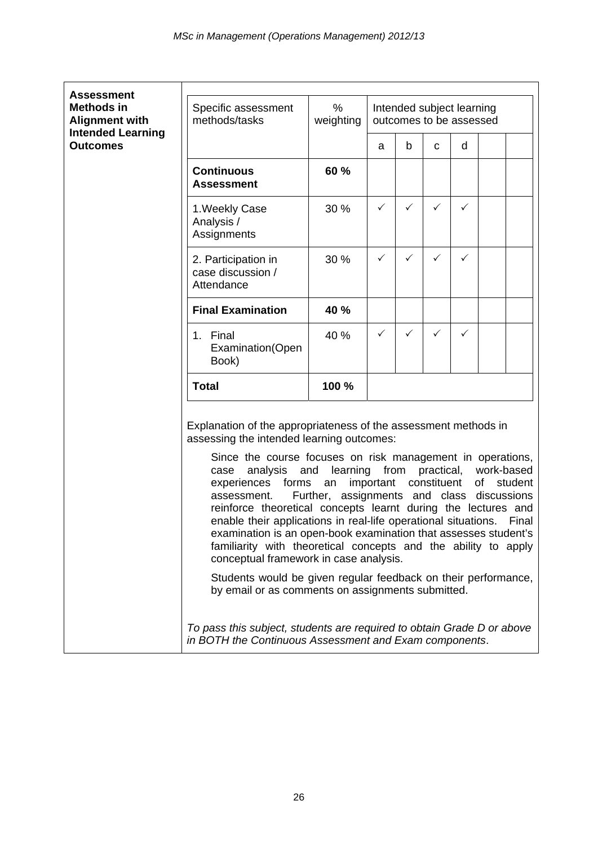| <b>Assessment</b>                           |                                                                                                                                                                                                                                                                                                                                                                                                                                                                                                                                                                                                                                                                                                                                                                    |                                                        |                                                      |                 |              |   |  |                          |
|---------------------------------------------|--------------------------------------------------------------------------------------------------------------------------------------------------------------------------------------------------------------------------------------------------------------------------------------------------------------------------------------------------------------------------------------------------------------------------------------------------------------------------------------------------------------------------------------------------------------------------------------------------------------------------------------------------------------------------------------------------------------------------------------------------------------------|--------------------------------------------------------|------------------------------------------------------|-----------------|--------------|---|--|--------------------------|
| <b>Methods in</b><br><b>Alignment with</b>  | Specific assessment<br>methods/tasks                                                                                                                                                                                                                                                                                                                                                                                                                                                                                                                                                                                                                                                                                                                               | %<br>weighting                                         | Intended subject learning<br>outcomes to be assessed |                 |              |   |  |                          |
| <b>Intended Learning</b><br><b>Outcomes</b> |                                                                                                                                                                                                                                                                                                                                                                                                                                                                                                                                                                                                                                                                                                                                                                    |                                                        | a                                                    | b               | C            | d |  |                          |
|                                             | <b>Continuous</b><br><b>Assessment</b>                                                                                                                                                                                                                                                                                                                                                                                                                                                                                                                                                                                                                                                                                                                             | 60 %                                                   |                                                      |                 |              |   |  |                          |
|                                             | 1. Weekly Case<br>Analysis /<br>Assignments                                                                                                                                                                                                                                                                                                                                                                                                                                                                                                                                                                                                                                                                                                                        | 30 %                                                   | ✓                                                    | ✓               | $\checkmark$ | ✓ |  |                          |
|                                             | 2. Participation in<br>case discussion /<br>Attendance                                                                                                                                                                                                                                                                                                                                                                                                                                                                                                                                                                                                                                                                                                             | 30 %                                                   | ✓                                                    | ✓               | $\checkmark$ | ✓ |  |                          |
|                                             | <b>Final Examination</b>                                                                                                                                                                                                                                                                                                                                                                                                                                                                                                                                                                                                                                                                                                                                           | 40 %                                                   |                                                      |                 |              |   |  |                          |
|                                             | 1. Final<br>Examination(Open<br>Book)                                                                                                                                                                                                                                                                                                                                                                                                                                                                                                                                                                                                                                                                                                                              | 40 %                                                   | ✓                                                    | ✓               | ✓            | ✓ |  |                          |
|                                             | <b>Total</b>                                                                                                                                                                                                                                                                                                                                                                                                                                                                                                                                                                                                                                                                                                                                                       | 100 %                                                  |                                                      |                 |              |   |  |                          |
|                                             | Explanation of the appropriateness of the assessment methods in<br>assessing the intended learning outcomes:<br>Since the course focuses on risk management in operations,<br>analysis and<br>case<br>experiences forms an<br>assessment.<br>reinforce theoretical concepts learnt during the lectures and<br>enable their applications in real-life operational situations. Final<br>examination is an open-book examination that assesses student's<br>familiarity with theoretical concepts and the ability to apply<br>conceptual framework in case analysis.<br>Students would be given regular feedback on their performance,<br>by email or as comments on assignments submitted.<br>To pass this subject, students are required to obtain Grade D or above | learning<br>Further, assignments and class discussions | important constituent                                | from practical, |              |   |  | work-based<br>of student |
|                                             | in BOTH the Continuous Assessment and Exam components.                                                                                                                                                                                                                                                                                                                                                                                                                                                                                                                                                                                                                                                                                                             |                                                        |                                                      |                 |              |   |  |                          |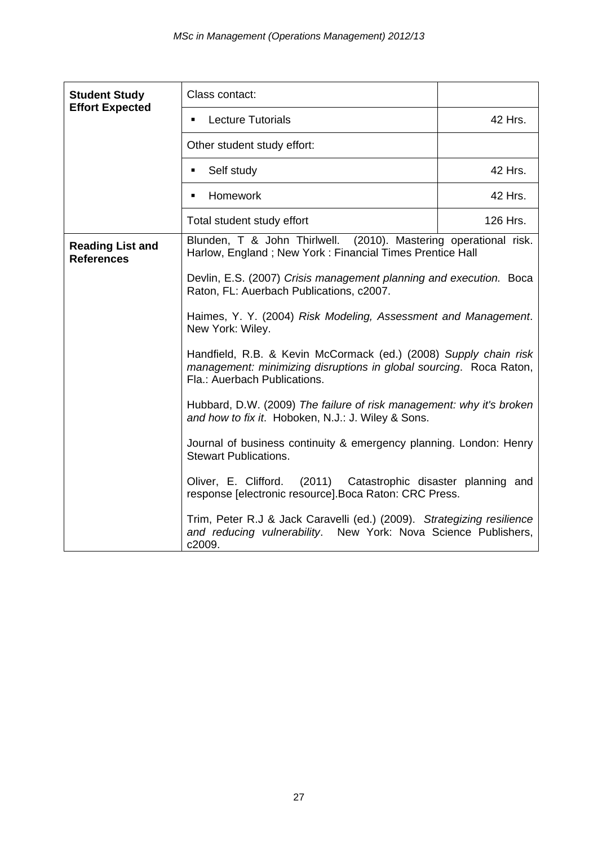| <b>Student Study</b>                         | Class contact:                                                                                                                                                         |          |
|----------------------------------------------|------------------------------------------------------------------------------------------------------------------------------------------------------------------------|----------|
| <b>Effort Expected</b>                       | <b>Lecture Tutorials</b><br>٠                                                                                                                                          | 42 Hrs.  |
|                                              | Other student study effort:                                                                                                                                            |          |
|                                              | Self study<br>٠                                                                                                                                                        | 42 Hrs.  |
|                                              | Homework<br>٠                                                                                                                                                          | 42 Hrs.  |
|                                              | Total student study effort                                                                                                                                             | 126 Hrs. |
| <b>Reading List and</b><br><b>References</b> | Blunden, T & John Thirlwell. (2010). Mastering operational risk.<br>Harlow, England; New York: Financial Times Prentice Hall                                           |          |
|                                              | Devlin, E.S. (2007) Crisis management planning and execution. Boca<br>Raton, FL: Auerbach Publications, c2007.                                                         |          |
|                                              | Haimes, Y. Y. (2004) Risk Modeling, Assessment and Management.<br>New York: Wiley.                                                                                     |          |
|                                              | Handfield, R.B. & Kevin McCormack (ed.) (2008) Supply chain risk<br>management: minimizing disruptions in global sourcing. Roca Raton,<br>Fla.: Auerbach Publications. |          |
|                                              | Hubbard, D.W. (2009) The failure of risk management: why it's broken<br>and how to fix it. Hoboken, N.J.: J. Wiley & Sons.                                             |          |
|                                              | Journal of business continuity & emergency planning. London: Henry<br><b>Stewart Publications.</b>                                                                     |          |
|                                              | Oliver, E. Clifford.<br>(2011) Catastrophic disaster planning and<br>response [electronic resource]. Boca Raton: CRC Press.                                            |          |
|                                              | Trim, Peter R.J & Jack Caravelli (ed.) (2009). Strategizing resilience<br>and reducing vulnerability. New York: Nova Science Publishers,<br>c2009.                     |          |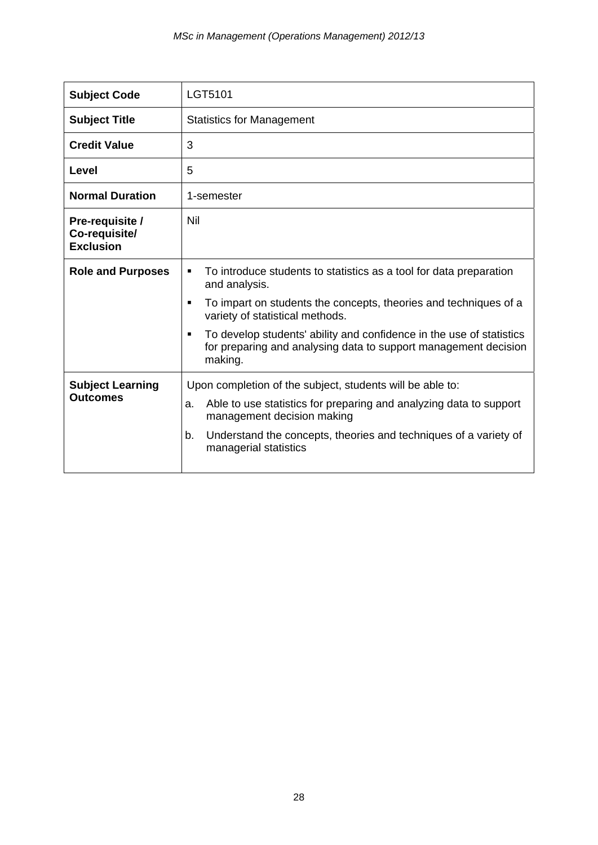| <b>Subject Code</b>                                  | LGT5101                                                                                                                                                              |
|------------------------------------------------------|----------------------------------------------------------------------------------------------------------------------------------------------------------------------|
| <b>Subject Title</b>                                 | <b>Statistics for Management</b>                                                                                                                                     |
| <b>Credit Value</b>                                  | 3                                                                                                                                                                    |
| Level                                                | 5                                                                                                                                                                    |
| <b>Normal Duration</b>                               | 1-semester                                                                                                                                                           |
| Pre-requisite /<br>Co-requisite/<br><b>Exclusion</b> | Nil                                                                                                                                                                  |
| <b>Role and Purposes</b>                             | To introduce students to statistics as a tool for data preparation<br>$\blacksquare$<br>and analysis.                                                                |
|                                                      | To impart on students the concepts, theories and techniques of a<br>$\blacksquare$<br>variety of statistical methods.                                                |
|                                                      | To develop students' ability and confidence in the use of statistics<br>$\blacksquare$<br>for preparing and analysing data to support management decision<br>making. |
| <b>Subject Learning</b>                              | Upon completion of the subject, students will be able to:                                                                                                            |
| <b>Outcomes</b>                                      | Able to use statistics for preparing and analyzing data to support<br>a.<br>management decision making                                                               |
|                                                      | Understand the concepts, theories and techniques of a variety of<br>b.<br>managerial statistics                                                                      |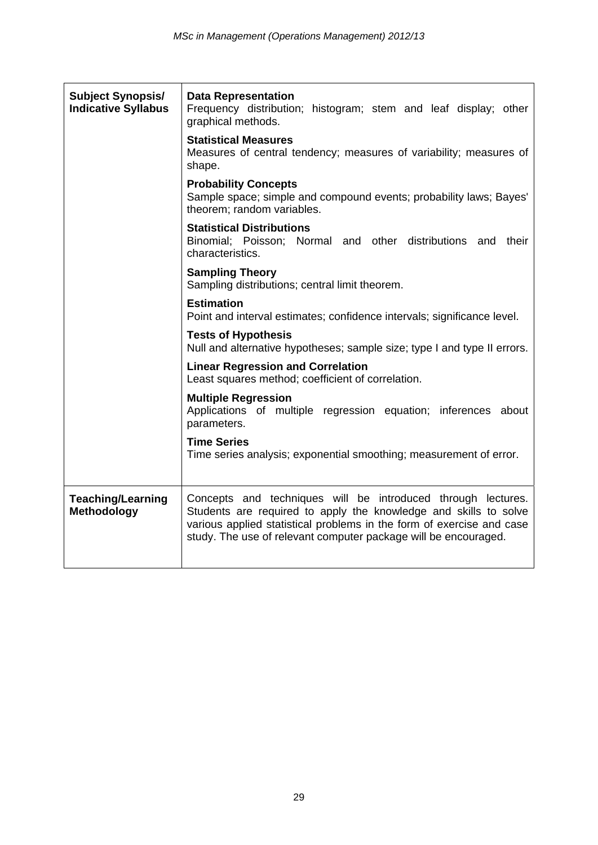| <b>Subject Synopsis/</b><br><b>Indicative Syllabus</b> | <b>Data Representation</b><br>Frequency distribution; histogram; stem and leaf display; other<br>graphical methods.                                                                                                                                                          |
|--------------------------------------------------------|------------------------------------------------------------------------------------------------------------------------------------------------------------------------------------------------------------------------------------------------------------------------------|
|                                                        | <b>Statistical Measures</b><br>Measures of central tendency; measures of variability; measures of<br>shape.                                                                                                                                                                  |
|                                                        | <b>Probability Concepts</b><br>Sample space; simple and compound events; probability laws; Bayes'<br>theorem; random variables.                                                                                                                                              |
|                                                        | <b>Statistical Distributions</b><br>Binomial; Poisson; Normal and other distributions and their<br>characteristics.                                                                                                                                                          |
|                                                        | <b>Sampling Theory</b><br>Sampling distributions; central limit theorem.                                                                                                                                                                                                     |
|                                                        | <b>Estimation</b><br>Point and interval estimates; confidence intervals; significance level.                                                                                                                                                                                 |
|                                                        | <b>Tests of Hypothesis</b><br>Null and alternative hypotheses; sample size; type I and type II errors.                                                                                                                                                                       |
|                                                        | <b>Linear Regression and Correlation</b><br>Least squares method; coefficient of correlation.                                                                                                                                                                                |
|                                                        | <b>Multiple Regression</b><br>Applications of multiple regression equation; inferences about<br>parameters.                                                                                                                                                                  |
|                                                        | <b>Time Series</b><br>Time series analysis; exponential smoothing; measurement of error.                                                                                                                                                                                     |
| <b>Teaching/Learning</b><br><b>Methodology</b>         | Concepts and techniques will be introduced through lectures.<br>Students are required to apply the knowledge and skills to solve<br>various applied statistical problems in the form of exercise and case<br>study. The use of relevant computer package will be encouraged. |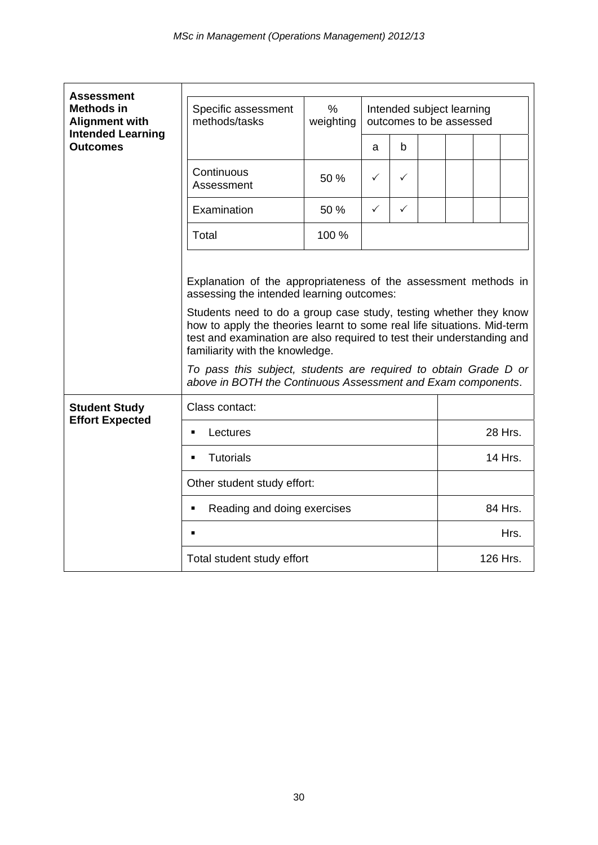| <b>Assessment</b>                                                                         |                                                                                                                                                                                                                                                                                                                                                                                                                                                                                                               |                                                                           |              |              |         |         |  |          |
|-------------------------------------------------------------------------------------------|---------------------------------------------------------------------------------------------------------------------------------------------------------------------------------------------------------------------------------------------------------------------------------------------------------------------------------------------------------------------------------------------------------------------------------------------------------------------------------------------------------------|---------------------------------------------------------------------------|--------------|--------------|---------|---------|--|----------|
| <b>Methods in</b><br><b>Alignment with</b><br><b>Intended Learning</b><br><b>Outcomes</b> | Specific assessment<br>methods/tasks                                                                                                                                                                                                                                                                                                                                                                                                                                                                          | $\%$<br>Intended subject learning<br>weighting<br>outcomes to be assessed |              |              |         |         |  |          |
|                                                                                           |                                                                                                                                                                                                                                                                                                                                                                                                                                                                                                               |                                                                           | a            | b            |         |         |  |          |
|                                                                                           | Continuous<br>Assessment                                                                                                                                                                                                                                                                                                                                                                                                                                                                                      | 50 %                                                                      | $\checkmark$ | $\checkmark$ |         |         |  |          |
|                                                                                           | Examination                                                                                                                                                                                                                                                                                                                                                                                                                                                                                                   | 50 %                                                                      | $\checkmark$ | $\checkmark$ |         |         |  |          |
|                                                                                           | Total                                                                                                                                                                                                                                                                                                                                                                                                                                                                                                         | 100 %                                                                     |              |              |         |         |  |          |
|                                                                                           | Explanation of the appropriateness of the assessment methods in<br>assessing the intended learning outcomes:<br>Students need to do a group case study, testing whether they know<br>how to apply the theories learnt to some real life situations. Mid-term<br>test and examination are also required to test their understanding and<br>familiarity with the knowledge.<br>To pass this subject, students are required to obtain Grade D or<br>above in BOTH the Continuous Assessment and Exam components. |                                                                           |              |              |         |         |  |          |
| <b>Student Study</b>                                                                      | Class contact:                                                                                                                                                                                                                                                                                                                                                                                                                                                                                                |                                                                           |              |              |         |         |  |          |
| <b>Effort Expected</b>                                                                    | Lectures<br>٠                                                                                                                                                                                                                                                                                                                                                                                                                                                                                                 |                                                                           |              |              |         | 28 Hrs. |  |          |
|                                                                                           | <b>Tutorials</b><br>$\blacksquare$                                                                                                                                                                                                                                                                                                                                                                                                                                                                            |                                                                           |              |              | 14 Hrs. |         |  |          |
|                                                                                           | Other student study effort:                                                                                                                                                                                                                                                                                                                                                                                                                                                                                   |                                                                           |              |              |         |         |  |          |
|                                                                                           | Reading and doing exercises<br>$\blacksquare$                                                                                                                                                                                                                                                                                                                                                                                                                                                                 |                                                                           |              |              |         | 84 Hrs. |  |          |
|                                                                                           |                                                                                                                                                                                                                                                                                                                                                                                                                                                                                                               |                                                                           |              |              |         |         |  | Hrs.     |
|                                                                                           | Total student study effort                                                                                                                                                                                                                                                                                                                                                                                                                                                                                    |                                                                           |              |              |         |         |  | 126 Hrs. |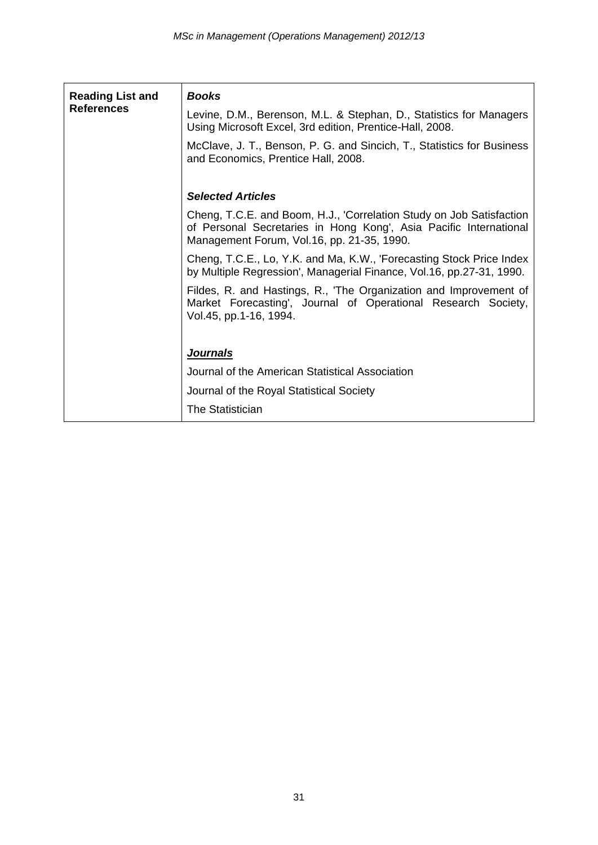| <b>Reading List and</b><br><b>References</b> | <b>Books</b><br>Levine, D.M., Berenson, M.L. & Stephan, D., Statistics for Managers<br>Using Microsoft Excel, 3rd edition, Prentice-Hall, 2008.<br>McClave, J. T., Benson, P. G. and Sincich, T., Statistics for Business<br>and Economics, Prentice Hall, 2008. |
|----------------------------------------------|------------------------------------------------------------------------------------------------------------------------------------------------------------------------------------------------------------------------------------------------------------------|
|                                              | <b>Selected Articles</b>                                                                                                                                                                                                                                         |
|                                              | Cheng, T.C.E. and Boom, H.J., Correlation Study on Job Satisfaction<br>of Personal Secretaries in Hong Kong', Asia Pacific International<br>Management Forum, Vol.16, pp. 21-35, 1990.                                                                           |
|                                              | Cheng, T.C.E., Lo, Y.K. and Ma, K.W., 'Forecasting Stock Price Index<br>by Multiple Regression', Managerial Finance, Vol.16, pp.27-31, 1990.                                                                                                                     |
|                                              | Fildes, R. and Hastings, R., 'The Organization and Improvement of<br>Market Forecasting', Journal of Operational Research Society,<br>Vol.45, pp.1-16, 1994.                                                                                                     |
|                                              | <b>Journals</b>                                                                                                                                                                                                                                                  |
|                                              | Journal of the American Statistical Association                                                                                                                                                                                                                  |
|                                              | Journal of the Royal Statistical Society                                                                                                                                                                                                                         |
|                                              | The Statistician                                                                                                                                                                                                                                                 |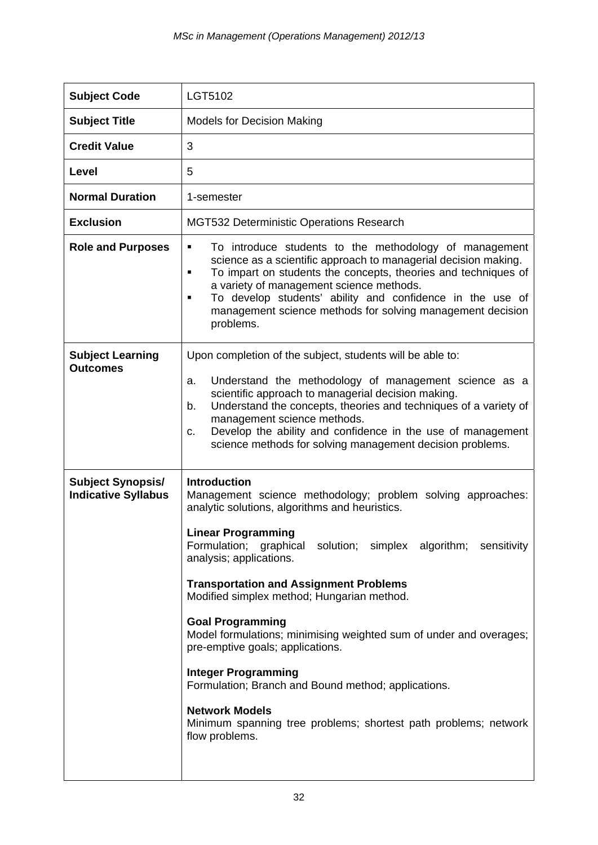| <b>Subject Code</b>                                    | LGT5102                                                                                                                                                                                                                                                                                                                                                                                                                                                                                                                                                                                                                                                                                                |
|--------------------------------------------------------|--------------------------------------------------------------------------------------------------------------------------------------------------------------------------------------------------------------------------------------------------------------------------------------------------------------------------------------------------------------------------------------------------------------------------------------------------------------------------------------------------------------------------------------------------------------------------------------------------------------------------------------------------------------------------------------------------------|
| <b>Subject Title</b>                                   | <b>Models for Decision Making</b>                                                                                                                                                                                                                                                                                                                                                                                                                                                                                                                                                                                                                                                                      |
| <b>Credit Value</b>                                    | 3                                                                                                                                                                                                                                                                                                                                                                                                                                                                                                                                                                                                                                                                                                      |
| Level                                                  | 5                                                                                                                                                                                                                                                                                                                                                                                                                                                                                                                                                                                                                                                                                                      |
| <b>Normal Duration</b>                                 | 1-semester                                                                                                                                                                                                                                                                                                                                                                                                                                                                                                                                                                                                                                                                                             |
| <b>Exclusion</b>                                       | MGT532 Deterministic Operations Research                                                                                                                                                                                                                                                                                                                                                                                                                                                                                                                                                                                                                                                               |
| <b>Role and Purposes</b>                               | To introduce students to the methodology of management<br>٠<br>science as a scientific approach to managerial decision making.<br>To impart on students the concepts, theories and techniques of<br>٠<br>a variety of management science methods.<br>To develop students' ability and confidence in the use of<br>٠<br>management science methods for solving management decision<br>problems.                                                                                                                                                                                                                                                                                                         |
| <b>Subject Learning</b><br><b>Outcomes</b>             | Upon completion of the subject, students will be able to:<br>Understand the methodology of management science as a<br>a.<br>scientific approach to managerial decision making.<br>Understand the concepts, theories and techniques of a variety of<br>b.<br>management science methods.<br>Develop the ability and confidence in the use of management<br>c.<br>science methods for solving management decision problems.                                                                                                                                                                                                                                                                              |
| <b>Subject Synopsis/</b><br><b>Indicative Syllabus</b> | <b>Introduction</b><br>Management science methodology; problem solving approaches:<br>analytic solutions, algorithms and heuristics.<br><b>Linear Programming</b><br>Formulation; graphical solution; simplex algorithm; sensitivity<br>analysis; applications.<br><b>Transportation and Assignment Problems</b><br>Modified simplex method; Hungarian method.<br><b>Goal Programming</b><br>Model formulations; minimising weighted sum of under and overages;<br>pre-emptive goals; applications.<br><b>Integer Programming</b><br>Formulation; Branch and Bound method; applications.<br><b>Network Models</b><br>Minimum spanning tree problems; shortest path problems; network<br>flow problems. |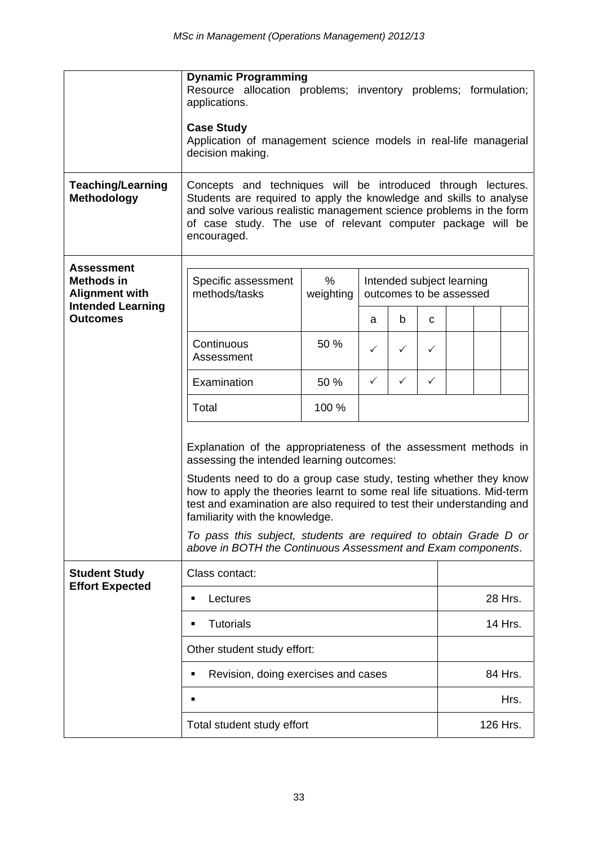|                                                                 | <b>Dynamic Programming</b><br>Resource allocation problems; inventory problems; formulation;<br>applications.<br><b>Case Study</b><br>Application of management science models in real-life managerial<br>decision making.                                                                                                                                                                                                                                                                                    |                                                                        |              |              |          |         |  |         |  |  |
|-----------------------------------------------------------------|---------------------------------------------------------------------------------------------------------------------------------------------------------------------------------------------------------------------------------------------------------------------------------------------------------------------------------------------------------------------------------------------------------------------------------------------------------------------------------------------------------------|------------------------------------------------------------------------|--------------|--------------|----------|---------|--|---------|--|--|
| <b>Teaching/Learning</b><br><b>Methodology</b>                  | Concepts and techniques will be introduced through lectures.<br>Students are required to apply the knowledge and skills to analyse<br>and solve various realistic management science problems in the form<br>of case study. The use of relevant computer package will be<br>encouraged.                                                                                                                                                                                                                       |                                                                        |              |              |          |         |  |         |  |  |
| <b>Assessment</b><br><b>Methods in</b><br><b>Alignment with</b> | Specific assessment<br>methods/tasks                                                                                                                                                                                                                                                                                                                                                                                                                                                                          | %<br>Intended subject learning<br>weighting<br>outcomes to be assessed |              |              |          |         |  |         |  |  |
| <b>Intended Learning</b><br><b>Outcomes</b>                     |                                                                                                                                                                                                                                                                                                                                                                                                                                                                                                               |                                                                        | a            | b            | C        |         |  |         |  |  |
|                                                                 | Continuous<br>Assessment                                                                                                                                                                                                                                                                                                                                                                                                                                                                                      | 50 %                                                                   | $\checkmark$ | $\checkmark$ | ✓        |         |  |         |  |  |
|                                                                 | Examination                                                                                                                                                                                                                                                                                                                                                                                                                                                                                                   | 50 %                                                                   | ✓            | $\checkmark$ | ✓        |         |  |         |  |  |
|                                                                 | Total                                                                                                                                                                                                                                                                                                                                                                                                                                                                                                         | 100 %                                                                  |              |              |          |         |  |         |  |  |
|                                                                 | Explanation of the appropriateness of the assessment methods in<br>assessing the intended learning outcomes:<br>Students need to do a group case study, testing whether they know<br>how to apply the theories learnt to some real life situations. Mid-term<br>test and examination are also required to test their understanding and<br>familiarity with the knowledge.<br>To pass this subject, students are required to obtain Grade D or<br>above in BOTH the Continuous Assessment and Exam components. |                                                                        |              |              |          |         |  |         |  |  |
| <b>Student Study</b><br><b>Effort Expected</b>                  | Class contact:                                                                                                                                                                                                                                                                                                                                                                                                                                                                                                |                                                                        |              |              |          |         |  |         |  |  |
|                                                                 | Lectures<br>٠                                                                                                                                                                                                                                                                                                                                                                                                                                                                                                 |                                                                        |              |              |          | 28 Hrs. |  |         |  |  |
|                                                                 | <b>Tutorials</b><br>$\blacksquare$                                                                                                                                                                                                                                                                                                                                                                                                                                                                            |                                                                        |              |              |          |         |  | 14 Hrs. |  |  |
|                                                                 | Other student study effort:                                                                                                                                                                                                                                                                                                                                                                                                                                                                                   |                                                                        |              |              |          |         |  |         |  |  |
|                                                                 | Revision, doing exercises and cases<br>٠                                                                                                                                                                                                                                                                                                                                                                                                                                                                      |                                                                        |              |              |          |         |  | 84 Hrs. |  |  |
|                                                                 | п                                                                                                                                                                                                                                                                                                                                                                                                                                                                                                             |                                                                        |              |              |          | Hrs.    |  |         |  |  |
| Total student study effort                                      |                                                                                                                                                                                                                                                                                                                                                                                                                                                                                                               |                                                                        |              |              | 126 Hrs. |         |  |         |  |  |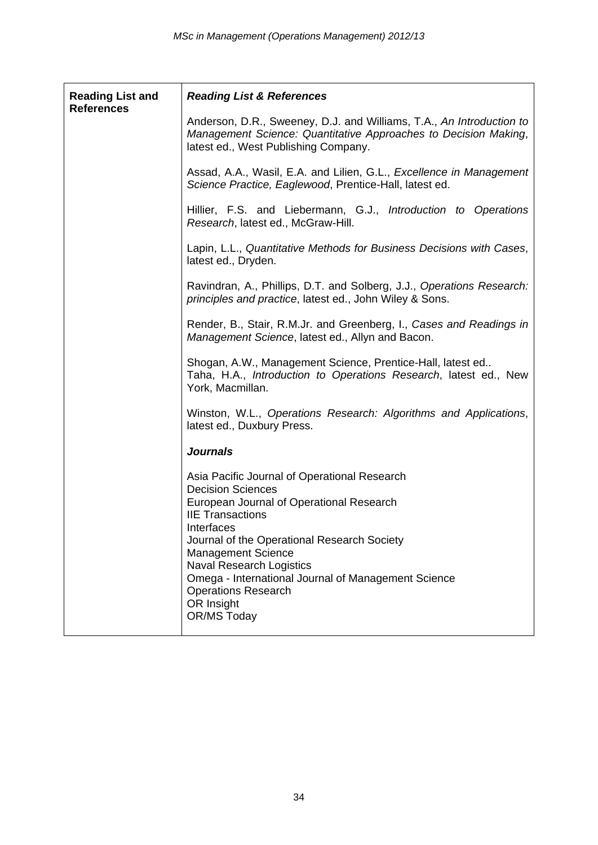| <b>Reading List and</b><br><b>References</b> | <b>Reading List &amp; References</b>                                                                                                                                                                                                                                                                                                                                                           |
|----------------------------------------------|------------------------------------------------------------------------------------------------------------------------------------------------------------------------------------------------------------------------------------------------------------------------------------------------------------------------------------------------------------------------------------------------|
|                                              | Anderson, D.R., Sweeney, D.J. and Williams, T.A., An Introduction to<br>Management Science: Quantitative Approaches to Decision Making,<br>latest ed., West Publishing Company.                                                                                                                                                                                                                |
|                                              | Assad, A.A., Wasil, E.A. and Lilien, G.L., Excellence in Management<br>Science Practice, Eaglewood, Prentice-Hall, latest ed.                                                                                                                                                                                                                                                                  |
|                                              | Hillier, F.S. and Liebermann, G.J., Introduction to Operations<br>Research, latest ed., McGraw-Hill.                                                                                                                                                                                                                                                                                           |
|                                              | Lapin, L.L., Quantitative Methods for Business Decisions with Cases,<br>latest ed., Dryden.                                                                                                                                                                                                                                                                                                    |
|                                              | Ravindran, A., Phillips, D.T. and Solberg, J.J., Operations Research:<br>principles and practice, latest ed., John Wiley & Sons.                                                                                                                                                                                                                                                               |
|                                              | Render, B., Stair, R.M.Jr. and Greenberg, I., Cases and Readings in<br>Management Science, latest ed., Allyn and Bacon.                                                                                                                                                                                                                                                                        |
|                                              | Shogan, A.W., Management Science, Prentice-Hall, latest ed<br>Taha, H.A., Introduction to Operations Research, latest ed., New<br>York, Macmillan.                                                                                                                                                                                                                                             |
|                                              | Winston, W.L., Operations Research: Algorithms and Applications,<br>latest ed., Duxbury Press.                                                                                                                                                                                                                                                                                                 |
|                                              | <b>Journals</b>                                                                                                                                                                                                                                                                                                                                                                                |
|                                              | Asia Pacific Journal of Operational Research<br><b>Decision Sciences</b><br>European Journal of Operational Research<br><b>IIE Transactions</b><br>Interfaces<br>Journal of the Operational Research Society<br><b>Management Science</b><br><b>Naval Research Logistics</b><br>Omega - International Journal of Management Science<br><b>Operations Research</b><br>OR Insight<br>OR/MS Today |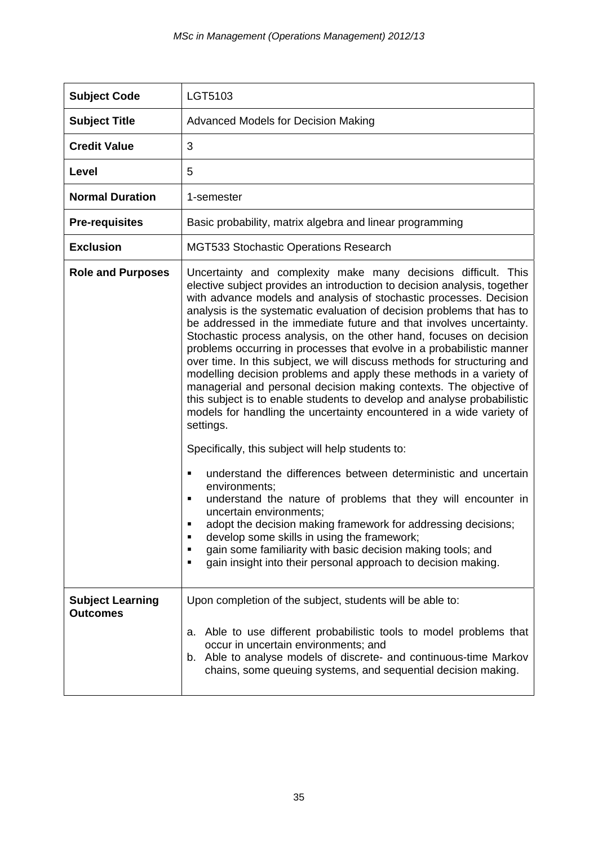| <b>Subject Code</b>                        | LGT5103                                                                                                                                                                                                                                                                                                                                                                                                                                                                                                                                                                                                                                                                                                                                                                                                                                                                                                                                                                                                                                                                                                                                                                                                                                                                                                                                                                                                                             |
|--------------------------------------------|-------------------------------------------------------------------------------------------------------------------------------------------------------------------------------------------------------------------------------------------------------------------------------------------------------------------------------------------------------------------------------------------------------------------------------------------------------------------------------------------------------------------------------------------------------------------------------------------------------------------------------------------------------------------------------------------------------------------------------------------------------------------------------------------------------------------------------------------------------------------------------------------------------------------------------------------------------------------------------------------------------------------------------------------------------------------------------------------------------------------------------------------------------------------------------------------------------------------------------------------------------------------------------------------------------------------------------------------------------------------------------------------------------------------------------------|
| <b>Subject Title</b>                       | Advanced Models for Decision Making                                                                                                                                                                                                                                                                                                                                                                                                                                                                                                                                                                                                                                                                                                                                                                                                                                                                                                                                                                                                                                                                                                                                                                                                                                                                                                                                                                                                 |
| <b>Credit Value</b>                        | 3                                                                                                                                                                                                                                                                                                                                                                                                                                                                                                                                                                                                                                                                                                                                                                                                                                                                                                                                                                                                                                                                                                                                                                                                                                                                                                                                                                                                                                   |
| Level                                      | 5                                                                                                                                                                                                                                                                                                                                                                                                                                                                                                                                                                                                                                                                                                                                                                                                                                                                                                                                                                                                                                                                                                                                                                                                                                                                                                                                                                                                                                   |
| <b>Normal Duration</b>                     | 1-semester                                                                                                                                                                                                                                                                                                                                                                                                                                                                                                                                                                                                                                                                                                                                                                                                                                                                                                                                                                                                                                                                                                                                                                                                                                                                                                                                                                                                                          |
| <b>Pre-requisites</b>                      | Basic probability, matrix algebra and linear programming                                                                                                                                                                                                                                                                                                                                                                                                                                                                                                                                                                                                                                                                                                                                                                                                                                                                                                                                                                                                                                                                                                                                                                                                                                                                                                                                                                            |
| <b>Exclusion</b>                           | <b>MGT533 Stochastic Operations Research</b>                                                                                                                                                                                                                                                                                                                                                                                                                                                                                                                                                                                                                                                                                                                                                                                                                                                                                                                                                                                                                                                                                                                                                                                                                                                                                                                                                                                        |
| <b>Role and Purposes</b>                   | Uncertainty and complexity make many decisions difficult. This<br>elective subject provides an introduction to decision analysis, together<br>with advance models and analysis of stochastic processes. Decision<br>analysis is the systematic evaluation of decision problems that has to<br>be addressed in the immediate future and that involves uncertainty.<br>Stochastic process analysis, on the other hand, focuses on decision<br>problems occurring in processes that evolve in a probabilistic manner<br>over time. In this subject, we will discuss methods for structuring and<br>modelling decision problems and apply these methods in a variety of<br>managerial and personal decision making contexts. The objective of<br>this subject is to enable students to develop and analyse probabilistic<br>models for handling the uncertainty encountered in a wide variety of<br>settings.<br>Specifically, this subject will help students to:<br>understand the differences between deterministic and uncertain<br>п<br>environments;<br>understand the nature of problems that they will encounter in<br>$\blacksquare$<br>uncertain environments;<br>adopt the decision making framework for addressing decisions;<br>develop some skills in using the framework;<br>٠<br>gain some familiarity with basic decision making tools; and<br>٠<br>gain insight into their personal approach to decision making.<br>٠ |
| <b>Subject Learning</b><br><b>Outcomes</b> | Upon completion of the subject, students will be able to:                                                                                                                                                                                                                                                                                                                                                                                                                                                                                                                                                                                                                                                                                                                                                                                                                                                                                                                                                                                                                                                                                                                                                                                                                                                                                                                                                                           |
|                                            | Able to use different probabilistic tools to model problems that<br>а.<br>occur in uncertain environments; and<br>b. Able to analyse models of discrete- and continuous-time Markov<br>chains, some queuing systems, and sequential decision making.                                                                                                                                                                                                                                                                                                                                                                                                                                                                                                                                                                                                                                                                                                                                                                                                                                                                                                                                                                                                                                                                                                                                                                                |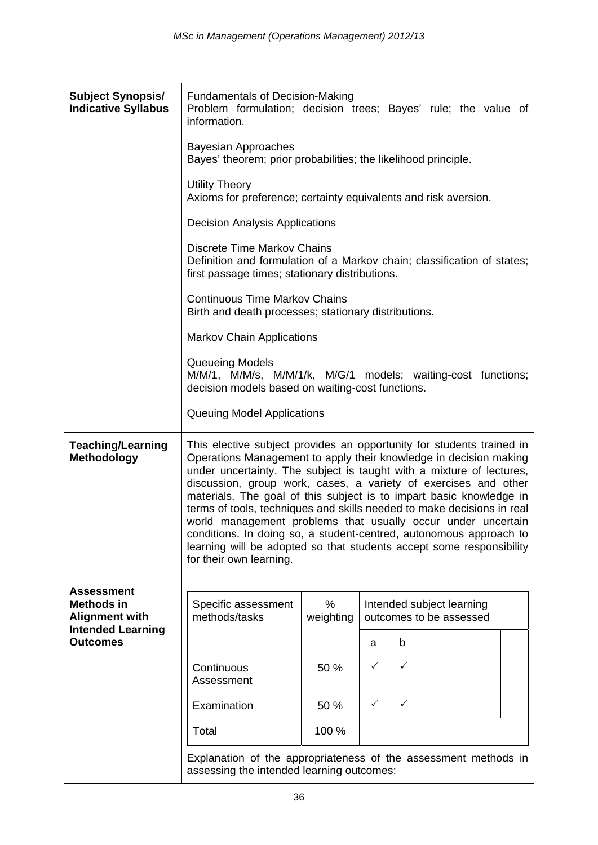| <b>Subject Synopsis/</b><br><b>Indicative Syllabus</b> | <b>Fundamentals of Decision-Making</b><br>Problem formulation; decision trees; Bayes' rule; the value of<br>information.                                                                                                                                                                                                                                                                                                                                                                                                                                                                                                                                                        |                                                                                                                                                                 |              |                           |  |  |  |  |  |  |  |
|--------------------------------------------------------|---------------------------------------------------------------------------------------------------------------------------------------------------------------------------------------------------------------------------------------------------------------------------------------------------------------------------------------------------------------------------------------------------------------------------------------------------------------------------------------------------------------------------------------------------------------------------------------------------------------------------------------------------------------------------------|-----------------------------------------------------------------------------------------------------------------------------------------------------------------|--------------|---------------------------|--|--|--|--|--|--|--|
|                                                        | <b>Bayesian Approaches</b><br>Bayes' theorem; prior probabilities; the likelihood principle.                                                                                                                                                                                                                                                                                                                                                                                                                                                                                                                                                                                    |                                                                                                                                                                 |              |                           |  |  |  |  |  |  |  |
|                                                        | <b>Utility Theory</b><br>Axioms for preference; certainty equivalents and risk aversion.                                                                                                                                                                                                                                                                                                                                                                                                                                                                                                                                                                                        |                                                                                                                                                                 |              |                           |  |  |  |  |  |  |  |
|                                                        | <b>Decision Analysis Applications</b>                                                                                                                                                                                                                                                                                                                                                                                                                                                                                                                                                                                                                                           |                                                                                                                                                                 |              |                           |  |  |  |  |  |  |  |
|                                                        |                                                                                                                                                                                                                                                                                                                                                                                                                                                                                                                                                                                                                                                                                 | <b>Discrete Time Markov Chains</b><br>Definition and formulation of a Markov chain; classification of states;<br>first passage times; stationary distributions. |              |                           |  |  |  |  |  |  |  |
|                                                        | <b>Continuous Time Markov Chains</b><br>Birth and death processes; stationary distributions.                                                                                                                                                                                                                                                                                                                                                                                                                                                                                                                                                                                    |                                                                                                                                                                 |              |                           |  |  |  |  |  |  |  |
|                                                        | <b>Markov Chain Applications</b>                                                                                                                                                                                                                                                                                                                                                                                                                                                                                                                                                                                                                                                |                                                                                                                                                                 |              |                           |  |  |  |  |  |  |  |
|                                                        | Queueing Models<br>M/M/1, M/M/s, M/M/1/k, M/G/1 models; waiting-cost functions;<br>decision models based on waiting-cost functions.<br>Queuing Model Applications                                                                                                                                                                                                                                                                                                                                                                                                                                                                                                               |                                                                                                                                                                 |              |                           |  |  |  |  |  |  |  |
|                                                        |                                                                                                                                                                                                                                                                                                                                                                                                                                                                                                                                                                                                                                                                                 |                                                                                                                                                                 |              |                           |  |  |  |  |  |  |  |
| <b>Teaching/Learning</b><br><b>Methodology</b>         | This elective subject provides an opportunity for students trained in<br>Operations Management to apply their knowledge in decision making<br>under uncertainty. The subject is taught with a mixture of lectures,<br>discussion, group work, cases, a variety of exercises and other<br>materials. The goal of this subject is to impart basic knowledge in<br>terms of tools, techniques and skills needed to make decisions in real<br>world management problems that usually occur under uncertain<br>conditions. In doing so, a student-centred, autonomous approach to<br>learning will be adopted so that students accept some responsibility<br>for their own learning. |                                                                                                                                                                 |              |                           |  |  |  |  |  |  |  |
| <b>Assessment</b><br><b>Methods in</b>                 | Specific assessment                                                                                                                                                                                                                                                                                                                                                                                                                                                                                                                                                                                                                                                             | $\%$                                                                                                                                                            |              | Intended subject learning |  |  |  |  |  |  |  |
| <b>Alignment with</b><br><b>Intended Learning</b>      | methods/tasks                                                                                                                                                                                                                                                                                                                                                                                                                                                                                                                                                                                                                                                                   | weighting                                                                                                                                                       |              | outcomes to be assessed   |  |  |  |  |  |  |  |
| <b>Outcomes</b>                                        |                                                                                                                                                                                                                                                                                                                                                                                                                                                                                                                                                                                                                                                                                 |                                                                                                                                                                 | a            | b                         |  |  |  |  |  |  |  |
|                                                        | Continuous<br>Assessment                                                                                                                                                                                                                                                                                                                                                                                                                                                                                                                                                                                                                                                        | 50 %                                                                                                                                                            | ✓            | ✓                         |  |  |  |  |  |  |  |
|                                                        | Examination                                                                                                                                                                                                                                                                                                                                                                                                                                                                                                                                                                                                                                                                     | 50 %                                                                                                                                                            | $\checkmark$ | $\checkmark$              |  |  |  |  |  |  |  |
|                                                        | Total                                                                                                                                                                                                                                                                                                                                                                                                                                                                                                                                                                                                                                                                           | 100 %                                                                                                                                                           |              |                           |  |  |  |  |  |  |  |
|                                                        | Explanation of the appropriateness of the assessment methods in<br>assessing the intended learning outcomes:                                                                                                                                                                                                                                                                                                                                                                                                                                                                                                                                                                    |                                                                                                                                                                 |              |                           |  |  |  |  |  |  |  |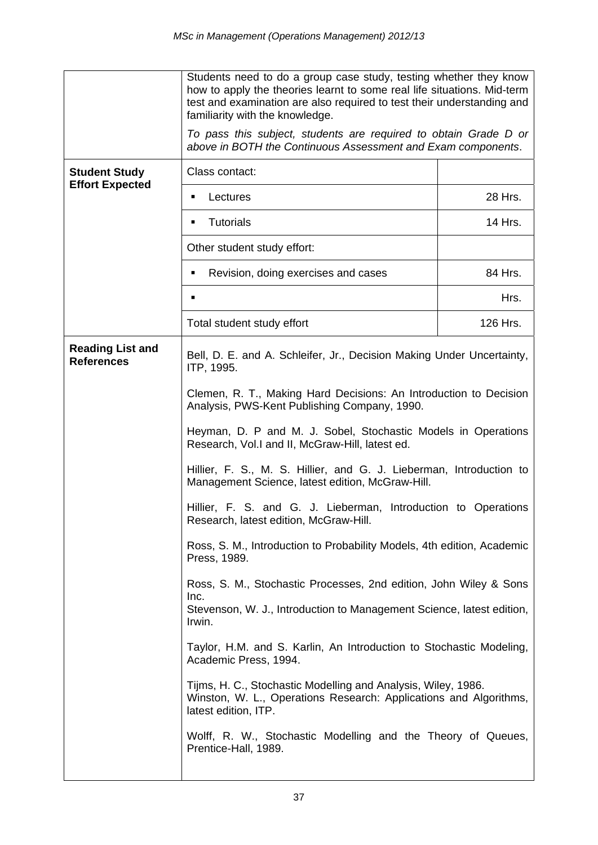|                                              | Students need to do a group case study, testing whether they know<br>how to apply the theories learnt to some real life situations. Mid-term<br>test and examination are also required to test their understanding and<br>familiarity with the knowledge.<br>To pass this subject, students are required to obtain Grade D or<br>above in BOTH the Continuous Assessment and Exam components. |          |  |  |  |  |  |  |
|----------------------------------------------|-----------------------------------------------------------------------------------------------------------------------------------------------------------------------------------------------------------------------------------------------------------------------------------------------------------------------------------------------------------------------------------------------|----------|--|--|--|--|--|--|
| <b>Student Study</b>                         | Class contact:                                                                                                                                                                                                                                                                                                                                                                                |          |  |  |  |  |  |  |
| <b>Effort Expected</b>                       |                                                                                                                                                                                                                                                                                                                                                                                               |          |  |  |  |  |  |  |
|                                              | Lectures<br>٠                                                                                                                                                                                                                                                                                                                                                                                 | 28 Hrs.  |  |  |  |  |  |  |
|                                              | <b>Tutorials</b>                                                                                                                                                                                                                                                                                                                                                                              | 14 Hrs.  |  |  |  |  |  |  |
|                                              | Other student study effort:                                                                                                                                                                                                                                                                                                                                                                   |          |  |  |  |  |  |  |
|                                              | Revision, doing exercises and cases<br>٠                                                                                                                                                                                                                                                                                                                                                      | 84 Hrs.  |  |  |  |  |  |  |
|                                              |                                                                                                                                                                                                                                                                                                                                                                                               | Hrs.     |  |  |  |  |  |  |
|                                              | Total student study effort                                                                                                                                                                                                                                                                                                                                                                    | 126 Hrs. |  |  |  |  |  |  |
| <b>Reading List and</b><br><b>References</b> | Bell, D. E. and A. Schleifer, Jr., Decision Making Under Uncertainty,<br>ITP, 1995.                                                                                                                                                                                                                                                                                                           |          |  |  |  |  |  |  |
|                                              | Clemen, R. T., Making Hard Decisions: An Introduction to Decision<br>Analysis, PWS-Kent Publishing Company, 1990.                                                                                                                                                                                                                                                                             |          |  |  |  |  |  |  |
|                                              | Heyman, D. P and M. J. Sobel, Stochastic Models in Operations<br>Research, Vol.I and II, McGraw-Hill, latest ed.                                                                                                                                                                                                                                                                              |          |  |  |  |  |  |  |
|                                              | Hillier, F. S., M. S. Hillier, and G. J. Lieberman, Introduction to<br>Management Science, latest edition, McGraw-Hill.                                                                                                                                                                                                                                                                       |          |  |  |  |  |  |  |
|                                              | Hillier, F. S. and G. J. Lieberman, Introduction to Operations<br>Research, latest edition, McGraw-Hill.                                                                                                                                                                                                                                                                                      |          |  |  |  |  |  |  |
|                                              | Ross, S. M., Introduction to Probability Models, 4th edition, Academic<br>Press, 1989.                                                                                                                                                                                                                                                                                                        |          |  |  |  |  |  |  |
|                                              | Ross, S. M., Stochastic Processes, 2nd edition, John Wiley & Sons<br>Inc.<br>Stevenson, W. J., Introduction to Management Science, latest edition,<br>Irwin.                                                                                                                                                                                                                                  |          |  |  |  |  |  |  |
|                                              | Taylor, H.M. and S. Karlin, An Introduction to Stochastic Modeling,<br>Academic Press, 1994.                                                                                                                                                                                                                                                                                                  |          |  |  |  |  |  |  |
|                                              | Tijms, H. C., Stochastic Modelling and Analysis, Wiley, 1986.<br>Winston, W. L., Operations Research: Applications and Algorithms,<br>latest edition, ITP.                                                                                                                                                                                                                                    |          |  |  |  |  |  |  |
|                                              | Wolff, R. W., Stochastic Modelling and the Theory of Queues,<br>Prentice-Hall, 1989.                                                                                                                                                                                                                                                                                                          |          |  |  |  |  |  |  |
|                                              |                                                                                                                                                                                                                                                                                                                                                                                               |          |  |  |  |  |  |  |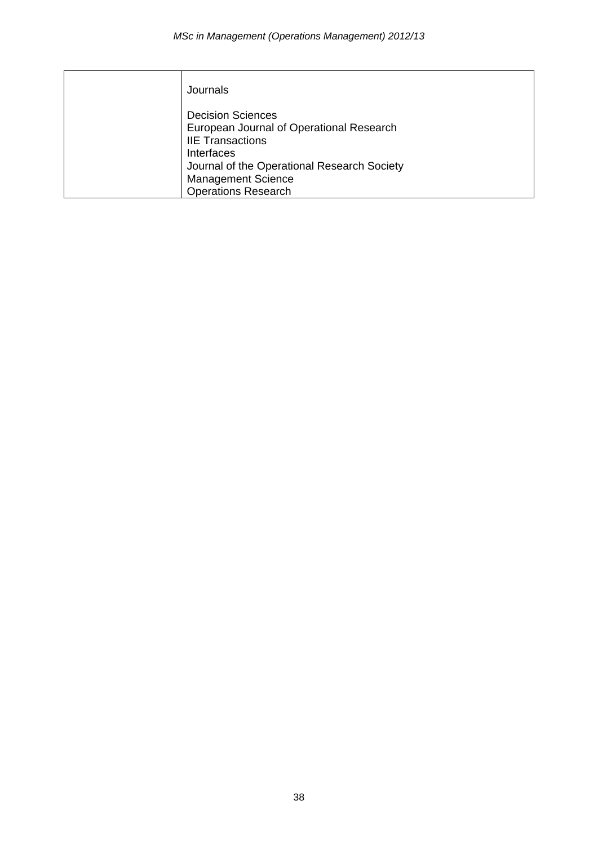| Journals                                                                                                                                                                                                                       |
|--------------------------------------------------------------------------------------------------------------------------------------------------------------------------------------------------------------------------------|
| <b>Decision Sciences</b><br>European Journal of Operational Research<br><b>IIE Transactions</b><br><b>Interfaces</b><br>Journal of the Operational Research Society<br><b>Management Science</b><br><b>Operations Research</b> |
|                                                                                                                                                                                                                                |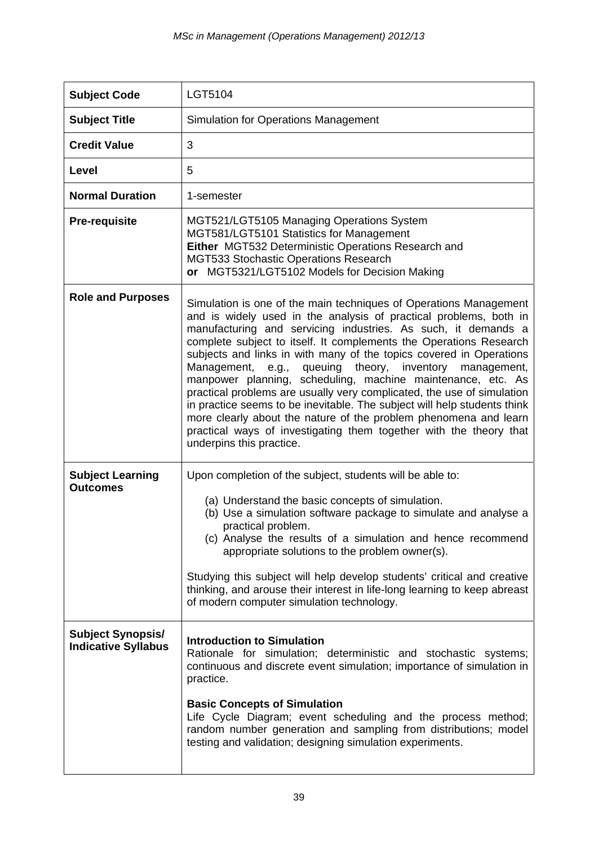| <b>Subject Code</b>                                    | LGT5104                                                                                                                                                                                                                                                                                                                                                                                                                                                                                                                                                                                                                                                                                                                                                                                                       |
|--------------------------------------------------------|---------------------------------------------------------------------------------------------------------------------------------------------------------------------------------------------------------------------------------------------------------------------------------------------------------------------------------------------------------------------------------------------------------------------------------------------------------------------------------------------------------------------------------------------------------------------------------------------------------------------------------------------------------------------------------------------------------------------------------------------------------------------------------------------------------------|
| <b>Subject Title</b>                                   | <b>Simulation for Operations Management</b>                                                                                                                                                                                                                                                                                                                                                                                                                                                                                                                                                                                                                                                                                                                                                                   |
| <b>Credit Value</b>                                    | 3                                                                                                                                                                                                                                                                                                                                                                                                                                                                                                                                                                                                                                                                                                                                                                                                             |
| Level                                                  | 5                                                                                                                                                                                                                                                                                                                                                                                                                                                                                                                                                                                                                                                                                                                                                                                                             |
| <b>Normal Duration</b>                                 | 1-semester                                                                                                                                                                                                                                                                                                                                                                                                                                                                                                                                                                                                                                                                                                                                                                                                    |
| <b>Pre-requisite</b>                                   | MGT521/LGT5105 Managing Operations System<br>MGT581/LGT5101 Statistics for Management<br>Either MGT532 Deterministic Operations Research and<br>MGT533 Stochastic Operations Research<br>or MGT5321/LGT5102 Models for Decision Making                                                                                                                                                                                                                                                                                                                                                                                                                                                                                                                                                                        |
| <b>Role and Purposes</b>                               | Simulation is one of the main techniques of Operations Management<br>and is widely used in the analysis of practical problems, both in<br>manufacturing and servicing industries. As such, it demands a<br>complete subject to itself. It complements the Operations Research<br>subjects and links in with many of the topics covered in Operations<br>queuing theory, inventory management,<br>Management, e.g.,<br>manpower planning, scheduling, machine maintenance, etc. As<br>practical problems are usually very complicated, the use of simulation<br>in practice seems to be inevitable. The subject will help students think<br>more clearly about the nature of the problem phenomena and learn<br>practical ways of investigating them together with the theory that<br>underpins this practice. |
| <b>Subject Learning</b><br><b>Outcomes</b>             | Upon completion of the subject, students will be able to:<br>(a) Understand the basic concepts of simulation.<br>(b) Use a simulation software package to simulate and analyse a<br>practical problem.<br>(c) Analyse the results of a simulation and hence recommend<br>appropriate solutions to the problem owner(s).<br>Studying this subject will help develop students' critical and creative<br>thinking, and arouse their interest in life-long learning to keep abreast<br>of modern computer simulation technology.                                                                                                                                                                                                                                                                                  |
| <b>Subject Synopsis/</b><br><b>Indicative Syllabus</b> | <b>Introduction to Simulation</b><br>Rationale for simulation; deterministic and stochastic systems;<br>continuous and discrete event simulation; importance of simulation in<br>practice.<br><b>Basic Concepts of Simulation</b><br>Life Cycle Diagram; event scheduling and the process method;<br>random number generation and sampling from distributions; model<br>testing and validation; designing simulation experiments.                                                                                                                                                                                                                                                                                                                                                                             |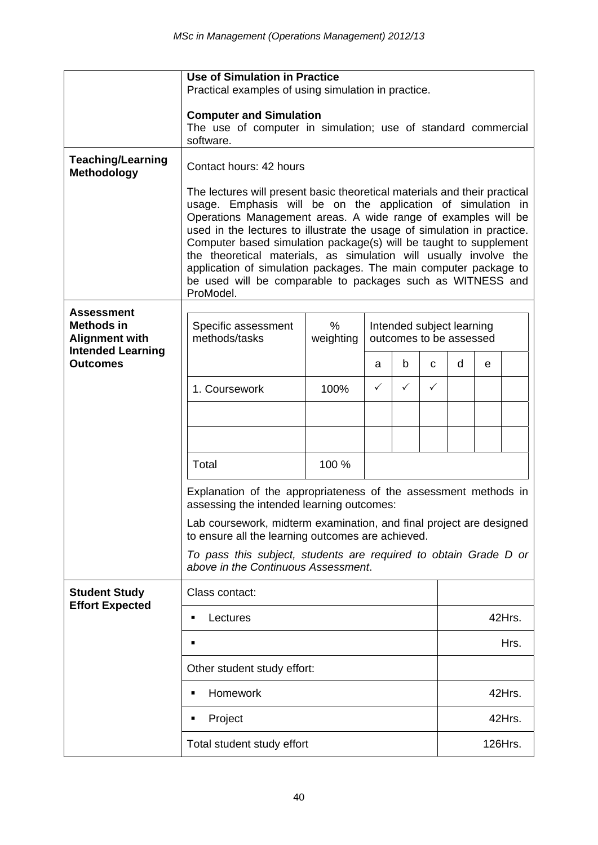|                                                                                             | <b>Use of Simulation in Practice</b><br>Practical examples of using simulation in practice.                                                                                                                                                                                                                                                                                                                                                                                                                                                                                   |                |                                                      |   |              |        |   |        |  |
|---------------------------------------------------------------------------------------------|-------------------------------------------------------------------------------------------------------------------------------------------------------------------------------------------------------------------------------------------------------------------------------------------------------------------------------------------------------------------------------------------------------------------------------------------------------------------------------------------------------------------------------------------------------------------------------|----------------|------------------------------------------------------|---|--------------|--------|---|--------|--|
|                                                                                             | <b>Computer and Simulation</b><br>The use of computer in simulation; use of standard commercial<br>software.                                                                                                                                                                                                                                                                                                                                                                                                                                                                  |                |                                                      |   |              |        |   |        |  |
| <b>Teaching/Learning</b><br>Methodology                                                     | Contact hours: 42 hours                                                                                                                                                                                                                                                                                                                                                                                                                                                                                                                                                       |                |                                                      |   |              |        |   |        |  |
|                                                                                             | The lectures will present basic theoretical materials and their practical<br>usage. Emphasis will be on the application of simulation in<br>Operations Management areas. A wide range of examples will be<br>used in the lectures to illustrate the usage of simulation in practice.<br>Computer based simulation package(s) will be taught to supplement<br>the theoretical materials, as simulation will usually involve the<br>application of simulation packages. The main computer package to<br>be used will be comparable to packages such as WITNESS and<br>ProModel. |                |                                                      |   |              |        |   |        |  |
| <b>Assessment</b><br><b>Methods in</b><br><b>Alignment with</b><br><b>Intended Learning</b> | Specific assessment<br>methods/tasks                                                                                                                                                                                                                                                                                                                                                                                                                                                                                                                                          | %<br>weighting | Intended subject learning<br>outcomes to be assessed |   |              |        |   |        |  |
| <b>Outcomes</b>                                                                             |                                                                                                                                                                                                                                                                                                                                                                                                                                                                                                                                                                               |                | a                                                    | b | C            | d      | e |        |  |
|                                                                                             | 1. Coursework                                                                                                                                                                                                                                                                                                                                                                                                                                                                                                                                                                 | 100%           | $\checkmark$                                         | ✓ | $\checkmark$ |        |   |        |  |
|                                                                                             |                                                                                                                                                                                                                                                                                                                                                                                                                                                                                                                                                                               |                |                                                      |   |              |        |   |        |  |
|                                                                                             |                                                                                                                                                                                                                                                                                                                                                                                                                                                                                                                                                                               |                |                                                      |   |              |        |   |        |  |
|                                                                                             | Total                                                                                                                                                                                                                                                                                                                                                                                                                                                                                                                                                                         | 100 %          |                                                      |   |              |        |   |        |  |
|                                                                                             | Explanation of the appropriateness of the assessment methods in<br>assessing the intended learning outcomes:                                                                                                                                                                                                                                                                                                                                                                                                                                                                  |                |                                                      |   |              |        |   |        |  |
|                                                                                             | Lab coursework, midterm examination, and final project are designed<br>to ensure all the learning outcomes are achieved.                                                                                                                                                                                                                                                                                                                                                                                                                                                      |                |                                                      |   |              |        |   |        |  |
|                                                                                             | To pass this subject, students are required to obtain Grade D or<br>above in the Continuous Assessment.                                                                                                                                                                                                                                                                                                                                                                                                                                                                       |                |                                                      |   |              |        |   |        |  |
| <b>Student Study</b>                                                                        | Class contact:                                                                                                                                                                                                                                                                                                                                                                                                                                                                                                                                                                |                |                                                      |   |              |        |   |        |  |
| <b>Effort Expected</b>                                                                      | Lectures<br>П                                                                                                                                                                                                                                                                                                                                                                                                                                                                                                                                                                 |                |                                                      |   |              | 42Hrs. |   |        |  |
|                                                                                             | п                                                                                                                                                                                                                                                                                                                                                                                                                                                                                                                                                                             |                |                                                      |   |              | Hrs.   |   |        |  |
|                                                                                             | Other student study effort:                                                                                                                                                                                                                                                                                                                                                                                                                                                                                                                                                   |                |                                                      |   |              |        |   |        |  |
|                                                                                             | Homework<br>$\blacksquare$                                                                                                                                                                                                                                                                                                                                                                                                                                                                                                                                                    |                |                                                      |   |              |        |   | 42Hrs. |  |
|                                                                                             | Project<br>п                                                                                                                                                                                                                                                                                                                                                                                                                                                                                                                                                                  |                |                                                      |   |              |        |   | 42Hrs. |  |
|                                                                                             | Total student study effort                                                                                                                                                                                                                                                                                                                                                                                                                                                                                                                                                    |                |                                                      |   | 126Hrs.      |        |   |        |  |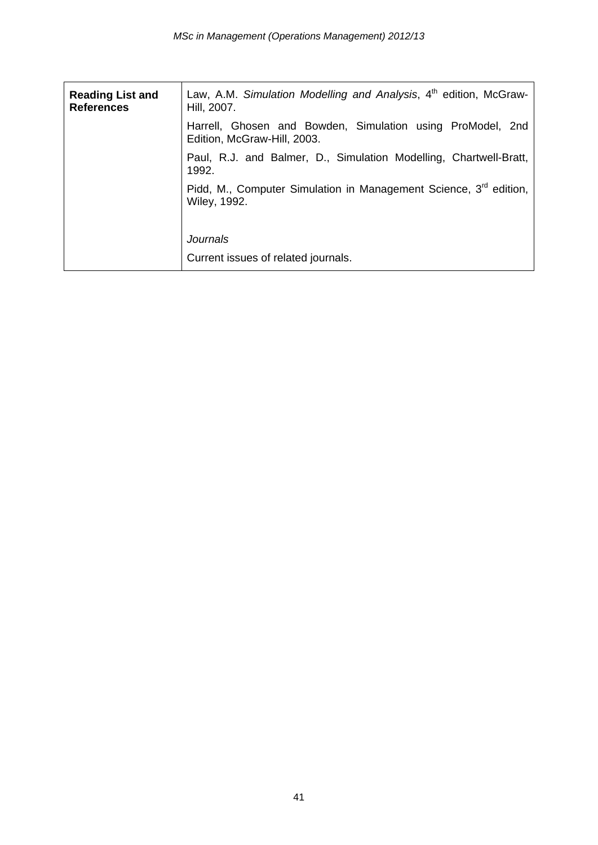| <b>Reading List and</b><br><b>References</b> | Law, A.M. Simulation Modelling and Analysis, 4 <sup>th</sup> edition, McGraw-<br>Hill, 2007.         |  |  |  |  |
|----------------------------------------------|------------------------------------------------------------------------------------------------------|--|--|--|--|
|                                              | Harrell, Ghosen and Bowden, Simulation using ProModel, 2nd<br>Edition, McGraw-Hill, 2003.            |  |  |  |  |
|                                              | Paul, R.J. and Balmer, D., Simulation Modelling, Chartwell-Bratt,<br>1992.                           |  |  |  |  |
|                                              | Pidd, M., Computer Simulation in Management Science, 3 <sup>rd</sup> edition,<br><b>Wiley, 1992.</b> |  |  |  |  |
|                                              | <b>Journals</b><br>Current issues of related journals.                                               |  |  |  |  |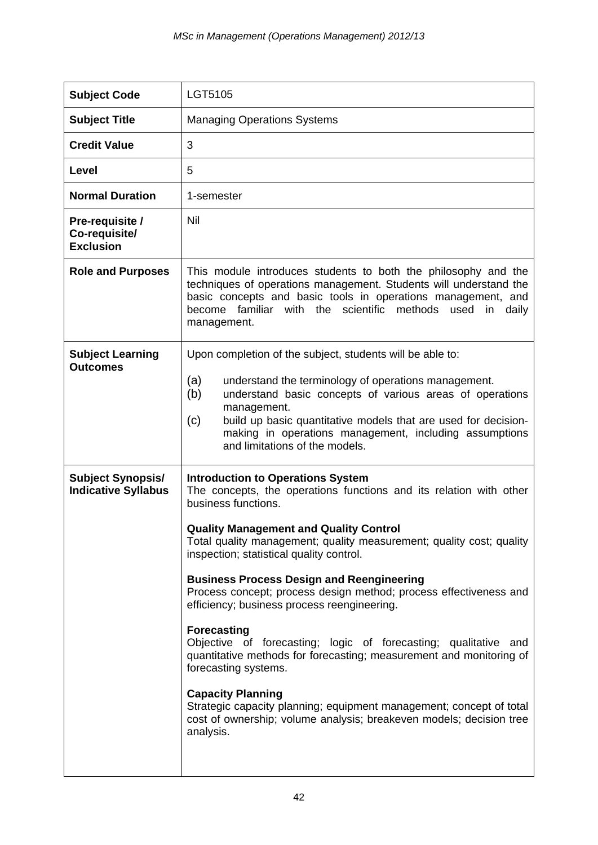| <b>Subject Code</b>                                    | LGT5105                                                                                                                                                                                                                                                                                                                                                                                                                                                                                                                                                                                                                                                                                                                                                                                                                                                           |
|--------------------------------------------------------|-------------------------------------------------------------------------------------------------------------------------------------------------------------------------------------------------------------------------------------------------------------------------------------------------------------------------------------------------------------------------------------------------------------------------------------------------------------------------------------------------------------------------------------------------------------------------------------------------------------------------------------------------------------------------------------------------------------------------------------------------------------------------------------------------------------------------------------------------------------------|
| <b>Subject Title</b>                                   | <b>Managing Operations Systems</b>                                                                                                                                                                                                                                                                                                                                                                                                                                                                                                                                                                                                                                                                                                                                                                                                                                |
| <b>Credit Value</b>                                    | 3                                                                                                                                                                                                                                                                                                                                                                                                                                                                                                                                                                                                                                                                                                                                                                                                                                                                 |
| Level                                                  | 5                                                                                                                                                                                                                                                                                                                                                                                                                                                                                                                                                                                                                                                                                                                                                                                                                                                                 |
| <b>Normal Duration</b>                                 | 1-semester                                                                                                                                                                                                                                                                                                                                                                                                                                                                                                                                                                                                                                                                                                                                                                                                                                                        |
| Pre-requisite /<br>Co-requisite/<br><b>Exclusion</b>   | Nil                                                                                                                                                                                                                                                                                                                                                                                                                                                                                                                                                                                                                                                                                                                                                                                                                                                               |
| <b>Role and Purposes</b>                               | This module introduces students to both the philosophy and the<br>techniques of operations management. Students will understand the<br>basic concepts and basic tools in operations management, and<br>familiar with the scientific methods used<br>become<br>in<br>daily<br>management.                                                                                                                                                                                                                                                                                                                                                                                                                                                                                                                                                                          |
| <b>Subject Learning</b><br><b>Outcomes</b>             | Upon completion of the subject, students will be able to:<br>(a)<br>understand the terminology of operations management.<br>(b)<br>understand basic concepts of various areas of operations<br>management.<br>(c)<br>build up basic quantitative models that are used for decision-<br>making in operations management, including assumptions<br>and limitations of the models.                                                                                                                                                                                                                                                                                                                                                                                                                                                                                   |
| <b>Subject Synopsis/</b><br><b>Indicative Syllabus</b> | <b>Introduction to Operations System</b><br>The concepts, the operations functions and its relation with other<br>business functions.<br><b>Quality Management and Quality Control</b><br>Total quality management; quality measurement; quality cost; quality<br>inspection; statistical quality control.<br><b>Business Process Design and Reengineering</b><br>Process concept; process design method; process effectiveness and<br>efficiency; business process reengineering.<br><b>Forecasting</b><br>Objective of forecasting; logic of forecasting; qualitative and<br>quantitative methods for forecasting; measurement and monitoring of<br>forecasting systems.<br><b>Capacity Planning</b><br>Strategic capacity planning; equipment management; concept of total<br>cost of ownership; volume analysis; breakeven models; decision tree<br>analysis. |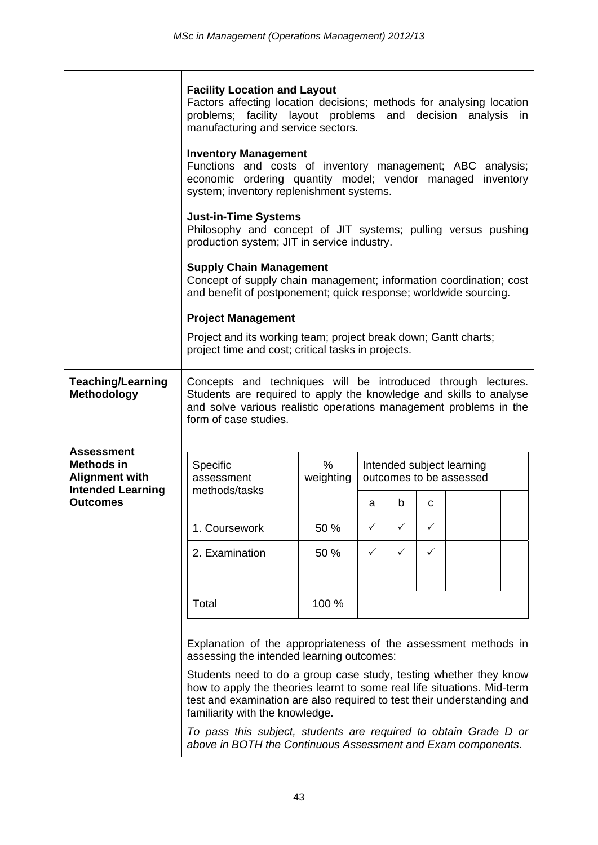|                                                          | <b>Facility Location and Layout</b><br>Factors affecting location decisions; methods for analysing location<br>problems; facility layout problems and decision analysis<br>in<br>manufacturing and service sectors.                                       |                |              |   |                                                      |  |  |  |  |
|----------------------------------------------------------|-----------------------------------------------------------------------------------------------------------------------------------------------------------------------------------------------------------------------------------------------------------|----------------|--------------|---|------------------------------------------------------|--|--|--|--|
|                                                          | <b>Inventory Management</b><br>Functions and costs of inventory management; ABC analysis;<br>economic ordering quantity model; vendor managed inventory<br>system; inventory replenishment systems.                                                       |                |              |   |                                                      |  |  |  |  |
|                                                          | <b>Just-in-Time Systems</b><br>Philosophy and concept of JIT systems; pulling versus pushing<br>production system; JIT in service industry.                                                                                                               |                |              |   |                                                      |  |  |  |  |
|                                                          | <b>Supply Chain Management</b><br>Concept of supply chain management; information coordination; cost<br>and benefit of postponement; quick response; worldwide sourcing.                                                                                  |                |              |   |                                                      |  |  |  |  |
|                                                          | <b>Project Management</b>                                                                                                                                                                                                                                 |                |              |   |                                                      |  |  |  |  |
|                                                          | Project and its working team; project break down; Gantt charts;<br>project time and cost; critical tasks in projects.                                                                                                                                     |                |              |   |                                                      |  |  |  |  |
| <b>Teaching/Learning</b><br>Methodology                  | Concepts and techniques will be introduced through lectures.<br>Students are required to apply the knowledge and skills to analyse<br>and solve various realistic operations management problems in the<br>form of case studies.                          |                |              |   |                                                      |  |  |  |  |
| <b>Assessment</b><br>Methods in<br><b>Alignment with</b> | Specific<br>assessment                                                                                                                                                                                                                                    | %<br>weighting |              |   | Intended subject learning<br>outcomes to be assessed |  |  |  |  |
| <b>Intended Learning</b><br><b>Outcomes</b>              | methods/tasks                                                                                                                                                                                                                                             |                | a            | b | C                                                    |  |  |  |  |
|                                                          | 1. Coursework                                                                                                                                                                                                                                             | 50 %           | ✓            | ✓ | ✓                                                    |  |  |  |  |
|                                                          | 2. Examination                                                                                                                                                                                                                                            | 50 %           | $\checkmark$ | ✓ | $\checkmark$                                         |  |  |  |  |
|                                                          |                                                                                                                                                                                                                                                           |                |              |   |                                                      |  |  |  |  |
|                                                          | Total                                                                                                                                                                                                                                                     | 100 %          |              |   |                                                      |  |  |  |  |
|                                                          | Explanation of the appropriateness of the assessment methods in<br>assessing the intended learning outcomes:                                                                                                                                              |                |              |   |                                                      |  |  |  |  |
|                                                          | Students need to do a group case study, testing whether they know<br>how to apply the theories learnt to some real life situations. Mid-term<br>test and examination are also required to test their understanding and<br>familiarity with the knowledge. |                |              |   |                                                      |  |  |  |  |
|                                                          | To pass this subject, students are required to obtain Grade D or<br>above in BOTH the Continuous Assessment and Exam components.                                                                                                                          |                |              |   |                                                      |  |  |  |  |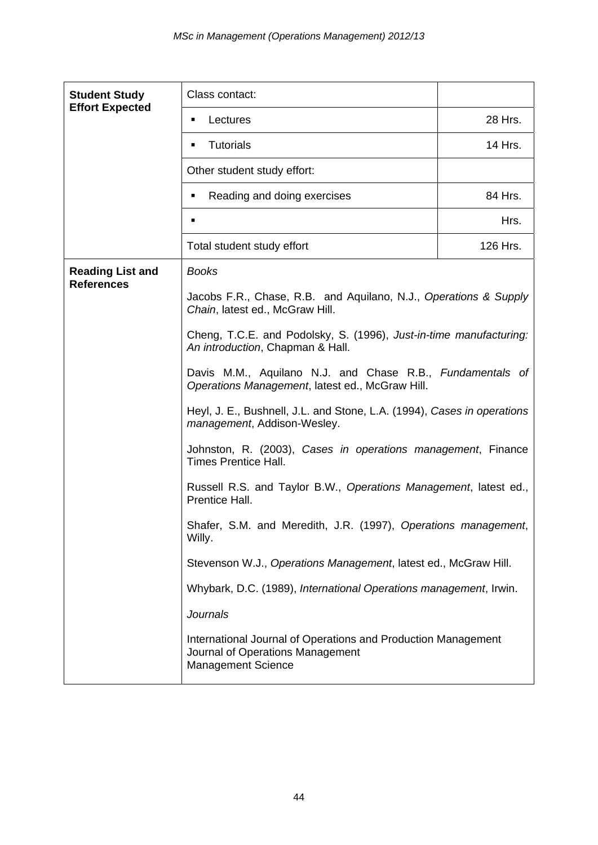| <b>Student Study</b><br><b>Effort Expected</b> | Class contact:                                                                                                                 |          |  |  |  |
|------------------------------------------------|--------------------------------------------------------------------------------------------------------------------------------|----------|--|--|--|
|                                                | Lectures<br>٠                                                                                                                  | 28 Hrs.  |  |  |  |
|                                                | <b>Tutorials</b><br>٠                                                                                                          | 14 Hrs.  |  |  |  |
|                                                | Other student study effort:                                                                                                    |          |  |  |  |
|                                                | Reading and doing exercises<br>٠                                                                                               | 84 Hrs.  |  |  |  |
|                                                | $\blacksquare$                                                                                                                 | Hrs.     |  |  |  |
|                                                | Total student study effort                                                                                                     | 126 Hrs. |  |  |  |
| <b>Reading List and</b>                        | <b>Books</b>                                                                                                                   |          |  |  |  |
| <b>References</b>                              | Jacobs F.R., Chase, R.B. and Aquilano, N.J., Operations & Supply<br>Chain, latest ed., McGraw Hill.                            |          |  |  |  |
|                                                | Cheng, T.C.E. and Podolsky, S. (1996), Just-in-time manufacturing:<br>An introduction, Chapman & Hall.                         |          |  |  |  |
|                                                | Davis M.M., Aquilano N.J. and Chase R.B., Fundamentals of<br>Operations Management, latest ed., McGraw Hill.                   |          |  |  |  |
|                                                | Heyl, J. E., Bushnell, J.L. and Stone, L.A. (1994), Cases in operations<br>management, Addison-Wesley.                         |          |  |  |  |
|                                                | Johnston, R. (2003), Cases in operations management, Finance<br><b>Times Prentice Hall.</b>                                    |          |  |  |  |
|                                                | Russell R.S. and Taylor B.W., Operations Management, latest ed.,<br>Prentice Hall.                                             |          |  |  |  |
|                                                | Shafer, S.M. and Meredith, J.R. (1997), Operations management,<br>Willy.                                                       |          |  |  |  |
|                                                | Stevenson W.J., Operations Management, latest ed., McGraw Hill.                                                                |          |  |  |  |
|                                                | Whybark, D.C. (1989), International Operations management, Irwin.                                                              |          |  |  |  |
|                                                | <b>Journals</b>                                                                                                                |          |  |  |  |
|                                                | International Journal of Operations and Production Management<br>Journal of Operations Management<br><b>Management Science</b> |          |  |  |  |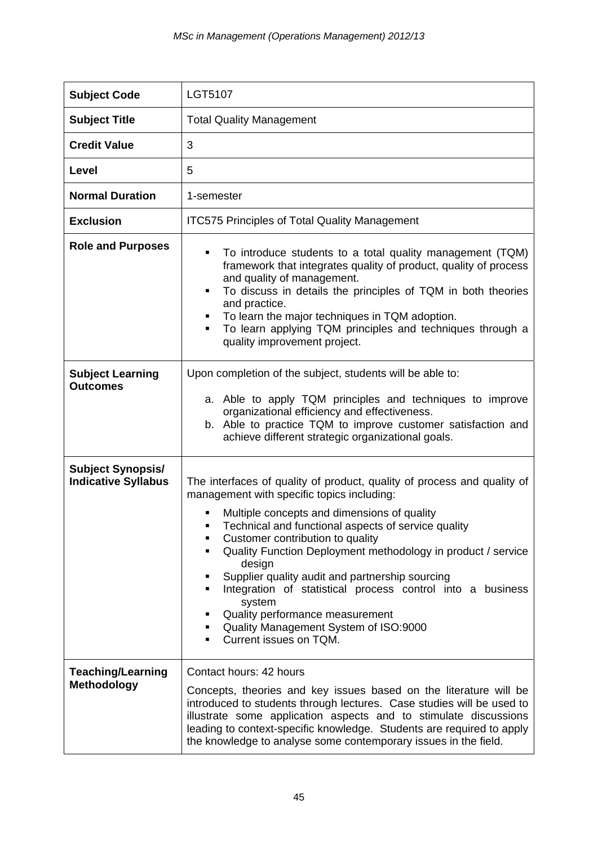| <b>Subject Code</b>                                    | <b>LGT5107</b>                                                                                                                                                                                                                                                                                                                                                                                                                                                                                                                                                                  |
|--------------------------------------------------------|---------------------------------------------------------------------------------------------------------------------------------------------------------------------------------------------------------------------------------------------------------------------------------------------------------------------------------------------------------------------------------------------------------------------------------------------------------------------------------------------------------------------------------------------------------------------------------|
| <b>Subject Title</b>                                   | <b>Total Quality Management</b>                                                                                                                                                                                                                                                                                                                                                                                                                                                                                                                                                 |
| <b>Credit Value</b>                                    | 3                                                                                                                                                                                                                                                                                                                                                                                                                                                                                                                                                                               |
| Level                                                  | 5                                                                                                                                                                                                                                                                                                                                                                                                                                                                                                                                                                               |
| <b>Normal Duration</b>                                 | 1-semester                                                                                                                                                                                                                                                                                                                                                                                                                                                                                                                                                                      |
| <b>Exclusion</b>                                       | <b>ITC575 Principles of Total Quality Management</b>                                                                                                                                                                                                                                                                                                                                                                                                                                                                                                                            |
| <b>Role and Purposes</b>                               | To introduce students to a total quality management (TQM)<br>framework that integrates quality of product, quality of process<br>and quality of management.<br>To discuss in details the principles of TQM in both theories<br>and practice.<br>To learn the major techniques in TQM adoption.<br>To learn applying TQM principles and techniques through a<br>quality improvement project.                                                                                                                                                                                     |
| <b>Subject Learning</b><br><b>Outcomes</b>             | Upon completion of the subject, students will be able to:<br>a. Able to apply TQM principles and techniques to improve<br>organizational efficiency and effectiveness.<br>b. Able to practice TQM to improve customer satisfaction and<br>achieve different strategic organizational goals.                                                                                                                                                                                                                                                                                     |
| <b>Subject Synopsis/</b><br><b>Indicative Syllabus</b> | The interfaces of quality of product, quality of process and quality of<br>management with specific topics including:<br>Multiple concepts and dimensions of quality<br>Technical and functional aspects of service quality<br>Customer contribution to quality<br>Quality Function Deployment methodology in product / service<br>design<br>Supplier quality audit and partnership sourcing<br>Integration of statistical process control into a business<br>system<br>Quality performance measurement<br>Quality Management System of ISO:9000<br>Current issues on TQM.<br>٠ |
| <b>Teaching/Learning</b><br><b>Methodology</b>         | Contact hours: 42 hours<br>Concepts, theories and key issues based on the literature will be<br>introduced to students through lectures. Case studies will be used to<br>illustrate some application aspects and to stimulate discussions<br>leading to context-specific knowledge. Students are required to apply<br>the knowledge to analyse some contemporary issues in the field.                                                                                                                                                                                           |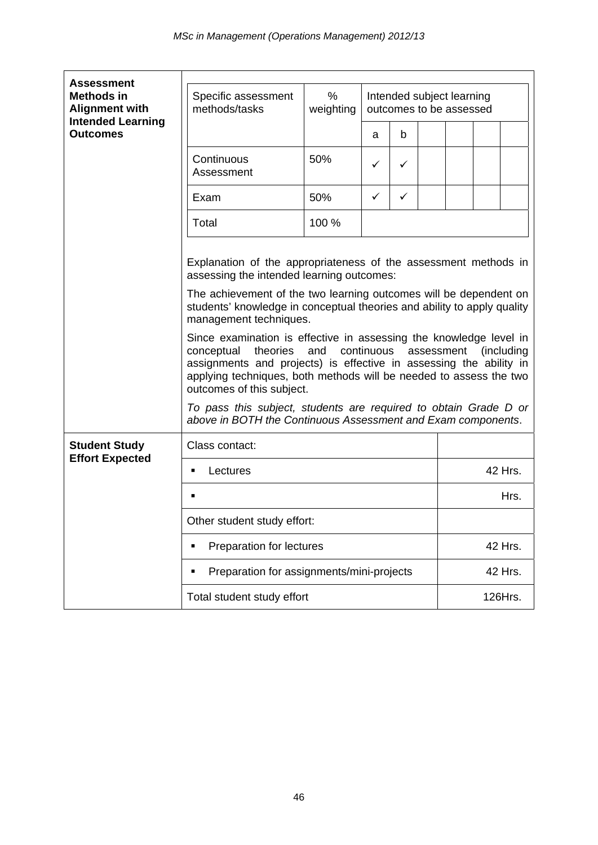| <b>Assessment</b>                                                                         |                                                                                                                                                                                                                                                                                                                        |                                                                        |   |   |         |         |  |         |
|-------------------------------------------------------------------------------------------|------------------------------------------------------------------------------------------------------------------------------------------------------------------------------------------------------------------------------------------------------------------------------------------------------------------------|------------------------------------------------------------------------|---|---|---------|---------|--|---------|
| <b>Methods in</b><br><b>Alignment with</b><br><b>Intended Learning</b><br><b>Outcomes</b> | Specific assessment<br>methods/tasks                                                                                                                                                                                                                                                                                   | %<br>Intended subject learning<br>weighting<br>outcomes to be assessed |   |   |         |         |  |         |
|                                                                                           |                                                                                                                                                                                                                                                                                                                        |                                                                        | a | b |         |         |  |         |
|                                                                                           | Continuous<br>Assessment                                                                                                                                                                                                                                                                                               | 50%                                                                    | ✓ | ✓ |         |         |  |         |
|                                                                                           | Exam                                                                                                                                                                                                                                                                                                                   | 50%                                                                    | ✓ | ✓ |         |         |  |         |
|                                                                                           | Total                                                                                                                                                                                                                                                                                                                  | 100 %                                                                  |   |   |         |         |  |         |
|                                                                                           | Explanation of the appropriateness of the assessment methods in<br>assessing the intended learning outcomes:                                                                                                                                                                                                           |                                                                        |   |   |         |         |  |         |
|                                                                                           | The achievement of the two learning outcomes will be dependent on<br>students' knowledge in conceptual theories and ability to apply quality<br>management techniques.                                                                                                                                                 |                                                                        |   |   |         |         |  |         |
|                                                                                           | Since examination is effective in assessing the knowledge level in<br>conceptual<br>continuous<br>assessment<br>(including<br>theories<br>and<br>assignments and projects) is effective in assessing the ability in<br>applying techniques, both methods will be needed to assess the two<br>outcomes of this subject. |                                                                        |   |   |         |         |  |         |
|                                                                                           | To pass this subject, students are required to obtain Grade D or<br>above in BOTH the Continuous Assessment and Exam components.                                                                                                                                                                                       |                                                                        |   |   |         |         |  |         |
| <b>Student Study</b>                                                                      | Class contact:                                                                                                                                                                                                                                                                                                         |                                                                        |   |   |         |         |  |         |
| <b>Effort Expected</b>                                                                    | Lectures<br>$\blacksquare$                                                                                                                                                                                                                                                                                             |                                                                        |   |   |         | 42 Hrs. |  |         |
|                                                                                           | ٠                                                                                                                                                                                                                                                                                                                      |                                                                        |   |   | Hrs.    |         |  |         |
|                                                                                           | Other student study effort:                                                                                                                                                                                                                                                                                            |                                                                        |   |   |         |         |  |         |
|                                                                                           | Preparation for lectures<br>٠                                                                                                                                                                                                                                                                                          |                                                                        |   |   | 42 Hrs. |         |  |         |
|                                                                                           | Preparation for assignments/mini-projects<br>٠                                                                                                                                                                                                                                                                         |                                                                        |   |   |         | 42 Hrs. |  |         |
|                                                                                           | Total student study effort                                                                                                                                                                                                                                                                                             |                                                                        |   |   |         |         |  | 126Hrs. |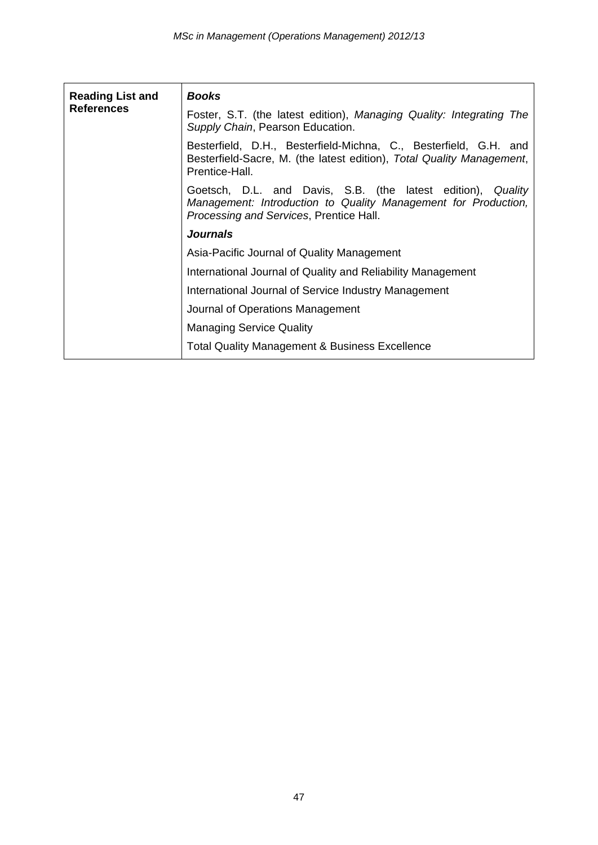| <b>Reading List and</b><br><b>References</b> | <b>Books</b>                                                                                                                                                             |  |  |  |
|----------------------------------------------|--------------------------------------------------------------------------------------------------------------------------------------------------------------------------|--|--|--|
|                                              | Foster, S.T. (the latest edition), Managing Quality: Integrating The<br>Supply Chain, Pearson Education.                                                                 |  |  |  |
|                                              | Besterfield, D.H., Besterfield-Michna, C., Besterfield, G.H. and<br>Besterfield-Sacre, M. (the latest edition), Total Quality Management,<br>Prentice-Hall.              |  |  |  |
|                                              | Goetsch, D.L. and Davis, S.B. (the latest edition), Quality<br>Management: Introduction to Quality Management for Production,<br>Processing and Services, Prentice Hall. |  |  |  |
|                                              | <b>Journals</b>                                                                                                                                                          |  |  |  |
|                                              | Asia-Pacific Journal of Quality Management                                                                                                                               |  |  |  |
|                                              | International Journal of Quality and Reliability Management                                                                                                              |  |  |  |
|                                              | International Journal of Service Industry Management                                                                                                                     |  |  |  |
|                                              | Journal of Operations Management                                                                                                                                         |  |  |  |
|                                              | <b>Managing Service Quality</b>                                                                                                                                          |  |  |  |
|                                              | <b>Total Quality Management &amp; Business Excellence</b>                                                                                                                |  |  |  |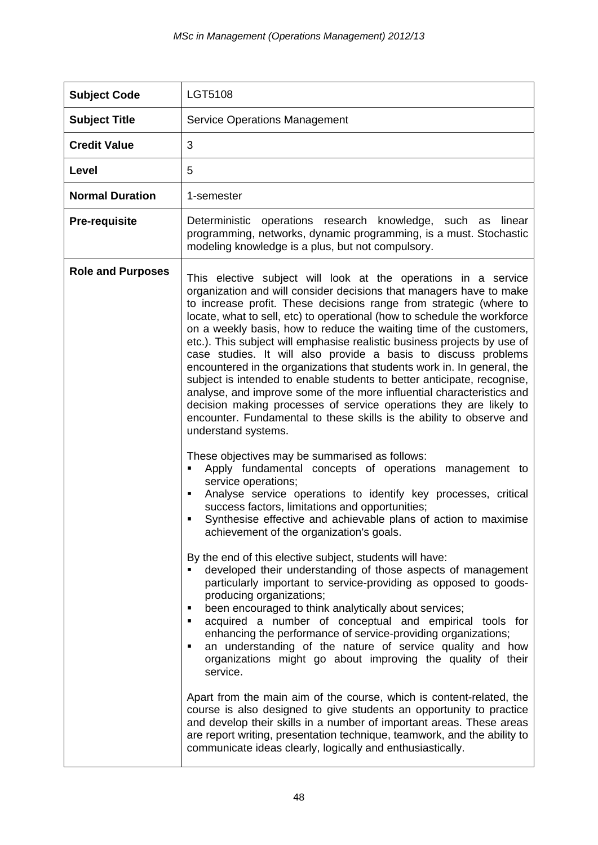| <b>Subject Code</b>      | LGT5108                                                                                                                                                                                                                                                                                                                                                                                                                                                                                                                                                                                                                                                                                                                                                                                                                                                                                                                                                                                                                                                                                                                                                                                                                                                                                                           |
|--------------------------|-------------------------------------------------------------------------------------------------------------------------------------------------------------------------------------------------------------------------------------------------------------------------------------------------------------------------------------------------------------------------------------------------------------------------------------------------------------------------------------------------------------------------------------------------------------------------------------------------------------------------------------------------------------------------------------------------------------------------------------------------------------------------------------------------------------------------------------------------------------------------------------------------------------------------------------------------------------------------------------------------------------------------------------------------------------------------------------------------------------------------------------------------------------------------------------------------------------------------------------------------------------------------------------------------------------------|
| <b>Subject Title</b>     | <b>Service Operations Management</b>                                                                                                                                                                                                                                                                                                                                                                                                                                                                                                                                                                                                                                                                                                                                                                                                                                                                                                                                                                                                                                                                                                                                                                                                                                                                              |
| <b>Credit Value</b>      | 3                                                                                                                                                                                                                                                                                                                                                                                                                                                                                                                                                                                                                                                                                                                                                                                                                                                                                                                                                                                                                                                                                                                                                                                                                                                                                                                 |
| Level                    | 5                                                                                                                                                                                                                                                                                                                                                                                                                                                                                                                                                                                                                                                                                                                                                                                                                                                                                                                                                                                                                                                                                                                                                                                                                                                                                                                 |
| <b>Normal Duration</b>   | 1-semester                                                                                                                                                                                                                                                                                                                                                                                                                                                                                                                                                                                                                                                                                                                                                                                                                                                                                                                                                                                                                                                                                                                                                                                                                                                                                                        |
| <b>Pre-requisite</b>     | Deterministic operations research knowledge, such as linear<br>programming, networks, dynamic programming, is a must. Stochastic<br>modeling knowledge is a plus, but not compulsory.                                                                                                                                                                                                                                                                                                                                                                                                                                                                                                                                                                                                                                                                                                                                                                                                                                                                                                                                                                                                                                                                                                                             |
| <b>Role and Purposes</b> | This elective subject will look at the operations in a service<br>organization and will consider decisions that managers have to make<br>to increase profit. These decisions range from strategic (where to<br>locate, what to sell, etc) to operational (how to schedule the workforce<br>on a weekly basis, how to reduce the waiting time of the customers,<br>etc.). This subject will emphasise realistic business projects by use of<br>case studies. It will also provide a basis to discuss problems<br>encountered in the organizations that students work in. In general, the<br>subject is intended to enable students to better anticipate, recognise,<br>analyse, and improve some of the more influential characteristics and<br>decision making processes of service operations they are likely to<br>encounter. Fundamental to these skills is the ability to observe and<br>understand systems.                                                                                                                                                                                                                                                                                                                                                                                                  |
|                          | These objectives may be summarised as follows:<br>Apply fundamental concepts of operations management to<br>service operations;<br>Analyse service operations to identify key processes, critical<br>٠<br>success factors, limitations and opportunities;<br>Synthesise effective and achievable plans of action to maximise<br>٠<br>achievement of the organization's goals.<br>By the end of this elective subject, students will have:<br>developed their understanding of those aspects of management<br>particularly important to service-providing as opposed to goods-<br>producing organizations;<br>been encouraged to think analytically about services;<br>٠<br>acquired a number of conceptual and empirical tools for<br>٠<br>enhancing the performance of service-providing organizations;<br>an understanding of the nature of service quality and how<br>organizations might go about improving the quality of their<br>service.<br>Apart from the main aim of the course, which is content-related, the<br>course is also designed to give students an opportunity to practice<br>and develop their skills in a number of important areas. These areas<br>are report writing, presentation technique, teamwork, and the ability to<br>communicate ideas clearly, logically and enthusiastically. |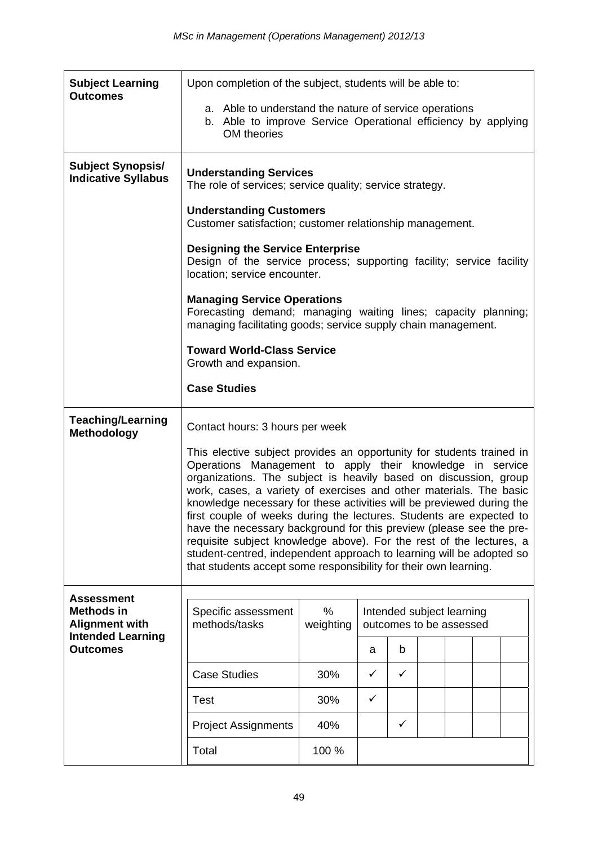| <b>Subject Learning</b><br><b>Outcomes</b>                      |                                                                                                                                                                                                                                                                                                                                                                                                                                                                                                                                                                                                                                                                                                                        | Upon completion of the subject, students will be able to:                 |   |   |  |  |  |  |
|-----------------------------------------------------------------|------------------------------------------------------------------------------------------------------------------------------------------------------------------------------------------------------------------------------------------------------------------------------------------------------------------------------------------------------------------------------------------------------------------------------------------------------------------------------------------------------------------------------------------------------------------------------------------------------------------------------------------------------------------------------------------------------------------------|---------------------------------------------------------------------------|---|---|--|--|--|--|
|                                                                 | a. Able to understand the nature of service operations<br>b. Able to improve Service Operational efficiency by applying<br>OM theories                                                                                                                                                                                                                                                                                                                                                                                                                                                                                                                                                                                 |                                                                           |   |   |  |  |  |  |
| <b>Subject Synopsis/</b><br><b>Indicative Syllabus</b>          | <b>Understanding Services</b><br>The role of services; service quality; service strategy.                                                                                                                                                                                                                                                                                                                                                                                                                                                                                                                                                                                                                              |                                                                           |   |   |  |  |  |  |
|                                                                 | <b>Understanding Customers</b><br>Customer satisfaction; customer relationship management.                                                                                                                                                                                                                                                                                                                                                                                                                                                                                                                                                                                                                             |                                                                           |   |   |  |  |  |  |
|                                                                 | <b>Designing the Service Enterprise</b><br>Design of the service process; supporting facility; service facility<br>location; service encounter.                                                                                                                                                                                                                                                                                                                                                                                                                                                                                                                                                                        |                                                                           |   |   |  |  |  |  |
|                                                                 | <b>Managing Service Operations</b><br>Forecasting demand; managing waiting lines; capacity planning;<br>managing facilitating goods; service supply chain management.                                                                                                                                                                                                                                                                                                                                                                                                                                                                                                                                                  |                                                                           |   |   |  |  |  |  |
|                                                                 | <b>Toward World-Class Service</b><br>Growth and expansion.                                                                                                                                                                                                                                                                                                                                                                                                                                                                                                                                                                                                                                                             |                                                                           |   |   |  |  |  |  |
|                                                                 | <b>Case Studies</b>                                                                                                                                                                                                                                                                                                                                                                                                                                                                                                                                                                                                                                                                                                    |                                                                           |   |   |  |  |  |  |
| <b>Teaching/Learning</b><br><b>Methodology</b>                  | Contact hours: 3 hours per week                                                                                                                                                                                                                                                                                                                                                                                                                                                                                                                                                                                                                                                                                        |                                                                           |   |   |  |  |  |  |
|                                                                 | This elective subject provides an opportunity for students trained in<br>Operations Management to apply their knowledge in service<br>organizations. The subject is heavily based on discussion, group<br>work, cases, a variety of exercises and other materials. The basic<br>knowledge necessary for these activities will be previewed during the<br>first couple of weeks during the lectures. Students are expected to<br>have the necessary background for this preview (please see the pre-<br>requisite subject knowledge above). For the rest of the lectures, a<br>student-centred, independent approach to learning will be adopted so<br>that students accept some responsibility for their own learning. |                                                                           |   |   |  |  |  |  |
| <b>Assessment</b><br><b>Methods in</b><br><b>Alignment with</b> | Specific assessment<br>methods/tasks                                                                                                                                                                                                                                                                                                                                                                                                                                                                                                                                                                                                                                                                                   | $\%$<br>Intended subject learning<br>weighting<br>outcomes to be assessed |   |   |  |  |  |  |
| <b>Intended Learning</b><br><b>Outcomes</b>                     |                                                                                                                                                                                                                                                                                                                                                                                                                                                                                                                                                                                                                                                                                                                        |                                                                           | a | b |  |  |  |  |
|                                                                 | <b>Case Studies</b>                                                                                                                                                                                                                                                                                                                                                                                                                                                                                                                                                                                                                                                                                                    | 30%                                                                       | ✓ | ✓ |  |  |  |  |
|                                                                 | <b>Test</b>                                                                                                                                                                                                                                                                                                                                                                                                                                                                                                                                                                                                                                                                                                            | 30%                                                                       | ✓ |   |  |  |  |  |
|                                                                 | <b>Project Assignments</b>                                                                                                                                                                                                                                                                                                                                                                                                                                                                                                                                                                                                                                                                                             | 40%                                                                       |   | ✓ |  |  |  |  |
|                                                                 | Total                                                                                                                                                                                                                                                                                                                                                                                                                                                                                                                                                                                                                                                                                                                  | 100 %                                                                     |   |   |  |  |  |  |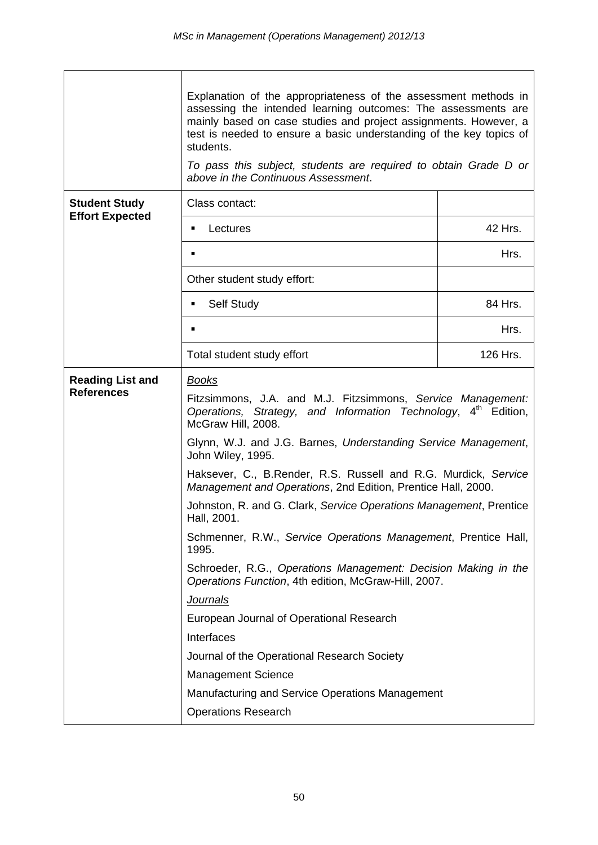|                         | Explanation of the appropriateness of the assessment methods in<br>assessing the intended learning outcomes: The assessments are<br>mainly based on case studies and project assignments. However, a<br>test is needed to ensure a basic understanding of the key topics of<br>students.<br>To pass this subject, students are required to obtain Grade D or<br>above in the Continuous Assessment. |          |  |  |  |
|-------------------------|-----------------------------------------------------------------------------------------------------------------------------------------------------------------------------------------------------------------------------------------------------------------------------------------------------------------------------------------------------------------------------------------------------|----------|--|--|--|
| <b>Student Study</b>    | Class contact:                                                                                                                                                                                                                                                                                                                                                                                      |          |  |  |  |
| <b>Effort Expected</b>  | Lectures<br>٠                                                                                                                                                                                                                                                                                                                                                                                       | 42 Hrs.  |  |  |  |
|                         | $\blacksquare$                                                                                                                                                                                                                                                                                                                                                                                      | Hrs.     |  |  |  |
|                         | Other student study effort:                                                                                                                                                                                                                                                                                                                                                                         |          |  |  |  |
|                         | Self Study<br>٠                                                                                                                                                                                                                                                                                                                                                                                     | 84 Hrs.  |  |  |  |
|                         | ٠                                                                                                                                                                                                                                                                                                                                                                                                   | Hrs.     |  |  |  |
|                         | Total student study effort                                                                                                                                                                                                                                                                                                                                                                          | 126 Hrs. |  |  |  |
| <b>Reading List and</b> | <b>Books</b>                                                                                                                                                                                                                                                                                                                                                                                        |          |  |  |  |
| <b>References</b>       | Fitzsimmons, J.A. and M.J. Fitzsimmons, Service Management:<br>Operations, Strategy, and Information Technology, 4 <sup>th</sup> Edition,<br>McGraw Hill, 2008.                                                                                                                                                                                                                                     |          |  |  |  |
|                         | Glynn, W.J. and J.G. Barnes, Understanding Service Management,<br>John Wiley, 1995.                                                                                                                                                                                                                                                                                                                 |          |  |  |  |
|                         | Haksever, C., B.Render, R.S. Russell and R.G. Murdick, Service<br>Management and Operations, 2nd Edition, Prentice Hall, 2000.                                                                                                                                                                                                                                                                      |          |  |  |  |
|                         | Johnston, R. and G. Clark, Service Operations Management, Prentice<br>Hall, 2001.                                                                                                                                                                                                                                                                                                                   |          |  |  |  |
|                         | Schmenner, R.W., Service Operations Management, Prentice Hall,<br>1995.                                                                                                                                                                                                                                                                                                                             |          |  |  |  |
|                         | Schroeder, R.G., Operations Management: Decision Making in the<br>Operations Function, 4th edition, McGraw-Hill, 2007.                                                                                                                                                                                                                                                                              |          |  |  |  |
|                         | <b>Journals</b>                                                                                                                                                                                                                                                                                                                                                                                     |          |  |  |  |
|                         | European Journal of Operational Research                                                                                                                                                                                                                                                                                                                                                            |          |  |  |  |
|                         | Interfaces                                                                                                                                                                                                                                                                                                                                                                                          |          |  |  |  |
|                         | Journal of the Operational Research Society                                                                                                                                                                                                                                                                                                                                                         |          |  |  |  |
|                         | <b>Management Science</b>                                                                                                                                                                                                                                                                                                                                                                           |          |  |  |  |
|                         | Manufacturing and Service Operations Management                                                                                                                                                                                                                                                                                                                                                     |          |  |  |  |
|                         | <b>Operations Research</b>                                                                                                                                                                                                                                                                                                                                                                          |          |  |  |  |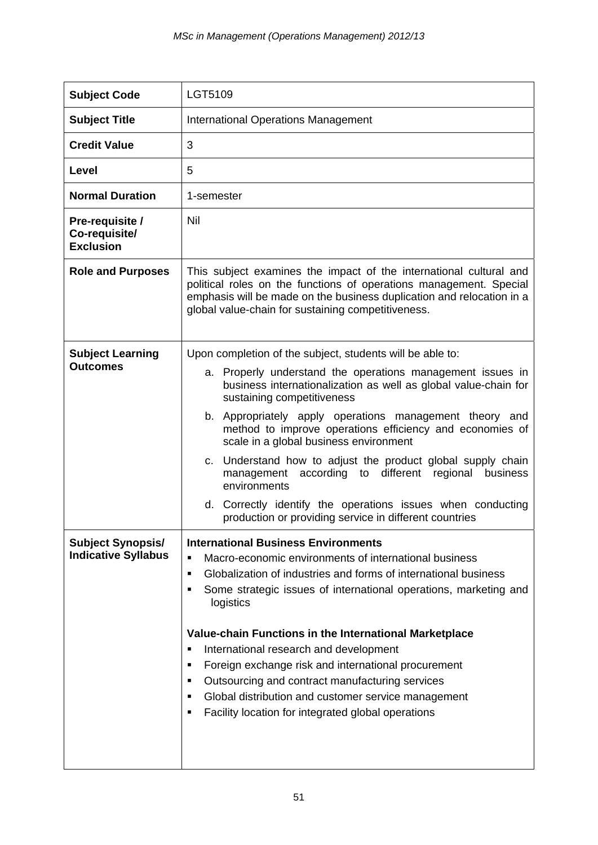| <b>Subject Code</b>                                    | LGT5109                                                                                                                                                                                                                                                                                                                                                                                                                                                                                                                                                                                                                                                     |
|--------------------------------------------------------|-------------------------------------------------------------------------------------------------------------------------------------------------------------------------------------------------------------------------------------------------------------------------------------------------------------------------------------------------------------------------------------------------------------------------------------------------------------------------------------------------------------------------------------------------------------------------------------------------------------------------------------------------------------|
| <b>Subject Title</b>                                   | <b>International Operations Management</b>                                                                                                                                                                                                                                                                                                                                                                                                                                                                                                                                                                                                                  |
| <b>Credit Value</b>                                    | 3                                                                                                                                                                                                                                                                                                                                                                                                                                                                                                                                                                                                                                                           |
| Level                                                  | 5                                                                                                                                                                                                                                                                                                                                                                                                                                                                                                                                                                                                                                                           |
| <b>Normal Duration</b>                                 | 1-semester                                                                                                                                                                                                                                                                                                                                                                                                                                                                                                                                                                                                                                                  |
| Pre-requisite /<br>Co-requisite/<br><b>Exclusion</b>   | Nil                                                                                                                                                                                                                                                                                                                                                                                                                                                                                                                                                                                                                                                         |
| <b>Role and Purposes</b>                               | This subject examines the impact of the international cultural and<br>political roles on the functions of operations management. Special<br>emphasis will be made on the business duplication and relocation in a<br>global value-chain for sustaining competitiveness.                                                                                                                                                                                                                                                                                                                                                                                     |
| <b>Subject Learning</b><br><b>Outcomes</b>             | Upon completion of the subject, students will be able to:<br>a. Properly understand the operations management issues in<br>business internationalization as well as global value-chain for<br>sustaining competitiveness<br>b. Appropriately apply operations management theory and<br>method to improve operations efficiency and economies of<br>scale in a global business environment<br>c. Understand how to adjust the product global supply chain<br>management according to different regional<br>business<br>environments<br>d. Correctly identify the operations issues when conducting<br>production or providing service in different countries |
| <b>Subject Synopsis/</b><br><b>Indicative Syllabus</b> | <b>International Business Environments</b><br>Macro-economic environments of international business<br>٠<br>Globalization of industries and forms of international business<br>٠<br>Some strategic issues of international operations, marketing and<br>logistics<br>Value-chain Functions in the International Marketplace<br>International research and development<br>Ξ<br>Foreign exchange risk and international procurement<br>٠<br>Outsourcing and contract manufacturing services<br>٠<br>Global distribution and customer service management<br>٠<br>Facility location for integrated global operations<br>٠                                       |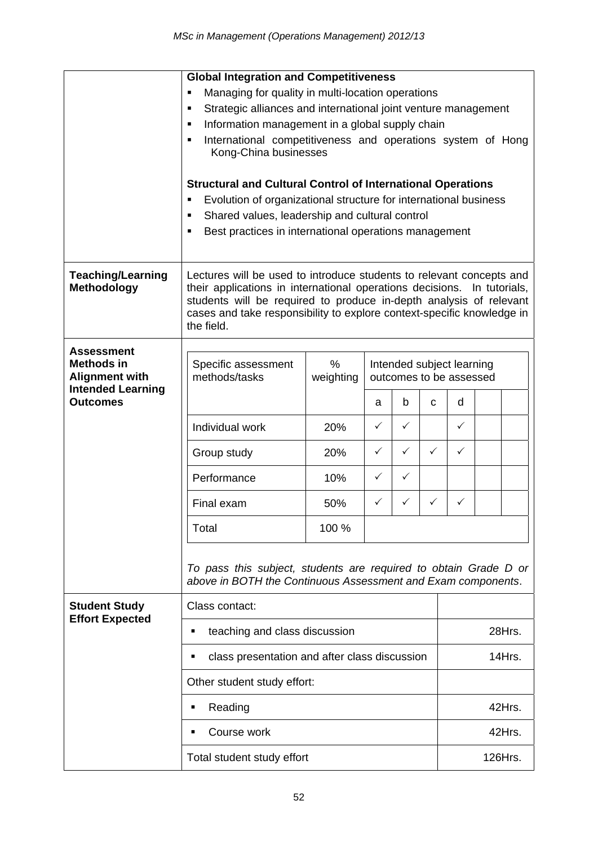|                                                                      | <b>Global Integration and Competitiveness</b>                                                                                                      |                                                                                                                                        |                         |              |              |              |  |  |
|----------------------------------------------------------------------|----------------------------------------------------------------------------------------------------------------------------------------------------|----------------------------------------------------------------------------------------------------------------------------------------|-------------------------|--------------|--------------|--------------|--|--|
|                                                                      | Managing for quality in multi-location operations<br>Е                                                                                             |                                                                                                                                        |                         |              |              |              |  |  |
|                                                                      | Strategic alliances and international joint venture management<br>٠                                                                                |                                                                                                                                        |                         |              |              |              |  |  |
|                                                                      | Information management in a global supply chain<br>٠                                                                                               |                                                                                                                                        |                         |              |              |              |  |  |
|                                                                      | International competitiveness and operations system of Hong<br>٠                                                                                   |                                                                                                                                        |                         |              |              |              |  |  |
|                                                                      | Kong-China businesses                                                                                                                              |                                                                                                                                        |                         |              |              |              |  |  |
|                                                                      |                                                                                                                                                    | <b>Structural and Cultural Control of International Operations</b><br>Evolution of organizational structure for international business |                         |              |              |              |  |  |
|                                                                      | Shared values, leadership and cultural control<br>٠                                                                                                |                                                                                                                                        |                         |              |              |              |  |  |
|                                                                      | Best practices in international operations management                                                                                              |                                                                                                                                        |                         |              |              |              |  |  |
|                                                                      |                                                                                                                                                    |                                                                                                                                        |                         |              |              |              |  |  |
| <b>Teaching/Learning</b><br><b>Methodology</b>                       | Lectures will be used to introduce students to relevant concepts and<br>their applications in international operations decisions.<br>In tutorials, |                                                                                                                                        |                         |              |              |              |  |  |
|                                                                      | students will be required to produce in-depth analysis of relevant                                                                                 |                                                                                                                                        |                         |              |              |              |  |  |
|                                                                      | cases and take responsibility to explore context-specific knowledge in<br>the field.                                                               |                                                                                                                                        |                         |              |              |              |  |  |
|                                                                      |                                                                                                                                                    |                                                                                                                                        |                         |              |              |              |  |  |
| <b>Assessment</b>                                                    |                                                                                                                                                    |                                                                                                                                        |                         |              |              |              |  |  |
| <b>Methods in</b>                                                    | $\%$<br>Specific assessment<br>Intended subject learning                                                                                           |                                                                                                                                        |                         |              |              |              |  |  |
| <b>Alignment with</b><br><b>Intended Learning</b><br><b>Outcomes</b> | methods/tasks                                                                                                                                      | weighting                                                                                                                              | outcomes to be assessed |              |              |              |  |  |
|                                                                      |                                                                                                                                                    |                                                                                                                                        | a                       | b            | C            | d            |  |  |
|                                                                      | Individual work                                                                                                                                    | 20%                                                                                                                                    | $\checkmark$            | ✓            |              | ✓            |  |  |
|                                                                      | Group study                                                                                                                                        | 20%                                                                                                                                    | $\checkmark$            | $\checkmark$ | $\checkmark$ | $\checkmark$ |  |  |
|                                                                      | Performance                                                                                                                                        | 10%                                                                                                                                    | $\checkmark$            | $\checkmark$ |              |              |  |  |
|                                                                      | Final exam                                                                                                                                         | 50%                                                                                                                                    | ✓                       | ✓            | $\checkmark$ | ✓            |  |  |
|                                                                      | Total                                                                                                                                              | 100 %                                                                                                                                  |                         |              |              |              |  |  |
|                                                                      | To pass this subject, students are required to obtain Grade D or<br>above in BOTH the Continuous Assessment and Exam components.                   |                                                                                                                                        |                         |              |              |              |  |  |
| <b>Student Study</b>                                                 | Class contact:                                                                                                                                     |                                                                                                                                        |                         |              |              |              |  |  |
| <b>Effort Expected</b>                                               | teaching and class discussion<br>٠                                                                                                                 |                                                                                                                                        |                         |              |              | 28Hrs.       |  |  |
|                                                                      | class presentation and after class discussion<br>٠                                                                                                 |                                                                                                                                        |                         |              |              | 14Hrs.       |  |  |
|                                                                      | Other student study effort:                                                                                                                        |                                                                                                                                        |                         |              |              |              |  |  |
|                                                                      | Reading<br>$\blacksquare$                                                                                                                          |                                                                                                                                        |                         |              |              | 42Hrs.       |  |  |
|                                                                      | Course work<br>■                                                                                                                                   |                                                                                                                                        |                         |              |              | 42Hrs.       |  |  |
|                                                                      | Total student study effort                                                                                                                         |                                                                                                                                        |                         |              |              | 126Hrs.      |  |  |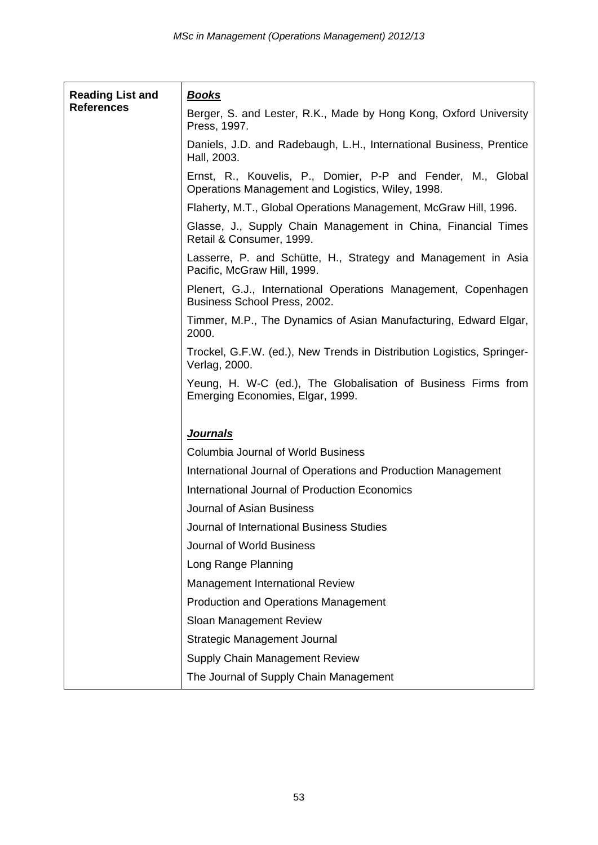| <b>Reading List and</b> | <u>Books</u>                                                                                                     |
|-------------------------|------------------------------------------------------------------------------------------------------------------|
| <b>References</b>       | Berger, S. and Lester, R.K., Made by Hong Kong, Oxford University<br>Press, 1997.                                |
|                         | Daniels, J.D. and Radebaugh, L.H., International Business, Prentice<br>Hall, 2003.                               |
|                         | Ernst, R., Kouvelis, P., Domier, P-P and Fender, M., Global<br>Operations Management and Logistics, Wiley, 1998. |
|                         | Flaherty, M.T., Global Operations Management, McGraw Hill, 1996.                                                 |
|                         | Glasse, J., Supply Chain Management in China, Financial Times<br>Retail & Consumer, 1999.                        |
|                         | Lasserre, P. and Schütte, H., Strategy and Management in Asia<br>Pacific, McGraw Hill, 1999.                     |
|                         | Plenert, G.J., International Operations Management, Copenhagen<br>Business School Press, 2002.                   |
|                         | Timmer, M.P., The Dynamics of Asian Manufacturing, Edward Elgar,<br>2000.                                        |
|                         | Trockel, G.F.W. (ed.), New Trends in Distribution Logistics, Springer-<br>Verlag, 2000.                          |
|                         | Yeung, H. W-C (ed.), The Globalisation of Business Firms from<br>Emerging Economies, Elgar, 1999.                |
|                         | <b>Journals</b>                                                                                                  |
|                         | Columbia Journal of World Business                                                                               |
|                         | International Journal of Operations and Production Management                                                    |
|                         | International Journal of Production Economics                                                                    |
|                         | Journal of Asian Business                                                                                        |
|                         | Journal of International Business Studies                                                                        |
|                         | Journal of World Business                                                                                        |
|                         | Long Range Planning                                                                                              |
|                         | Management International Review                                                                                  |
|                         | <b>Production and Operations Management</b>                                                                      |
|                         | Sloan Management Review                                                                                          |
|                         | Strategic Management Journal                                                                                     |
|                         | <b>Supply Chain Management Review</b>                                                                            |
|                         | The Journal of Supply Chain Management                                                                           |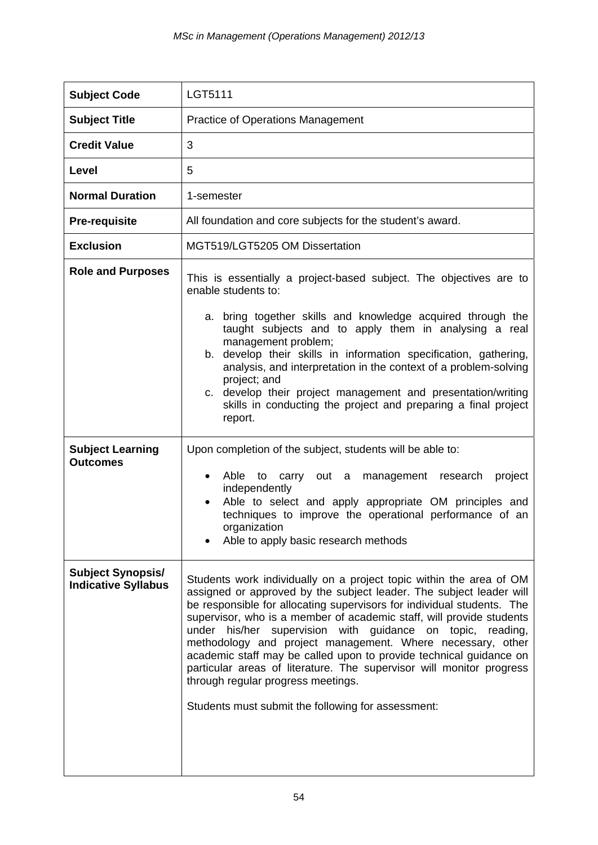| <b>Subject Code</b>                                    | LGT5111                                                                                                                                                                                                                                                                                                                                                                                                                                                                                                                                                                                                                                                               |
|--------------------------------------------------------|-----------------------------------------------------------------------------------------------------------------------------------------------------------------------------------------------------------------------------------------------------------------------------------------------------------------------------------------------------------------------------------------------------------------------------------------------------------------------------------------------------------------------------------------------------------------------------------------------------------------------------------------------------------------------|
| <b>Subject Title</b>                                   | <b>Practice of Operations Management</b>                                                                                                                                                                                                                                                                                                                                                                                                                                                                                                                                                                                                                              |
| <b>Credit Value</b>                                    | 3                                                                                                                                                                                                                                                                                                                                                                                                                                                                                                                                                                                                                                                                     |
| Level                                                  | 5                                                                                                                                                                                                                                                                                                                                                                                                                                                                                                                                                                                                                                                                     |
| <b>Normal Duration</b>                                 | 1-semester                                                                                                                                                                                                                                                                                                                                                                                                                                                                                                                                                                                                                                                            |
| <b>Pre-requisite</b>                                   | All foundation and core subjects for the student's award.                                                                                                                                                                                                                                                                                                                                                                                                                                                                                                                                                                                                             |
| <b>Exclusion</b>                                       | MGT519/LGT5205 OM Dissertation                                                                                                                                                                                                                                                                                                                                                                                                                                                                                                                                                                                                                                        |
| <b>Role and Purposes</b>                               | This is essentially a project-based subject. The objectives are to<br>enable students to:<br>a. bring together skills and knowledge acquired through the<br>taught subjects and to apply them in analysing a real<br>management problem;<br>b. develop their skills in information specification, gathering,<br>analysis, and interpretation in the context of a problem-solving<br>project; and<br>c. develop their project management and presentation/writing<br>skills in conducting the project and preparing a final project<br>report.                                                                                                                         |
| <b>Subject Learning</b><br><b>Outcomes</b>             | Upon completion of the subject, students will be able to:<br>Able<br>carry out a management research<br>project<br>to<br>$\bullet$<br>independently<br>Able to select and apply appropriate OM principles and<br>$\bullet$<br>techniques to improve the operational performance of an<br>organization<br>Able to apply basic research methods                                                                                                                                                                                                                                                                                                                         |
| <b>Subject Synopsis/</b><br><b>Indicative Syllabus</b> | Students work individually on a project topic within the area of OM<br>assigned or approved by the subject leader. The subject leader will<br>be responsible for allocating supervisors for individual students. The<br>supervisor, who is a member of academic staff, will provide students<br>under his/her supervision with guidance on topic,<br>reading,<br>methodology and project management. Where necessary, other<br>academic staff may be called upon to provide technical guidance on<br>particular areas of literature. The supervisor will monitor progress<br>through regular progress meetings.<br>Students must submit the following for assessment: |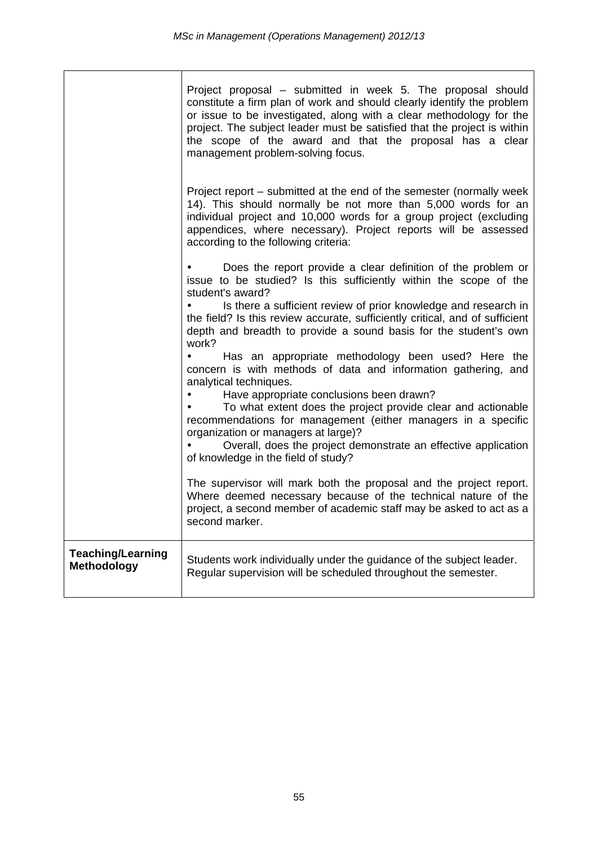|                                                | Project proposal – submitted in week 5. The proposal should<br>constitute a firm plan of work and should clearly identify the problem<br>or issue to be investigated, along with a clear methodology for the<br>project. The subject leader must be satisfied that the project is within<br>the scope of the award and that the proposal has a clear<br>management problem-solving focus. |
|------------------------------------------------|-------------------------------------------------------------------------------------------------------------------------------------------------------------------------------------------------------------------------------------------------------------------------------------------------------------------------------------------------------------------------------------------|
|                                                | Project report – submitted at the end of the semester (normally week<br>14). This should normally be not more than 5,000 words for an<br>individual project and 10,000 words for a group project (excluding<br>appendices, where necessary). Project reports will be assessed<br>according to the following criteria:                                                                     |
|                                                | Does the report provide a clear definition of the problem or<br>issue to be studied? Is this sufficiently within the scope of the                                                                                                                                                                                                                                                         |
|                                                | student's award?<br>Is there a sufficient review of prior knowledge and research in<br>the field? Is this review accurate, sufficiently critical, and of sufficient<br>depth and breadth to provide a sound basis for the student's own<br>work?                                                                                                                                          |
|                                                | Has an appropriate methodology been used? Here the<br>concern is with methods of data and information gathering, and<br>analytical techniques.                                                                                                                                                                                                                                            |
|                                                | Have appropriate conclusions been drawn?<br>To what extent does the project provide clear and actionable<br>recommendations for management (either managers in a specific<br>organization or managers at large)?<br>Overall, does the project demonstrate an effective application<br>of knowledge in the field of study?                                                                 |
|                                                | The supervisor will mark both the proposal and the project report.<br>Where deemed necessary because of the technical nature of the<br>project, a second member of academic staff may be asked to act as a<br>second marker.                                                                                                                                                              |
| <b>Teaching/Learning</b><br><b>Methodology</b> | Students work individually under the guidance of the subject leader.<br>Regular supervision will be scheduled throughout the semester.                                                                                                                                                                                                                                                    |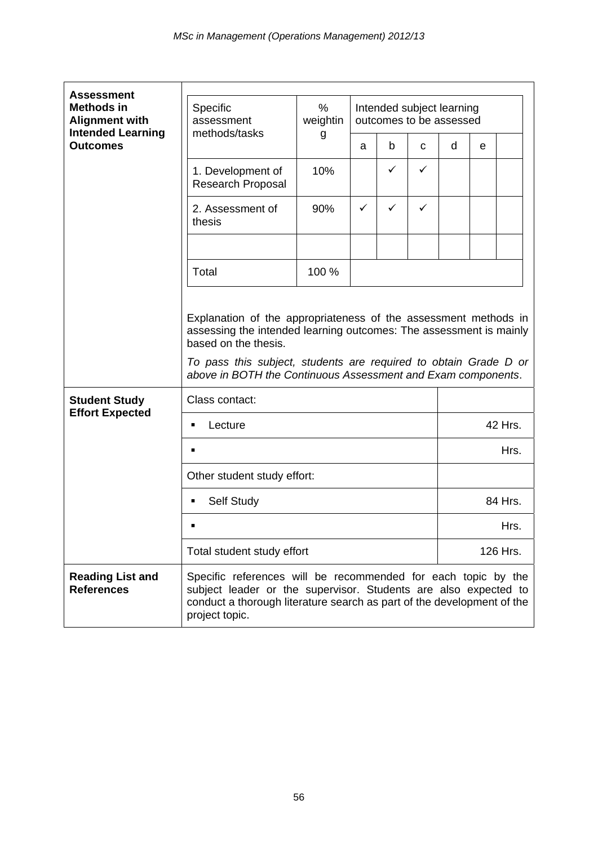| <b>Assessment</b>                                                      |                                                                                                                                                                                                                                                                                                   |                  |              |                                                      |              |      |         |          |  |
|------------------------------------------------------------------------|---------------------------------------------------------------------------------------------------------------------------------------------------------------------------------------------------------------------------------------------------------------------------------------------------|------------------|--------------|------------------------------------------------------|--------------|------|---------|----------|--|
| <b>Methods in</b><br><b>Alignment with</b><br><b>Intended Learning</b> | Specific<br>assessment<br>methods/tasks                                                                                                                                                                                                                                                           | $\%$<br>weightin |              | Intended subject learning<br>outcomes to be assessed |              |      |         |          |  |
| <b>Outcomes</b>                                                        |                                                                                                                                                                                                                                                                                                   | g                | a            | b                                                    | C            | d    | e       |          |  |
|                                                                        | 1. Development of<br><b>Research Proposal</b>                                                                                                                                                                                                                                                     | 10%              |              | ✓                                                    | $\checkmark$ |      |         |          |  |
|                                                                        | 2. Assessment of<br>thesis                                                                                                                                                                                                                                                                        | 90%              | $\checkmark$ | ✓                                                    | ✓            |      |         |          |  |
|                                                                        |                                                                                                                                                                                                                                                                                                   |                  |              |                                                      |              |      |         |          |  |
|                                                                        | Total                                                                                                                                                                                                                                                                                             | 100 %            |              |                                                      |              |      |         |          |  |
|                                                                        | Explanation of the appropriateness of the assessment methods in<br>assessing the intended learning outcomes: The assessment is mainly<br>based on the thesis.<br>To pass this subject, students are required to obtain Grade D or<br>above in BOTH the Continuous Assessment and Exam components. |                  |              |                                                      |              |      |         |          |  |
| <b>Student Study</b><br><b>Effort Expected</b>                         | Class contact:                                                                                                                                                                                                                                                                                    |                  |              |                                                      |              |      |         |          |  |
|                                                                        | Lecture<br>$\blacksquare$                                                                                                                                                                                                                                                                         |                  |              |                                                      |              |      | 42 Hrs. |          |  |
|                                                                        | $\blacksquare$                                                                                                                                                                                                                                                                                    |                  |              |                                                      |              | Hrs. |         |          |  |
|                                                                        | Other student study effort:                                                                                                                                                                                                                                                                       |                  |              |                                                      |              |      |         |          |  |
|                                                                        | Self Study<br>٠                                                                                                                                                                                                                                                                                   |                  |              |                                                      |              |      | 84 Hrs. |          |  |
|                                                                        | п                                                                                                                                                                                                                                                                                                 |                  |              |                                                      |              | Hrs. |         |          |  |
|                                                                        | Total student study effort                                                                                                                                                                                                                                                                        |                  |              |                                                      |              |      |         | 126 Hrs. |  |
| <b>Reading List and</b><br><b>References</b>                           | Specific references will be recommended for each topic by the<br>subject leader or the supervisor. Students are also expected to<br>conduct a thorough literature search as part of the development of the<br>project topic.                                                                      |                  |              |                                                      |              |      |         |          |  |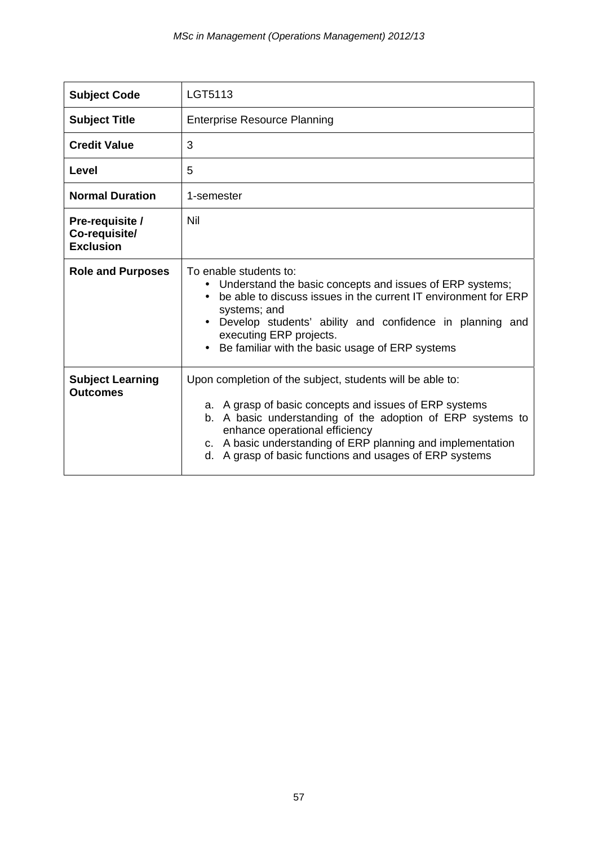| <b>Subject Code</b>                                  | LGT5113                                                                                                                                                                                                                                                                                                                                       |
|------------------------------------------------------|-----------------------------------------------------------------------------------------------------------------------------------------------------------------------------------------------------------------------------------------------------------------------------------------------------------------------------------------------|
| <b>Subject Title</b>                                 | <b>Enterprise Resource Planning</b>                                                                                                                                                                                                                                                                                                           |
| <b>Credit Value</b>                                  | 3                                                                                                                                                                                                                                                                                                                                             |
| Level                                                | 5                                                                                                                                                                                                                                                                                                                                             |
| <b>Normal Duration</b>                               | 1-semester                                                                                                                                                                                                                                                                                                                                    |
| Pre-requisite /<br>Co-requisite/<br><b>Exclusion</b> | Nil                                                                                                                                                                                                                                                                                                                                           |
| <b>Role and Purposes</b>                             | To enable students to:<br>Understand the basic concepts and issues of ERP systems;<br>be able to discuss issues in the current IT environment for ERP<br>systems; and<br>• Develop students' ability and confidence in planning and<br>executing ERP projects.<br>Be familiar with the basic usage of ERP systems                             |
| <b>Subject Learning</b><br><b>Outcomes</b>           | Upon completion of the subject, students will be able to:<br>a. A grasp of basic concepts and issues of ERP systems<br>b. A basic understanding of the adoption of ERP systems to<br>enhance operational efficiency<br>c. A basic understanding of ERP planning and implementation<br>d. A grasp of basic functions and usages of ERP systems |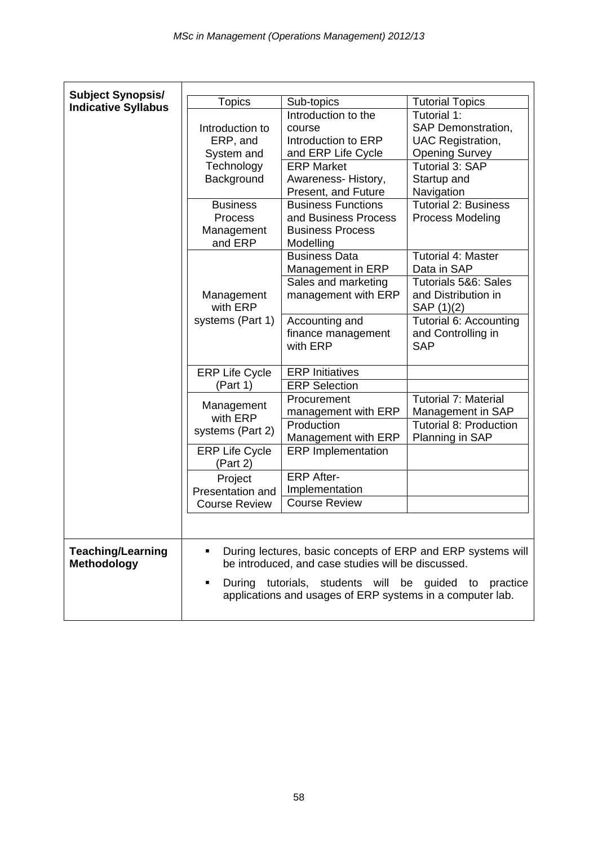| <b>Subject Synopsis/</b>                       |                                                                                                             |                                                                                                                   |                                   |  |  |
|------------------------------------------------|-------------------------------------------------------------------------------------------------------------|-------------------------------------------------------------------------------------------------------------------|-----------------------------------|--|--|
| <b>Indicative Syllabus</b>                     | Topics                                                                                                      | Sub-topics                                                                                                        | <b>Tutorial Topics</b>            |  |  |
|                                                |                                                                                                             | Introduction to the                                                                                               | Tutorial 1:                       |  |  |
|                                                | Introduction to                                                                                             | course                                                                                                            | SAP Demonstration,                |  |  |
|                                                | ERP, and                                                                                                    | Introduction to ERP                                                                                               | <b>UAC Registration,</b>          |  |  |
|                                                | System and                                                                                                  | and ERP Life Cycle                                                                                                | <b>Opening Survey</b>             |  |  |
|                                                | Technology                                                                                                  | <b>ERP Market</b>                                                                                                 | Tutorial 3: SAP                   |  |  |
|                                                | Background                                                                                                  | Awareness-History,                                                                                                | Startup and<br>Navigation         |  |  |
|                                                |                                                                                                             | Present, and Future<br><b>Business Functions</b><br><b>Business</b>                                               |                                   |  |  |
|                                                |                                                                                                             |                                                                                                                   | <b>Tutorial 2: Business</b>       |  |  |
|                                                | <b>Process</b>                                                                                              | and Business Process                                                                                              | Process Modeling                  |  |  |
|                                                | Management                                                                                                  | <b>Business Process</b>                                                                                           |                                   |  |  |
|                                                | and ERP                                                                                                     | Modelling                                                                                                         |                                   |  |  |
|                                                |                                                                                                             | <b>Business Data</b>                                                                                              | <b>Tutorial 4: Master</b>         |  |  |
|                                                |                                                                                                             | Management in ERP                                                                                                 | Data in SAP                       |  |  |
|                                                |                                                                                                             | Sales and marketing                                                                                               | Tutorials 5&6: Sales              |  |  |
|                                                | Management<br>with ERP                                                                                      | management with ERP                                                                                               | and Distribution in<br>SAP (1)(2) |  |  |
|                                                | systems (Part 1)                                                                                            | Accounting and                                                                                                    | Tutorial 6: Accounting            |  |  |
|                                                |                                                                                                             | finance management                                                                                                | and Controlling in                |  |  |
|                                                |                                                                                                             | with ERP                                                                                                          | <b>SAP</b>                        |  |  |
|                                                |                                                                                                             |                                                                                                                   |                                   |  |  |
|                                                | <b>ERP Life Cycle</b>                                                                                       | <b>ERP</b> Initiatives                                                                                            |                                   |  |  |
|                                                | (Part 1)                                                                                                    | <b>ERP Selection</b>                                                                                              |                                   |  |  |
|                                                | Management<br>with ERP                                                                                      | Procurement                                                                                                       | <b>Tutorial 7: Material</b>       |  |  |
|                                                |                                                                                                             | management with ERP                                                                                               | Management in SAP                 |  |  |
|                                                | systems (Part 2)                                                                                            | Production                                                                                                        | Tutorial 8: Production            |  |  |
|                                                |                                                                                                             | Management with ERP                                                                                               | Planning in SAP                   |  |  |
|                                                | <b>ERP Life Cycle</b><br>(Part 2)                                                                           | <b>ERP</b> Implementation                                                                                         |                                   |  |  |
|                                                | Project                                                                                                     | <b>ERP After-</b>                                                                                                 |                                   |  |  |
|                                                | Presentation and                                                                                            | Implementation                                                                                                    |                                   |  |  |
|                                                | <b>Course Review</b>                                                                                        | <b>Course Review</b>                                                                                              |                                   |  |  |
|                                                |                                                                                                             |                                                                                                                   |                                   |  |  |
|                                                |                                                                                                             |                                                                                                                   |                                   |  |  |
| <b>Teaching/Learning</b><br><b>Methodology</b> |                                                                                                             | During lectures, basic concepts of ERP and ERP systems will<br>be introduced, and case studies will be discussed. |                                   |  |  |
|                                                | tutorials, students will be guided to practice<br>applications and usages of ERP systems in a computer lab. |                                                                                                                   |                                   |  |  |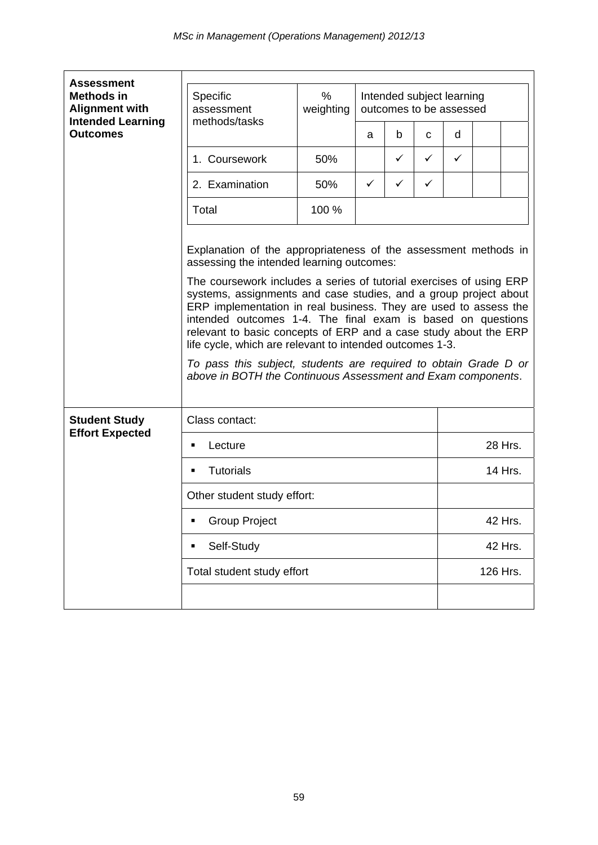| <b>Assessment</b>                                                      |                                                                                                                                                                                                                                                                                                                                                                                                                                                                                                                                                                                                                                                                |                |                                                      |   |              |              |          |  |
|------------------------------------------------------------------------|----------------------------------------------------------------------------------------------------------------------------------------------------------------------------------------------------------------------------------------------------------------------------------------------------------------------------------------------------------------------------------------------------------------------------------------------------------------------------------------------------------------------------------------------------------------------------------------------------------------------------------------------------------------|----------------|------------------------------------------------------|---|--------------|--------------|----------|--|
| <b>Methods in</b><br><b>Alignment with</b><br><b>Intended Learning</b> | Specific<br>assessment<br>methods/tasks                                                                                                                                                                                                                                                                                                                                                                                                                                                                                                                                                                                                                        | %<br>weighting | Intended subject learning<br>outcomes to be assessed |   |              |              |          |  |
| <b>Outcomes</b>                                                        |                                                                                                                                                                                                                                                                                                                                                                                                                                                                                                                                                                                                                                                                |                | a                                                    | b | C            | d            |          |  |
|                                                                        | 1. Coursework                                                                                                                                                                                                                                                                                                                                                                                                                                                                                                                                                                                                                                                  | 50%            |                                                      | ✓ | $\checkmark$ | $\checkmark$ |          |  |
|                                                                        | 2. Examination                                                                                                                                                                                                                                                                                                                                                                                                                                                                                                                                                                                                                                                 | 50%            | ✓                                                    | ✓ | ✓            |              |          |  |
|                                                                        | Total                                                                                                                                                                                                                                                                                                                                                                                                                                                                                                                                                                                                                                                          | 100 %          |                                                      |   |              |              |          |  |
|                                                                        | Explanation of the appropriateness of the assessment methods in<br>assessing the intended learning outcomes:<br>The coursework includes a series of tutorial exercises of using ERP<br>systems, assignments and case studies, and a group project about<br>ERP implementation in real business. They are used to assess the<br>intended outcomes 1-4. The final exam is based on questions<br>relevant to basic concepts of ERP and a case study about the ERP<br>life cycle, which are relevant to intended outcomes 1-3.<br>To pass this subject, students are required to obtain Grade D or<br>above in BOTH the Continuous Assessment and Exam components. |                |                                                      |   |              |              |          |  |
| <b>Student Study</b><br><b>Effort Expected</b>                         | Class contact:                                                                                                                                                                                                                                                                                                                                                                                                                                                                                                                                                                                                                                                 |                |                                                      |   |              |              |          |  |
|                                                                        | Lecture<br>٠                                                                                                                                                                                                                                                                                                                                                                                                                                                                                                                                                                                                                                                   |                |                                                      |   |              | 28 Hrs.      |          |  |
|                                                                        | <b>Tutorials</b><br>٠                                                                                                                                                                                                                                                                                                                                                                                                                                                                                                                                                                                                                                          |                |                                                      |   |              | 14 Hrs.      |          |  |
|                                                                        | Other student study effort:                                                                                                                                                                                                                                                                                                                                                                                                                                                                                                                                                                                                                                    |                |                                                      |   |              |              |          |  |
|                                                                        | Group Project                                                                                                                                                                                                                                                                                                                                                                                                                                                                                                                                                                                                                                                  |                |                                                      |   |              | 42 Hrs.      |          |  |
|                                                                        | Self-Study<br>٠                                                                                                                                                                                                                                                                                                                                                                                                                                                                                                                                                                                                                                                |                |                                                      |   |              | 42 Hrs.      |          |  |
|                                                                        | Total student study effort                                                                                                                                                                                                                                                                                                                                                                                                                                                                                                                                                                                                                                     |                |                                                      |   |              |              | 126 Hrs. |  |
|                                                                        |                                                                                                                                                                                                                                                                                                                                                                                                                                                                                                                                                                                                                                                                |                |                                                      |   |              |              |          |  |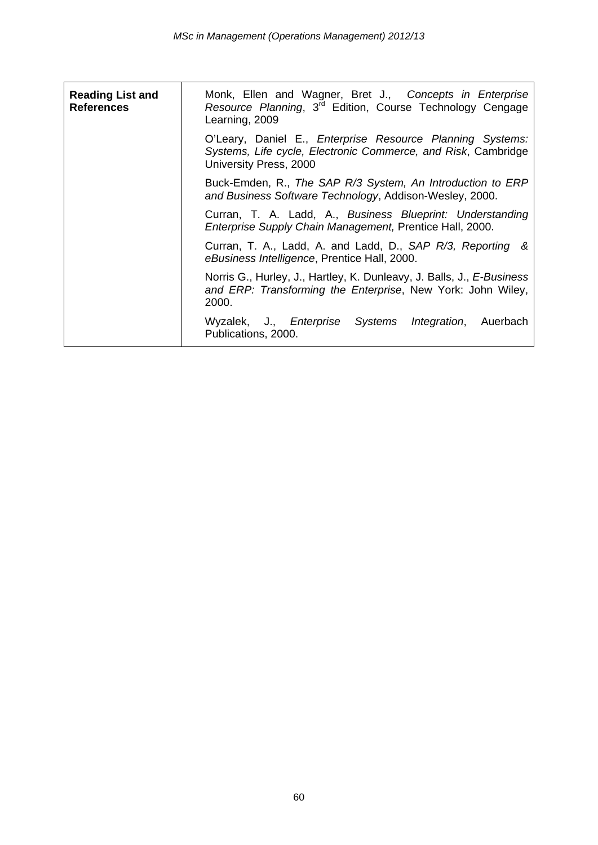| <b>Reading List and</b><br><b>References</b> | Monk, Ellen and Wagner, Bret J., Concepts in Enterprise<br>Resource Planning, 3 <sup>rd</sup> Edition, Course Technology Cengage<br>Learning, 2009   |
|----------------------------------------------|------------------------------------------------------------------------------------------------------------------------------------------------------|
|                                              | O'Leary, Daniel E., Enterprise Resource Planning Systems:<br>Systems, Life cycle, Electronic Commerce, and Risk, Cambridge<br>University Press, 2000 |
|                                              | Buck-Emden, R., The SAP R/3 System, An Introduction to ERP<br>and Business Software Technology, Addison-Wesley, 2000.                                |
|                                              | Curran, T. A. Ladd, A., Business Blueprint: Understanding<br>Enterprise Supply Chain Management, Prentice Hall, 2000.                                |
|                                              | Curran, T. A., Ladd, A. and Ladd, D., SAP R/3, Reporting &<br>eBusiness Intelligence, Prentice Hall, 2000.                                           |
|                                              | Norris G., Hurley, J., Hartley, K. Dunleavy, J. Balls, J., E-Business<br>and ERP: Transforming the Enterprise, New York: John Wiley,<br>2000.        |
|                                              | Wyzalek, J., <i>Enterprise</i><br>Systems Integration, Auerbach<br>Publications, 2000.                                                               |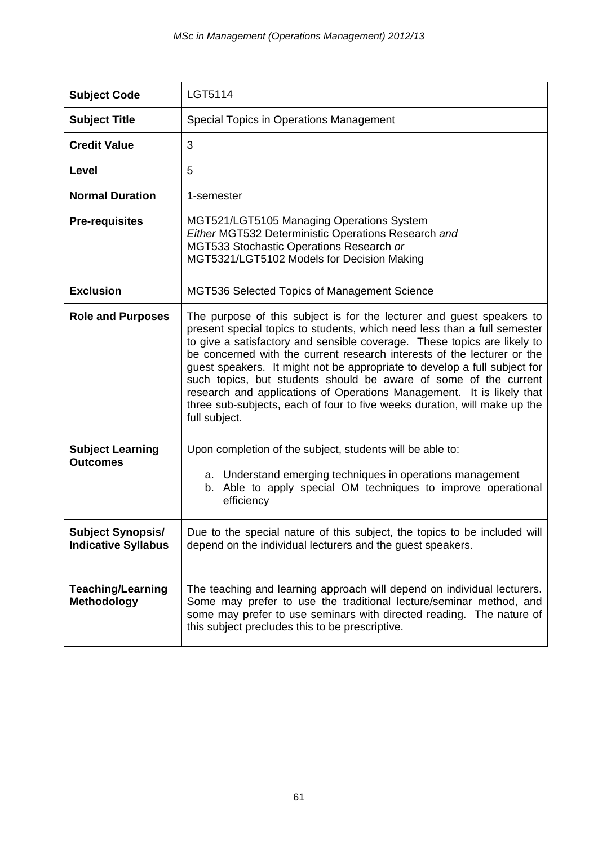| <b>Subject Code</b>                                    | LGT5114                                                                                                                                                                                                                                                                                                                                                                                                                                                                                                                                                                                                                          |
|--------------------------------------------------------|----------------------------------------------------------------------------------------------------------------------------------------------------------------------------------------------------------------------------------------------------------------------------------------------------------------------------------------------------------------------------------------------------------------------------------------------------------------------------------------------------------------------------------------------------------------------------------------------------------------------------------|
| <b>Subject Title</b>                                   | Special Topics in Operations Management                                                                                                                                                                                                                                                                                                                                                                                                                                                                                                                                                                                          |
| <b>Credit Value</b>                                    | 3                                                                                                                                                                                                                                                                                                                                                                                                                                                                                                                                                                                                                                |
| Level                                                  | 5                                                                                                                                                                                                                                                                                                                                                                                                                                                                                                                                                                                                                                |
| <b>Normal Duration</b>                                 | 1-semester                                                                                                                                                                                                                                                                                                                                                                                                                                                                                                                                                                                                                       |
| <b>Pre-requisites</b>                                  | MGT521/LGT5105 Managing Operations System<br>Either MGT532 Deterministic Operations Research and<br>MGT533 Stochastic Operations Research or<br>MGT5321/LGT5102 Models for Decision Making                                                                                                                                                                                                                                                                                                                                                                                                                                       |
| <b>Exclusion</b>                                       | MGT536 Selected Topics of Management Science                                                                                                                                                                                                                                                                                                                                                                                                                                                                                                                                                                                     |
| <b>Role and Purposes</b>                               | The purpose of this subject is for the lecturer and guest speakers to<br>present special topics to students, which need less than a full semester<br>to give a satisfactory and sensible coverage. These topics are likely to<br>be concerned with the current research interests of the lecturer or the<br>guest speakers. It might not be appropriate to develop a full subject for<br>such topics, but students should be aware of some of the current<br>research and applications of Operations Management. It is likely that<br>three sub-subjects, each of four to five weeks duration, will make up the<br>full subject. |
| <b>Subject Learning</b><br><b>Outcomes</b>             | Upon completion of the subject, students will be able to:<br>a. Understand emerging techniques in operations management<br>b. Able to apply special OM techniques to improve operational<br>efficiency                                                                                                                                                                                                                                                                                                                                                                                                                           |
| <b>Subject Synopsis/</b><br><b>Indicative Syllabus</b> | Due to the special nature of this subject, the topics to be included will<br>depend on the individual lecturers and the guest speakers.                                                                                                                                                                                                                                                                                                                                                                                                                                                                                          |
| <b>Teaching/Learning</b><br>Methodology                | The teaching and learning approach will depend on individual lecturers.<br>Some may prefer to use the traditional lecture/seminar method, and<br>some may prefer to use seminars with directed reading. The nature of<br>this subject precludes this to be prescriptive.                                                                                                                                                                                                                                                                                                                                                         |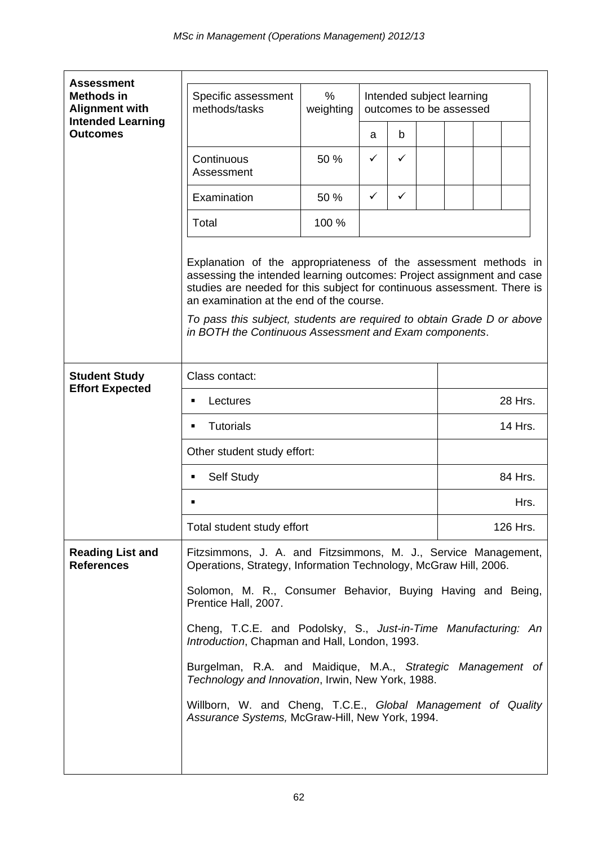| <b>Assessment</b>                                                      |                                                                                                                                    |                   |                                                                                                                                                                                                                                                                                                                                                         |   |  |                                                      |  |          |  |
|------------------------------------------------------------------------|------------------------------------------------------------------------------------------------------------------------------------|-------------------|---------------------------------------------------------------------------------------------------------------------------------------------------------------------------------------------------------------------------------------------------------------------------------------------------------------------------------------------------------|---|--|------------------------------------------------------|--|----------|--|
| <b>Methods in</b><br><b>Alignment with</b><br><b>Intended Learning</b> | Specific assessment<br>methods/tasks                                                                                               | $\%$<br>weighting |                                                                                                                                                                                                                                                                                                                                                         |   |  | Intended subject learning<br>outcomes to be assessed |  |          |  |
| <b>Outcomes</b>                                                        |                                                                                                                                    |                   | a                                                                                                                                                                                                                                                                                                                                                       | b |  |                                                      |  |          |  |
|                                                                        | Continuous<br>Assessment                                                                                                           | 50 %              | ✓                                                                                                                                                                                                                                                                                                                                                       | ✓ |  |                                                      |  |          |  |
|                                                                        | Examination                                                                                                                        | 50 %              | ✓                                                                                                                                                                                                                                                                                                                                                       | ✓ |  |                                                      |  |          |  |
|                                                                        | Total                                                                                                                              | 100 %             |                                                                                                                                                                                                                                                                                                                                                         |   |  |                                                      |  |          |  |
|                                                                        | an examination at the end of the course.                                                                                           |                   | Explanation of the appropriateness of the assessment methods in<br>assessing the intended learning outcomes: Project assignment and case<br>studies are needed for this subject for continuous assessment. There is<br>To pass this subject, students are required to obtain Grade D or above<br>in BOTH the Continuous Assessment and Exam components. |   |  |                                                      |  |          |  |
| <b>Student Study</b>                                                   | Class contact:                                                                                                                     |                   |                                                                                                                                                                                                                                                                                                                                                         |   |  |                                                      |  |          |  |
| <b>Effort Expected</b>                                                 | Lectures<br>٠                                                                                                                      |                   |                                                                                                                                                                                                                                                                                                                                                         |   |  | 28 Hrs.                                              |  |          |  |
|                                                                        | <b>Tutorials</b>                                                                                                                   |                   |                                                                                                                                                                                                                                                                                                                                                         |   |  | 14 Hrs.                                              |  |          |  |
|                                                                        | Other student study effort:                                                                                                        |                   |                                                                                                                                                                                                                                                                                                                                                         |   |  |                                                      |  |          |  |
|                                                                        | Self Study                                                                                                                         |                   | 84 Hrs.                                                                                                                                                                                                                                                                                                                                                 |   |  |                                                      |  |          |  |
|                                                                        |                                                                                                                                    |                   |                                                                                                                                                                                                                                                                                                                                                         |   |  |                                                      |  | Hrs.     |  |
|                                                                        | Total student study effort                                                                                                         |                   |                                                                                                                                                                                                                                                                                                                                                         |   |  |                                                      |  | 126 Hrs. |  |
| <b>Reading List and</b><br><b>References</b>                           | Fitzsimmons, J. A. and Fitzsimmons, M. J., Service Management,<br>Operations, Strategy, Information Technology, McGraw Hill, 2006. |                   |                                                                                                                                                                                                                                                                                                                                                         |   |  |                                                      |  |          |  |
|                                                                        | Solomon, M. R., Consumer Behavior, Buying Having and Being,<br>Prentice Hall, 2007.                                                |                   |                                                                                                                                                                                                                                                                                                                                                         |   |  |                                                      |  |          |  |
|                                                                        | Cheng, T.C.E. and Podolsky, S., Just-in-Time Manufacturing: An<br>Introduction, Chapman and Hall, London, 1993.                    |                   |                                                                                                                                                                                                                                                                                                                                                         |   |  |                                                      |  |          |  |
|                                                                        | Burgelman, R.A. and Maidique, M.A., Strategic Management of<br>Technology and Innovation, Irwin, New York, 1988.                   |                   |                                                                                                                                                                                                                                                                                                                                                         |   |  |                                                      |  |          |  |
|                                                                        | Assurance Systems, McGraw-Hill, New York, 1994.                                                                                    |                   | Willborn, W. and Cheng, T.C.E., Global Management of Quality                                                                                                                                                                                                                                                                                            |   |  |                                                      |  |          |  |
|                                                                        |                                                                                                                                    |                   |                                                                                                                                                                                                                                                                                                                                                         |   |  |                                                      |  |          |  |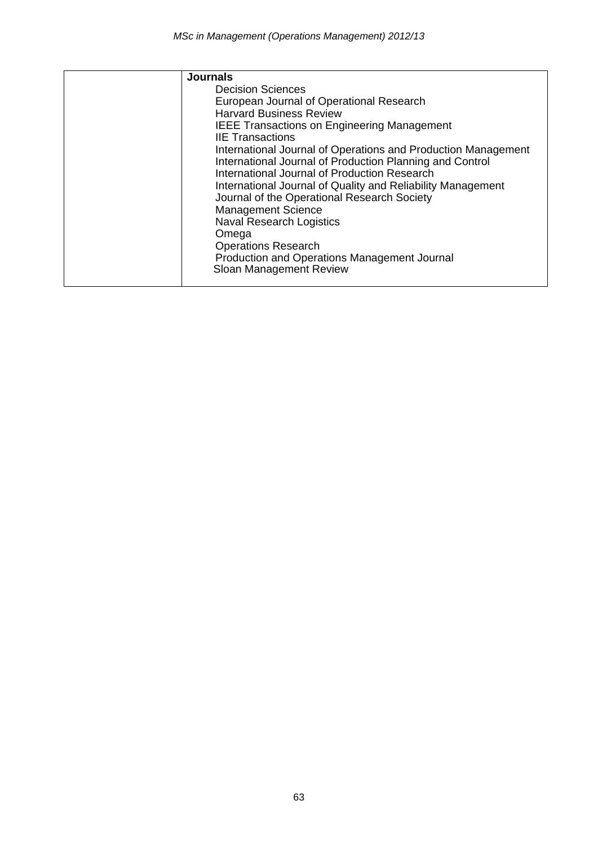| <b>Journals</b>                                               |
|---------------------------------------------------------------|
| <b>Decision Sciences</b>                                      |
| European Journal of Operational Research                      |
| <b>Harvard Business Review</b>                                |
| <b>IEEE Transactions on Engineering Management</b>            |
| <b>IIE Transactions</b>                                       |
| International Journal of Operations and Production Management |
| International Journal of Production Planning and Control      |
| International Journal of Production Research                  |
| International Journal of Quality and Reliability Management   |
| Journal of the Operational Research Society                   |
| <b>Management Science</b>                                     |
| <b>Naval Research Logistics</b>                               |
| Omega                                                         |
| <b>Operations Research</b>                                    |
| Production and Operations Management Journal                  |
| Sloan Management Review                                       |
|                                                               |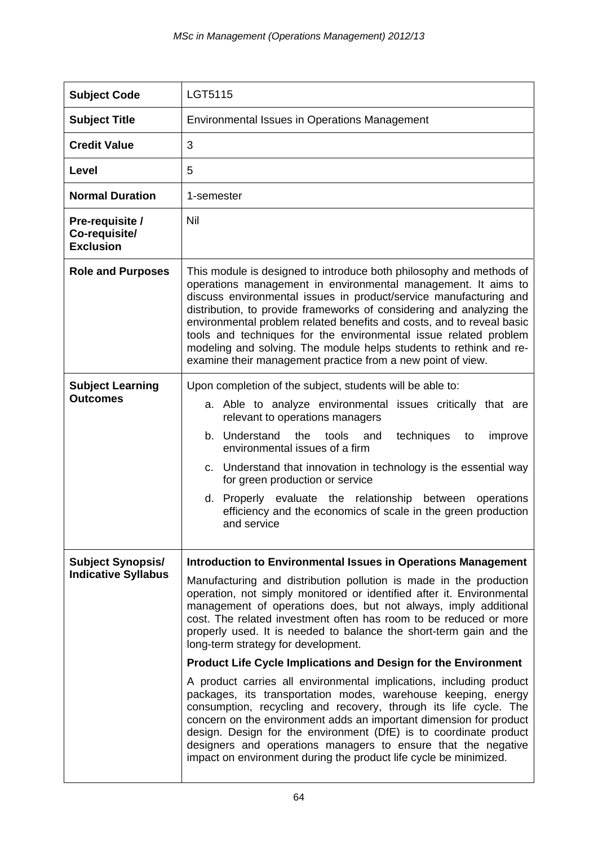| <b>Subject Code</b>                                    | LGT5115                                                                                                                                                                                                                                                                                                                                                                                                                                                                                                                                                                                                                                                                                                                                                                                                                                                                                                                                                                                                                                 |
|--------------------------------------------------------|-----------------------------------------------------------------------------------------------------------------------------------------------------------------------------------------------------------------------------------------------------------------------------------------------------------------------------------------------------------------------------------------------------------------------------------------------------------------------------------------------------------------------------------------------------------------------------------------------------------------------------------------------------------------------------------------------------------------------------------------------------------------------------------------------------------------------------------------------------------------------------------------------------------------------------------------------------------------------------------------------------------------------------------------|
| <b>Subject Title</b>                                   | Environmental Issues in Operations Management                                                                                                                                                                                                                                                                                                                                                                                                                                                                                                                                                                                                                                                                                                                                                                                                                                                                                                                                                                                           |
| <b>Credit Value</b>                                    | 3                                                                                                                                                                                                                                                                                                                                                                                                                                                                                                                                                                                                                                                                                                                                                                                                                                                                                                                                                                                                                                       |
| Level                                                  | 5                                                                                                                                                                                                                                                                                                                                                                                                                                                                                                                                                                                                                                                                                                                                                                                                                                                                                                                                                                                                                                       |
| <b>Normal Duration</b>                                 | 1-semester                                                                                                                                                                                                                                                                                                                                                                                                                                                                                                                                                                                                                                                                                                                                                                                                                                                                                                                                                                                                                              |
| Pre-requisite /<br>Co-requisite/<br><b>Exclusion</b>   | Nil                                                                                                                                                                                                                                                                                                                                                                                                                                                                                                                                                                                                                                                                                                                                                                                                                                                                                                                                                                                                                                     |
| <b>Role and Purposes</b>                               | This module is designed to introduce both philosophy and methods of<br>operations management in environmental management. It aims to<br>discuss environmental issues in product/service manufacturing and<br>distribution, to provide frameworks of considering and analyzing the<br>environmental problem related benefits and costs, and to reveal basic<br>tools and techniques for the environmental issue related problem<br>modeling and solving. The module helps students to rethink and re-<br>examine their management practice from a new point of view.                                                                                                                                                                                                                                                                                                                                                                                                                                                                     |
| <b>Subject Learning</b><br><b>Outcomes</b>             | Upon completion of the subject, students will be able to:<br>a. Able to analyze environmental issues critically that are<br>relevant to operations managers<br>b. Understand<br>the<br>tools<br>techniques<br>and<br>improve<br>to<br>environmental issues of a firm<br>c. Understand that innovation in technology is the essential way<br>for green production or service<br>d. Properly evaluate the relationship between<br>operations<br>efficiency and the economics of scale in the green production<br>and service                                                                                                                                                                                                                                                                                                                                                                                                                                                                                                              |
| <b>Subject Synopsis/</b><br><b>Indicative Syllabus</b> | Introduction to Environmental Issues in Operations Management<br>Manufacturing and distribution pollution is made in the production<br>operation, not simply monitored or identified after it. Environmental<br>management of operations does, but not always, imply additional<br>cost. The related investment often has room to be reduced or more<br>properly used. It is needed to balance the short-term gain and the<br>long-term strategy for development.<br><b>Product Life Cycle Implications and Design for the Environment</b><br>A product carries all environmental implications, including product<br>packages, its transportation modes, warehouse keeping, energy<br>consumption, recycling and recovery, through its life cycle. The<br>concern on the environment adds an important dimension for product<br>design. Design for the environment (DfE) is to coordinate product<br>designers and operations managers to ensure that the negative<br>impact on environment during the product life cycle be minimized. |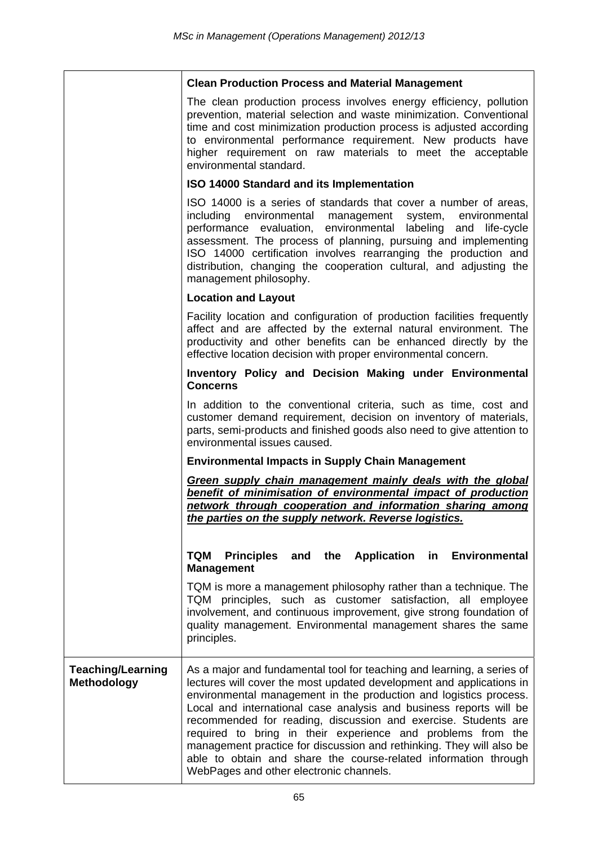|                                         | <b>Clean Production Process and Material Management</b>                                                                                                                                                                                                                                                                                                                                                                                                                                                                                                                                                          |
|-----------------------------------------|------------------------------------------------------------------------------------------------------------------------------------------------------------------------------------------------------------------------------------------------------------------------------------------------------------------------------------------------------------------------------------------------------------------------------------------------------------------------------------------------------------------------------------------------------------------------------------------------------------------|
|                                         | The clean production process involves energy efficiency, pollution<br>prevention, material selection and waste minimization. Conventional<br>time and cost minimization production process is adjusted according<br>to environmental performance requirement. New products have<br>higher requirement on raw materials to meet the acceptable<br>environmental standard.                                                                                                                                                                                                                                         |
|                                         | <b>ISO 14000 Standard and its Implementation</b>                                                                                                                                                                                                                                                                                                                                                                                                                                                                                                                                                                 |
|                                         | ISO 14000 is a series of standards that cover a number of areas,<br>including environmental management system, environmental<br>performance evaluation, environmental labeling and life-cycle<br>assessment. The process of planning, pursuing and implementing<br>ISO 14000 certification involves rearranging the production and<br>distribution, changing the cooperation cultural, and adjusting the<br>management philosophy.                                                                                                                                                                               |
|                                         | <b>Location and Layout</b>                                                                                                                                                                                                                                                                                                                                                                                                                                                                                                                                                                                       |
|                                         | Facility location and configuration of production facilities frequently<br>affect and are affected by the external natural environment. The<br>productivity and other benefits can be enhanced directly by the<br>effective location decision with proper environmental concern.                                                                                                                                                                                                                                                                                                                                 |
|                                         | Inventory Policy and Decision Making under Environmental<br><b>Concerns</b>                                                                                                                                                                                                                                                                                                                                                                                                                                                                                                                                      |
|                                         | In addition to the conventional criteria, such as time, cost and<br>customer demand requirement, decision on inventory of materials,<br>parts, semi-products and finished goods also need to give attention to<br>environmental issues caused.                                                                                                                                                                                                                                                                                                                                                                   |
|                                         | <b>Environmental Impacts in Supply Chain Management</b>                                                                                                                                                                                                                                                                                                                                                                                                                                                                                                                                                          |
|                                         | Green supply chain management mainly deals with the global<br>benefit of minimisation of environmental impact of production<br>network through cooperation and information sharing among<br>the parties on the supply network. Reverse logistics.                                                                                                                                                                                                                                                                                                                                                                |
|                                         | and the Application in Environmental<br><b>TQM</b><br><b>Principles</b><br><b>Management</b>                                                                                                                                                                                                                                                                                                                                                                                                                                                                                                                     |
|                                         | TQM is more a management philosophy rather than a technique. The<br>TQM principles, such as customer satisfaction, all employee<br>involvement, and continuous improvement, give strong foundation of<br>quality management. Environmental management shares the same<br>principles.                                                                                                                                                                                                                                                                                                                             |
| <b>Teaching/Learning</b><br>Methodology | As a major and fundamental tool for teaching and learning, a series of<br>lectures will cover the most updated development and applications in<br>environmental management in the production and logistics process.<br>Local and international case analysis and business reports will be<br>recommended for reading, discussion and exercise. Students are<br>required to bring in their experience and problems from the<br>management practice for discussion and rethinking. They will also be<br>able to obtain and share the course-related information through<br>WebPages and other electronic channels. |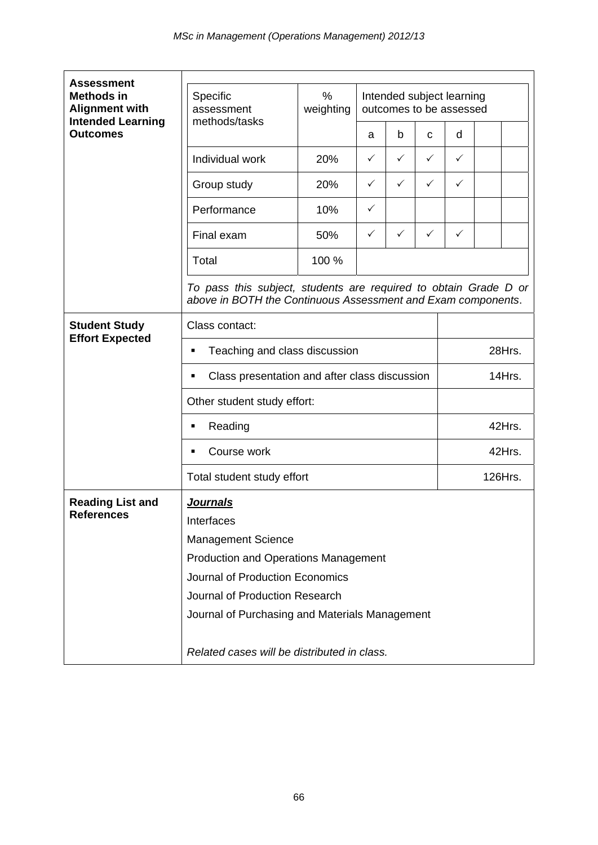| <b>Assessment</b>                                                      |                                                                                                                                  |                |              |                                                      |              |              |        |  |  |
|------------------------------------------------------------------------|----------------------------------------------------------------------------------------------------------------------------------|----------------|--------------|------------------------------------------------------|--------------|--------------|--------|--|--|
| <b>Methods in</b><br><b>Alignment with</b><br><b>Intended Learning</b> | Specific<br>assessment<br>methods/tasks                                                                                          | %<br>weighting |              | Intended subject learning<br>outcomes to be assessed |              |              |        |  |  |
| <b>Outcomes</b>                                                        |                                                                                                                                  |                | a            | b                                                    | C            | d            |        |  |  |
|                                                                        | Individual work                                                                                                                  | 20%            | $\checkmark$ | ✓                                                    | $\checkmark$ | $\checkmark$ |        |  |  |
|                                                                        | Group study                                                                                                                      | 20%            | ✓            | $\checkmark$                                         | ✓            | $\checkmark$ |        |  |  |
|                                                                        | Performance                                                                                                                      | 10%            | ✓            |                                                      |              |              |        |  |  |
|                                                                        | Final exam                                                                                                                       | 50%            | ✓            | $\checkmark$                                         | $\checkmark$ | $\checkmark$ |        |  |  |
|                                                                        | Total                                                                                                                            | 100 %          |              |                                                      |              |              |        |  |  |
|                                                                        | To pass this subject, students are required to obtain Grade D or<br>above in BOTH the Continuous Assessment and Exam components. |                |              |                                                      |              |              |        |  |  |
| <b>Student Study</b>                                                   | Class contact:                                                                                                                   |                |              |                                                      |              |              |        |  |  |
| <b>Effort Expected</b>                                                 | Teaching and class discussion<br>٠                                                                                               |                |              |                                                      |              |              | 28Hrs. |  |  |
|                                                                        | Class presentation and after class discussion<br>٠                                                                               |                |              |                                                      |              |              | 14Hrs. |  |  |
|                                                                        | Other student study effort:<br>Reading<br>٠<br>Course work<br>٠                                                                  |                |              |                                                      |              |              |        |  |  |
|                                                                        |                                                                                                                                  |                |              |                                                      |              | 42Hrs.       |        |  |  |
|                                                                        |                                                                                                                                  |                |              |                                                      |              | 42Hrs.       |        |  |  |
|                                                                        | Total student study effort                                                                                                       |                |              |                                                      |              | 126Hrs.      |        |  |  |
| <b>Reading List and</b>                                                | <u>Journals</u>                                                                                                                  |                |              |                                                      |              |              |        |  |  |
| <b>References</b>                                                      | Interfaces                                                                                                                       |                |              |                                                      |              |              |        |  |  |
|                                                                        | <b>Management Science</b>                                                                                                        |                |              |                                                      |              |              |        |  |  |
|                                                                        | <b>Production and Operations Management</b>                                                                                      |                |              |                                                      |              |              |        |  |  |
|                                                                        | Journal of Production Economics                                                                                                  |                |              |                                                      |              |              |        |  |  |
|                                                                        | Journal of Production Research                                                                                                   |                |              |                                                      |              |              |        |  |  |
|                                                                        | Journal of Purchasing and Materials Management                                                                                   |                |              |                                                      |              |              |        |  |  |
|                                                                        | Related cases will be distributed in class.                                                                                      |                |              |                                                      |              |              |        |  |  |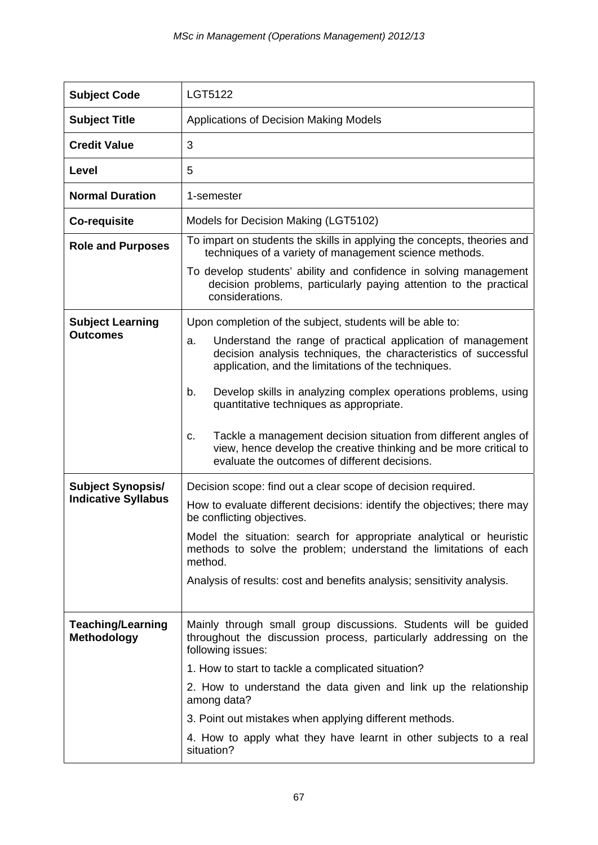| <b>Subject Code</b>        | LGT5122                                                                                                                                                                                     |
|----------------------------|---------------------------------------------------------------------------------------------------------------------------------------------------------------------------------------------|
| <b>Subject Title</b>       | Applications of Decision Making Models                                                                                                                                                      |
| <b>Credit Value</b>        | 3                                                                                                                                                                                           |
| Level                      | 5                                                                                                                                                                                           |
| <b>Normal Duration</b>     | 1-semester                                                                                                                                                                                  |
| Co-requisite               | Models for Decision Making (LGT5102)                                                                                                                                                        |
| <b>Role and Purposes</b>   | To impart on students the skills in applying the concepts, theories and<br>techniques of a variety of management science methods.                                                           |
|                            | To develop students' ability and confidence in solving management<br>decision problems, particularly paying attention to the practical<br>considerations.                                   |
| <b>Subject Learning</b>    | Upon completion of the subject, students will be able to:                                                                                                                                   |
| <b>Outcomes</b>            | Understand the range of practical application of management<br>a.<br>decision analysis techniques, the characteristics of successful<br>application, and the limitations of the techniques. |
|                            | Develop skills in analyzing complex operations problems, using<br>b.<br>quantitative techniques as appropriate.                                                                             |
|                            | Tackle a management decision situation from different angles of<br>C.<br>view, hence develop the creative thinking and be more critical to<br>evaluate the outcomes of different decisions. |
| <b>Subject Synopsis/</b>   | Decision scope: find out a clear scope of decision required.                                                                                                                                |
| <b>Indicative Syllabus</b> | How to evaluate different decisions: identify the objectives; there may<br>be conflicting objectives.                                                                                       |
|                            | Model the situation: search for appropriate analytical or heuristic<br>methods to solve the problem; understand the limitations of each<br>method.                                          |
|                            | Analysis of results: cost and benefits analysis; sensitivity analysis.                                                                                                                      |
| <b>Teaching/Learning</b>   | Mainly through small group discussions. Students will be guided                                                                                                                             |
| Methodology                | throughout the discussion process, particularly addressing on the<br>following issues:                                                                                                      |
|                            | 1. How to start to tackle a complicated situation?                                                                                                                                          |
|                            | 2. How to understand the data given and link up the relationship<br>among data?                                                                                                             |
|                            | 3. Point out mistakes when applying different methods.                                                                                                                                      |
|                            | 4. How to apply what they have learnt in other subjects to a real<br>situation?                                                                                                             |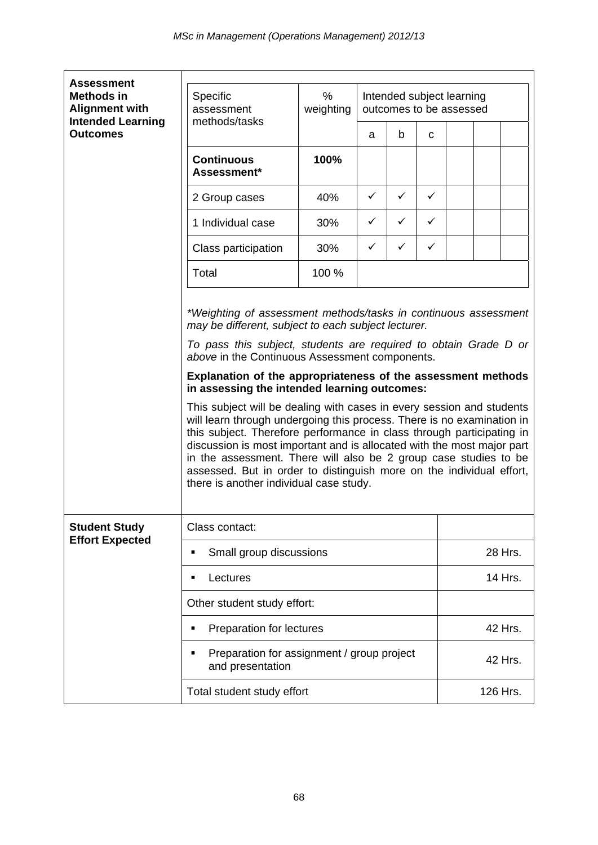| <b>Assessment</b>                                                                         |                                                                                                                                                                                                  |                |                                                                                                                                                                                                                                                                                                                                                                                                                                                                                                                                                                                                                                                       |              |              |                                                      |  |         |  |  |
|-------------------------------------------------------------------------------------------|--------------------------------------------------------------------------------------------------------------------------------------------------------------------------------------------------|----------------|-------------------------------------------------------------------------------------------------------------------------------------------------------------------------------------------------------------------------------------------------------------------------------------------------------------------------------------------------------------------------------------------------------------------------------------------------------------------------------------------------------------------------------------------------------------------------------------------------------------------------------------------------------|--------------|--------------|------------------------------------------------------|--|---------|--|--|
| <b>Methods in</b><br><b>Alignment with</b><br><b>Intended Learning</b><br><b>Outcomes</b> | Specific<br>assessment<br>methods/tasks                                                                                                                                                          | %<br>weighting |                                                                                                                                                                                                                                                                                                                                                                                                                                                                                                                                                                                                                                                       |              |              | Intended subject learning<br>outcomes to be assessed |  |         |  |  |
|                                                                                           |                                                                                                                                                                                                  |                | a                                                                                                                                                                                                                                                                                                                                                                                                                                                                                                                                                                                                                                                     | b            | C            |                                                      |  |         |  |  |
|                                                                                           | <b>Continuous</b><br>Assessment*                                                                                                                                                                 | 100%           |                                                                                                                                                                                                                                                                                                                                                                                                                                                                                                                                                                                                                                                       |              |              |                                                      |  |         |  |  |
|                                                                                           | 2 Group cases                                                                                                                                                                                    | 40%            | ✓                                                                                                                                                                                                                                                                                                                                                                                                                                                                                                                                                                                                                                                     | $\checkmark$ | $\checkmark$ |                                                      |  |         |  |  |
|                                                                                           | 1 Individual case                                                                                                                                                                                | 30%            | ✓                                                                                                                                                                                                                                                                                                                                                                                                                                                                                                                                                                                                                                                     | ✓            | ✓            |                                                      |  |         |  |  |
|                                                                                           | Class participation                                                                                                                                                                              | 30%            | ✓                                                                                                                                                                                                                                                                                                                                                                                                                                                                                                                                                                                                                                                     | ✓            | ✓            |                                                      |  |         |  |  |
|                                                                                           | Total                                                                                                                                                                                            | 100 %          |                                                                                                                                                                                                                                                                                                                                                                                                                                                                                                                                                                                                                                                       |              |              |                                                      |  |         |  |  |
|                                                                                           | may be different, subject to each subject lecturer.<br>above in the Continuous Assessment components.<br>in assessing the intended learning outcomes:<br>there is another individual case study. |                | *Weighting of assessment methods/tasks in continuous assessment<br>To pass this subject, students are required to obtain Grade D or<br>Explanation of the appropriateness of the assessment methods<br>This subject will be dealing with cases in every session and students<br>will learn through undergoing this process. There is no examination in<br>this subject. Therefore performance in class through participating in<br>discussion is most important and is allocated with the most major part<br>in the assessment. There will also be 2 group case studies to be<br>assessed. But in order to distinguish more on the individual effort, |              |              |                                                      |  |         |  |  |
| <b>Student Study</b><br><b>Effort Expected</b>                                            | Class contact:                                                                                                                                                                                   |                |                                                                                                                                                                                                                                                                                                                                                                                                                                                                                                                                                                                                                                                       |              |              |                                                      |  |         |  |  |
|                                                                                           | Small group discussions<br>٠                                                                                                                                                                     |                |                                                                                                                                                                                                                                                                                                                                                                                                                                                                                                                                                                                                                                                       |              | 28 Hrs.      |                                                      |  |         |  |  |
|                                                                                           | Lectures<br>$\blacksquare$                                                                                                                                                                       |                |                                                                                                                                                                                                                                                                                                                                                                                                                                                                                                                                                                                                                                                       |              |              | 14 Hrs.                                              |  |         |  |  |
|                                                                                           | Other student study effort:                                                                                                                                                                      |                |                                                                                                                                                                                                                                                                                                                                                                                                                                                                                                                                                                                                                                                       |              |              |                                                      |  |         |  |  |
|                                                                                           | Preparation for lectures<br>٠                                                                                                                                                                    |                |                                                                                                                                                                                                                                                                                                                                                                                                                                                                                                                                                                                                                                                       |              |              |                                                      |  | 42 Hrs. |  |  |
|                                                                                           | Preparation for assignment / group project<br>٠<br>and presentation                                                                                                                              |                |                                                                                                                                                                                                                                                                                                                                                                                                                                                                                                                                                                                                                                                       |              |              | 42 Hrs.                                              |  |         |  |  |
|                                                                                           | Total student study effort                                                                                                                                                                       |                |                                                                                                                                                                                                                                                                                                                                                                                                                                                                                                                                                                                                                                                       |              |              | 126 Hrs.                                             |  |         |  |  |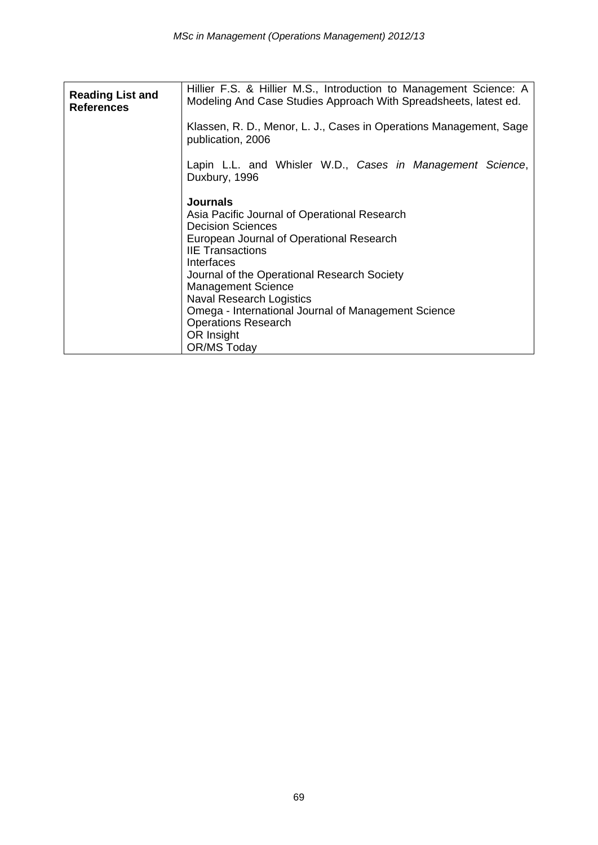| <b>Reading List and</b><br><b>References</b> | Hillier F.S. & Hillier M.S., Introduction to Management Science: A<br>Modeling And Case Studies Approach With Spreadsheets, latest ed.                                                                                                                                                                                                                                                                                   |  |  |  |  |  |  |  |  |
|----------------------------------------------|--------------------------------------------------------------------------------------------------------------------------------------------------------------------------------------------------------------------------------------------------------------------------------------------------------------------------------------------------------------------------------------------------------------------------|--|--|--|--|--|--|--|--|
|                                              | Klassen, R. D., Menor, L. J., Cases in Operations Management, Sage<br>publication, 2006                                                                                                                                                                                                                                                                                                                                  |  |  |  |  |  |  |  |  |
|                                              | Lapin L.L. and Whisler W.D., Cases in Management Science,<br>Duxbury, 1996                                                                                                                                                                                                                                                                                                                                               |  |  |  |  |  |  |  |  |
|                                              | <b>Journals</b><br>Asia Pacific Journal of Operational Research<br><b>Decision Sciences</b><br>European Journal of Operational Research<br><b>IIE Transactions</b><br>Interfaces<br>Journal of the Operational Research Society<br><b>Management Science</b><br><b>Naval Research Logistics</b><br>Omega - International Journal of Management Science<br><b>Operations Research</b><br>OR Insight<br><b>OR/MS Today</b> |  |  |  |  |  |  |  |  |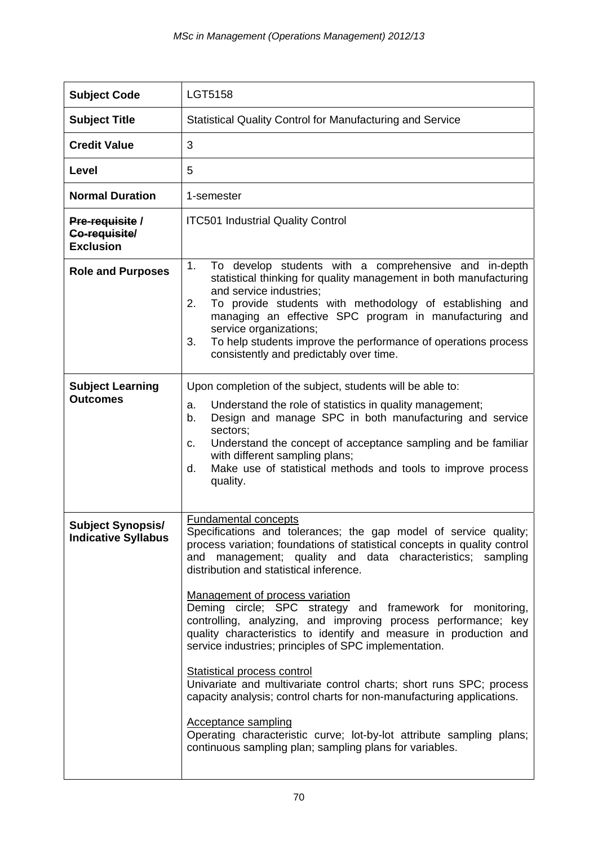| <b>Subject Code</b>                                    | <b>LGT5158</b>                                                                                                                                                                                                                                                                                                                                                                                                                                                                                                                                                                                                                                                                                                                                                                                                                                                                                                                               |  |  |  |  |  |  |
|--------------------------------------------------------|----------------------------------------------------------------------------------------------------------------------------------------------------------------------------------------------------------------------------------------------------------------------------------------------------------------------------------------------------------------------------------------------------------------------------------------------------------------------------------------------------------------------------------------------------------------------------------------------------------------------------------------------------------------------------------------------------------------------------------------------------------------------------------------------------------------------------------------------------------------------------------------------------------------------------------------------|--|--|--|--|--|--|
| <b>Subject Title</b>                                   | <b>Statistical Quality Control for Manufacturing and Service</b>                                                                                                                                                                                                                                                                                                                                                                                                                                                                                                                                                                                                                                                                                                                                                                                                                                                                             |  |  |  |  |  |  |
| <b>Credit Value</b>                                    | 3                                                                                                                                                                                                                                                                                                                                                                                                                                                                                                                                                                                                                                                                                                                                                                                                                                                                                                                                            |  |  |  |  |  |  |
| Level                                                  | 5                                                                                                                                                                                                                                                                                                                                                                                                                                                                                                                                                                                                                                                                                                                                                                                                                                                                                                                                            |  |  |  |  |  |  |
| <b>Normal Duration</b>                                 | 1-semester                                                                                                                                                                                                                                                                                                                                                                                                                                                                                                                                                                                                                                                                                                                                                                                                                                                                                                                                   |  |  |  |  |  |  |
| Pre-requisite /<br>Co-requisite/<br><b>Exclusion</b>   | <b>ITC501 Industrial Quality Control</b>                                                                                                                                                                                                                                                                                                                                                                                                                                                                                                                                                                                                                                                                                                                                                                                                                                                                                                     |  |  |  |  |  |  |
| <b>Role and Purposes</b>                               | 1.<br>To develop students with a comprehensive and in-depth<br>statistical thinking for quality management in both manufacturing<br>and service industries;<br>2.<br>To provide students with methodology of establishing and<br>managing an effective SPC program in manufacturing and<br>service organizations;<br>To help students improve the performance of operations process<br>3.<br>consistently and predictably over time.                                                                                                                                                                                                                                                                                                                                                                                                                                                                                                         |  |  |  |  |  |  |
| <b>Subject Learning</b><br><b>Outcomes</b>             | Upon completion of the subject, students will be able to:<br>Understand the role of statistics in quality management;<br>a.<br>Design and manage SPC in both manufacturing and service<br>b.<br>sectors;<br>Understand the concept of acceptance sampling and be familiar<br>c.<br>with different sampling plans;<br>Make use of statistical methods and tools to improve process<br>d.<br>quality.                                                                                                                                                                                                                                                                                                                                                                                                                                                                                                                                          |  |  |  |  |  |  |
| <b>Subject Synopsis/</b><br><b>Indicative Syllabus</b> | <b>Fundamental concepts</b><br>Specifications and tolerances; the gap model of service quality;<br>process variation; foundations of statistical concepts in quality control<br>and management; quality and data characteristics; sampling<br>distribution and statistical inference.<br>Management of process variation<br>Deming circle; SPC strategy and framework for monitoring,<br>controlling, analyzing, and improving process performance; key<br>quality characteristics to identify and measure in production and<br>service industries; principles of SPC implementation.<br><b>Statistical process control</b><br>Univariate and multivariate control charts; short runs SPC; process<br>capacity analysis; control charts for non-manufacturing applications.<br><b>Acceptance sampling</b><br>Operating characteristic curve; lot-by-lot attribute sampling plans;<br>continuous sampling plan; sampling plans for variables. |  |  |  |  |  |  |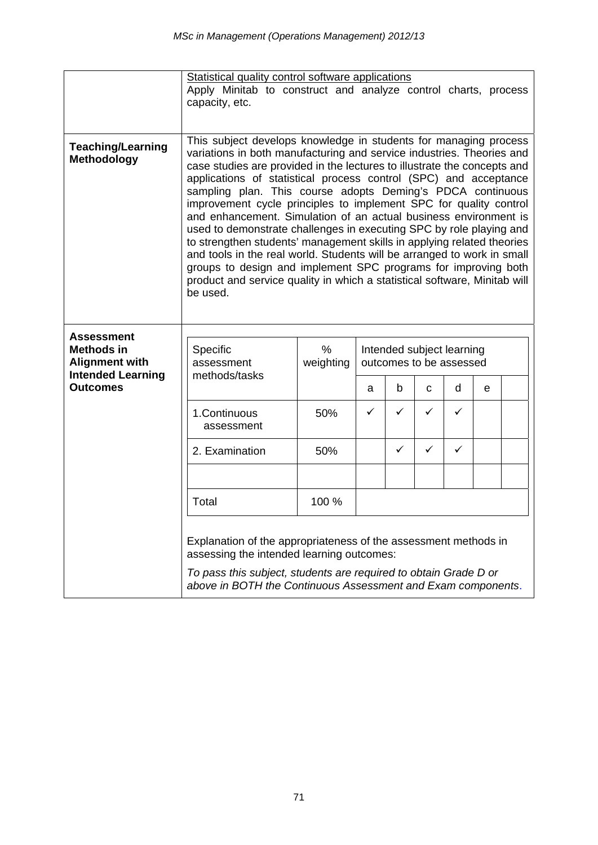|                                                                                                         | Statistical quality control software applications<br>Apply Minitab to construct and analyze control charts, process<br>capacity, etc.                                                                                                                                                                                                                                                                                                                                                                                                                                                                                                                                                                                                                                                                                                                                                   |                |   |   |                                                                     |              |  |  |  |  |
|---------------------------------------------------------------------------------------------------------|-----------------------------------------------------------------------------------------------------------------------------------------------------------------------------------------------------------------------------------------------------------------------------------------------------------------------------------------------------------------------------------------------------------------------------------------------------------------------------------------------------------------------------------------------------------------------------------------------------------------------------------------------------------------------------------------------------------------------------------------------------------------------------------------------------------------------------------------------------------------------------------------|----------------|---|---|---------------------------------------------------------------------|--------------|--|--|--|--|
| <b>Teaching/Learning</b><br>Methodology                                                                 | This subject develops knowledge in students for managing process<br>variations in both manufacturing and service industries. Theories and<br>case studies are provided in the lectures to illustrate the concepts and<br>applications of statistical process control (SPC) and acceptance<br>sampling plan. This course adopts Deming's PDCA continuous<br>improvement cycle principles to implement SPC for quality control<br>and enhancement. Simulation of an actual business environment is<br>used to demonstrate challenges in executing SPC by role playing and<br>to strengthen students' management skills in applying related theories<br>and tools in the real world. Students will be arranged to work in small<br>groups to design and implement SPC programs for improving both<br>product and service quality in which a statistical software, Minitab will<br>be used. |                |   |   |                                                                     |              |  |  |  |  |
| <b>Assessment</b><br>Methods in<br><b>Alignment with</b><br><b>Intended Learning</b><br><b>Outcomes</b> | Specific<br>assessment<br>methods/tasks                                                                                                                                                                                                                                                                                                                                                                                                                                                                                                                                                                                                                                                                                                                                                                                                                                                 | %<br>weighting | a | b | Intended subject learning<br>outcomes to be assessed<br>d<br>С<br>e |              |  |  |  |  |
|                                                                                                         | 1.Continuous<br>assessment                                                                                                                                                                                                                                                                                                                                                                                                                                                                                                                                                                                                                                                                                                                                                                                                                                                              | 50%            | ✓ | ✓ | $\checkmark$                                                        | ✓            |  |  |  |  |
|                                                                                                         | 2. Examination                                                                                                                                                                                                                                                                                                                                                                                                                                                                                                                                                                                                                                                                                                                                                                                                                                                                          | 50%            |   | ✓ | $\checkmark$                                                        | $\checkmark$ |  |  |  |  |
|                                                                                                         | 100 %<br>Total                                                                                                                                                                                                                                                                                                                                                                                                                                                                                                                                                                                                                                                                                                                                                                                                                                                                          |                |   |   |                                                                     |              |  |  |  |  |
|                                                                                                         | Explanation of the appropriateness of the assessment methods in<br>assessing the intended learning outcomes:<br>To pass this subject, students are required to obtain Grade D or<br>above in BOTH the Continuous Assessment and Exam components.                                                                                                                                                                                                                                                                                                                                                                                                                                                                                                                                                                                                                                        |                |   |   |                                                                     |              |  |  |  |  |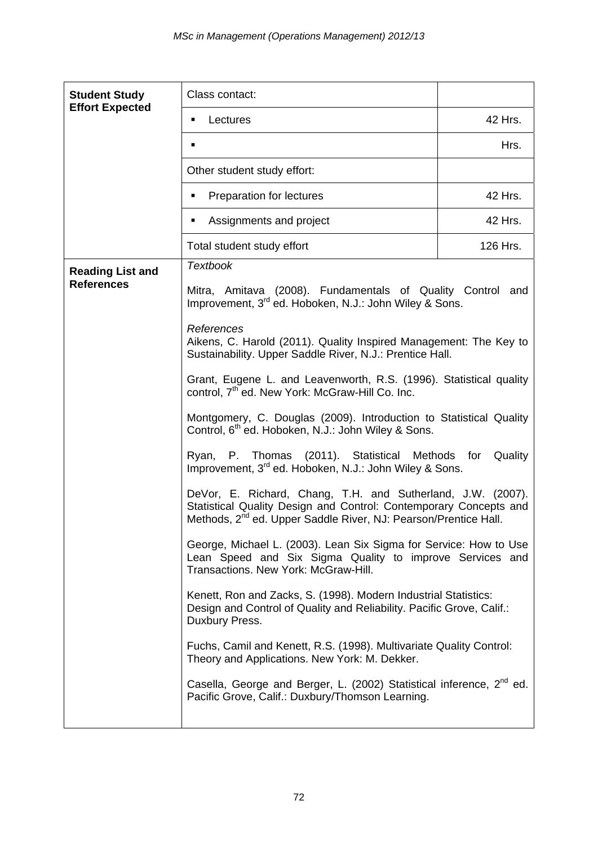| <b>Student Study</b>    | Class contact:                                                                                                                                                                                                  |          |  |  |  |  |
|-------------------------|-----------------------------------------------------------------------------------------------------------------------------------------------------------------------------------------------------------------|----------|--|--|--|--|
| <b>Effort Expected</b>  | Lectures<br>٠                                                                                                                                                                                                   | 42 Hrs.  |  |  |  |  |
|                         | $\blacksquare$                                                                                                                                                                                                  |          |  |  |  |  |
|                         | Other student study effort:                                                                                                                                                                                     |          |  |  |  |  |
|                         | Preparation for lectures<br>٠                                                                                                                                                                                   | 42 Hrs.  |  |  |  |  |
|                         | Assignments and project<br>٠                                                                                                                                                                                    | 42 Hrs.  |  |  |  |  |
|                         | Total student study effort                                                                                                                                                                                      | 126 Hrs. |  |  |  |  |
| <b>Reading List and</b> | <b>Textbook</b>                                                                                                                                                                                                 |          |  |  |  |  |
| <b>References</b>       | Mitra, Amitava (2008). Fundamentals of Quality Control and<br>Improvement, 3 <sup>rd</sup> ed. Hoboken, N.J.: John Wiley & Sons.                                                                                |          |  |  |  |  |
|                         | References<br>Aikens, C. Harold (2011). Quality Inspired Management: The Key to<br>Sustainability. Upper Saddle River, N.J.: Prentice Hall.                                                                     |          |  |  |  |  |
|                         | Grant, Eugene L. and Leavenworth, R.S. (1996). Statistical quality<br>control, 7 <sup>th</sup> ed. New York: McGraw-Hill Co. Inc.                                                                               |          |  |  |  |  |
|                         | Montgomery, C. Douglas (2009). Introduction to Statistical Quality<br>Control, 6 <sup>th</sup> ed. Hoboken, N.J.: John Wiley & Sons.                                                                            |          |  |  |  |  |
|                         | Ryan, P. Thomas (2011). Statistical Methods<br>for<br>Quality<br>Improvement, 3 <sup>rd</sup> ed. Hoboken, N.J.: John Wiley & Sons.                                                                             |          |  |  |  |  |
|                         | DeVor, E. Richard, Chang, T.H. and Sutherland, J.W. (2007).<br>Statistical Quality Design and Control: Contemporary Concepts and<br>Methods, 2 <sup>nd</sup> ed. Upper Saddle River, NJ: Pearson/Prentice Hall. |          |  |  |  |  |
|                         | George, Michael L. (2003). Lean Six Sigma for Service: How to Use<br>Lean Speed and Six Sigma Quality to improve Services and<br>Transactions. New York: McGraw-Hill.                                           |          |  |  |  |  |
|                         | Kenett, Ron and Zacks, S. (1998). Modern Industrial Statistics:<br>Design and Control of Quality and Reliability. Pacific Grove, Calif.:<br>Duxbury Press.                                                      |          |  |  |  |  |
|                         | Fuchs, Camil and Kenett, R.S. (1998). Multivariate Quality Control:<br>Theory and Applications. New York: M. Dekker.                                                                                            |          |  |  |  |  |
|                         | Casella, George and Berger, L. (2002) Statistical inference, 2 <sup>nd</sup> ed.<br>Pacific Grove, Calif.: Duxbury/Thomson Learning.                                                                            |          |  |  |  |  |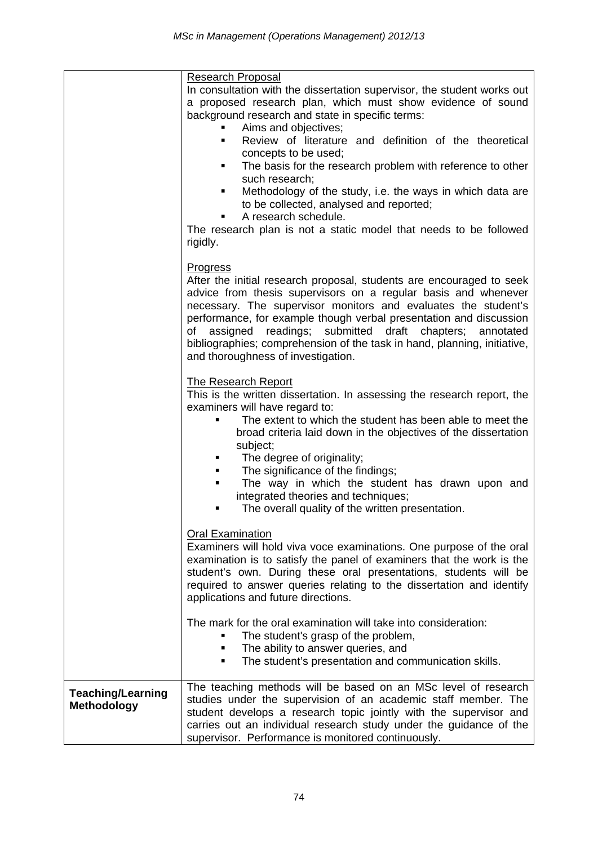|                                                | <b>Research Proposal</b><br>In consultation with the dissertation supervisor, the student works out<br>a proposed research plan, which must show evidence of sound<br>background research and state in specific terms:<br>Aims and objectives;<br>Review of literature and definition of the theoretical<br>٠<br>concepts to be used;<br>The basis for the research problem with reference to other<br>٠<br>such research;<br>Methodology of the study, i.e. the ways in which data are<br>٠<br>to be collected, analysed and reported;<br>A research schedule.<br>The research plan is not a static model that needs to be followed<br>rigidly. |
|------------------------------------------------|--------------------------------------------------------------------------------------------------------------------------------------------------------------------------------------------------------------------------------------------------------------------------------------------------------------------------------------------------------------------------------------------------------------------------------------------------------------------------------------------------------------------------------------------------------------------------------------------------------------------------------------------------|
|                                                | <b>Progress</b><br>After the initial research proposal, students are encouraged to seek<br>advice from thesis supervisors on a regular basis and whenever<br>necessary. The supervisor monitors and evaluates the student's<br>performance, for example though verbal presentation and discussion<br>readings; submitted<br>draft chapters;<br>of<br>assigned<br>annotated<br>bibliographies; comprehension of the task in hand, planning, initiative,<br>and thoroughness of investigation.                                                                                                                                                     |
|                                                | <b>The Research Report</b><br>This is the written dissertation. In assessing the research report, the<br>examiners will have regard to:<br>The extent to which the student has been able to meet the<br>broad criteria laid down in the objectives of the dissertation<br>subject;<br>The degree of originality;<br>٠<br>The significance of the findings;<br>The way in which the student has drawn upon and<br>٠<br>integrated theories and techniques;<br>The overall quality of the written presentation.<br>٠                                                                                                                               |
|                                                | <b>Oral Examination</b><br>Examiners will hold viva voce examinations. One purpose of the oral<br>examination is to satisfy the panel of examiners that the work is the<br>student's own. During these oral presentations, students will be<br>required to answer queries relating to the dissertation and identify<br>applications and future directions.                                                                                                                                                                                                                                                                                       |
|                                                | The mark for the oral examination will take into consideration:<br>The student's grasp of the problem,<br>The ability to answer queries, and<br>٠<br>The student's presentation and communication skills.<br>٠                                                                                                                                                                                                                                                                                                                                                                                                                                   |
| <b>Teaching/Learning</b><br><b>Methodology</b> | The teaching methods will be based on an MSc level of research<br>studies under the supervision of an academic staff member. The<br>student develops a research topic jointly with the supervisor and<br>carries out an individual research study under the guidance of the<br>supervisor. Performance is monitored continuously.                                                                                                                                                                                                                                                                                                                |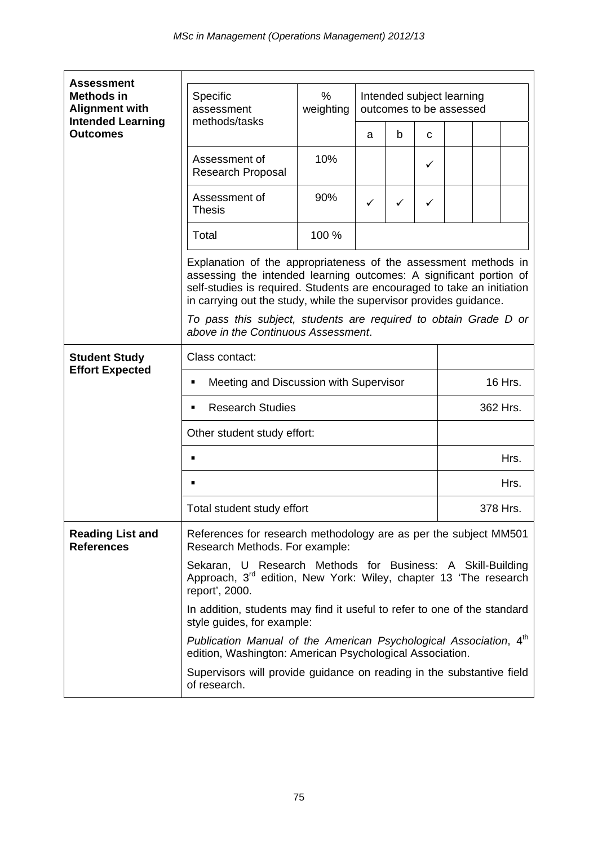| <b>Assessment</b>                                                      |                                                                                                                                                  |                                                                       |                                                                  |   |                                                                                                                                                                                                                  |          |          |  |  |  |
|------------------------------------------------------------------------|--------------------------------------------------------------------------------------------------------------------------------------------------|-----------------------------------------------------------------------|------------------------------------------------------------------|---|------------------------------------------------------------------------------------------------------------------------------------------------------------------------------------------------------------------|----------|----------|--|--|--|
| <b>Methods in</b><br><b>Alignment with</b><br><b>Intended Learning</b> | Specific<br>%<br>Intended subject learning<br>weighting<br>outcomes to be assessed<br>assessment<br>methods/tasks                                |                                                                       |                                                                  |   |                                                                                                                                                                                                                  |          |          |  |  |  |
| <b>Outcomes</b>                                                        |                                                                                                                                                  |                                                                       | a                                                                | b | C                                                                                                                                                                                                                |          |          |  |  |  |
|                                                                        | Assessment of<br>Research Proposal                                                                                                               | 10%                                                                   |                                                                  |   | $\checkmark$                                                                                                                                                                                                     |          |          |  |  |  |
|                                                                        | Assessment of<br><b>Thesis</b>                                                                                                                   | 90%                                                                   | ✓                                                                | ✓ | ✓                                                                                                                                                                                                                |          |          |  |  |  |
|                                                                        | Total                                                                                                                                            | 100 %                                                                 |                                                                  |   |                                                                                                                                                                                                                  |          |          |  |  |  |
|                                                                        | in carrying out the study, while the supervisor provides guidance.                                                                               |                                                                       |                                                                  |   | Explanation of the appropriateness of the assessment methods in<br>assessing the intended learning outcomes: A significant portion of<br>self-studies is required. Students are encouraged to take an initiation |          |          |  |  |  |
|                                                                        | above in the Continuous Assessment.                                                                                                              |                                                                       | To pass this subject, students are required to obtain Grade D or |   |                                                                                                                                                                                                                  |          |          |  |  |  |
| <b>Student Study</b>                                                   | Class contact:                                                                                                                                   |                                                                       |                                                                  |   |                                                                                                                                                                                                                  |          |          |  |  |  |
| <b>Effort Expected</b>                                                 | Meeting and Discussion with Supervisor<br>$\blacksquare$                                                                                         |                                                                       |                                                                  |   |                                                                                                                                                                                                                  |          | 16 Hrs.  |  |  |  |
|                                                                        | <b>Research Studies</b><br>٠                                                                                                                     |                                                                       |                                                                  |   |                                                                                                                                                                                                                  | 362 Hrs. |          |  |  |  |
|                                                                        | Other student study effort:                                                                                                                      |                                                                       |                                                                  |   |                                                                                                                                                                                                                  |          |          |  |  |  |
|                                                                        | ٠                                                                                                                                                |                                                                       |                                                                  |   |                                                                                                                                                                                                                  | Hrs.     |          |  |  |  |
|                                                                        | $\blacksquare$                                                                                                                                   |                                                                       |                                                                  |   |                                                                                                                                                                                                                  | Hrs.     |          |  |  |  |
|                                                                        | Total student study effort                                                                                                                       |                                                                       |                                                                  |   |                                                                                                                                                                                                                  |          | 378 Hrs. |  |  |  |
| <b>Reading List and</b><br><b>References</b>                           | References for research methodology are as per the subject MM501<br>Research Methods. For example:                                               |                                                                       |                                                                  |   |                                                                                                                                                                                                                  |          |          |  |  |  |
|                                                                        | Sekaran, U Research Methods for Business: A Skill-Building<br>Approach, 3rd edition, New York: Wiley, chapter 13 'The research<br>report', 2000. |                                                                       |                                                                  |   |                                                                                                                                                                                                                  |          |          |  |  |  |
|                                                                        | In addition, students may find it useful to refer to one of the standard<br>style guides, for example:                                           |                                                                       |                                                                  |   |                                                                                                                                                                                                                  |          |          |  |  |  |
|                                                                        | Publication Manual of the American Psychological Association, 4 <sup>th</sup><br>edition, Washington: American Psychological Association.        |                                                                       |                                                                  |   |                                                                                                                                                                                                                  |          |          |  |  |  |
|                                                                        | of research.                                                                                                                                     | Supervisors will provide guidance on reading in the substantive field |                                                                  |   |                                                                                                                                                                                                                  |          |          |  |  |  |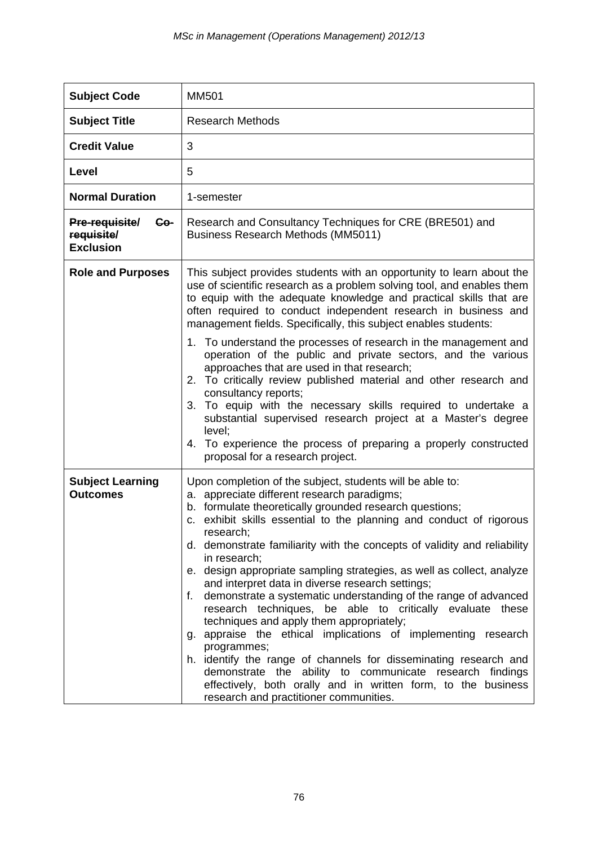| <b>Subject Code</b>                                     | <b>MM501</b>                                                                                                                                                                                                                                                                                                                                                                                                                                                                                                                                                                                                                                                                                                                                                                                                                                                                                                                                                                                   |
|---------------------------------------------------------|------------------------------------------------------------------------------------------------------------------------------------------------------------------------------------------------------------------------------------------------------------------------------------------------------------------------------------------------------------------------------------------------------------------------------------------------------------------------------------------------------------------------------------------------------------------------------------------------------------------------------------------------------------------------------------------------------------------------------------------------------------------------------------------------------------------------------------------------------------------------------------------------------------------------------------------------------------------------------------------------|
| <b>Subject Title</b>                                    | <b>Research Methods</b>                                                                                                                                                                                                                                                                                                                                                                                                                                                                                                                                                                                                                                                                                                                                                                                                                                                                                                                                                                        |
| <b>Credit Value</b>                                     | 3                                                                                                                                                                                                                                                                                                                                                                                                                                                                                                                                                                                                                                                                                                                                                                                                                                                                                                                                                                                              |
| Level                                                   | 5                                                                                                                                                                                                                                                                                                                                                                                                                                                                                                                                                                                                                                                                                                                                                                                                                                                                                                                                                                                              |
| <b>Normal Duration</b>                                  | 1-semester                                                                                                                                                                                                                                                                                                                                                                                                                                                                                                                                                                                                                                                                                                                                                                                                                                                                                                                                                                                     |
| Pre-requisite/<br>Co-<br>requisite/<br><b>Exclusion</b> | Research and Consultancy Techniques for CRE (BRE501) and<br><b>Business Research Methods (MM5011)</b>                                                                                                                                                                                                                                                                                                                                                                                                                                                                                                                                                                                                                                                                                                                                                                                                                                                                                          |
| <b>Role and Purposes</b>                                | This subject provides students with an opportunity to learn about the<br>use of scientific research as a problem solving tool, and enables them<br>to equip with the adequate knowledge and practical skills that are<br>often required to conduct independent research in business and<br>management fields. Specifically, this subject enables students:                                                                                                                                                                                                                                                                                                                                                                                                                                                                                                                                                                                                                                     |
|                                                         | 1. To understand the processes of research in the management and<br>operation of the public and private sectors, and the various<br>approaches that are used in that research;<br>2. To critically review published material and other research and<br>consultancy reports;<br>3. To equip with the necessary skills required to undertake a<br>substantial supervised research project at a Master's degree<br>level;<br>4. To experience the process of preparing a properly constructed<br>proposal for a research project.                                                                                                                                                                                                                                                                                                                                                                                                                                                                 |
| <b>Subject Learning</b><br><b>Outcomes</b>              | Upon completion of the subject, students will be able to:<br>a. appreciate different research paradigms;<br>b. formulate theoretically grounded research questions;<br>c. exhibit skills essential to the planning and conduct of rigorous<br>research;<br>d. demonstrate familiarity with the concepts of validity and reliability<br>in research;<br>e. design appropriate sampling strategies, as well as collect, analyze<br>and interpret data in diverse research settings;<br>demonstrate a systematic understanding of the range of advanced<br>f.<br>research techniques, be able to critically evaluate these<br>techniques and apply them appropriately;<br>g. appraise the ethical implications of implementing research<br>programmes;<br>h. identify the range of channels for disseminating research and<br>demonstrate the ability to communicate research findings<br>effectively, both orally and in written form, to the business<br>research and practitioner communities. |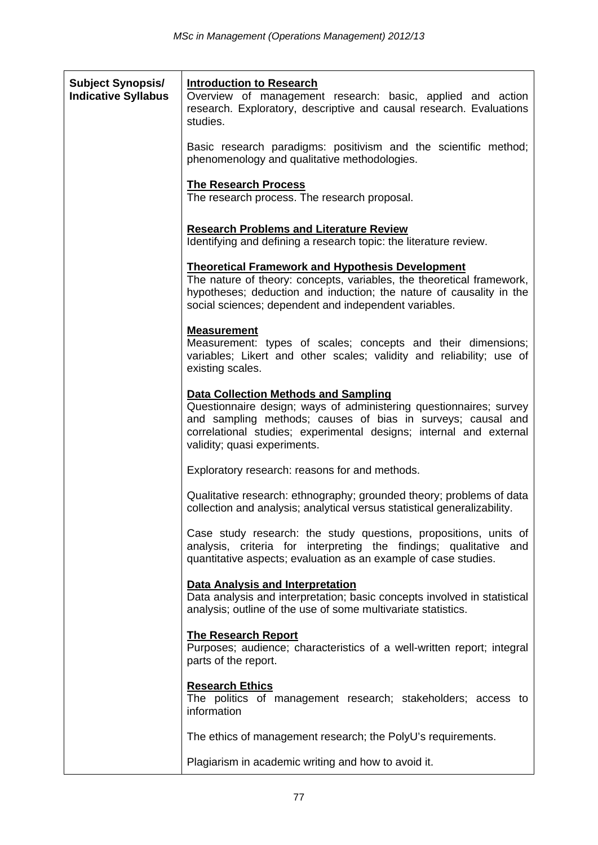| <b>Subject Synopsis/</b><br><b>Indicative Syllabus</b> | <b>Introduction to Research</b><br>Overview of management research: basic, applied and action<br>research. Exploratory, descriptive and causal research. Evaluations<br>studies.                                                                                                       |
|--------------------------------------------------------|----------------------------------------------------------------------------------------------------------------------------------------------------------------------------------------------------------------------------------------------------------------------------------------|
|                                                        | Basic research paradigms: positivism and the scientific method;<br>phenomenology and qualitative methodologies.                                                                                                                                                                        |
|                                                        | <b>The Research Process</b><br>The research process. The research proposal.                                                                                                                                                                                                            |
|                                                        | <b>Research Problems and Literature Review</b><br>Identifying and defining a research topic: the literature review.                                                                                                                                                                    |
|                                                        | <b>Theoretical Framework and Hypothesis Development</b><br>The nature of theory: concepts, variables, the theoretical framework,<br>hypotheses; deduction and induction; the nature of causality in the<br>social sciences; dependent and independent variables.                       |
|                                                        | <b>Measurement</b><br>Measurement: types of scales; concepts and their dimensions;<br>variables; Likert and other scales; validity and reliability; use of<br>existing scales.                                                                                                         |
|                                                        | <b>Data Collection Methods and Sampling</b><br>Questionnaire design; ways of administering questionnaires; survey<br>and sampling methods; causes of bias in surveys; causal and<br>correlational studies; experimental designs; internal and external<br>validity; quasi experiments. |
|                                                        | Exploratory research: reasons for and methods.                                                                                                                                                                                                                                         |
|                                                        | Qualitative research: ethnography; grounded theory; problems of data<br>collection and analysis; analytical versus statistical generalizability.                                                                                                                                       |
|                                                        | Case study research: the study questions, propositions, units of<br>analysis, criteria for interpreting the findings; qualitative<br>and<br>quantitative aspects; evaluation as an example of case studies.                                                                            |
|                                                        | <b>Data Analysis and Interpretation</b><br>Data analysis and interpretation; basic concepts involved in statistical<br>analysis; outline of the use of some multivariate statistics.                                                                                                   |
|                                                        | <b>The Research Report</b><br>Purposes; audience; characteristics of a well-written report; integral<br>parts of the report.                                                                                                                                                           |
|                                                        | <b>Research Ethics</b><br>The politics of management research; stakeholders; access to<br>information                                                                                                                                                                                  |
|                                                        | The ethics of management research; the PolyU's requirements.                                                                                                                                                                                                                           |
|                                                        | Plagiarism in academic writing and how to avoid it.                                                                                                                                                                                                                                    |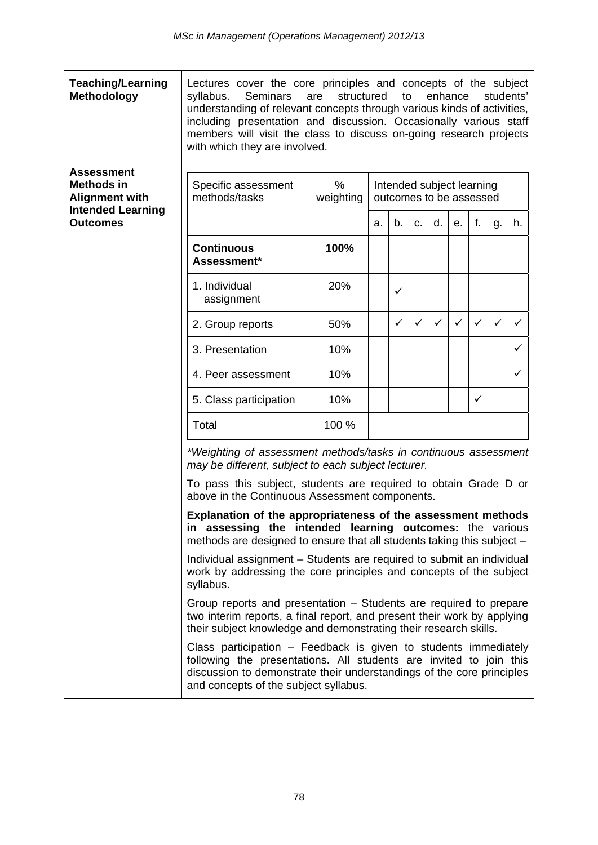| <b>Teaching/Learning</b><br>Methodology           | Lectures cover the core principles and concepts of the subject<br><b>Seminars</b><br>enhance<br>syllabus.<br>structured<br>to<br>students'<br>are<br>understanding of relevant concepts through various kinds of activities,<br>including presentation and discussion. Occasionally various staff<br>members will visit the class to discuss on-going research projects<br>with which they are involved. |           |                                                                                                                    |    |              |              |                           |              |    |    |
|---------------------------------------------------|----------------------------------------------------------------------------------------------------------------------------------------------------------------------------------------------------------------------------------------------------------------------------------------------------------------------------------------------------------------------------------------------------------|-----------|--------------------------------------------------------------------------------------------------------------------|----|--------------|--------------|---------------------------|--------------|----|----|
| <b>Assessment</b><br><b>Methods in</b>            | Specific assessment                                                                                                                                                                                                                                                                                                                                                                                      | %         |                                                                                                                    |    |              |              | Intended subject learning |              |    |    |
| <b>Alignment with</b><br><b>Intended Learning</b> | methods/tasks                                                                                                                                                                                                                                                                                                                                                                                            | weighting |                                                                                                                    |    |              |              | outcomes to be assessed   |              |    |    |
| <b>Outcomes</b>                                   |                                                                                                                                                                                                                                                                                                                                                                                                          |           | a.                                                                                                                 | b. | C.           | d.           | е.                        | f.           | g. | h. |
|                                                   | <b>Continuous</b><br>Assessment*                                                                                                                                                                                                                                                                                                                                                                         | 100%      |                                                                                                                    |    |              |              |                           |              |    |    |
|                                                   | 1. Individual<br>assignment                                                                                                                                                                                                                                                                                                                                                                              | 20%       |                                                                                                                    | ✓  |              |              |                           |              |    |    |
|                                                   | 2. Group reports                                                                                                                                                                                                                                                                                                                                                                                         | 50%       |                                                                                                                    | ✓  | $\checkmark$ | $\checkmark$ | $\checkmark$              | $\checkmark$ | ✓  | ✓  |
|                                                   | 3. Presentation                                                                                                                                                                                                                                                                                                                                                                                          | 10%       |                                                                                                                    |    |              |              |                           |              |    | ✓  |
|                                                   | 4. Peer assessment                                                                                                                                                                                                                                                                                                                                                                                       | 10%       |                                                                                                                    |    |              |              |                           |              |    | ✓  |
|                                                   | 5. Class participation                                                                                                                                                                                                                                                                                                                                                                                   | 10%       |                                                                                                                    |    |              |              |                           | $\checkmark$ |    |    |
|                                                   | Total                                                                                                                                                                                                                                                                                                                                                                                                    | 100 %     |                                                                                                                    |    |              |              |                           |              |    |    |
|                                                   | may be different, subject to each subject lecturer.                                                                                                                                                                                                                                                                                                                                                      |           | *Weighting of assessment methods/tasks in continuous assessment                                                    |    |              |              |                           |              |    |    |
|                                                   |                                                                                                                                                                                                                                                                                                                                                                                                          |           | To pass this subject, students are required to obtain Grade D or<br>above in the Continuous Assessment components. |    |              |              |                           |              |    |    |
|                                                   | Explanation of the appropriateness of the assessment methods<br>in assessing the intended learning outcomes: the various<br>methods are designed to ensure that all students taking this subject -                                                                                                                                                                                                       |           |                                                                                                                    |    |              |              |                           |              |    |    |
|                                                   | Individual assignment – Students are required to submit an individual<br>work by addressing the core principles and concepts of the subject<br>syllabus.                                                                                                                                                                                                                                                 |           |                                                                                                                    |    |              |              |                           |              |    |    |
|                                                   | Group reports and presentation – Students are required to prepare<br>two interim reports, a final report, and present their work by applying<br>their subject knowledge and demonstrating their research skills.                                                                                                                                                                                         |           |                                                                                                                    |    |              |              |                           |              |    |    |
|                                                   | Class participation - Feedback is given to students immediately<br>following the presentations. All students are invited to join this<br>discussion to demonstrate their understandings of the core principles<br>and concepts of the subject syllabus.                                                                                                                                                  |           |                                                                                                                    |    |              |              |                           |              |    |    |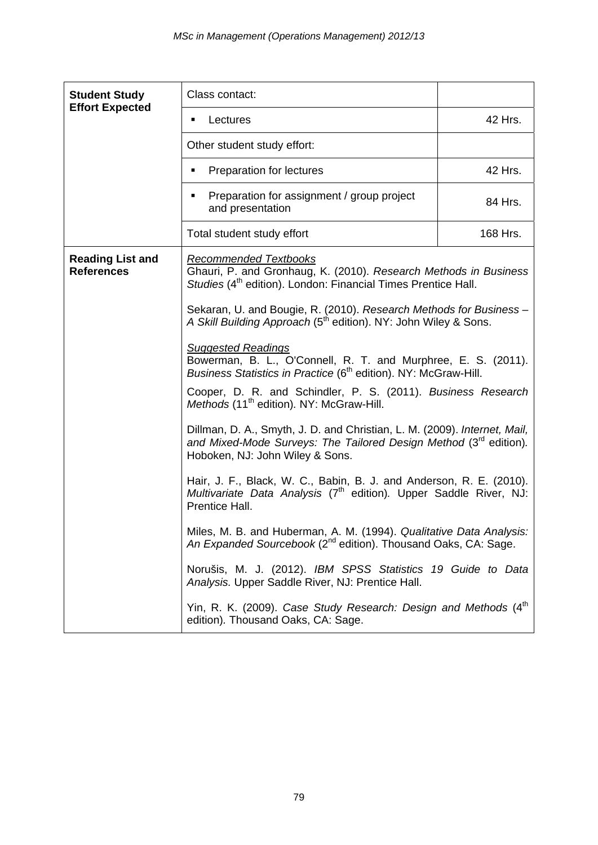| <b>Student Study</b>                         | Class contact:                                                                                                                                                                                                                                                                                                                                                                                                                                                                                                                                                                                                                                                                                                                                                       |          |  |  |  |  |
|----------------------------------------------|----------------------------------------------------------------------------------------------------------------------------------------------------------------------------------------------------------------------------------------------------------------------------------------------------------------------------------------------------------------------------------------------------------------------------------------------------------------------------------------------------------------------------------------------------------------------------------------------------------------------------------------------------------------------------------------------------------------------------------------------------------------------|----------|--|--|--|--|
| <b>Effort Expected</b>                       | Lectures<br>٠                                                                                                                                                                                                                                                                                                                                                                                                                                                                                                                                                                                                                                                                                                                                                        | 42 Hrs.  |  |  |  |  |
|                                              | Other student study effort:                                                                                                                                                                                                                                                                                                                                                                                                                                                                                                                                                                                                                                                                                                                                          |          |  |  |  |  |
|                                              | Preparation for lectures<br>٠                                                                                                                                                                                                                                                                                                                                                                                                                                                                                                                                                                                                                                                                                                                                        | 42 Hrs.  |  |  |  |  |
|                                              | 84 Hrs.                                                                                                                                                                                                                                                                                                                                                                                                                                                                                                                                                                                                                                                                                                                                                              |          |  |  |  |  |
|                                              | Total student study effort                                                                                                                                                                                                                                                                                                                                                                                                                                                                                                                                                                                                                                                                                                                                           | 168 Hrs. |  |  |  |  |
| <b>Reading List and</b><br><b>References</b> | <b>Recommended Textbooks</b><br>Ghauri, P. and Gronhaug, K. (2010). Research Methods in Business<br>Studies (4 <sup>th</sup> edition). London: Financial Times Prentice Hall.                                                                                                                                                                                                                                                                                                                                                                                                                                                                                                                                                                                        |          |  |  |  |  |
|                                              | Sekaran, U. and Bougie, R. (2010). Research Methods for Business -<br>A Skill Building Approach (5 <sup>th</sup> edition). NY: John Wiley & Sons.                                                                                                                                                                                                                                                                                                                                                                                                                                                                                                                                                                                                                    |          |  |  |  |  |
|                                              | <b>Suggested Readings</b><br>Bowerman, B. L., O'Connell, R. T. and Murphree, E. S. (2011).<br>Business Statistics in Practice (6 <sup>th</sup> edition). NY: McGraw-Hill.                                                                                                                                                                                                                                                                                                                                                                                                                                                                                                                                                                                            |          |  |  |  |  |
|                                              | Cooper, D. R. and Schindler, P. S. (2011). Business Research<br>Methods (11 <sup>th</sup> edition). NY: McGraw-Hill.                                                                                                                                                                                                                                                                                                                                                                                                                                                                                                                                                                                                                                                 |          |  |  |  |  |
|                                              | Dillman, D. A., Smyth, J. D. and Christian, L. M. (2009). Internet, Mail,<br>and Mixed-Mode Surveys: The Tailored Design Method (3 <sup>rd</sup> edition).<br>Hoboken, NJ: John Wiley & Sons.<br>Hair, J. F., Black, W. C., Babin, B. J. and Anderson, R. E. (2010).<br>Multivariate Data Analysis (7 <sup>th</sup> edition). Upper Saddle River, NJ:<br>Prentice Hall.<br>Miles, M. B. and Huberman, A. M. (1994). Qualitative Data Analysis:<br>An Expanded Sourcebook (2 <sup>nd</sup> edition). Thousand Oaks, CA: Sage.<br>Norušis, M. J. (2012). IBM SPSS Statistics 19 Guide to Data<br>Analysis. Upper Saddle River, NJ: Prentice Hall.<br>Yin, R. K. (2009). Case Study Research: Design and Methods (4 <sup>th</sup><br>edition). Thousand Oaks, CA: Sage. |          |  |  |  |  |
|                                              |                                                                                                                                                                                                                                                                                                                                                                                                                                                                                                                                                                                                                                                                                                                                                                      |          |  |  |  |  |
|                                              |                                                                                                                                                                                                                                                                                                                                                                                                                                                                                                                                                                                                                                                                                                                                                                      |          |  |  |  |  |
|                                              |                                                                                                                                                                                                                                                                                                                                                                                                                                                                                                                                                                                                                                                                                                                                                                      |          |  |  |  |  |
|                                              |                                                                                                                                                                                                                                                                                                                                                                                                                                                                                                                                                                                                                                                                                                                                                                      |          |  |  |  |  |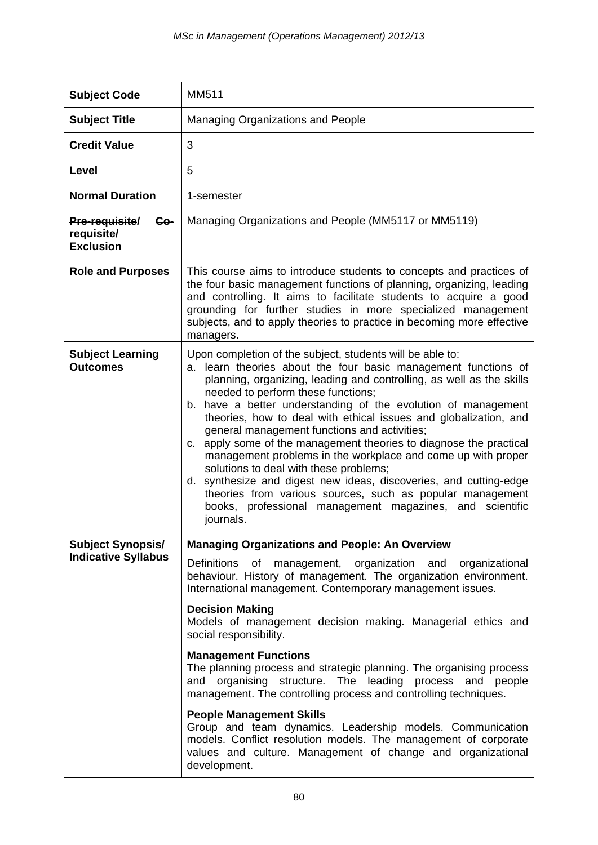| <b>Subject Code</b>                                            | MM511                                                                                                                                                                                                                                                                                                                                                                                                                                                                                                                                                                                                                                                                                                                                                                                                                                                         |
|----------------------------------------------------------------|---------------------------------------------------------------------------------------------------------------------------------------------------------------------------------------------------------------------------------------------------------------------------------------------------------------------------------------------------------------------------------------------------------------------------------------------------------------------------------------------------------------------------------------------------------------------------------------------------------------------------------------------------------------------------------------------------------------------------------------------------------------------------------------------------------------------------------------------------------------|
| <b>Subject Title</b>                                           | <b>Managing Organizations and People</b>                                                                                                                                                                                                                                                                                                                                                                                                                                                                                                                                                                                                                                                                                                                                                                                                                      |
| <b>Credit Value</b>                                            | 3                                                                                                                                                                                                                                                                                                                                                                                                                                                                                                                                                                                                                                                                                                                                                                                                                                                             |
| Level                                                          | 5                                                                                                                                                                                                                                                                                                                                                                                                                                                                                                                                                                                                                                                                                                                                                                                                                                                             |
| <b>Normal Duration</b>                                         | 1-semester                                                                                                                                                                                                                                                                                                                                                                                                                                                                                                                                                                                                                                                                                                                                                                                                                                                    |
| <b>Pre-requisite/</b><br>Co-<br>requisite/<br><b>Exclusion</b> | Managing Organizations and People (MM5117 or MM5119)                                                                                                                                                                                                                                                                                                                                                                                                                                                                                                                                                                                                                                                                                                                                                                                                          |
| <b>Role and Purposes</b>                                       | This course aims to introduce students to concepts and practices of<br>the four basic management functions of planning, organizing, leading<br>and controlling. It aims to facilitate students to acquire a good<br>grounding for further studies in more specialized management<br>subjects, and to apply theories to practice in becoming more effective<br>managers.                                                                                                                                                                                                                                                                                                                                                                                                                                                                                       |
| <b>Subject Learning</b><br><b>Outcomes</b>                     | Upon completion of the subject, students will be able to:<br>learn theories about the four basic management functions of<br>a.<br>planning, organizing, leading and controlling, as well as the skills<br>needed to perform these functions;<br>b. have a better understanding of the evolution of management<br>theories, how to deal with ethical issues and globalization, and<br>general management functions and activities;<br>c. apply some of the management theories to diagnose the practical<br>management problems in the workplace and come up with proper<br>solutions to deal with these problems;<br>d. synthesize and digest new ideas, discoveries, and cutting-edge<br>theories from various sources, such as popular management<br>books, professional management magazines, and scientific<br>journals.                                  |
| <b>Subject Synopsis/</b><br><b>Indicative Syllabus</b>         | <b>Managing Organizations and People: An Overview</b><br>Definitions of management, organization and organizational<br>behaviour. History of management. The organization environment.<br>International management. Contemporary management issues.<br><b>Decision Making</b><br>Models of management decision making. Managerial ethics and<br>social responsibility.<br><b>Management Functions</b><br>The planning process and strategic planning. The organising process<br>and organising structure. The leading process and people<br>management. The controlling process and controlling techniques.<br><b>People Management Skills</b><br>Group and team dynamics. Leadership models. Communication<br>models. Conflict resolution models. The management of corporate<br>values and culture. Management of change and organizational<br>development. |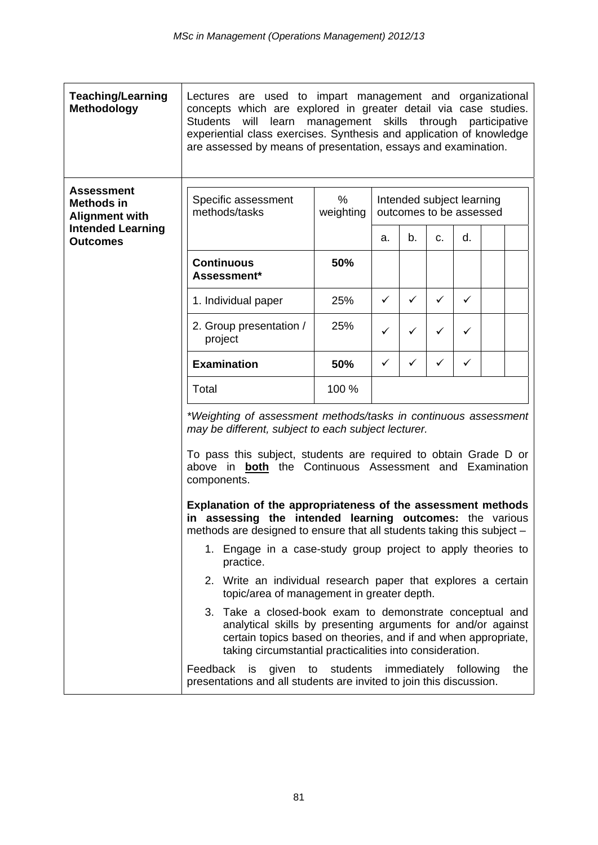| <b>Teaching/Learning</b><br><b>Methodology</b>                  | Lectures are used to impart management and organizational<br>concepts which are explored in greater detail via case studies.<br>learn<br>management skills<br>through<br><b>Students</b><br>will<br>participative<br>experiential class exercises. Synthesis and application of knowledge<br>are assessed by means of presentation, essays and examination.                        |                |                                                                                                                                                                                                                                                                                                                                                                                                                                                                             |              |              |                       |  |     |
|-----------------------------------------------------------------|------------------------------------------------------------------------------------------------------------------------------------------------------------------------------------------------------------------------------------------------------------------------------------------------------------------------------------------------------------------------------------|----------------|-----------------------------------------------------------------------------------------------------------------------------------------------------------------------------------------------------------------------------------------------------------------------------------------------------------------------------------------------------------------------------------------------------------------------------------------------------------------------------|--------------|--------------|-----------------------|--|-----|
| <b>Assessment</b><br><b>Methods in</b><br><b>Alignment with</b> | Specific assessment<br>methods/tasks                                                                                                                                                                                                                                                                                                                                               | %<br>weighting | Intended subject learning<br>outcomes to be assessed                                                                                                                                                                                                                                                                                                                                                                                                                        |              |              |                       |  |     |
| <b>Intended Learning</b><br><b>Outcomes</b>                     |                                                                                                                                                                                                                                                                                                                                                                                    |                | a.                                                                                                                                                                                                                                                                                                                                                                                                                                                                          | b.           | C.           | d.                    |  |     |
|                                                                 | <b>Continuous</b><br>Assessment*                                                                                                                                                                                                                                                                                                                                                   | 50%            |                                                                                                                                                                                                                                                                                                                                                                                                                                                                             |              |              |                       |  |     |
|                                                                 | 1. Individual paper                                                                                                                                                                                                                                                                                                                                                                | 25%            | ✓                                                                                                                                                                                                                                                                                                                                                                                                                                                                           | $\checkmark$ | $\checkmark$ | $\checkmark$          |  |     |
|                                                                 | 2. Group presentation /<br>project                                                                                                                                                                                                                                                                                                                                                 | 25%            | ✓                                                                                                                                                                                                                                                                                                                                                                                                                                                                           | ✓            | ✓            | ✓                     |  |     |
|                                                                 | <b>Examination</b>                                                                                                                                                                                                                                                                                                                                                                 | 50%            | ✓                                                                                                                                                                                                                                                                                                                                                                                                                                                                           | ✓            | ✓            | $\checkmark$          |  |     |
|                                                                 | Total                                                                                                                                                                                                                                                                                                                                                                              | 100 %          |                                                                                                                                                                                                                                                                                                                                                                                                                                                                             |              |              |                       |  |     |
|                                                                 | may be different, subject to each subject lecturer.<br>components.                                                                                                                                                                                                                                                                                                                 |                | *Weighting of assessment methods/tasks in continuous assessment<br>To pass this subject, students are required to obtain Grade D or<br>above in <b>both</b> the Continuous Assessment and Examination<br>Explanation of the appropriateness of the assessment methods<br>in assessing the intended learning outcomes: the various<br>methods are designed to ensure that all students taking this subject -<br>1. Engage in a case-study group project to apply theories to |              |              |                       |  |     |
|                                                                 | practice.<br>2. Write an individual research paper that explores a certain<br>topic/area of management in greater depth.<br>3. Take a closed-book exam to demonstrate conceptual and<br>analytical skills by presenting arguments for and/or against<br>certain topics based on theories, and if and when appropriate,<br>taking circumstantial practicalities into consideration. |                |                                                                                                                                                                                                                                                                                                                                                                                                                                                                             |              |              |                       |  |     |
|                                                                 |                                                                                                                                                                                                                                                                                                                                                                                    |                |                                                                                                                                                                                                                                                                                                                                                                                                                                                                             |              |              |                       |  |     |
|                                                                 | Feedback<br>is<br>given<br>to<br>presentations and all students are invited to join this discussion.                                                                                                                                                                                                                                                                               | students       |                                                                                                                                                                                                                                                                                                                                                                                                                                                                             |              |              | immediately following |  | the |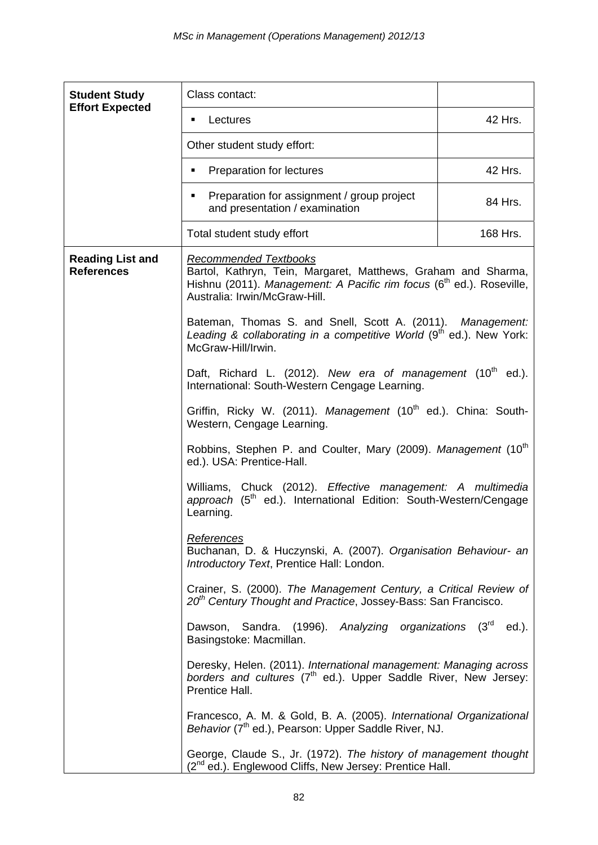| <b>Student Study</b>                         | Class contact:                                                                                                                                                                                            |          |  |  |  |  |
|----------------------------------------------|-----------------------------------------------------------------------------------------------------------------------------------------------------------------------------------------------------------|----------|--|--|--|--|
| <b>Effort Expected</b>                       | Lectures<br>٠                                                                                                                                                                                             | 42 Hrs.  |  |  |  |  |
|                                              | Other student study effort:                                                                                                                                                                               |          |  |  |  |  |
|                                              | Preparation for lectures<br>٠                                                                                                                                                                             | 42 Hrs.  |  |  |  |  |
|                                              | Preparation for assignment / group project<br>٠<br>and presentation / examination                                                                                                                         | 84 Hrs.  |  |  |  |  |
|                                              | Total student study effort                                                                                                                                                                                | 168 Hrs. |  |  |  |  |
| <b>Reading List and</b><br><b>References</b> | <b>Recommended Textbooks</b><br>Bartol, Kathryn, Tein, Margaret, Matthews, Graham and Sharma,<br>Hishnu (2011). Management: A Pacific rim focus ( $6th$ ed.). Roseville,<br>Australia: Irwin/McGraw-Hill. |          |  |  |  |  |
|                                              | Bateman, Thomas S. and Snell, Scott A. (2011). Management:<br>Leading & collaborating in a competitive World (9 <sup>th</sup> ed.). New York:<br>McGraw-Hill/Irwin.                                       |          |  |  |  |  |
|                                              | Daft, Richard L. (2012). New era of management (10 <sup>th</sup> ed.).<br>International: South-Western Cengage Learning.                                                                                  |          |  |  |  |  |
|                                              | Griffin, Ricky W. (2011). Management (10 <sup>th</sup> ed.). China: South-<br>Western, Cengage Learning.                                                                                                  |          |  |  |  |  |
|                                              | Robbins, Stephen P. and Coulter, Mary (2009). Management (10 <sup>th</sup><br>ed.). USA: Prentice-Hall.                                                                                                   |          |  |  |  |  |
|                                              | Williams, Chuck (2012). Effective management: A multimedia<br>approach (5 <sup>th</sup> ed.). International Edition: South-Western/Cengage<br>Learning.                                                   |          |  |  |  |  |
|                                              | <u>References</u><br>Buchanan, D. & Huczynski, A. (2007). Organisation Behaviour- an<br>Introductory Text, Prentice Hall: London.                                                                         |          |  |  |  |  |
|                                              | Crainer, S. (2000). The Management Century, a Critical Review of<br>20 <sup>th</sup> Century Thought and Practice, Jossey-Bass: San Francisco.                                                            |          |  |  |  |  |
|                                              | Dawson, Sandra. (1996). Analyzing organizations (3rd<br>ed.).<br>Basingstoke: Macmillan.                                                                                                                  |          |  |  |  |  |
|                                              | Deresky, Helen. (2011). International management: Managing across<br>borders and cultures (7 <sup>th</sup> ed.). Upper Saddle River, New Jersey:<br>Prentice Hall.                                        |          |  |  |  |  |
|                                              | Francesco, A. M. & Gold, B. A. (2005). International Organizational<br>Behavior (7 <sup>th</sup> ed.), Pearson: Upper Saddle River, NJ.                                                                   |          |  |  |  |  |
|                                              | George, Claude S., Jr. (1972). The history of management thought<br>(2 <sup>nd</sup> ed.). Englewood Cliffs, New Jersey: Prentice Hall.                                                                   |          |  |  |  |  |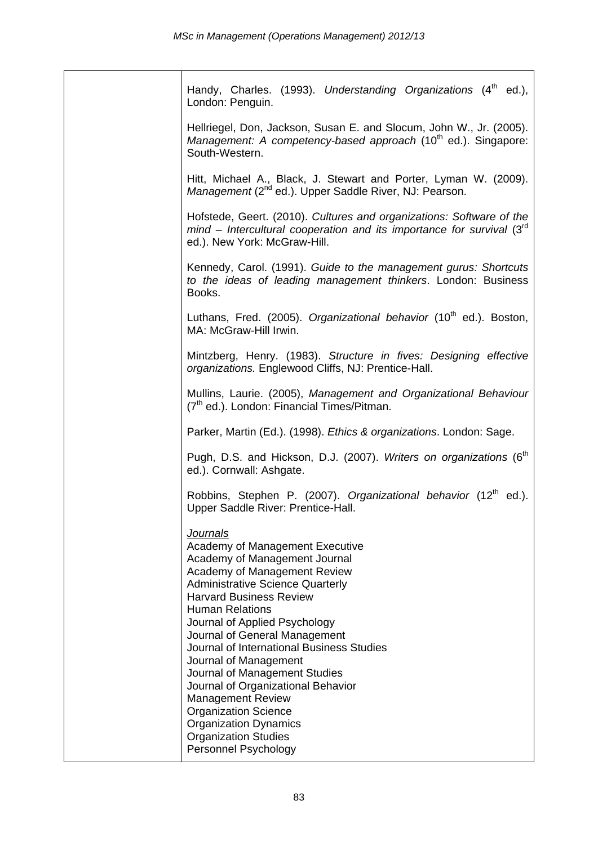| Handy, Charles. (1993). Understanding Organizations (4 <sup>th</sup> ed.),<br>London: Penguin.                                                                                                                                                                                                                                                                                                                                                                                                                                                                                       |
|--------------------------------------------------------------------------------------------------------------------------------------------------------------------------------------------------------------------------------------------------------------------------------------------------------------------------------------------------------------------------------------------------------------------------------------------------------------------------------------------------------------------------------------------------------------------------------------|
| Hellriegel, Don, Jackson, Susan E. and Slocum, John W., Jr. (2005).<br>Management: A competency-based approach (10 <sup>th</sup> ed.). Singapore:<br>South-Western.                                                                                                                                                                                                                                                                                                                                                                                                                  |
| Hitt, Michael A., Black, J. Stewart and Porter, Lyman W. (2009).<br>Management (2 <sup>nd</sup> ed.). Upper Saddle River, NJ: Pearson.                                                                                                                                                                                                                                                                                                                                                                                                                                               |
| Hofstede, Geert. (2010). Cultures and organizations: Software of the<br>mind – Intercultural cooperation and its importance for survival $(3rd$<br>ed.). New York: McGraw-Hill.                                                                                                                                                                                                                                                                                                                                                                                                      |
| Kennedy, Carol. (1991). Guide to the management gurus: Shortcuts<br>to the ideas of leading management thinkers. London: Business<br>Books.                                                                                                                                                                                                                                                                                                                                                                                                                                          |
| Luthans, Fred. (2005). Organizational behavior (10 <sup>th</sup> ed.). Boston,<br>MA: McGraw-Hill Irwin.                                                                                                                                                                                                                                                                                                                                                                                                                                                                             |
| Mintzberg, Henry. (1983). Structure in fives: Designing effective<br>organizations. Englewood Cliffs, NJ: Prentice-Hall.                                                                                                                                                                                                                                                                                                                                                                                                                                                             |
| Mullins, Laurie. (2005), Management and Organizational Behaviour<br>(7 <sup>th</sup> ed.). London: Financial Times/Pitman.                                                                                                                                                                                                                                                                                                                                                                                                                                                           |
| Parker, Martin (Ed.). (1998). Ethics & organizations. London: Sage.                                                                                                                                                                                                                                                                                                                                                                                                                                                                                                                  |
| Pugh, D.S. and Hickson, D.J. (2007). Writers on organizations (6 <sup>th</sup><br>ed.). Cornwall: Ashgate.                                                                                                                                                                                                                                                                                                                                                                                                                                                                           |
| Robbins, Stephen P. (2007). Organizational behavior (12 <sup>th</sup> ed.).<br>Upper Saddle River: Prentice-Hall.                                                                                                                                                                                                                                                                                                                                                                                                                                                                    |
| Journals<br>Academy of Management Executive<br>Academy of Management Journal<br>Academy of Management Review<br><b>Administrative Science Quarterly</b><br><b>Harvard Business Review</b><br><b>Human Relations</b><br>Journal of Applied Psychology<br>Journal of General Management<br>Journal of International Business Studies<br>Journal of Management<br>Journal of Management Studies<br>Journal of Organizational Behavior<br><b>Management Review</b><br><b>Organization Science</b><br><b>Organization Dynamics</b><br><b>Organization Studies</b><br>Personnel Psychology |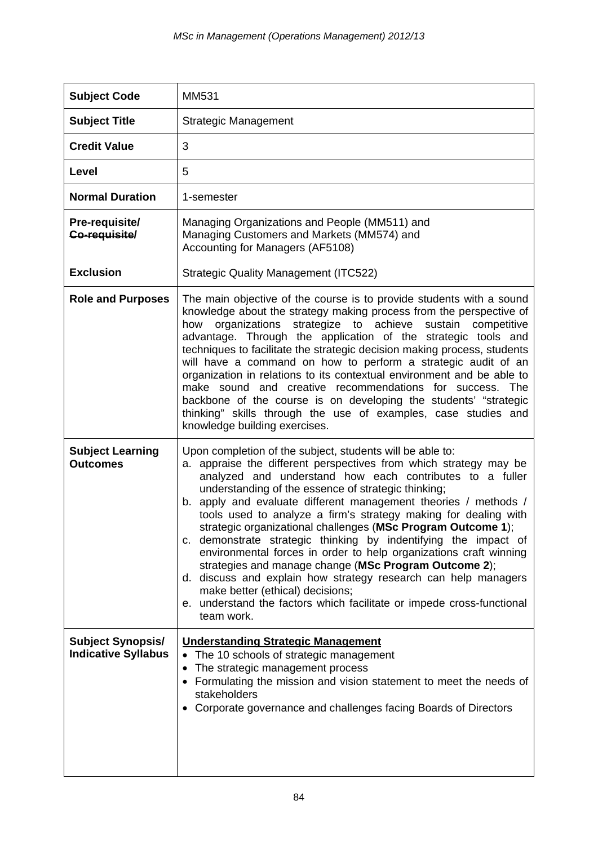| <b>Subject Code</b>                                    | MM531                                                                                                                                                                                                                                                                                                                                                                                                                                                                                                                                                                                                                                                                                                                                                                                                                                                 |
|--------------------------------------------------------|-------------------------------------------------------------------------------------------------------------------------------------------------------------------------------------------------------------------------------------------------------------------------------------------------------------------------------------------------------------------------------------------------------------------------------------------------------------------------------------------------------------------------------------------------------------------------------------------------------------------------------------------------------------------------------------------------------------------------------------------------------------------------------------------------------------------------------------------------------|
| <b>Subject Title</b>                                   | <b>Strategic Management</b>                                                                                                                                                                                                                                                                                                                                                                                                                                                                                                                                                                                                                                                                                                                                                                                                                           |
| <b>Credit Value</b>                                    | 3                                                                                                                                                                                                                                                                                                                                                                                                                                                                                                                                                                                                                                                                                                                                                                                                                                                     |
| Level                                                  | 5                                                                                                                                                                                                                                                                                                                                                                                                                                                                                                                                                                                                                                                                                                                                                                                                                                                     |
| <b>Normal Duration</b>                                 | 1-semester                                                                                                                                                                                                                                                                                                                                                                                                                                                                                                                                                                                                                                                                                                                                                                                                                                            |
| Pre-requisite/<br>Co-requisite/                        | Managing Organizations and People (MM511) and<br>Managing Customers and Markets (MM574) and<br>Accounting for Managers (AF5108)                                                                                                                                                                                                                                                                                                                                                                                                                                                                                                                                                                                                                                                                                                                       |
| <b>Exclusion</b>                                       | <b>Strategic Quality Management (ITC522)</b>                                                                                                                                                                                                                                                                                                                                                                                                                                                                                                                                                                                                                                                                                                                                                                                                          |
| <b>Role and Purposes</b>                               | The main objective of the course is to provide students with a sound<br>knowledge about the strategy making process from the perspective of<br>organizations<br>strategize to achieve<br>sustain<br>competitive<br>how<br>advantage. Through the application of the strategic tools and<br>techniques to facilitate the strategic decision making process, students<br>will have a command on how to perform a strategic audit of an<br>organization in relations to its contextual environment and be able to<br>make sound and creative recommendations for success. The<br>backbone of the course is on developing the students' "strategic<br>thinking" skills through the use of examples, case studies and<br>knowledge building exercises.                                                                                                     |
| <b>Subject Learning</b><br><b>Outcomes</b>             | Upon completion of the subject, students will be able to:<br>a. appraise the different perspectives from which strategy may be<br>analyzed and understand how each contributes to a fuller<br>understanding of the essence of strategic thinking;<br>b. apply and evaluate different management theories / methods /<br>tools used to analyze a firm's strategy making for dealing with<br>strategic organizational challenges (MSc Program Outcome 1);<br>c. demonstrate strategic thinking by indentifying the impact of<br>environmental forces in order to help organizations craft winning<br>strategies and manage change (MSc Program Outcome 2);<br>d. discuss and explain how strategy research can help managers<br>make better (ethical) decisions;<br>e. understand the factors which facilitate or impede cross-functional<br>team work. |
| <b>Subject Synopsis/</b><br><b>Indicative Syllabus</b> | <b>Understanding Strategic Management</b><br>The 10 schools of strategic management<br>$\bullet$<br>The strategic management process<br>• Formulating the mission and vision statement to meet the needs of<br>stakeholders<br>Corporate governance and challenges facing Boards of Directors                                                                                                                                                                                                                                                                                                                                                                                                                                                                                                                                                         |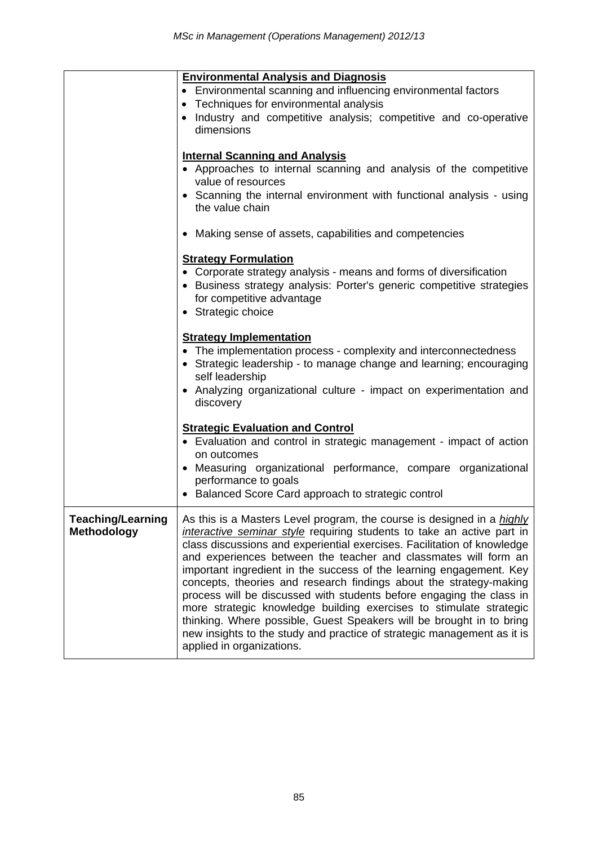|                                         | <b>Environmental Analysis and Diagnosis</b><br>• Environmental scanning and influencing environmental factors<br>Techniques for environmental analysis<br>$\bullet$<br>• Industry and competitive analysis; competitive and co-operative<br>dimensions<br><b>Internal Scanning and Analysis</b>                                                                                                                                                                                                                                                                                                                                                                                                                                                                           |
|-----------------------------------------|---------------------------------------------------------------------------------------------------------------------------------------------------------------------------------------------------------------------------------------------------------------------------------------------------------------------------------------------------------------------------------------------------------------------------------------------------------------------------------------------------------------------------------------------------------------------------------------------------------------------------------------------------------------------------------------------------------------------------------------------------------------------------|
|                                         | • Approaches to internal scanning and analysis of the competitive<br>value of resources<br>• Scanning the internal environment with functional analysis - using<br>the value chain                                                                                                                                                                                                                                                                                                                                                                                                                                                                                                                                                                                        |
|                                         | • Making sense of assets, capabilities and competencies                                                                                                                                                                                                                                                                                                                                                                                                                                                                                                                                                                                                                                                                                                                   |
|                                         | <b>Strategy Formulation</b><br>• Corporate strategy analysis - means and forms of diversification<br>• Business strategy analysis: Porter's generic competitive strategies<br>for competitive advantage<br>• Strategic choice                                                                                                                                                                                                                                                                                                                                                                                                                                                                                                                                             |
|                                         | <b>Strategy Implementation</b><br>• The implementation process - complexity and interconnectedness<br>• Strategic leadership - to manage change and learning; encouraging<br>self leadership<br>• Analyzing organizational culture - impact on experimentation and<br>discovery                                                                                                                                                                                                                                                                                                                                                                                                                                                                                           |
|                                         | <b>Strategic Evaluation and Control</b><br>• Evaluation and control in strategic management - impact of action<br>on outcomes<br>• Measuring organizational performance, compare organizational<br>performance to goals<br>• Balanced Score Card approach to strategic control                                                                                                                                                                                                                                                                                                                                                                                                                                                                                            |
| Teaching/Learning<br><b>Methodology</b> | As this is a Masters Level program, the course is designed in a highly<br>interactive seminar style requiring students to take an active part in<br>class discussions and experiential exercises. Facilitation of knowledge<br>and experiences between the teacher and classmates will form an<br>important ingredient in the success of the learning engagement. Key<br>concepts, theories and research findings about the strategy-making<br>process will be discussed with students before engaging the class in<br>more strategic knowledge building exercises to stimulate strategic<br>thinking. Where possible, Guest Speakers will be brought in to bring<br>new insights to the study and practice of strategic management as it is<br>applied in organizations. |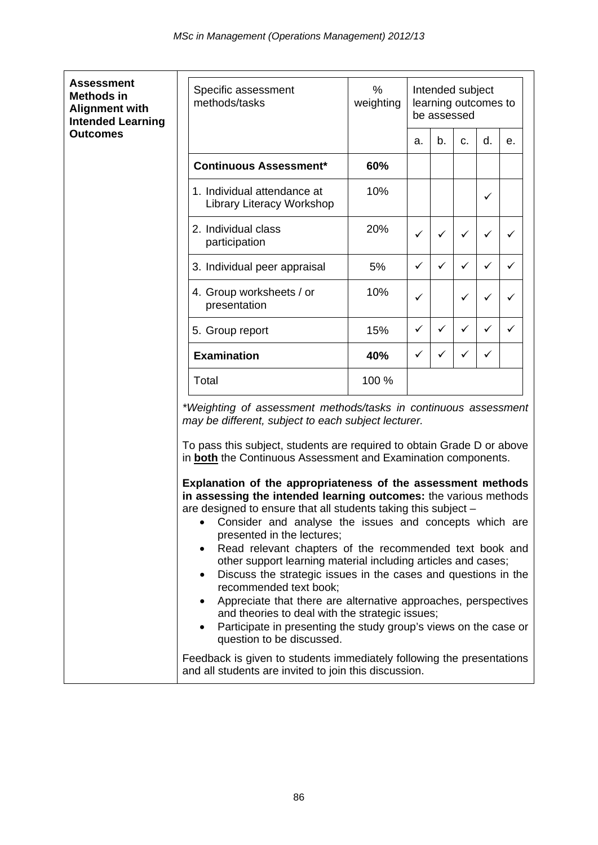$\overline{\phantom{a}}$ 

 $\mathbf{r}$ 

| <b>Assessment</b><br><b>Methods in</b><br><b>Alignment with</b><br><b>Intended Learning</b> | Specific assessment<br>methods/tasks                                                                                                                                                                                                                                                                                                                                                                                                                                                                                                                                                                                                                                                                                                                                                                                                                                                                                                                                                                                        | %<br>weighting |              |              |              |    | Intended subject<br>learning outcomes to<br>be assessed |  |  |  |  |
|---------------------------------------------------------------------------------------------|-----------------------------------------------------------------------------------------------------------------------------------------------------------------------------------------------------------------------------------------------------------------------------------------------------------------------------------------------------------------------------------------------------------------------------------------------------------------------------------------------------------------------------------------------------------------------------------------------------------------------------------------------------------------------------------------------------------------------------------------------------------------------------------------------------------------------------------------------------------------------------------------------------------------------------------------------------------------------------------------------------------------------------|----------------|--------------|--------------|--------------|----|---------------------------------------------------------|--|--|--|--|
| <b>Outcomes</b>                                                                             |                                                                                                                                                                                                                                                                                                                                                                                                                                                                                                                                                                                                                                                                                                                                                                                                                                                                                                                                                                                                                             |                | a.           | b.           | C.           | d. | е.                                                      |  |  |  |  |
|                                                                                             | <b>Continuous Assessment*</b>                                                                                                                                                                                                                                                                                                                                                                                                                                                                                                                                                                                                                                                                                                                                                                                                                                                                                                                                                                                               | 60%            |              |              |              |    |                                                         |  |  |  |  |
|                                                                                             | 1. Individual attendance at<br>Library Literacy Workshop                                                                                                                                                                                                                                                                                                                                                                                                                                                                                                                                                                                                                                                                                                                                                                                                                                                                                                                                                                    | 10%            |              |              |              | ✓  |                                                         |  |  |  |  |
|                                                                                             | 2. Individual class<br>participation                                                                                                                                                                                                                                                                                                                                                                                                                                                                                                                                                                                                                                                                                                                                                                                                                                                                                                                                                                                        | 20%            | $\checkmark$ | ✓            | ✓            | ✓  | ✓                                                       |  |  |  |  |
|                                                                                             | 3. Individual peer appraisal                                                                                                                                                                                                                                                                                                                                                                                                                                                                                                                                                                                                                                                                                                                                                                                                                                                                                                                                                                                                | 5%             | $\checkmark$ | $\checkmark$ | $\checkmark$ | ✓  | $\checkmark$                                            |  |  |  |  |
|                                                                                             | 4. Group worksheets / or<br>presentation                                                                                                                                                                                                                                                                                                                                                                                                                                                                                                                                                                                                                                                                                                                                                                                                                                                                                                                                                                                    | 10%            | ✓            |              | ✓            | ✓  | ✓                                                       |  |  |  |  |
|                                                                                             | 5. Group report                                                                                                                                                                                                                                                                                                                                                                                                                                                                                                                                                                                                                                                                                                                                                                                                                                                                                                                                                                                                             | 15%            | $\checkmark$ | ✓            | $\checkmark$ | ✓  | ✓                                                       |  |  |  |  |
|                                                                                             | <b>Examination</b>                                                                                                                                                                                                                                                                                                                                                                                                                                                                                                                                                                                                                                                                                                                                                                                                                                                                                                                                                                                                          | 40%            | $\checkmark$ | ✓            | ✓            | ✓  |                                                         |  |  |  |  |
|                                                                                             | Total                                                                                                                                                                                                                                                                                                                                                                                                                                                                                                                                                                                                                                                                                                                                                                                                                                                                                                                                                                                                                       | 100 %          |              |              |              |    |                                                         |  |  |  |  |
|                                                                                             | *Weighting of assessment methods/tasks in continuous assessment<br>may be different, subject to each subject lecturer.<br>To pass this subject, students are required to obtain Grade D or above<br>in <b>both</b> the Continuous Assessment and Examination components.<br>Explanation of the appropriateness of the assessment methods<br>in assessing the intended learning outcomes: the various methods<br>are designed to ensure that all students taking this subject -<br>• Consider and analyse the issues and concepts which are<br>presented in the lectures;<br>Read relevant chapters of the recommended text book and<br>other support learning material including articles and cases;<br>Discuss the strategic issues in the cases and questions in the<br>recommended text book;<br>Appreciate that there are alternative approaches, perspectives<br>٠<br>and theories to deal with the strategic issues;<br>Participate in presenting the study group's views on the case or<br>question to be discussed. |                |              |              |              |    |                                                         |  |  |  |  |
|                                                                                             | Feedback is given to students immediately following the presentations<br>and all students are invited to join this discussion.                                                                                                                                                                                                                                                                                                                                                                                                                                                                                                                                                                                                                                                                                                                                                                                                                                                                                              |                |              |              |              |    |                                                         |  |  |  |  |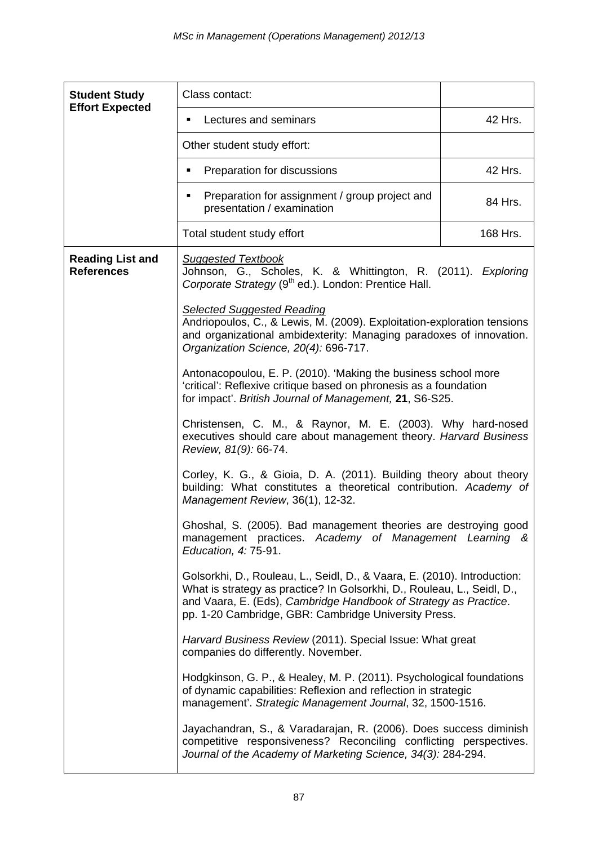| <b>Student Study</b>                                                                                                                                                                                   | Class contact:                                                                                                                                                                                                                                                                                                                                                                                                                                                                                                                                                                                                                                                                                |                                                                                                                                                                                                                         |  |  |  |  |
|--------------------------------------------------------------------------------------------------------------------------------------------------------------------------------------------------------|-----------------------------------------------------------------------------------------------------------------------------------------------------------------------------------------------------------------------------------------------------------------------------------------------------------------------------------------------------------------------------------------------------------------------------------------------------------------------------------------------------------------------------------------------------------------------------------------------------------------------------------------------------------------------------------------------|-------------------------------------------------------------------------------------------------------------------------------------------------------------------------------------------------------------------------|--|--|--|--|
| <b>Effort Expected</b>                                                                                                                                                                                 | Lectures and seminars<br>٠                                                                                                                                                                                                                                                                                                                                                                                                                                                                                                                                                                                                                                                                    | 42 Hrs.                                                                                                                                                                                                                 |  |  |  |  |
|                                                                                                                                                                                                        | Other student study effort:                                                                                                                                                                                                                                                                                                                                                                                                                                                                                                                                                                                                                                                                   |                                                                                                                                                                                                                         |  |  |  |  |
|                                                                                                                                                                                                        | Preparation for discussions<br>п                                                                                                                                                                                                                                                                                                                                                                                                                                                                                                                                                                                                                                                              | 42 Hrs.                                                                                                                                                                                                                 |  |  |  |  |
|                                                                                                                                                                                                        | Preparation for assignment / group project and<br>presentation / examination                                                                                                                                                                                                                                                                                                                                                                                                                                                                                                                                                                                                                  | 84 Hrs.                                                                                                                                                                                                                 |  |  |  |  |
|                                                                                                                                                                                                        | Total student study effort                                                                                                                                                                                                                                                                                                                                                                                                                                                                                                                                                                                                                                                                    | 168 Hrs.                                                                                                                                                                                                                |  |  |  |  |
| <b>Reading List and</b><br><b>References</b>                                                                                                                                                           | <b>Suggested Textbook</b><br>Johnson, G., Scholes, K. & Whittington, R. (2011). Exploring<br>Corporate Strategy (9 <sup>th</sup> ed.). London: Prentice Hall.                                                                                                                                                                                                                                                                                                                                                                                                                                                                                                                                 |                                                                                                                                                                                                                         |  |  |  |  |
|                                                                                                                                                                                                        | <b>Selected Suggested Reading</b><br>Andriopoulos, C., & Lewis, M. (2009). Exploitation-exploration tensions<br>and organizational ambidexterity: Managing paradoxes of innovation.<br>Organization Science, 20(4): 696-717.                                                                                                                                                                                                                                                                                                                                                                                                                                                                  |                                                                                                                                                                                                                         |  |  |  |  |
|                                                                                                                                                                                                        | Antonacopoulou, E. P. (2010). 'Making the business school more<br>'critical': Reflexive critique based on phronesis as a foundation<br>for impact'. British Journal of Management, 21, S6-S25.<br>Christensen, C. M., & Raynor, M. E. (2003). Why hard-nosed<br>executives should care about management theory. Harvard Business<br>Review, 81(9): 66-74.<br>Corley, K. G., & Gioia, D. A. (2011). Building theory about theory<br>building: What constitutes a theoretical contribution. Academy of<br>Management Review, 36(1), 12-32.<br>Ghoshal, S. (2005). Bad management theories are destroying good<br>management practices. Academy of Management Learning &<br>Education, 4: 75-91. |                                                                                                                                                                                                                         |  |  |  |  |
|                                                                                                                                                                                                        |                                                                                                                                                                                                                                                                                                                                                                                                                                                                                                                                                                                                                                                                                               |                                                                                                                                                                                                                         |  |  |  |  |
|                                                                                                                                                                                                        |                                                                                                                                                                                                                                                                                                                                                                                                                                                                                                                                                                                                                                                                                               |                                                                                                                                                                                                                         |  |  |  |  |
|                                                                                                                                                                                                        |                                                                                                                                                                                                                                                                                                                                                                                                                                                                                                                                                                                                                                                                                               |                                                                                                                                                                                                                         |  |  |  |  |
|                                                                                                                                                                                                        | pp. 1-20 Cambridge, GBR: Cambridge University Press.                                                                                                                                                                                                                                                                                                                                                                                                                                                                                                                                                                                                                                          | Golsorkhi, D., Rouleau, L., Seidl, D., & Vaara, E. (2010). Introduction:<br>What is strategy as practice? In Golsorkhi, D., Rouleau, L., Seidl, D.,<br>and Vaara, E. (Eds), Cambridge Handbook of Strategy as Practice. |  |  |  |  |
|                                                                                                                                                                                                        | Harvard Business Review (2011). Special Issue: What great<br>companies do differently. November.                                                                                                                                                                                                                                                                                                                                                                                                                                                                                                                                                                                              |                                                                                                                                                                                                                         |  |  |  |  |
|                                                                                                                                                                                                        | Hodgkinson, G. P., & Healey, M. P. (2011). Psychological foundations<br>of dynamic capabilities: Reflexion and reflection in strategic<br>management'. Strategic Management Journal, 32, 1500-1516.                                                                                                                                                                                                                                                                                                                                                                                                                                                                                           |                                                                                                                                                                                                                         |  |  |  |  |
| Jayachandran, S., & Varadarajan, R. (2006). Does success diminish<br>competitive responsiveness? Reconciling conflicting perspectives.<br>Journal of the Academy of Marketing Science, 34(3): 284-294. |                                                                                                                                                                                                                                                                                                                                                                                                                                                                                                                                                                                                                                                                                               |                                                                                                                                                                                                                         |  |  |  |  |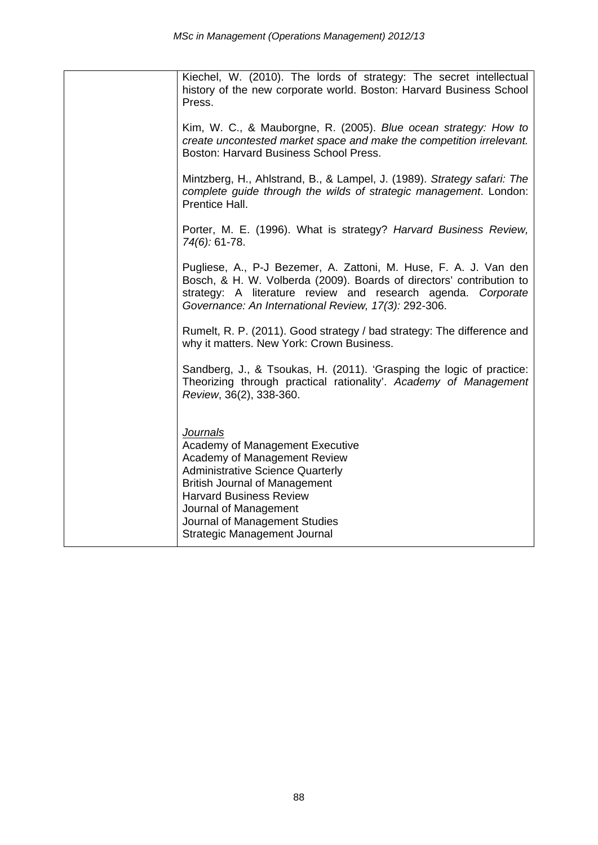| Kiechel, W. (2010). The lords of strategy: The secret intellectual<br>history of the new corporate world. Boston: Harvard Business School<br>Press.                                                                                                                                               |
|---------------------------------------------------------------------------------------------------------------------------------------------------------------------------------------------------------------------------------------------------------------------------------------------------|
| Kim, W. C., & Mauborgne, R. (2005). Blue ocean strategy: How to<br>create uncontested market space and make the competition irrelevant.<br>Boston: Harvard Business School Press.                                                                                                                 |
| Mintzberg, H., Ahlstrand, B., & Lampel, J. (1989). Strategy safari: The<br>complete guide through the wilds of strategic management. London:<br>Prentice Hall.                                                                                                                                    |
| Porter, M. E. (1996). What is strategy? Harvard Business Review,<br>74(6): 61-78.                                                                                                                                                                                                                 |
| Pugliese, A., P-J Bezemer, A. Zattoni, M. Huse, F. A. J. Van den<br>Bosch, & H. W. Volberda (2009). Boards of directors' contribution to<br>strategy: A literature review and research agenda. Corporate<br>Governance: An International Review, 17(3): 292-306.                                  |
| Rumelt, R. P. (2011). Good strategy / bad strategy: The difference and<br>why it matters. New York: Crown Business.                                                                                                                                                                               |
| Sandberg, J., & Tsoukas, H. (2011). 'Grasping the logic of practice:<br>Theorizing through practical rationality'. Academy of Management<br>Review, 36(2), 338-360.                                                                                                                               |
| <b>Journals</b><br>Academy of Management Executive<br>Academy of Management Review<br><b>Administrative Science Quarterly</b><br><b>British Journal of Management</b><br><b>Harvard Business Review</b><br>Journal of Management<br>Journal of Management Studies<br>Strategic Management Journal |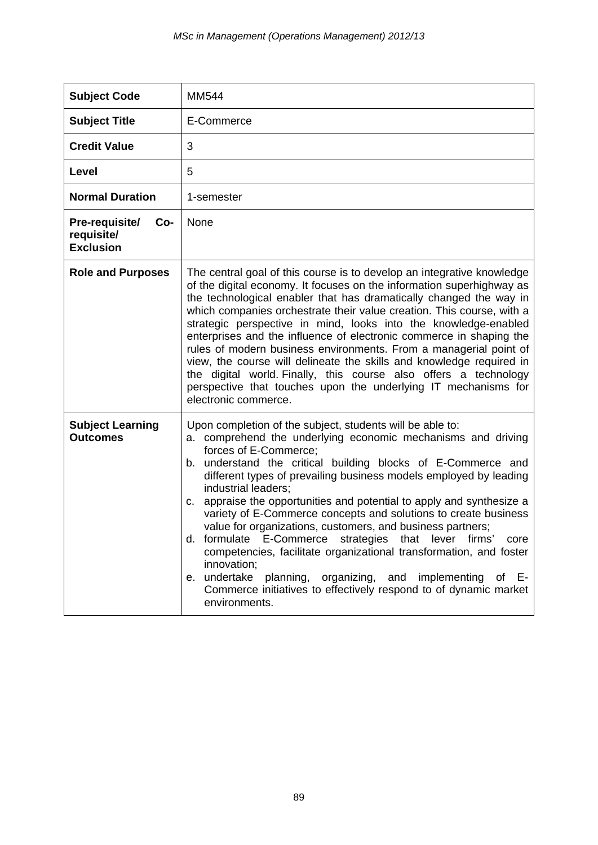| <b>Subject Code</b>                                     | <b>MM544</b>                                                                                                                                                                                                                                                                                                                                                                                                                                                                                                                                                                                                                                                                                                                                                                                                                                      |
|---------------------------------------------------------|---------------------------------------------------------------------------------------------------------------------------------------------------------------------------------------------------------------------------------------------------------------------------------------------------------------------------------------------------------------------------------------------------------------------------------------------------------------------------------------------------------------------------------------------------------------------------------------------------------------------------------------------------------------------------------------------------------------------------------------------------------------------------------------------------------------------------------------------------|
| <b>Subject Title</b>                                    | E-Commerce                                                                                                                                                                                                                                                                                                                                                                                                                                                                                                                                                                                                                                                                                                                                                                                                                                        |
| <b>Credit Value</b>                                     | 3                                                                                                                                                                                                                                                                                                                                                                                                                                                                                                                                                                                                                                                                                                                                                                                                                                                 |
| Level                                                   | 5                                                                                                                                                                                                                                                                                                                                                                                                                                                                                                                                                                                                                                                                                                                                                                                                                                                 |
| <b>Normal Duration</b>                                  | 1-semester                                                                                                                                                                                                                                                                                                                                                                                                                                                                                                                                                                                                                                                                                                                                                                                                                                        |
| Pre-requisite/<br>Co-<br>requisite/<br><b>Exclusion</b> | None                                                                                                                                                                                                                                                                                                                                                                                                                                                                                                                                                                                                                                                                                                                                                                                                                                              |
| <b>Role and Purposes</b>                                | The central goal of this course is to develop an integrative knowledge<br>of the digital economy. It focuses on the information superhighway as<br>the technological enabler that has dramatically changed the way in<br>which companies orchestrate their value creation. This course, with a<br>strategic perspective in mind, looks into the knowledge-enabled<br>enterprises and the influence of electronic commerce in shaping the<br>rules of modern business environments. From a managerial point of<br>view, the course will delineate the skills and knowledge required in<br>the digital world. Finally, this course also offers a technology<br>perspective that touches upon the underlying IT mechanisms for<br>electronic commerce.                                                                                               |
| <b>Subject Learning</b><br><b>Outcomes</b>              | Upon completion of the subject, students will be able to:<br>comprehend the underlying economic mechanisms and driving<br>а.<br>forces of E-Commerce;<br>understand the critical building blocks of E-Commerce and<br>b.<br>different types of prevailing business models employed by leading<br>industrial leaders;<br>appraise the opportunities and potential to apply and synthesize a<br>c.<br>variety of E-Commerce concepts and solutions to create business<br>value for organizations, customers, and business partners;<br>d. formulate E-Commerce strategies that lever firms'<br>core<br>competencies, facilitate organizational transformation, and foster<br>innovation;<br>undertake<br>planning, organizing, and implementing<br>of E-<br>е.<br>Commerce initiatives to effectively respond to of dynamic market<br>environments. |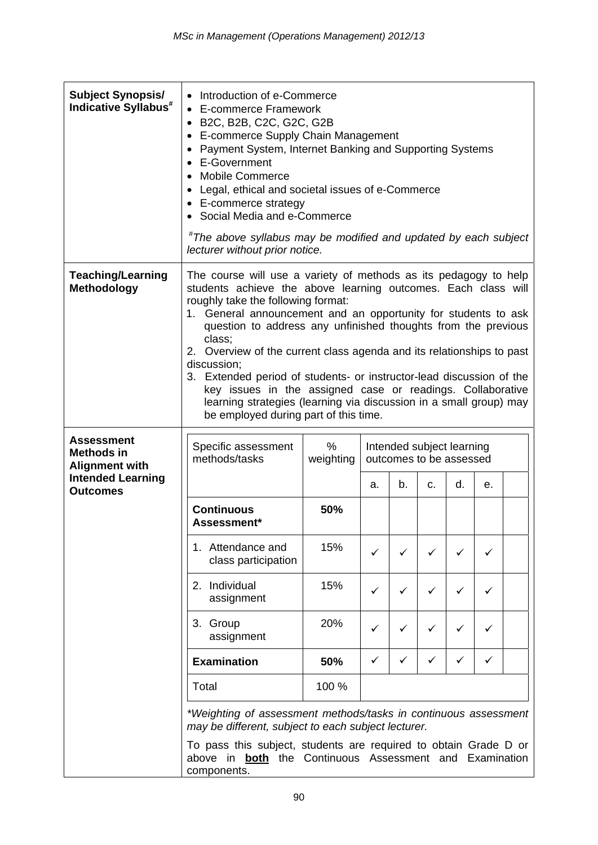| <b>Subject Synopsis/</b><br>Indicative Syllabus <sup>#</sup>    | • Introduction of e-Commerce<br>• E-commerce Framework<br>B2C, B2B, C2C, G2C, G2B<br>• E-commerce Supply Chain Management<br>• Payment System, Internet Banking and Supporting Systems<br>• E-Government<br><b>Mobile Commerce</b><br>• Legal, ethical and societal issues of e-Commerce<br>• E-commerce strategy<br>• Social Media and e-Commerce<br>#The above syllabus may be modified and updated by each subject<br>lecturer without prior notice.                                                                                                                                                                                                           |                |    |    |                                                      |    |              |  |
|-----------------------------------------------------------------|-------------------------------------------------------------------------------------------------------------------------------------------------------------------------------------------------------------------------------------------------------------------------------------------------------------------------------------------------------------------------------------------------------------------------------------------------------------------------------------------------------------------------------------------------------------------------------------------------------------------------------------------------------------------|----------------|----|----|------------------------------------------------------|----|--------------|--|
| <b>Teaching/Learning</b><br>Methodology                         | The course will use a variety of methods as its pedagogy to help<br>students achieve the above learning outcomes. Each class will<br>roughly take the following format:<br>1. General announcement and an opportunity for students to ask<br>question to address any unfinished thoughts from the previous<br>class;<br>2. Overview of the current class agenda and its relationships to past<br>discussion;<br>3. Extended period of students- or instructor-lead discussion of the<br>key issues in the assigned case or readings. Collaborative<br>learning strategies (learning via discussion in a small group) may<br>be employed during part of this time. |                |    |    |                                                      |    |              |  |
| <b>Assessment</b><br><b>Methods in</b><br><b>Alignment with</b> | Specific assessment<br>methods/tasks                                                                                                                                                                                                                                                                                                                                                                                                                                                                                                                                                                                                                              | %<br>weighting |    |    | Intended subject learning<br>outcomes to be assessed |    |              |  |
| <b>Intended Learning</b><br><b>Outcomes</b>                     |                                                                                                                                                                                                                                                                                                                                                                                                                                                                                                                                                                                                                                                                   |                | a. | b. | C.                                                   | d. | е.           |  |
|                                                                 | <b>Continuous</b><br>Assessment*                                                                                                                                                                                                                                                                                                                                                                                                                                                                                                                                                                                                                                  | 50%            |    |    |                                                      |    |              |  |
|                                                                 | 1. Attendance and<br>class participation                                                                                                                                                                                                                                                                                                                                                                                                                                                                                                                                                                                                                          | 15%            | ✓  | ✓  |                                                      |    |              |  |
|                                                                 | 2. Individual<br>15%<br>✓<br>✓<br>✓<br>assignment                                                                                                                                                                                                                                                                                                                                                                                                                                                                                                                                                                                                                 |                |    |    |                                                      | ✓  |              |  |
|                                                                 | 3. Group<br>assignment                                                                                                                                                                                                                                                                                                                                                                                                                                                                                                                                                                                                                                            | 20%            | ✓  | ✓  | ✓                                                    | ✓  | ✓            |  |
|                                                                 | <b>Examination</b>                                                                                                                                                                                                                                                                                                                                                                                                                                                                                                                                                                                                                                                | 50%            | ✓  | ✓  | ✓                                                    | ✓  | $\checkmark$ |  |
|                                                                 | Total                                                                                                                                                                                                                                                                                                                                                                                                                                                                                                                                                                                                                                                             | 100 %          |    |    |                                                      |    |              |  |
|                                                                 | *Weighting of assessment methods/tasks in continuous assessment<br>may be different, subject to each subject lecturer.<br>To pass this subject, students are required to obtain Grade D or<br>above in <b>both</b> the Continuous Assessment and Examination<br>components.                                                                                                                                                                                                                                                                                                                                                                                       |                |    |    |                                                      |    |              |  |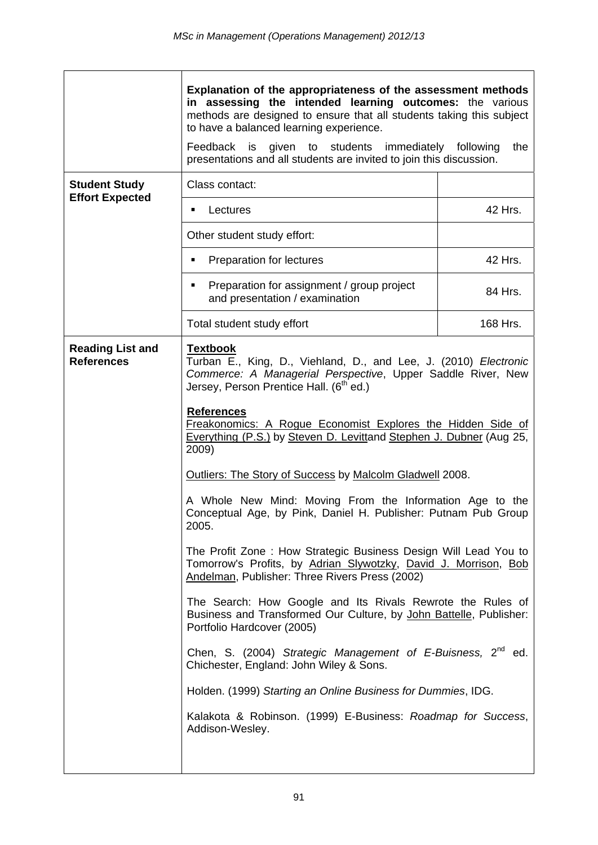|                                              | Explanation of the appropriateness of the assessment methods<br>in assessing the intended learning outcomes: the various<br>methods are designed to ensure that all students taking this subject<br>to have a balanced learning experience.<br>Feedback is<br>given to students immediately<br>the<br>following<br>presentations and all students are invited to join this discussion.                                                                                                                                                                                                                                                                                                                                                                                                                                                                                                                                                                                                                                                                                                                                                                                                                              |          |  |  |  |
|----------------------------------------------|---------------------------------------------------------------------------------------------------------------------------------------------------------------------------------------------------------------------------------------------------------------------------------------------------------------------------------------------------------------------------------------------------------------------------------------------------------------------------------------------------------------------------------------------------------------------------------------------------------------------------------------------------------------------------------------------------------------------------------------------------------------------------------------------------------------------------------------------------------------------------------------------------------------------------------------------------------------------------------------------------------------------------------------------------------------------------------------------------------------------------------------------------------------------------------------------------------------------|----------|--|--|--|
| <b>Student Study</b>                         | Class contact:                                                                                                                                                                                                                                                                                                                                                                                                                                                                                                                                                                                                                                                                                                                                                                                                                                                                                                                                                                                                                                                                                                                                                                                                      |          |  |  |  |
| <b>Effort Expected</b>                       | Lectures<br>٠                                                                                                                                                                                                                                                                                                                                                                                                                                                                                                                                                                                                                                                                                                                                                                                                                                                                                                                                                                                                                                                                                                                                                                                                       | 42 Hrs.  |  |  |  |
|                                              | Other student study effort:                                                                                                                                                                                                                                                                                                                                                                                                                                                                                                                                                                                                                                                                                                                                                                                                                                                                                                                                                                                                                                                                                                                                                                                         |          |  |  |  |
|                                              | Preparation for lectures<br>٠                                                                                                                                                                                                                                                                                                                                                                                                                                                                                                                                                                                                                                                                                                                                                                                                                                                                                                                                                                                                                                                                                                                                                                                       | 42 Hrs.  |  |  |  |
|                                              | Preparation for assignment / group project<br>٠<br>and presentation / examination                                                                                                                                                                                                                                                                                                                                                                                                                                                                                                                                                                                                                                                                                                                                                                                                                                                                                                                                                                                                                                                                                                                                   | 84 Hrs.  |  |  |  |
|                                              | Total student study effort                                                                                                                                                                                                                                                                                                                                                                                                                                                                                                                                                                                                                                                                                                                                                                                                                                                                                                                                                                                                                                                                                                                                                                                          | 168 Hrs. |  |  |  |
| <b>Reading List and</b><br><b>References</b> | <b>Textbook</b><br>Turban E., King, D., Viehland, D., and Lee, J. (2010) Electronic<br>Commerce: A Managerial Perspective, Upper Saddle River, New<br>Jersey, Person Prentice Hall. (6 <sup>th</sup> ed.)<br><b>References</b><br>Freakonomics: A Roque Economist Explores the Hidden Side of<br>Everything (P.S.) by Steven D. Levittand Stephen J. Dubner (Aug 25,<br>2009)<br>Outliers: The Story of Success by Malcolm Gladwell 2008.<br>A Whole New Mind: Moving From the Information Age to the<br>Conceptual Age, by Pink, Daniel H. Publisher: Putnam Pub Group<br>2005.<br>The Profit Zone: How Strategic Business Design Will Lead You to<br>Tomorrow's Profits, by Adrian Slywotzky, David J. Morrison, Bob<br>Andelman, Publisher: Three Rivers Press (2002)<br>The Search: How Google and Its Rivals Rewrote the Rules of<br>Business and Transformed Our Culture, by John Battelle, Publisher:<br>Portfolio Hardcover (2005)<br>Chen, S. (2004) Strategic Management of E-Buisness, 2 <sup>nd</sup> ed.<br>Chichester, England: John Wiley & Sons.<br>Holden. (1999) Starting an Online Business for Dummies, IDG.<br>Kalakota & Robinson. (1999) E-Business: Roadmap for Success,<br>Addison-Wesley. |          |  |  |  |
|                                              |                                                                                                                                                                                                                                                                                                                                                                                                                                                                                                                                                                                                                                                                                                                                                                                                                                                                                                                                                                                                                                                                                                                                                                                                                     |          |  |  |  |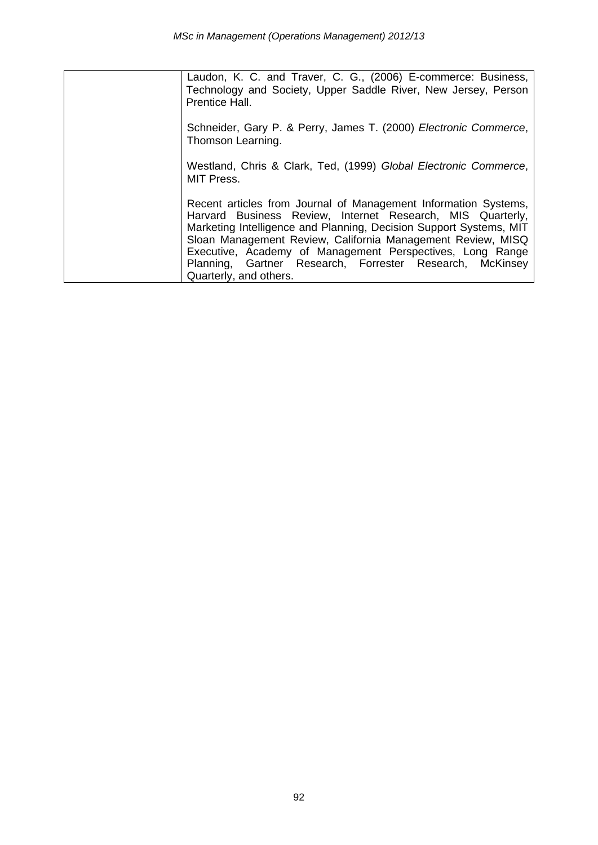Laudon, K. C. and Traver, C. G., (2006) E-commerce: Business, Technology and Society, Upper Saddle River, New Jersey, Person Prentice Hall.

Schneider, Gary P. & Perry, James T. (2000) *Electronic Commerce*, Thomson Learning.

Westland, Chris & Clark, Ted, (1999) *Global Electronic Commerce*, MIT Press.

Recent articles from Journal of Management Information Systems, Harvard Business Review, Internet Research, MIS Quarterly, Marketing Intelligence and Planning, Decision Support Systems, MIT Sloan Management Review, California Management Review, MISQ Executive, Academy of Management Perspectives, Long Range Planning, Gartner Research, Forrester Research, McKinsey Quarterly, and others.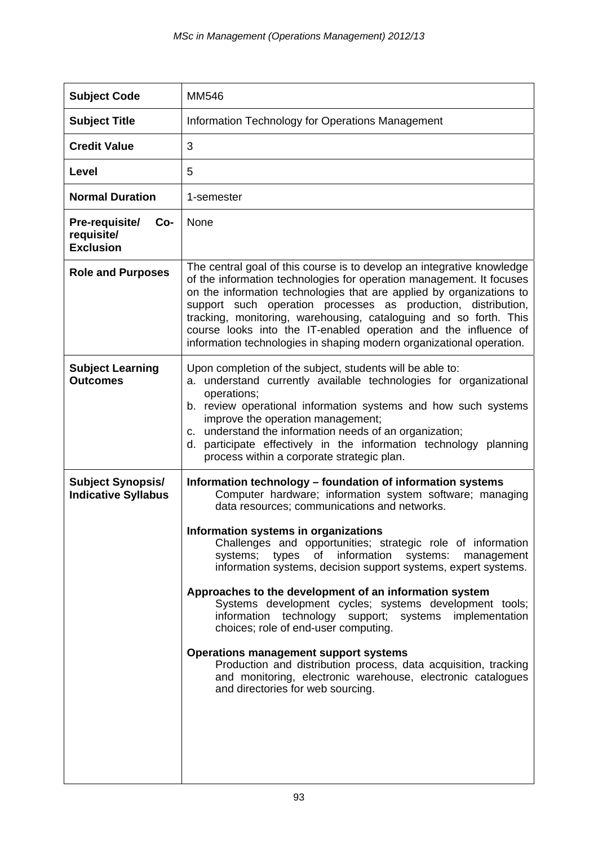| <b>Subject Code</b>                                     | <b>MM546</b>                                                                                                                                                                                                                                                                                                                                                                                                                                                                                                                                                                                                                                                                                                                                                                                                                                                     |
|---------------------------------------------------------|------------------------------------------------------------------------------------------------------------------------------------------------------------------------------------------------------------------------------------------------------------------------------------------------------------------------------------------------------------------------------------------------------------------------------------------------------------------------------------------------------------------------------------------------------------------------------------------------------------------------------------------------------------------------------------------------------------------------------------------------------------------------------------------------------------------------------------------------------------------|
| <b>Subject Title</b>                                    | Information Technology for Operations Management                                                                                                                                                                                                                                                                                                                                                                                                                                                                                                                                                                                                                                                                                                                                                                                                                 |
| <b>Credit Value</b>                                     | 3                                                                                                                                                                                                                                                                                                                                                                                                                                                                                                                                                                                                                                                                                                                                                                                                                                                                |
| Level                                                   | 5                                                                                                                                                                                                                                                                                                                                                                                                                                                                                                                                                                                                                                                                                                                                                                                                                                                                |
| <b>Normal Duration</b>                                  | 1-semester                                                                                                                                                                                                                                                                                                                                                                                                                                                                                                                                                                                                                                                                                                                                                                                                                                                       |
| Pre-requisite/<br>Co-<br>requisite/<br><b>Exclusion</b> | None                                                                                                                                                                                                                                                                                                                                                                                                                                                                                                                                                                                                                                                                                                                                                                                                                                                             |
| <b>Role and Purposes</b>                                | The central goal of this course is to develop an integrative knowledge<br>of the information technologies for operation management. It focuses<br>on the information technologies that are applied by organizations to<br>support such operation processes as production, distribution,<br>tracking, monitoring, warehousing, cataloguing and so forth. This<br>course looks into the IT-enabled operation and the influence of<br>information technologies in shaping modern organizational operation.                                                                                                                                                                                                                                                                                                                                                          |
| <b>Subject Learning</b><br><b>Outcomes</b>              | Upon completion of the subject, students will be able to:<br>a. understand currently available technologies for organizational<br>operations;<br>b. review operational information systems and how such systems<br>improve the operation management;<br>c. understand the information needs of an organization;<br>d. participate effectively in the information technology planning<br>process within a corporate strategic plan.                                                                                                                                                                                                                                                                                                                                                                                                                               |
| <b>Subject Synopsis/</b><br><b>Indicative Syllabus</b>  | Information technology - foundation of information systems<br>Computer hardware; information system software; managing<br>data resources; communications and networks.<br>Information systems in organizations<br>Challenges and opportunities; strategic role of information<br>information systems: management<br>types<br>of<br>systems;<br>information systems, decision support systems, expert systems.<br>Approaches to the development of an information system<br>Systems development cycles; systems development tools;<br>implementation<br>information<br>technology support; systems<br>choices; role of end-user computing.<br><b>Operations management support systems</b><br>Production and distribution process, data acquisition, tracking<br>and monitoring, electronic warehouse, electronic catalogues<br>and directories for web sourcing. |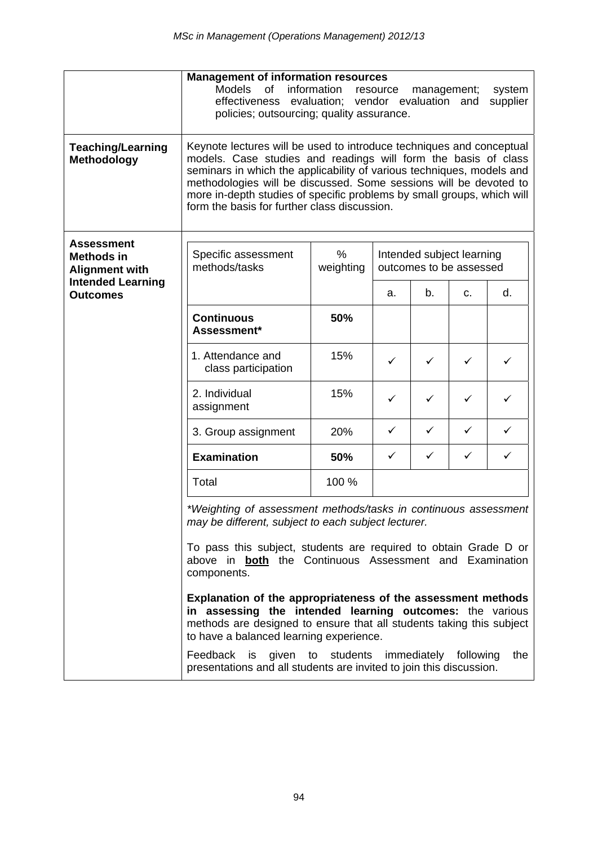|                                                                 | <b>Management of information resources</b><br>Models<br>of<br>information<br>resource<br>management;<br>system<br>effectiveness evaluation; vendor evaluation and<br>supplier<br>policies; outsourcing; quality assurance.                                                                                                                                                                                     |                   |                                                      |    |    |    |
|-----------------------------------------------------------------|----------------------------------------------------------------------------------------------------------------------------------------------------------------------------------------------------------------------------------------------------------------------------------------------------------------------------------------------------------------------------------------------------------------|-------------------|------------------------------------------------------|----|----|----|
| <b>Teaching/Learning</b><br>Methodology                         | Keynote lectures will be used to introduce techniques and conceptual<br>models. Case studies and readings will form the basis of class<br>seminars in which the applicability of various techniques, models and<br>methodologies will be discussed. Some sessions will be devoted to<br>more in-depth studies of specific problems by small groups, which will<br>form the basis for further class discussion. |                   |                                                      |    |    |    |
| <b>Assessment</b><br><b>Methods in</b><br><b>Alignment with</b> | Specific assessment<br>methods/tasks                                                                                                                                                                                                                                                                                                                                                                           | $\%$<br>weighting | Intended subject learning<br>outcomes to be assessed |    |    |    |
| <b>Intended Learning</b><br><b>Outcomes</b>                     |                                                                                                                                                                                                                                                                                                                                                                                                                |                   | a.                                                   | b. | C. | d. |
|                                                                 | <b>Continuous</b><br>Assessment*                                                                                                                                                                                                                                                                                                                                                                               | 50%               |                                                      |    |    |    |
|                                                                 | 1. Attendance and<br>class participation                                                                                                                                                                                                                                                                                                                                                                       | 15%               | ✓                                                    | ✓  | ✓  | ✓  |
|                                                                 | 2. Individual<br>assignment                                                                                                                                                                                                                                                                                                                                                                                    | 15%               | ✓                                                    | ✓  | ✓  | ✓  |
|                                                                 | 3. Group assignment                                                                                                                                                                                                                                                                                                                                                                                            | 20%               | ✓                                                    | ✓  | ✓  | ✓  |
|                                                                 | <b>Examination</b>                                                                                                                                                                                                                                                                                                                                                                                             | 50%               | ✓                                                    | ✓  | ✓  | ✓  |
|                                                                 | Total                                                                                                                                                                                                                                                                                                                                                                                                          | 100 %             |                                                      |    |    |    |
|                                                                 | *Weighting of assessment methods/tasks in continuous assessment<br>may be different, subject to each subject lecturer.<br>To pass this subject, students are required to obtain Grade D or<br>above in <b>both</b> the Continuous Assessment and Examination<br>components.                                                                                                                                    |                   |                                                      |    |    |    |
|                                                                 | Explanation of the appropriateness of the assessment methods<br>in assessing the intended learning outcomes: the various<br>methods are designed to ensure that all students taking this subject<br>to have a balanced learning experience.                                                                                                                                                                    |                   |                                                      |    |    |    |
|                                                                 | Feedback<br>is<br>given<br>to students<br>immediately<br>following<br>the<br>presentations and all students are invited to join this discussion.                                                                                                                                                                                                                                                               |                   |                                                      |    |    |    |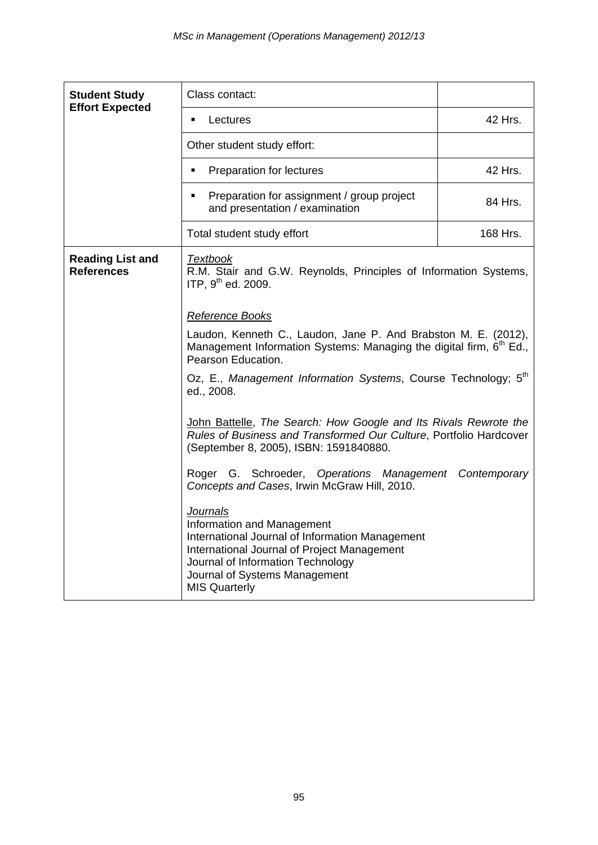| <b>Student Study</b>                         | Class contact:                                                                                                                                                                                                                                |          |  |  |  |
|----------------------------------------------|-----------------------------------------------------------------------------------------------------------------------------------------------------------------------------------------------------------------------------------------------|----------|--|--|--|
| <b>Effort Expected</b>                       | Lectures<br>٠                                                                                                                                                                                                                                 | 42 Hrs.  |  |  |  |
|                                              | Other student study effort:                                                                                                                                                                                                                   |          |  |  |  |
|                                              | Preparation for lectures<br>$\blacksquare$                                                                                                                                                                                                    | 42 Hrs.  |  |  |  |
|                                              | Preparation for assignment / group project<br>٠<br>and presentation / examination                                                                                                                                                             | 84 Hrs.  |  |  |  |
|                                              | Total student study effort                                                                                                                                                                                                                    | 168 Hrs. |  |  |  |
| <b>Reading List and</b><br><b>References</b> | <b>Textbook</b><br>R.M. Stair and G.W. Reynolds, Principles of Information Systems,<br>ITP, 9 <sup>th</sup> ed. 2009.                                                                                                                         |          |  |  |  |
|                                              | <b>Reference Books</b>                                                                                                                                                                                                                        |          |  |  |  |
|                                              | Laudon, Kenneth C., Laudon, Jane P. And Brabston M. E. (2012),<br>Management Information Systems: Managing the digital firm, 6 <sup>th</sup> Ed.,<br>Pearson Education.                                                                       |          |  |  |  |
|                                              | Oz, E., Management Information Systems, Course Technology; 5 <sup>th</sup><br>ed., 2008.                                                                                                                                                      |          |  |  |  |
|                                              | John Battelle, The Search: How Google and Its Rivals Rewrote the<br>Rules of Business and Transformed Our Culture, Portfolio Hardcover<br>(September 8, 2005), ISBN: 1591840880.                                                              |          |  |  |  |
|                                              | Roger G. Schroeder, Operations Management Contemporary<br>Concepts and Cases, Irwin McGraw Hill, 2010.                                                                                                                                        |          |  |  |  |
|                                              | <b>Journals</b><br>Information and Management<br>International Journal of Information Management<br>International Journal of Project Management<br>Journal of Information Technology<br>Journal of Systems Management<br><b>MIS Quarterly</b> |          |  |  |  |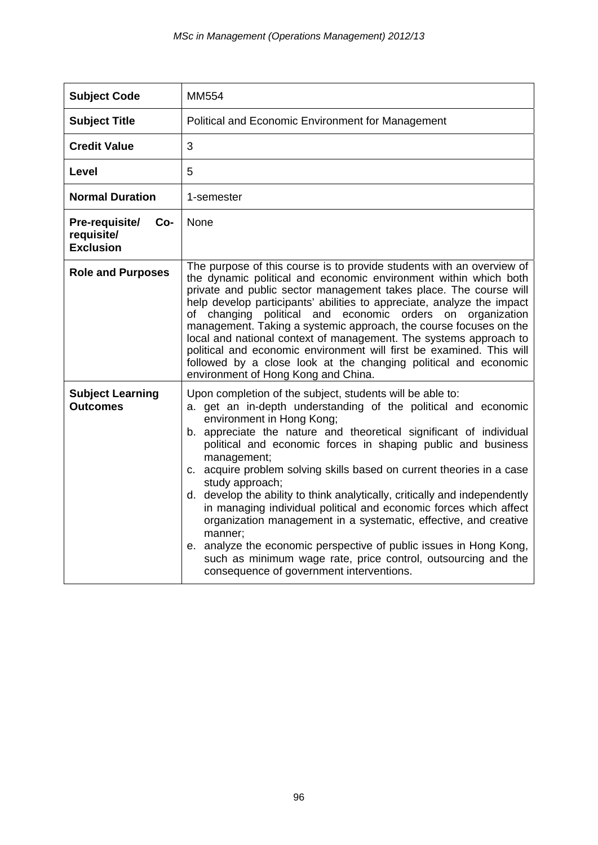| <b>Subject Code</b>                                     | <b>MM554</b>                                                                                                                                                                                                                                                                                                                                                                                                                                                                                                                                                                                                                                                                                                                                                                                                                   |
|---------------------------------------------------------|--------------------------------------------------------------------------------------------------------------------------------------------------------------------------------------------------------------------------------------------------------------------------------------------------------------------------------------------------------------------------------------------------------------------------------------------------------------------------------------------------------------------------------------------------------------------------------------------------------------------------------------------------------------------------------------------------------------------------------------------------------------------------------------------------------------------------------|
| <b>Subject Title</b>                                    | Political and Economic Environment for Management                                                                                                                                                                                                                                                                                                                                                                                                                                                                                                                                                                                                                                                                                                                                                                              |
| <b>Credit Value</b>                                     | 3                                                                                                                                                                                                                                                                                                                                                                                                                                                                                                                                                                                                                                                                                                                                                                                                                              |
| Level                                                   | 5                                                                                                                                                                                                                                                                                                                                                                                                                                                                                                                                                                                                                                                                                                                                                                                                                              |
| <b>Normal Duration</b>                                  | 1-semester                                                                                                                                                                                                                                                                                                                                                                                                                                                                                                                                                                                                                                                                                                                                                                                                                     |
| Pre-requisite/<br>Co-<br>requisite/<br><b>Exclusion</b> | None                                                                                                                                                                                                                                                                                                                                                                                                                                                                                                                                                                                                                                                                                                                                                                                                                           |
| <b>Role and Purposes</b>                                | The purpose of this course is to provide students with an overview of<br>the dynamic political and economic environment within which both<br>private and public sector management takes place. The course will<br>help develop participants' abilities to appreciate, analyze the impact<br>of changing political and economic orders on organization<br>management. Taking a systemic approach, the course focuses on the<br>local and national context of management. The systems approach to<br>political and economic environment will first be examined. This will<br>followed by a close look at the changing political and economic<br>environment of Hong Kong and China.                                                                                                                                              |
| <b>Subject Learning</b><br><b>Outcomes</b>              | Upon completion of the subject, students will be able to:<br>a. get an in-depth understanding of the political and economic<br>environment in Hong Kong;<br>b. appreciate the nature and theoretical significant of individual<br>political and economic forces in shaping public and business<br>management;<br>c. acquire problem solving skills based on current theories in a case<br>study approach;<br>d. develop the ability to think analytically, critically and independently<br>in managing individual political and economic forces which affect<br>organization management in a systematic, effective, and creative<br>manner;<br>e. analyze the economic perspective of public issues in Hong Kong,<br>such as minimum wage rate, price control, outsourcing and the<br>consequence of government interventions. |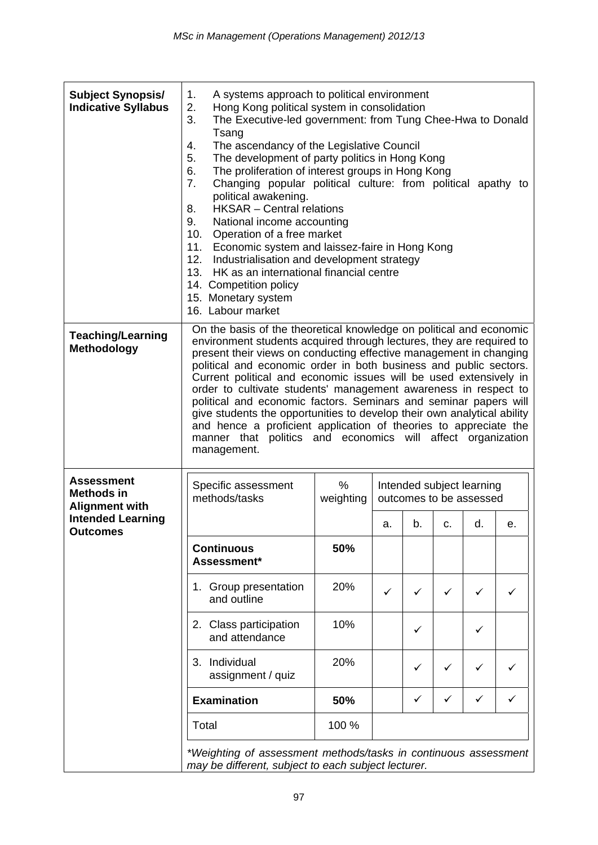| <b>Subject Synopsis/</b><br><b>Indicative Syllabus</b>                                      | A systems approach to political environment<br>1.<br>2.<br>Hong Kong political system in consolidation<br>3.<br>The Executive-led government: from Tung Chee-Hwa to Donald<br>Tsang<br>The ascendancy of the Legislative Council<br>4.<br>5.<br>The development of party politics in Hong Kong<br>6.<br>The proliferation of interest groups in Hong Kong<br>Changing popular political culture: from political apathy to<br>7.<br>political awakening.<br><b>HKSAR</b> - Central relations<br>8.<br>9.<br>National income accounting<br>Operation of a free market<br>10.<br>11.<br>Economic system and laissez-faire in Hong Kong<br>12.<br>Industrialisation and development strategy<br>HK as an international financial centre<br>13.<br>14. Competition policy<br>15. Monetary system<br>16. Labour market |                   |                                                      |    |              |    |    |
|---------------------------------------------------------------------------------------------|------------------------------------------------------------------------------------------------------------------------------------------------------------------------------------------------------------------------------------------------------------------------------------------------------------------------------------------------------------------------------------------------------------------------------------------------------------------------------------------------------------------------------------------------------------------------------------------------------------------------------------------------------------------------------------------------------------------------------------------------------------------------------------------------------------------|-------------------|------------------------------------------------------|----|--------------|----|----|
| <b>Teaching/Learning</b><br><b>Methodology</b>                                              | On the basis of the theoretical knowledge on political and economic<br>environment students acquired through lectures, they are required to<br>present their views on conducting effective management in changing<br>political and economic order in both business and public sectors.<br>Current political and economic issues will be used extensively in<br>order to cultivate students' management awareness in respect to<br>political and economic factors. Seminars and seminar papers will<br>give students the opportunities to develop their own analytical ability<br>and hence a proficient application of theories to appreciate the<br>manner that politics and economics will affect organization<br>management.                                                                                  |                   |                                                      |    |              |    |    |
| <b>Assessment</b><br><b>Methods in</b><br><b>Alignment with</b><br><b>Intended Learning</b> | Specific assessment<br>methods/tasks                                                                                                                                                                                                                                                                                                                                                                                                                                                                                                                                                                                                                                                                                                                                                                             | $\%$<br>weighting | Intended subject learning<br>outcomes to be assessed |    |              |    |    |
| <b>Outcomes</b>                                                                             | <b>Continuous</b><br>Assessment*                                                                                                                                                                                                                                                                                                                                                                                                                                                                                                                                                                                                                                                                                                                                                                                 | 50%               | a.                                                   | b. | c.           | d. | е. |
|                                                                                             | 1. Group presentation<br>and outline                                                                                                                                                                                                                                                                                                                                                                                                                                                                                                                                                                                                                                                                                                                                                                             | 20%               | ✓                                                    | ✓  | $\checkmark$ | ✓  |    |
|                                                                                             | 2. Class participation<br>and attendance                                                                                                                                                                                                                                                                                                                                                                                                                                                                                                                                                                                                                                                                                                                                                                         | 10%               |                                                      | ✓  |              | ✓  |    |
|                                                                                             | 3. Individual<br>assignment / quiz                                                                                                                                                                                                                                                                                                                                                                                                                                                                                                                                                                                                                                                                                                                                                                               | 20%               |                                                      | ✓  | $\checkmark$ | ✓  |    |
|                                                                                             | <b>Examination</b>                                                                                                                                                                                                                                                                                                                                                                                                                                                                                                                                                                                                                                                                                                                                                                                               | 50%               |                                                      | ✓  | ✓            | ✓  |    |
|                                                                                             | Total                                                                                                                                                                                                                                                                                                                                                                                                                                                                                                                                                                                                                                                                                                                                                                                                            | 100 %             |                                                      |    |              |    |    |
|                                                                                             | *Weighting of assessment methods/tasks in continuous assessment<br>may be different, subject to each subject lecturer.                                                                                                                                                                                                                                                                                                                                                                                                                                                                                                                                                                                                                                                                                           |                   |                                                      |    |              |    |    |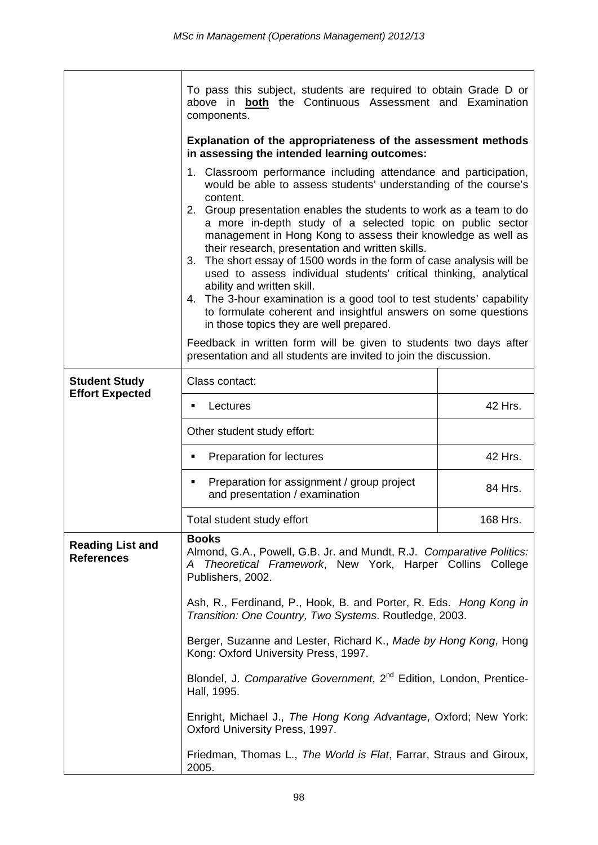|                                              | To pass this subject, students are required to obtain Grade D or<br>above in <b>both</b> the Continuous Assessment and Examination<br>components.                                                                                                                                                                                                                                                                                                                                                                                                                                                                               |          |  |  |  |
|----------------------------------------------|---------------------------------------------------------------------------------------------------------------------------------------------------------------------------------------------------------------------------------------------------------------------------------------------------------------------------------------------------------------------------------------------------------------------------------------------------------------------------------------------------------------------------------------------------------------------------------------------------------------------------------|----------|--|--|--|
|                                              | Explanation of the appropriateness of the assessment methods<br>in assessing the intended learning outcomes:                                                                                                                                                                                                                                                                                                                                                                                                                                                                                                                    |          |  |  |  |
|                                              | 1. Classroom performance including attendance and participation,<br>would be able to assess students' understanding of the course's<br>content.<br>2. Group presentation enables the students to work as a team to do<br>a more in-depth study of a selected topic on public sector                                                                                                                                                                                                                                                                                                                                             |          |  |  |  |
|                                              | management in Hong Kong to assess their knowledge as well as<br>their research, presentation and written skills.<br>The short essay of 1500 words in the form of case analysis will be<br>3.<br>used to assess individual students' critical thinking, analytical<br>ability and written skill.<br>4. The 3-hour examination is a good tool to test students' capability<br>to formulate coherent and insightful answers on some questions<br>in those topics they are well prepared.<br>Feedback in written form will be given to students two days after<br>presentation and all students are invited to join the discussion. |          |  |  |  |
|                                              |                                                                                                                                                                                                                                                                                                                                                                                                                                                                                                                                                                                                                                 |          |  |  |  |
| <b>Student Study</b>                         | Class contact:                                                                                                                                                                                                                                                                                                                                                                                                                                                                                                                                                                                                                  |          |  |  |  |
| <b>Effort Expected</b>                       | Lectures<br>٠                                                                                                                                                                                                                                                                                                                                                                                                                                                                                                                                                                                                                   | 42 Hrs.  |  |  |  |
|                                              | Other student study effort:                                                                                                                                                                                                                                                                                                                                                                                                                                                                                                                                                                                                     |          |  |  |  |
|                                              | Preparation for lectures<br>٠                                                                                                                                                                                                                                                                                                                                                                                                                                                                                                                                                                                                   | 42 Hrs.  |  |  |  |
|                                              | Preparation for assignment / group project<br>٠<br>and presentation / examination                                                                                                                                                                                                                                                                                                                                                                                                                                                                                                                                               | 84 Hrs.  |  |  |  |
|                                              | Total student study effort                                                                                                                                                                                                                                                                                                                                                                                                                                                                                                                                                                                                      | 168 Hrs. |  |  |  |
| <b>Reading List and</b><br><b>References</b> | <b>Books</b><br>Almond, G.A., Powell, G.B. Jr. and Mundt, R.J. Comparative Politics:<br>Theoretical Framework, New York, Harper Collins College<br>A<br>Publishers, 2002.                                                                                                                                                                                                                                                                                                                                                                                                                                                       |          |  |  |  |
|                                              | Ash, R., Ferdinand, P., Hook, B. and Porter, R. Eds. Hong Kong in<br>Transition: One Country, Two Systems. Routledge, 2003.                                                                                                                                                                                                                                                                                                                                                                                                                                                                                                     |          |  |  |  |
|                                              | Berger, Suzanne and Lester, Richard K., Made by Hong Kong, Hong<br>Kong: Oxford University Press, 1997.                                                                                                                                                                                                                                                                                                                                                                                                                                                                                                                         |          |  |  |  |
|                                              | Blondel, J. Comparative Government, 2 <sup>nd</sup> Edition, London, Prentice-<br>Hall, 1995.                                                                                                                                                                                                                                                                                                                                                                                                                                                                                                                                   |          |  |  |  |
|                                              | Enright, Michael J., The Hong Kong Advantage, Oxford; New York:                                                                                                                                                                                                                                                                                                                                                                                                                                                                                                                                                                 |          |  |  |  |
|                                              | Friedman, Thomas L., The World is Flat, Farrar, Straus and Giroux,<br>2005.                                                                                                                                                                                                                                                                                                                                                                                                                                                                                                                                                     |          |  |  |  |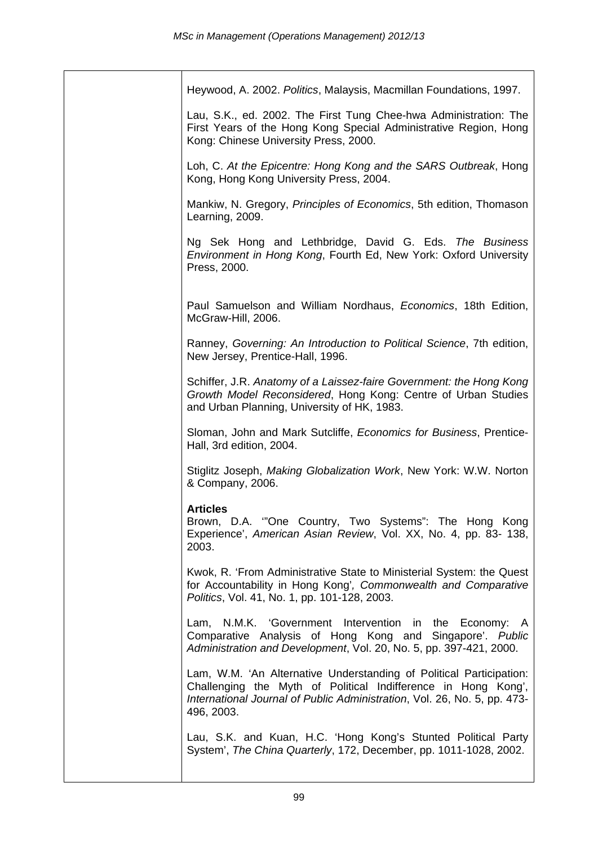| Heywood, A. 2002. Politics, Malaysis, Macmillan Foundations, 1997.                                                                                                                                                             |
|--------------------------------------------------------------------------------------------------------------------------------------------------------------------------------------------------------------------------------|
| Lau, S.K., ed. 2002. The First Tung Chee-hwa Administration: The<br>First Years of the Hong Kong Special Administrative Region, Hong<br>Kong: Chinese University Press, 2000.                                                  |
| Loh, C. At the Epicentre: Hong Kong and the SARS Outbreak, Hong<br>Kong, Hong Kong University Press, 2004.                                                                                                                     |
| Mankiw, N. Gregory, Principles of Economics, 5th edition, Thomason<br>Learning, 2009.                                                                                                                                          |
| Ng Sek Hong and Lethbridge, David G. Eds. The Business<br>Environment in Hong Kong, Fourth Ed, New York: Oxford University<br>Press, 2000.                                                                                     |
| Paul Samuelson and William Nordhaus, Economics, 18th Edition,<br>McGraw-Hill, 2006.                                                                                                                                            |
| Ranney, Governing: An Introduction to Political Science, 7th edition,<br>New Jersey, Prentice-Hall, 1996.                                                                                                                      |
| Schiffer, J.R. Anatomy of a Laissez-faire Government: the Hong Kong<br>Growth Model Reconsidered, Hong Kong: Centre of Urban Studies<br>and Urban Planning, University of HK, 1983.                                            |
| Sloman, John and Mark Sutcliffe, <i>Economics for Business</i> , Prentice-<br>Hall, 3rd edition, 2004.                                                                                                                         |
| Stiglitz Joseph, Making Globalization Work, New York: W.W. Norton<br>& Company, 2006.                                                                                                                                          |
| <b>Articles</b><br>Brown, D.A. "One Country, Two Systems": The Hong Kong<br>Experience', American Asian Review, Vol. XX, No. 4, pp. 83-138,<br>2003.                                                                           |
| Kwok, R. 'From Administrative State to Ministerial System: the Quest<br>for Accountability in Hong Kong', Commonwealth and Comparative<br>Politics, Vol. 41, No. 1, pp. 101-128, 2003.                                         |
| N.M.K. 'Government Intervention in the Economy: A<br>Lam,<br>Comparative Analysis of Hong Kong and Singapore'. Public<br>Administration and Development, Vol. 20, No. 5, pp. 397-421, 2000.                                    |
| Lam, W.M. 'An Alternative Understanding of Political Participation:<br>Challenging the Myth of Political Indifference in Hong Kong',<br>International Journal of Public Administration, Vol. 26, No. 5, pp. 473-<br>496, 2003. |
| Lau, S.K. and Kuan, H.C. 'Hong Kong's Stunted Political Party<br>System', The China Quarterly, 172, December, pp. 1011-1028, 2002.                                                                                             |
|                                                                                                                                                                                                                                |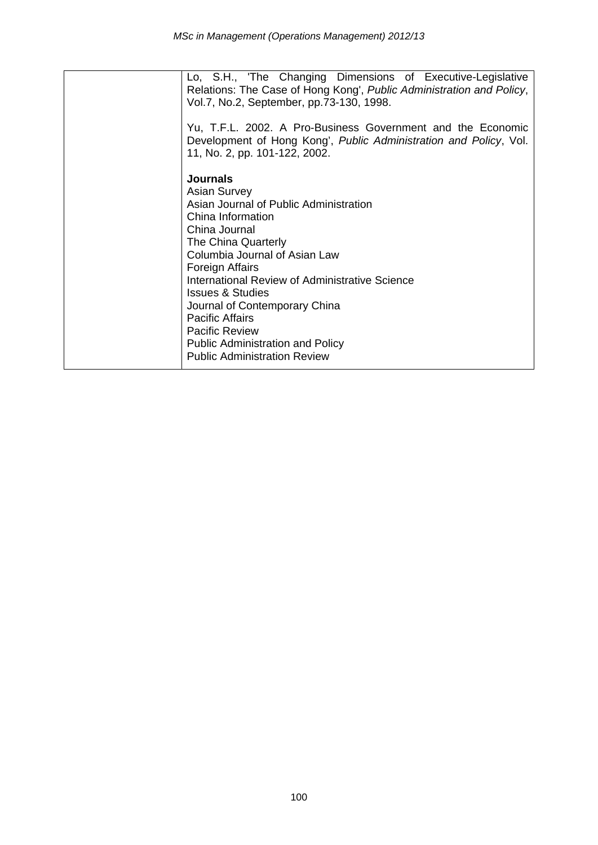| Lo, S.H., 'The Changing Dimensions of Executive-Legislative<br>Relations: The Case of Hong Kong', Public Administration and Policy,<br>Vol.7, No.2, September, pp.73-130, 1998.                                                                                                                                                                                                                                                                          |
|----------------------------------------------------------------------------------------------------------------------------------------------------------------------------------------------------------------------------------------------------------------------------------------------------------------------------------------------------------------------------------------------------------------------------------------------------------|
| Yu, T.F.L. 2002. A Pro-Business Government and the Economic<br>Development of Hong Kong', Public Administration and Policy, Vol.<br>11, No. 2, pp. 101-122, 2002.                                                                                                                                                                                                                                                                                        |
| <b>Journals</b><br><b>Asian Survey</b><br>Asian Journal of Public Administration<br>China Information<br>China Journal<br>The China Quarterly<br>Columbia Journal of Asian Law<br>Foreign Affairs<br>International Review of Administrative Science<br><b>Issues &amp; Studies</b><br>Journal of Contemporary China<br><b>Pacific Affairs</b><br><b>Pacific Review</b><br><b>Public Administration and Policy</b><br><b>Public Administration Review</b> |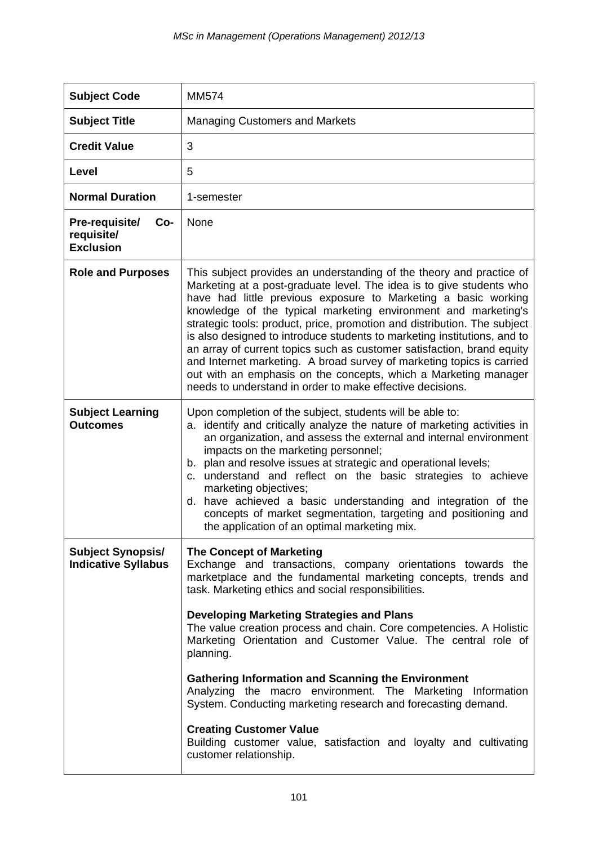| <b>Managing Customers and Markets</b>                                                                                                                                                                                                                                                                                                                                                                                                                                                                                                                                                                                                                                                                                                  |
|----------------------------------------------------------------------------------------------------------------------------------------------------------------------------------------------------------------------------------------------------------------------------------------------------------------------------------------------------------------------------------------------------------------------------------------------------------------------------------------------------------------------------------------------------------------------------------------------------------------------------------------------------------------------------------------------------------------------------------------|
| 3                                                                                                                                                                                                                                                                                                                                                                                                                                                                                                                                                                                                                                                                                                                                      |
| 5                                                                                                                                                                                                                                                                                                                                                                                                                                                                                                                                                                                                                                                                                                                                      |
| 1-semester                                                                                                                                                                                                                                                                                                                                                                                                                                                                                                                                                                                                                                                                                                                             |
| None                                                                                                                                                                                                                                                                                                                                                                                                                                                                                                                                                                                                                                                                                                                                   |
| This subject provides an understanding of the theory and practice of<br>Marketing at a post-graduate level. The idea is to give students who<br>have had little previous exposure to Marketing a basic working<br>knowledge of the typical marketing environment and marketing's<br>strategic tools: product, price, promotion and distribution. The subject<br>is also designed to introduce students to marketing institutions, and to<br>an array of current topics such as customer satisfaction, brand equity<br>and Internet marketing. A broad survey of marketing topics is carried<br>out with an emphasis on the concepts, which a Marketing manager<br>needs to understand in order to make effective decisions.            |
| Upon completion of the subject, students will be able to:<br>identify and critically analyze the nature of marketing activities in<br>а.<br>an organization, and assess the external and internal environment<br>impacts on the marketing personnel;<br>plan and resolve issues at strategic and operational levels;<br>b.<br>understand and reflect on the basic strategies to achieve<br>C.<br>marketing objectives;<br>d. have achieved a basic understanding and integration of the<br>concepts of market segmentation, targeting and positioning and<br>the application of an optimal marketing mix.                                                                                                                              |
| <b>The Concept of Marketing</b><br>Exchange and transactions, company orientations towards the<br>marketplace and the fundamental marketing concepts, trends and<br>task. Marketing ethics and social responsibilities.<br><b>Developing Marketing Strategies and Plans</b><br>The value creation process and chain. Core competencies. A Holistic<br>Marketing Orientation and Customer Value. The central role of<br>planning.<br><b>Gathering Information and Scanning the Environment</b><br>Analyzing the macro environment. The Marketing<br>Information<br>System. Conducting marketing research and forecasting demand.<br><b>Creating Customer Value</b><br>Building customer value, satisfaction and loyalty and cultivating |
| customer relationship.                                                                                                                                                                                                                                                                                                                                                                                                                                                                                                                                                                                                                                                                                                                 |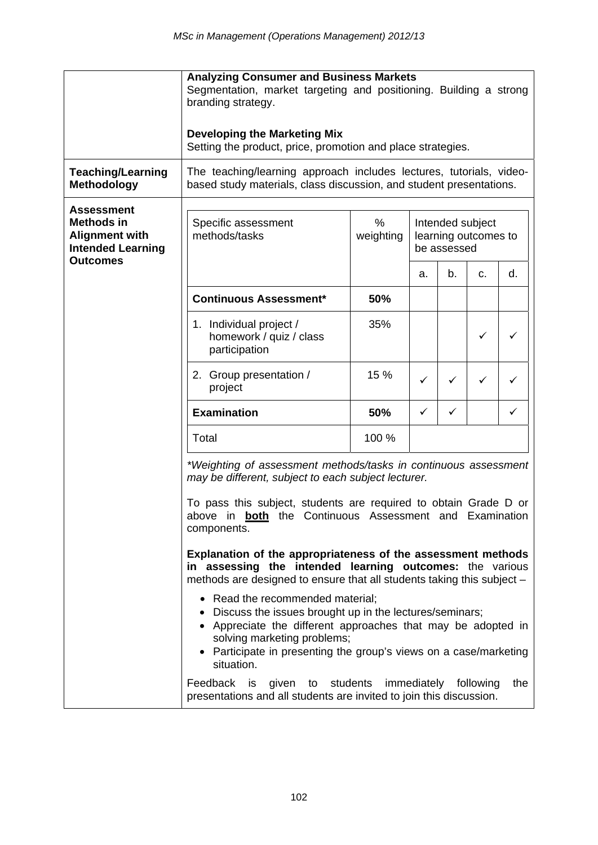|                                                                                                                | <b>Analyzing Consumer and Business Markets</b><br>Segmentation, market targeting and positioning. Building a strong<br>branding strategy.                                                                                                                                     |                |                                                         |              |    |     |
|----------------------------------------------------------------------------------------------------------------|-------------------------------------------------------------------------------------------------------------------------------------------------------------------------------------------------------------------------------------------------------------------------------|----------------|---------------------------------------------------------|--------------|----|-----|
|                                                                                                                | <b>Developing the Marketing Mix</b><br>Setting the product, price, promotion and place strategies.                                                                                                                                                                            |                |                                                         |              |    |     |
| <b>Teaching/Learning</b><br><b>Methodology</b>                                                                 | The teaching/learning approach includes lectures, tutorials, video-<br>based study materials, class discussion, and student presentations.                                                                                                                                    |                |                                                         |              |    |     |
| <b>Assessment</b><br><b>Methods in</b><br><b>Alignment with</b><br><b>Intended Learning</b><br><b>Outcomes</b> | Specific assessment<br>methods/tasks                                                                                                                                                                                                                                          | %<br>weighting | Intended subject<br>learning outcomes to<br>be assessed |              |    |     |
|                                                                                                                |                                                                                                                                                                                                                                                                               |                | а.                                                      | b.           | C. | d.  |
|                                                                                                                | <b>Continuous Assessment*</b>                                                                                                                                                                                                                                                 | 50%            |                                                         |              |    |     |
|                                                                                                                | 1. Individual project /<br>homework / quiz / class<br>participation                                                                                                                                                                                                           | 35%            |                                                         |              | ✓  | ✓   |
|                                                                                                                | 2. Group presentation /<br>project                                                                                                                                                                                                                                            | 15 %           | ✓                                                       | $\checkmark$ | ✓  | ✓   |
|                                                                                                                | <b>Examination</b>                                                                                                                                                                                                                                                            | 50%            | ✓                                                       | ✓            |    | ✓   |
|                                                                                                                | Total                                                                                                                                                                                                                                                                         | 100 %          |                                                         |              |    |     |
|                                                                                                                | *Weighting of assessment methods/tasks in continuous assessment<br>may be different, subject to each subject lecturer.<br>To pass this subject, students are required to obtain Grade D or<br>above in <b>both</b> the Continuous Assessment and Examination<br>components.   |                |                                                         |              |    |     |
|                                                                                                                | Explanation of the appropriateness of the assessment methods<br>in assessing the intended learning outcomes: the various<br>methods are designed to ensure that all students taking this subject -                                                                            |                |                                                         |              |    |     |
|                                                                                                                | • Read the recommended material;<br>• Discuss the issues brought up in the lectures/seminars;<br>• Appreciate the different approaches that may be adopted in<br>solving marketing problems;<br>Participate in presenting the group's views on a case/marketing<br>situation. |                |                                                         |              |    |     |
|                                                                                                                | Feedback<br>given to students immediately following<br>is<br>presentations and all students are invited to join this discussion.                                                                                                                                              |                |                                                         |              |    | the |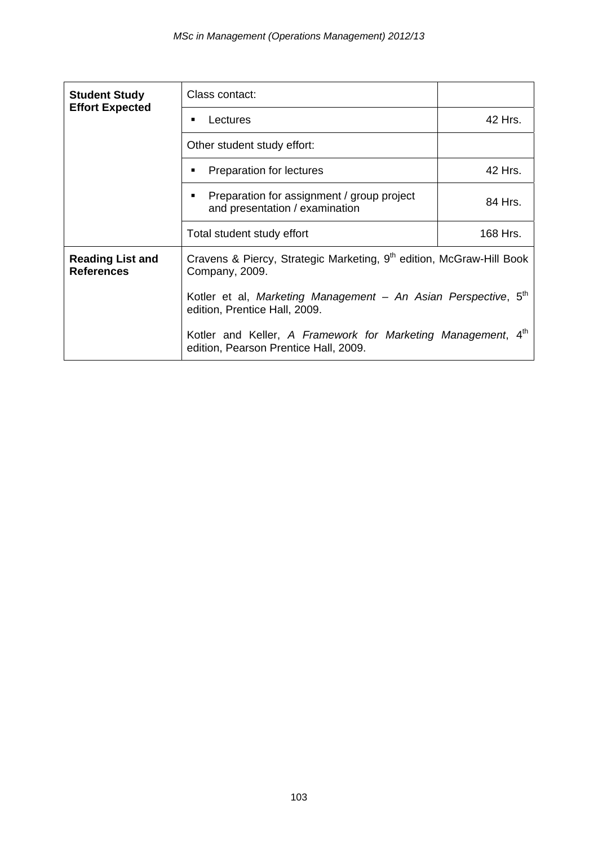| <b>Student Study</b><br><b>Effort Expected</b> | Class contact:                                                                                              |          |  |
|------------------------------------------------|-------------------------------------------------------------------------------------------------------------|----------|--|
|                                                | Lectures<br>٠                                                                                               | 42 Hrs.  |  |
|                                                | Other student study effort:                                                                                 |          |  |
|                                                | Preparation for lectures<br>٠                                                                               | 42 Hrs.  |  |
|                                                | Preparation for assignment / group project<br>٠<br>and presentation / examination                           | 84 Hrs.  |  |
|                                                | Total student study effort                                                                                  | 168 Hrs. |  |
| <b>Reading List and</b><br><b>References</b>   | Cravens & Piercy, Strategic Marketing, 9 <sup>th</sup> edition, McGraw-Hill Book<br>Company, 2009.          |          |  |
|                                                | Kotler et al, Marketing Management - An Asian Perspective, 5 <sup>th</sup><br>edition, Prentice Hall, 2009. |          |  |
|                                                | Kotler and Keller, A Framework for Marketing Management,<br>edition, Pearson Prentice Hall, 2009.           |          |  |